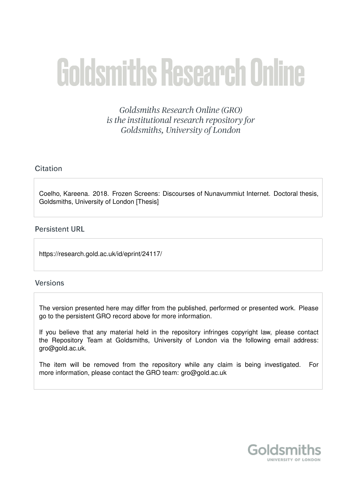# **Goldsmiths Research Online**

**Goldsmiths Research Online (GRO)** is the institutional research repository for Goldsmiths, University of London

# Citation

Coelho, Kareena. 2018. Frozen Screens: Discourses of Nunavummiut Internet. Doctoral thesis, Goldsmiths, University of London [Thesis]

# **Persistent URL**

https://research.gold.ac.uk/id/eprint/24117/

# **Versions**

The version presented here may differ from the published, performed or presented work. Please go to the persistent GRO record above for more information.

If you believe that any material held in the repository infringes copyright law, please contact the Repository Team at Goldsmiths, University of London via the following email address: gro@gold.ac.uk.

The item will be removed from the repository while any claim is being investigated. For more information, please contact the GRO team: gro@gold.ac.uk

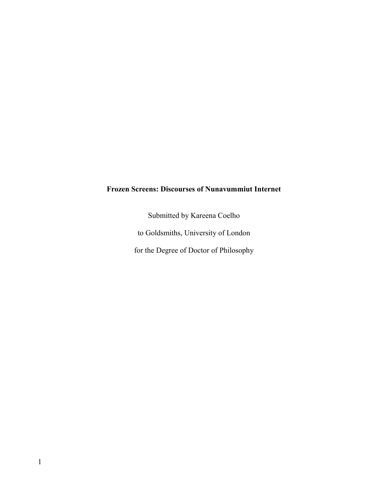# **Frozen Screens: Discourses of Nunavummiut Internet**

Submitted by Kareena Coelho to Goldsmiths, University of London for the Degree of Doctor of Philosophy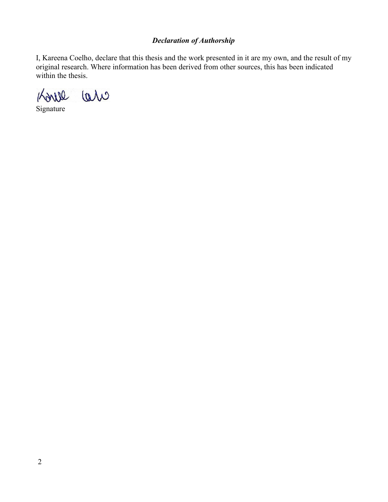# *Declaration of Authorship*

I, Kareena Coelho, declare that this thesis and the work presented in it are my own, and the result of my original research. Where information has been derived from other sources, this has been indicated within the thesis.



Signature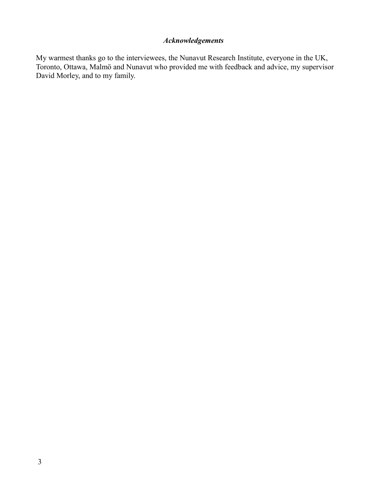# *Acknowledgements*

My warmest thanks go to the interviewees, the Nunavut Research Institute, everyone in the UK, Toronto, Ottawa, Malmö and Nunavut who provided me with feedback and advice, my supervisor David Morley, and to my family.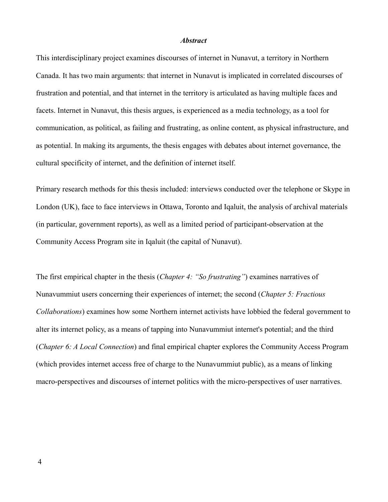### *Abstract*

This interdisciplinary project examines discourses of internet in Nunavut, a territory in Northern Canada. It has two main arguments: that internet in Nunavut is implicated in correlated discourses of frustration and potential, and that internet in the territory is articulated as having multiple faces and facets. Internet in Nunavut, this thesis argues, is experienced as a media technology, as a tool for communication, as political, as failing and frustrating, as online content, as physical infrastructure, and as potential. In making its arguments, the thesis engages with debates about internet governance, the cultural specificity of internet, and the definition of internet itself.

Primary research methods for this thesis included: interviews conducted over the telephone or Skype in London (UK), face to face interviews in Ottawa, Toronto and Iqaluit, the analysis of archival materials (in particular, government reports), as well as a limited period of participant-observation at the Community Access Program site in Iqaluit (the capital of Nunavut).

The first empirical chapter in the thesis (*Chapter 4: "So frustrating"*) examines narratives of Nunavummiut users concerning their experiences of internet; the second (*Chapter 5: Fractious Collaborations*) examines how some Northern internet activists have lobbied the federal government to alter its internet policy, as a means of tapping into Nunavummiut internet's potential; and the third (*Chapter 6: A Local Connection*) and final empirical chapter explores the Community Access Program (which provides internet access free of charge to the Nunavummiut public), as a means of linking macro-perspectives and discourses of internet politics with the micro-perspectives of user narratives.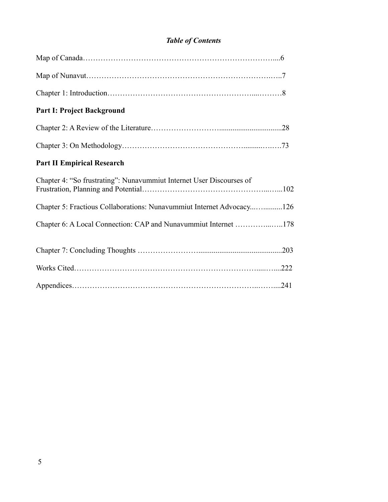# *Table of Contents*

| <b>Part I: Project Background</b>                                     |  |
|-----------------------------------------------------------------------|--|
|                                                                       |  |
|                                                                       |  |
| <b>Part II Empirical Research</b>                                     |  |
| Chapter 4: "So frustrating": Nunavummiut Internet User Discourses of  |  |
| Chapter 5: Fractious Collaborations: Nunavummiut Internet Advocacy126 |  |
| Chapter 6: A Local Connection: CAP and Nunavummiut Internet 178       |  |
|                                                                       |  |
|                                                                       |  |
|                                                                       |  |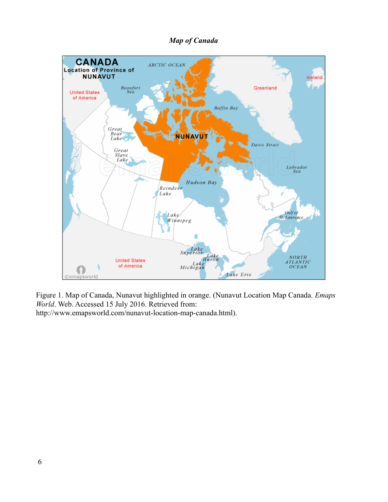# *Map of Canada*



Figure 1. Map of Canada, Nunavut highlighted in orange. (Nunavut Location Map Canada. *Emaps World*. Web. Accessed 15 July 2016. Retrieved from: http://www.emapsworld.com/nunavut-location-map-canada.html).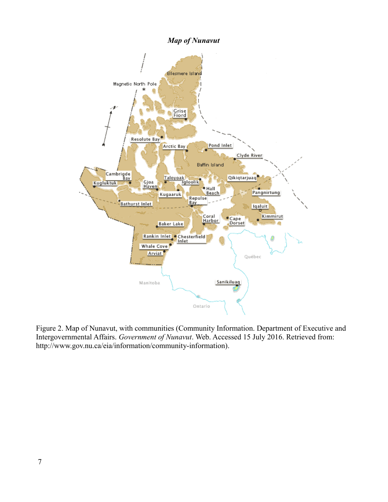

Figure 2. Map of Nunavut, with communities (Community Information. Department of Executive and Intergovernmental Affairs. *Government of Nunavut*. Web. Accessed 15 July 2016. Retrieved from: http://www.gov.nu.ca/eia/information/community-information).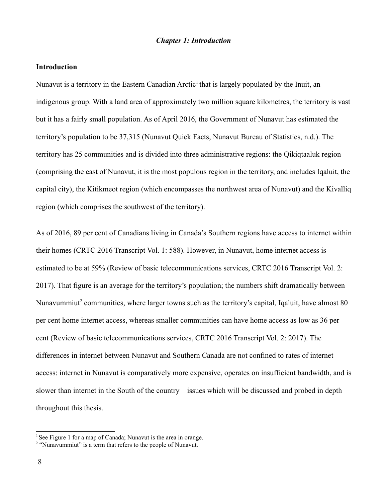### *Chapter 1: Introduction*

### **Introduction**

Nunavut is a territory in the Eastern Canadian Arctic<sup>[1](#page-8-0)</sup> that is largely populated by the Inuit, an indigenous group. With a land area of approximately two million square kilometres, the territory is vast but it has a fairly small population. As of April 2016, the Government of Nunavut has estimated the territory's population to be 37,315 (Nunavut Quick Facts, Nunavut Bureau of Statistics, n.d.). The territory has 25 communities and is divided into three administrative regions: the Qikiqtaaluk region (comprising the east of Nunavut, it is the most populous region in the territory, and includes Iqaluit, the capital city), the Kitikmeot region (which encompasses the northwest area of Nunavut) and the Kivalliq region (which comprises the southwest of the territory).

As of 2016, 89 per cent of Canadians living in Canada's Southern regions have access to internet within their homes (CRTC 2016 Transcript Vol. 1: 588). However, in Nunavut, home internet access is estimated to be at 59% (Review of basic telecommunications services, CRTC 2016 Transcript Vol. 2: 2017). That figure is an average for the territory's population; the numbers shift dramatically between Nunavummiut<sup>[2](#page-8-1)</sup> communities, where larger towns such as the territory's capital, Iqaluit, have almost 80 per cent home internet access, whereas smaller communities can have home access as low as 36 per cent (Review of basic telecommunications services, CRTC 2016 Transcript Vol. 2: 2017). The differences in internet between Nunavut and Southern Canada are not confined to rates of internet access: internet in Nunavut is comparatively more expensive, operates on insufficient bandwidth, and is slower than internet in the South of the country – issues which will be discussed and probed in depth throughout this thesis.

<span id="page-8-0"></span><sup>&</sup>lt;sup>1</sup> See Figure 1 for a map of Canada; Nunavut is the area in orange.

<span id="page-8-1"></span> $2$  "Nunavummiut" is a term that refers to the people of Nunavut.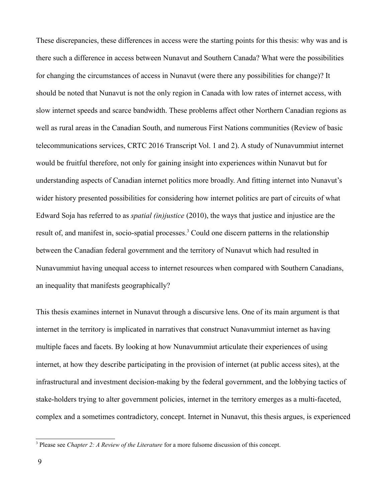These discrepancies, these differences in access were the starting points for this thesis: why was and is there such a difference in access between Nunavut and Southern Canada? What were the possibilities for changing the circumstances of access in Nunavut (were there any possibilities for change)? It should be noted that Nunavut is not the only region in Canada with low rates of internet access, with slow internet speeds and scarce bandwidth. These problems affect other Northern Canadian regions as well as rural areas in the Canadian South, and numerous First Nations communities (Review of basic telecommunications services, CRTC 2016 Transcript Vol. 1 and 2). A study of Nunavummiut internet would be fruitful therefore, not only for gaining insight into experiences within Nunavut but for understanding aspects of Canadian internet politics more broadly. And fitting internet into Nunavut's wider history presented possibilities for considering how internet politics are part of circuits of what Edward Soja has referred to as *spatial (in)justice* (2010), the ways that justice and injustice are the result of, and manifest in, socio-spatial processes.<sup>[3](#page-9-0)</sup> Could one discern patterns in the relationship between the Canadian federal government and the territory of Nunavut which had resulted in Nunavummiut having unequal access to internet resources when compared with Southern Canadians, an inequality that manifests geographically?

This thesis examines internet in Nunavut through a discursive lens. One of its main argument is that internet in the territory is implicated in narratives that construct Nunavummiut internet as having multiple faces and facets. By looking at how Nunavummiut articulate their experiences of using internet, at how they describe participating in the provision of internet (at public access sites), at the infrastructural and investment decision-making by the federal government, and the lobbying tactics of stake-holders trying to alter government policies, internet in the territory emerges as a multi-faceted, complex and a sometimes contradictory, concept. Internet in Nunavut, this thesis argues, is experienced

<span id="page-9-0"></span><sup>3</sup> Please see *Chapter 2: A Review of the Literature* for a more fulsome discussion of this concept.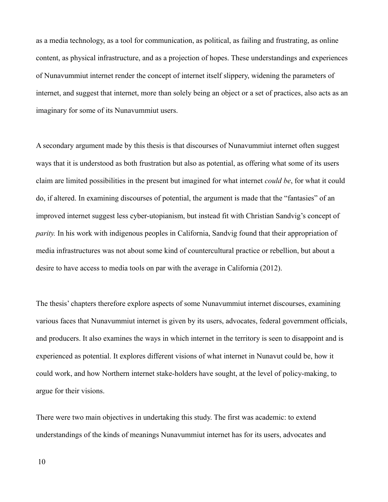as a media technology, as a tool for communication, as political, as failing and frustrating, as online content, as physical infrastructure, and as a projection of hopes. These understandings and experiences of Nunavummiut internet render the concept of internet itself slippery, widening the parameters of internet, and suggest that internet, more than solely being an object or a set of practices, also acts as an imaginary for some of its Nunavummiut users.

A secondary argument made by this thesis is that discourses of Nunavummiut internet often suggest ways that it is understood as both frustration but also as potential, as offering what some of its users claim are limited possibilities in the present but imagined for what internet *could be*, for what it could do, if altered. In examining discourses of potential, the argument is made that the "fantasies" of an improved internet suggest less cyber-utopianism, but instead fit with Christian Sandvig's concept of *parity.* In his work with indigenous peoples in California, Sandvig found that their appropriation of media infrastructures was not about some kind of countercultural practice or rebellion, but about a desire to have access to media tools on par with the average in California (2012).

The thesis' chapters therefore explore aspects of some Nunavummiut internet discourses, examining various faces that Nunavummiut internet is given by its users, advocates, federal government officials, and producers. It also examines the ways in which internet in the territory is seen to disappoint and is experienced as potential. It explores different visions of what internet in Nunavut could be, how it could work, and how Northern internet stake-holders have sought, at the level of policy-making, to argue for their visions.

There were two main objectives in undertaking this study. The first was academic: to extend understandings of the kinds of meanings Nunavummiut internet has for its users, advocates and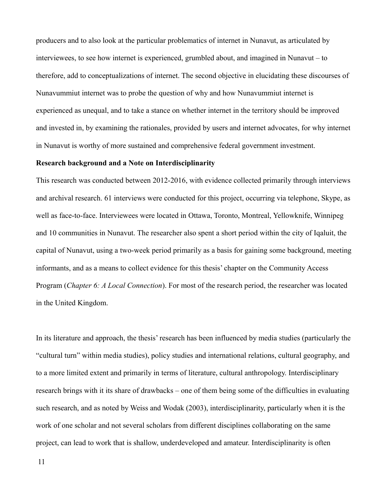producers and to also look at the particular problematics of internet in Nunavut, as articulated by interviewees, to see how internet is experienced, grumbled about, and imagined in Nunavut – to therefore, add to conceptualizations of internet. The second objective in elucidating these discourses of Nunavummiut internet was to probe the question of why and how Nunavummiut internet is experienced as unequal, and to take a stance on whether internet in the territory should be improved and invested in, by examining the rationales, provided by users and internet advocates, for why internet in Nunavut is worthy of more sustained and comprehensive federal government investment.

### **Research background and a Note on Interdisciplinarity**

This research was conducted between 2012-2016, with evidence collected primarily through interviews and archival research. 61 interviews were conducted for this project, occurring via telephone, Skype, as well as face-to-face. Interviewees were located in Ottawa, Toronto, Montreal, Yellowknife, Winnipeg and 10 communities in Nunavut. The researcher also spent a short period within the city of Iqaluit, the capital of Nunavut, using a two-week period primarily as a basis for gaining some background, meeting informants, and as a means to collect evidence for this thesis' chapter on the Community Access Program (*Chapter 6: A Local Connection*). For most of the research period, the researcher was located in the United Kingdom.

In its literature and approach, the thesis' research has been influenced by media studies (particularly the "cultural turn" within media studies), policy studies and international relations, cultural geography, and to a more limited extent and primarily in terms of literature, cultural anthropology. Interdisciplinary research brings with it its share of drawbacks – one of them being some of the difficulties in evaluating such research, and as noted by Weiss and Wodak (2003), interdisciplinarity, particularly when it is the work of one scholar and not several scholars from different disciplines collaborating on the same project, can lead to work that is shallow, underdeveloped and amateur. Interdisciplinarity is often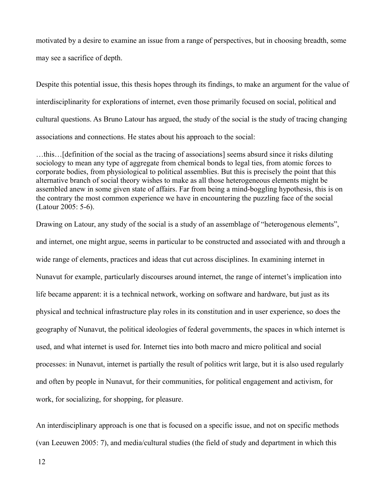motivated by a desire to examine an issue from a range of perspectives, but in choosing breadth, some may see a sacrifice of depth.

Despite this potential issue, this thesis hopes through its findings, to make an argument for the value of interdisciplinarity for explorations of internet, even those primarily focused on social, political and cultural questions. As Bruno Latour has argued, the study of the social is the study of tracing changing associations and connections. He states about his approach to the social:

…this…[definition of the social as the tracing of associations] seems absurd since it risks diluting sociology to mean any type of aggregate from chemical bonds to legal ties, from atomic forces to corporate bodies, from physiological to political assemblies. But this is precisely the point that this alternative branch of social theory wishes to make as all those heterogeneous elements might be assembled anew in some given state of affairs. Far from being a mind-boggling hypothesis, this is on the contrary the most common experience we have in encountering the puzzling face of the social (Latour 2005: 5-6).

Drawing on Latour, any study of the social is a study of an assemblage of "heterogenous elements", and internet, one might argue, seems in particular to be constructed and associated with and through a wide range of elements, practices and ideas that cut across disciplines. In examining internet in Nunavut for example, particularly discourses around internet, the range of internet's implication into life became apparent: it is a technical network, working on software and hardware, but just as its physical and technical infrastructure play roles in its constitution and in user experience, so does the geography of Nunavut, the political ideologies of federal governments, the spaces in which internet is used, and what internet is used for. Internet ties into both macro and micro political and social processes: in Nunavut, internet is partially the result of politics writ large, but it is also used regularly and often by people in Nunavut, for their communities, for political engagement and activism, for work, for socializing, for shopping, for pleasure.

An interdisciplinary approach is one that is focused on a specific issue, and not on specific methods (van Leeuwen 2005: 7), and media/cultural studies (the field of study and department in which this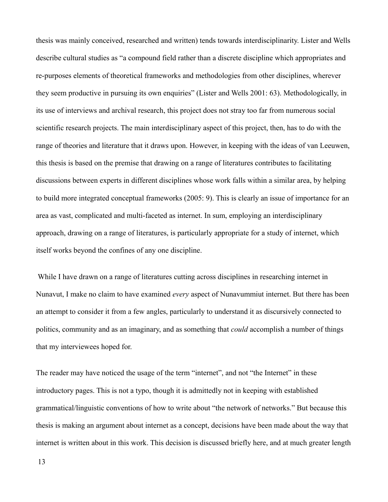thesis was mainly conceived, researched and written) tends towards interdisciplinarity. Lister and Wells describe cultural studies as "a compound field rather than a discrete discipline which appropriates and re-purposes elements of theoretical frameworks and methodologies from other disciplines, wherever they seem productive in pursuing its own enquiries" (Lister and Wells 2001: 63). Methodologically, in its use of interviews and archival research, this project does not stray too far from numerous social scientific research projects. The main interdisciplinary aspect of this project, then, has to do with the range of theories and literature that it draws upon. However, in keeping with the ideas of van Leeuwen, this thesis is based on the premise that drawing on a range of literatures contributes to facilitating discussions between experts in different disciplines whose work falls within a similar area, by helping to build more integrated conceptual frameworks (2005: 9). This is clearly an issue of importance for an area as vast, complicated and multi-faceted as internet. In sum, employing an interdisciplinary approach, drawing on a range of literatures, is particularly appropriate for a study of internet, which itself works beyond the confines of any one discipline.

 While I have drawn on a range of literatures cutting across disciplines in researching internet in Nunavut, I make no claim to have examined *every* aspect of Nunavummiut internet. But there has been an attempt to consider it from a few angles, particularly to understand it as discursively connected to politics, community and as an imaginary, and as something that *could* accomplish a number of things that my interviewees hoped for.

The reader may have noticed the usage of the term "internet", and not "the Internet" in these introductory pages. This is not a typo, though it is admittedly not in keeping with established grammatical/linguistic conventions of how to write about "the network of networks." But because this thesis is making an argument about internet as a concept, decisions have been made about the way that internet is written about in this work. This decision is discussed briefly here, and at much greater length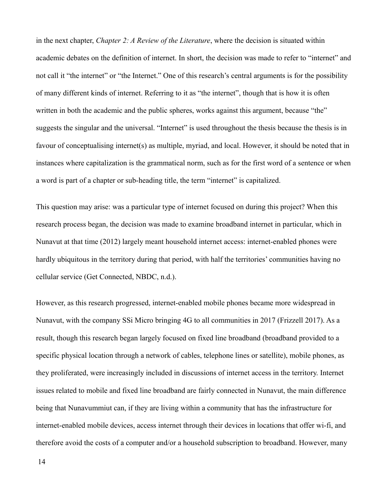in the next chapter, *Chapter 2: A Review of the Literature*, where the decision is situated within academic debates on the definition of internet. In short, the decision was made to refer to "internet" and not call it "the internet" or "the Internet." One of this research's central arguments is for the possibility of many different kinds of internet. Referring to it as "the internet", though that is how it is often written in both the academic and the public spheres, works against this argument, because "the" suggests the singular and the universal. "Internet" is used throughout the thesis because the thesis is in favour of conceptualising internet(s) as multiple, myriad, and local. However, it should be noted that in instances where capitalization is the grammatical norm, such as for the first word of a sentence or when a word is part of a chapter or sub-heading title, the term "internet" is capitalized.

This question may arise: was a particular type of internet focused on during this project? When this research process began, the decision was made to examine broadband internet in particular, which in Nunavut at that time (2012) largely meant household internet access: internet-enabled phones were hardly ubiquitous in the territory during that period, with half the territories' communities having no cellular service (Get Connected, NBDC, n.d.).

However, as this research progressed, internet-enabled mobile phones became more widespread in Nunavut, with the company SSi Micro bringing 4G to all communities in 2017 (Frizzell 2017). As a result, though this research began largely focused on fixed line broadband (broadband provided to a specific physical location through a network of cables, telephone lines or satellite), mobile phones, as they proliferated, were increasingly included in discussions of internet access in the territory. Internet issues related to mobile and fixed line broadband are fairly connected in Nunavut, the main difference being that Nunavummiut can, if they are living within a community that has the infrastructure for internet-enabled mobile devices, access internet through their devices in locations that offer wi-fi, and therefore avoid the costs of a computer and/or a household subscription to broadband. However, many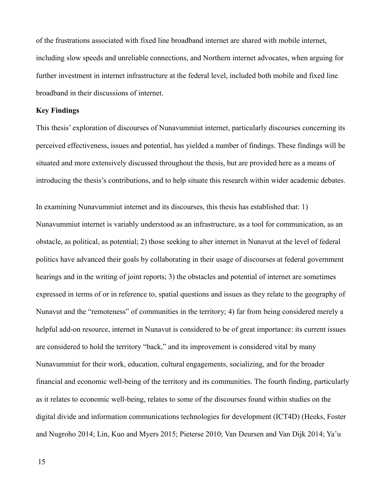of the frustrations associated with fixed line broadband internet are shared with mobile internet, including slow speeds and unreliable connections, and Northern internet advocates, when arguing for further investment in internet infrastructure at the federal level, included both mobile and fixed line broadband in their discussions of internet.

### **Key Findings**

This thesis' exploration of discourses of Nunavummiut internet, particularly discourses concerning its perceived effectiveness, issues and potential, has yielded a number of findings. These findings will be situated and more extensively discussed throughout the thesis, but are provided here as a means of introducing the thesis's contributions, and to help situate this research within wider academic debates.

In examining Nunavummiut internet and its discourses, this thesis has established that: 1) Nunavummiut internet is variably understood as an infrastructure, as a tool for communication, as an obstacle, as political, as potential; 2) those seeking to alter internet in Nunavut at the level of federal politics have advanced their goals by collaborating in their usage of discourses at federal government hearings and in the writing of joint reports; 3) the obstacles and potential of internet are sometimes expressed in terms of or in reference to, spatial questions and issues as they relate to the geography of Nunavut and the "remoteness" of communities in the territory; 4) far from being considered merely a helpful add-on resource, internet in Nunavut is considered to be of great importance: its current issues are considered to hold the territory "back," and its improvement is considered vital by many Nunavummiut for their work, education, cultural engagements, socializing, and for the broader financial and economic well-being of the territory and its communities. The fourth finding, particularly as it relates to economic well-being, relates to some of the discourses found within studies on the digital divide and information communications technologies for development (ICT4D) (Heeks, Foster and Nugroho 2014; Lin, Kuo and Myers 2015; Pieterse 2010; Van Deursen and Van Dijk 2014; Ya'u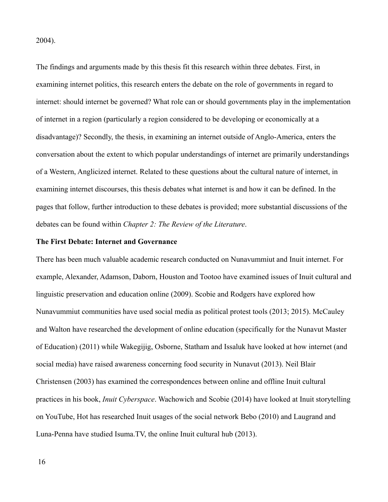2004).

The findings and arguments made by this thesis fit this research within three debates. First, in examining internet politics, this research enters the debate on the role of governments in regard to internet: should internet be governed? What role can or should governments play in the implementation of internet in a region (particularly a region considered to be developing or economically at a disadvantage)? Secondly, the thesis, in examining an internet outside of Anglo-America, enters the conversation about the extent to which popular understandings of internet are primarily understandings of a Western, Anglicized internet. Related to these questions about the cultural nature of internet, in examining internet discourses, this thesis debates what internet is and how it can be defined. In the pages that follow, further introduction to these debates is provided; more substantial discussions of the debates can be found within *Chapter 2: The Review of the Literature*.

### **The First Debate: Internet and Governance**

There has been much valuable academic research conducted on Nunavummiut and Inuit internet. For example, Alexander, Adamson, Daborn, Houston and Tootoo have examined issues of Inuit cultural and linguistic preservation and education online (2009). Scobie and Rodgers have explored how Nunavummiut communities have used social media as political protest tools (2013; 2015). McCauley and Walton have researched the development of online education (specifically for the Nunavut Master of Education) (2011) while Wakegijig, Osborne, Statham and Issaluk have looked at how internet (and social media) have raised awareness concerning food security in Nunavut (2013). Neil Blair Christensen (2003) has examined the correspondences between online and offline Inuit cultural practices in his book, *Inuit Cyberspace*. Wachowich and Scobie (2014) have looked at Inuit storytelling on YouTube, Hot has researched Inuit usages of the social network Bebo (2010) and Laugrand and Luna-Penna have studied Isuma.TV, the online Inuit cultural hub (2013).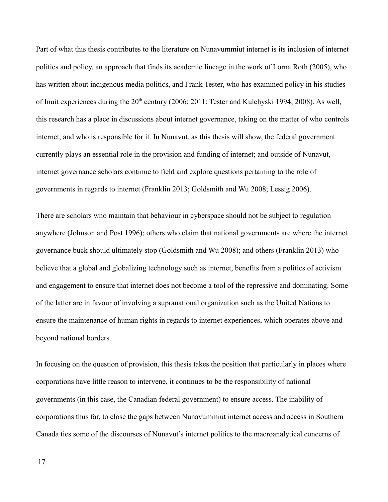Part of what this thesis contributes to the literature on Nunavummiut internet is its inclusion of internet politics and policy, an approach that finds its academic lineage in the work of Lorna Roth (2005), who has written about indigenous media politics, and Frank Tester, who has examined policy in his studies of Inuit experiences during the  $20<sup>th</sup>$  century (2006; 2011; Tester and Kulchyski 1994; 2008). As well, this research has a place in discussions about internet governance, taking on the matter of who controls internet, and who is responsible for it. In Nunavut, as this thesis will show, the federal government currently plays an essential role in the provision and funding of internet; and outside of Nunavut, internet governance scholars continue to field and explore questions pertaining to the role of governments in regards to internet (Franklin 2013; Goldsmith and Wu 2008; Lessig 2006).

There are scholars who maintain that behaviour in cyberspace should not be subject to regulation anywhere (Johnson and Post 1996); others who claim that national governments are where the internet governance buck should ultimately stop (Goldsmith and Wu 2008); and others (Franklin 2013) who believe that a global and globalizing technology such as internet, benefits from a politics of activism and engagement to ensure that internet does not become a tool of the repressive and dominating. Some of the latter are in favour of involving a supranational organization such as the United Nations to ensure the maintenance of human rights in regards to internet experiences, which operates above and beyond national borders.

In focusing on the question of provision, this thesis takes the position that particularly in places where corporations have little reason to intervene, it continues to be the responsibility of national governments (in this case, the Canadian federal government) to ensure access. The inability of corporations thus far, to close the gaps between Nunavummiut internet access and access in Southern Canada ties some of the discourses of Nunavut's internet politics to the macroanalytical concerns of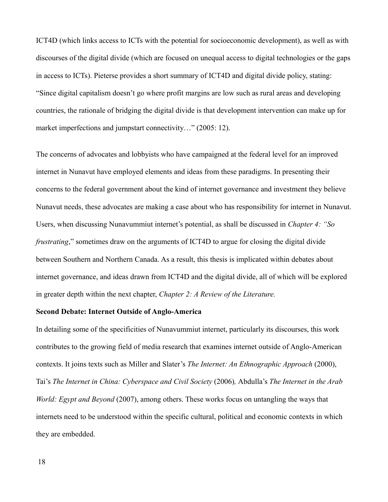ICT4D (which links access to ICTs with the potential for socioeconomic development), as well as with discourses of the digital divide (which are focused on unequal access to digital technologies or the gaps in access to ICTs). Pieterse provides a short summary of ICT4D and digital divide policy, stating: "Since digital capitalism doesn't go where profit margins are low such as rural areas and developing countries, the rationale of bridging the digital divide is that development intervention can make up for market imperfections and jumpstart connectivity..." (2005: 12).

The concerns of advocates and lobbyists who have campaigned at the federal level for an improved internet in Nunavut have employed elements and ideas from these paradigms. In presenting their concerns to the federal government about the kind of internet governance and investment they believe Nunavut needs, these advocates are making a case about who has responsibility for internet in Nunavut. Users, when discussing Nunavummiut internet's potential, as shall be discussed in *Chapter 4: "So frustrating*," sometimes draw on the arguments of ICT4D to argue for closing the digital divide between Southern and Northern Canada. As a result, this thesis is implicated within debates about internet governance, and ideas drawn from ICT4D and the digital divide, all of which will be explored in greater depth within the next chapter, *Chapter 2: A Review of the Literature.*

### **Second Debate: Internet Outside of Anglo-America**

In detailing some of the specificities of Nunavummiut internet, particularly its discourses, this work contributes to the growing field of media research that examines internet outside of Anglo-American contexts. It joins texts such as Miller and Slater's *The Internet: An Ethnographic Approach* (2000), Tai's *The Internet in China: Cyberspace and Civil Society* (2006)*,* Abdulla's *The Internet in the Arab World: Egypt and Beyond* (2007), among others. These works focus on untangling the ways that internets need to be understood within the specific cultural, political and economic contexts in which they are embedded.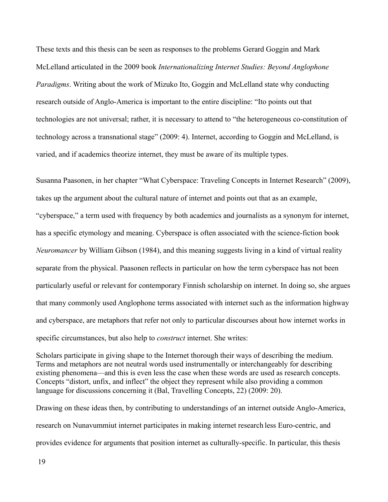These texts and this thesis can be seen as responses to the problems Gerard Goggin and Mark McLelland articulated in the 2009 book *Internationalizing Internet Studies: Beyond Anglophone Paradigms*. Writing about the work of Mizuko Ito, Goggin and McLelland state why conducting research outside of Anglo-America is important to the entire discipline: "Ito points out that technologies are not universal; rather, it is necessary to attend to "the heterogeneous co-constitution of technology across a transnational stage" (2009: 4). Internet, according to Goggin and McLelland, is varied, and if academics theorize internet, they must be aware of its multiple types.

Susanna Paasonen, in her chapter "What Cyberspace: Traveling Concepts in Internet Research" (2009), takes up the argument about the cultural nature of internet and points out that as an example, "cyberspace," a term used with frequency by both academics and journalists as a synonym for internet, has a specific etymology and meaning. Cyberspace is often associated with the science-fiction book *Neuromancer* by William Gibson (1984), and this meaning suggests living in a kind of virtual reality separate from the physical. Paasonen reflects in particular on how the term cyberspace has not been particularly useful or relevant for contemporary Finnish scholarship on internet. In doing so, she argues that many commonly used Anglophone terms associated with internet such as the information highway and cyberspace, are metaphors that refer not only to particular discourses about how internet works in specific circumstances, but also help to *construct* internet. She writes:

Scholars participate in giving shape to the Internet thorough their ways of describing the medium. Terms and metaphors are not neutral words used instrumentally or interchangeably for describing existing phenomena—and this is even less the case when these words are used as research concepts. Concepts "distort, unfix, and inflect" the object they represent while also providing a common language for discussions concerning it (Bal, Travelling Concepts, 22) (2009: 20).

Drawing on these ideas then, by contributing to understandings of an internet outside Anglo-America, research on Nunavummiut internet participates in making internet research less Euro-centric, and provides evidence for arguments that position internet as culturally-specific. In particular, this thesis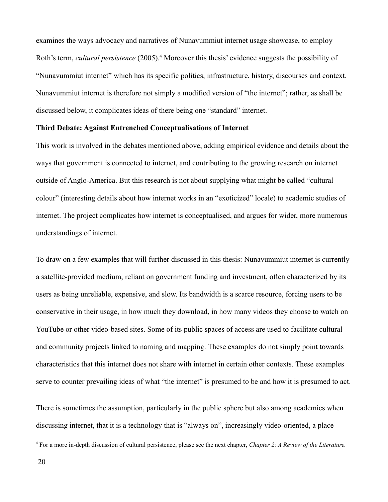examines the ways advocacy and narratives of Nunavummiut internet usage showcase, to employ Roth's term, *cultural persistence* (2005).<sup>[4](#page-20-0)</sup> Moreover this thesis' evidence suggests the possibility of "Nunavummiut internet" which has its specific politics, infrastructure, history, discourses and context. Nunavummiut internet is therefore not simply a modified version of "the internet"; rather, as shall be discussed below, it complicates ideas of there being one "standard" internet.

### **Third Debate: Against Entrenched Conceptualisations of Internet**

This work is involved in the debates mentioned above, adding empirical evidence and details about the ways that government is connected to internet, and contributing to the growing research on internet outside of Anglo-America. But this research is not about supplying what might be called "cultural colour" (interesting details about how internet works in an "exoticized" locale) to academic studies of internet. The project complicates how internet is conceptualised, and argues for wider, more numerous understandings of internet.

To draw on a few examples that will further discussed in this thesis: Nunavummiut internet is currently a satellite-provided medium, reliant on government funding and investment, often characterized by its users as being unreliable, expensive, and slow. Its bandwidth is a scarce resource, forcing users to be conservative in their usage, in how much they download, in how many videos they choose to watch on YouTube or other video-based sites. Some of its public spaces of access are used to facilitate cultural and community projects linked to naming and mapping. These examples do not simply point towards characteristics that this internet does not share with internet in certain other contexts. These examples serve to counter prevailing ideas of what "the internet" is presumed to be and how it is presumed to act.

There is sometimes the assumption, particularly in the public sphere but also among academics when discussing internet, that it is a technology that is "always on", increasingly video-oriented, a place

<span id="page-20-0"></span><sup>4</sup> For a more in-depth discussion of cultural persistence, please see the next chapter, *Chapter 2: A Review of the Literature.*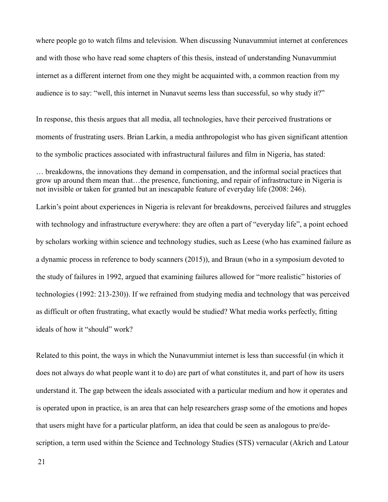where people go to watch films and television. When discussing Nunavummiut internet at conferences and with those who have read some chapters of this thesis, instead of understanding Nunavummiut internet as a different internet from one they might be acquainted with, a common reaction from my audience is to say: "well, this internet in Nunavut seems less than successful, so why study it?"

In response, this thesis argues that all media, all technologies, have their perceived frustrations or moments of frustrating users. Brian Larkin, a media anthropologist who has given significant attention to the symbolic practices associated with infrastructural failures and film in Nigeria, has stated:

Larkin's point about experiences in Nigeria is relevant for breakdowns, perceived failures and struggles with technology and infrastructure everywhere: they are often a part of "everyday life", a point echoed by scholars working within science and technology studies, such as Leese (who has examined failure as a dynamic process in reference to body scanners (2015)), and Braun (who in a symposium devoted to the study of failures in 1992, argued that examining failures allowed for "more realistic" histories of technologies (1992: 213-230)). If we refrained from studying media and technology that was perceived as difficult or often frustrating, what exactly would be studied? What media works perfectly, fitting ideals of how it "should" work?

Related to this point, the ways in which the Nunavummiut internet is less than successful (in which it does not always do what people want it to do) are part of what constitutes it, and part of how its users understand it. The gap between the ideals associated with a particular medium and how it operates and is operated upon in practice, is an area that can help researchers grasp some of the emotions and hopes that users might have for a particular platform, an idea that could be seen as analogous to pre/description, a term used within the Science and Technology Studies (STS) vernacular (Akrich and Latour

<sup>…</sup> breakdowns, the innovations they demand in compensation, and the informal social practices that grow up around them mean that…the presence, functioning, and repair of infrastructure in Nigeria is not invisible or taken for granted but an inescapable feature of everyday life (2008: 246).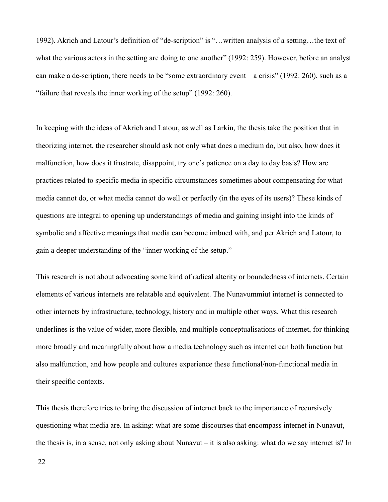1992). Akrich and Latour's definition of "de-scription" is "…written analysis of a setting…the text of what the various actors in the setting are doing to one another" (1992: 259). However, before an analyst can make a de-scription, there needs to be "some extraordinary event – a crisis" (1992: 260), such as a "failure that reveals the inner working of the setup" (1992: 260).

In keeping with the ideas of Akrich and Latour, as well as Larkin, the thesis take the position that in theorizing internet, the researcher should ask not only what does a medium do, but also, how does it malfunction, how does it frustrate, disappoint, try one's patience on a day to day basis? How are practices related to specific media in specific circumstances sometimes about compensating for what media cannot do, or what media cannot do well or perfectly (in the eyes of its users)? These kinds of questions are integral to opening up understandings of media and gaining insight into the kinds of symbolic and affective meanings that media can become imbued with, and per Akrich and Latour, to gain a deeper understanding of the "inner working of the setup."

This research is not about advocating some kind of radical alterity or boundedness of internets. Certain elements of various internets are relatable and equivalent. The Nunavummiut internet is connected to other internets by infrastructure, technology, history and in multiple other ways. What this research underlines is the value of wider, more flexible, and multiple conceptualisations of internet, for thinking more broadly and meaningfully about how a media technology such as internet can both function but also malfunction, and how people and cultures experience these functional/non-functional media in their specific contexts.

This thesis therefore tries to bring the discussion of internet back to the importance of recursively questioning what media are. In asking: what are some discourses that encompass internet in Nunavut, the thesis is, in a sense, not only asking about Nunavut – it is also asking: what do we say internet is? In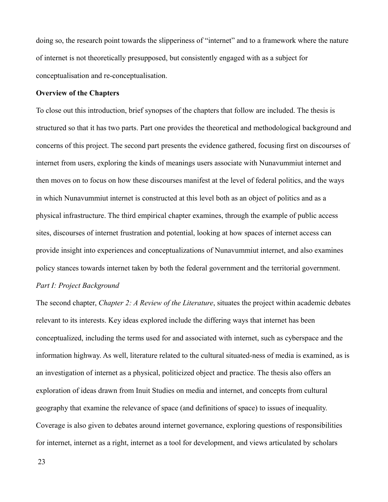doing so, the research point towards the slipperiness of "internet" and to a framework where the nature of internet is not theoretically presupposed, but consistently engaged with as a subject for conceptualisation and re-conceptualisation.

### **Overview of the Chapters**

To close out this introduction, brief synopses of the chapters that follow are included. The thesis is structured so that it has two parts. Part one provides the theoretical and methodological background and concerns of this project. The second part presents the evidence gathered, focusing first on discourses of internet from users, exploring the kinds of meanings users associate with Nunavummiut internet and then moves on to focus on how these discourses manifest at the level of federal politics, and the ways in which Nunavummiut internet is constructed at this level both as an object of politics and as a physical infrastructure. The third empirical chapter examines, through the example of public access sites, discourses of internet frustration and potential, looking at how spaces of internet access can provide insight into experiences and conceptualizations of Nunavummiut internet, and also examines policy stances towards internet taken by both the federal government and the territorial government.

### *Part I: Project Background*

The second chapter, *Chapter 2: A Review of the Literature*, situates the project within academic debates relevant to its interests. Key ideas explored include the differing ways that internet has been conceptualized, including the terms used for and associated with internet, such as cyberspace and the information highway. As well, literature related to the cultural situated-ness of media is examined, as is an investigation of internet as a physical, politicized object and practice. The thesis also offers an exploration of ideas drawn from Inuit Studies on media and internet, and concepts from cultural geography that examine the relevance of space (and definitions of space) to issues of inequality. Coverage is also given to debates around internet governance, exploring questions of responsibilities for internet, internet as a right, internet as a tool for development, and views articulated by scholars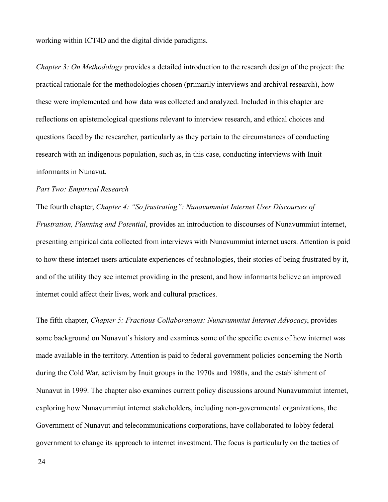working within ICT4D and the digital divide paradigms.

*Chapter 3: On Methodology* provides a detailed introduction to the research design of the project: the practical rationale for the methodologies chosen (primarily interviews and archival research), how these were implemented and how data was collected and analyzed. Included in this chapter are reflections on epistemological questions relevant to interview research, and ethical choices and questions faced by the researcher, particularly as they pertain to the circumstances of conducting research with an indigenous population, such as, in this case, conducting interviews with Inuit informants in Nunavut.

### *Part Two: Empirical Research*

The fourth chapter, *Chapter 4: "So frustrating": Nunavummiut Internet User Discourses of Frustration, Planning and Potential*, provides an introduction to discourses of Nunavummiut internet, presenting empirical data collected from interviews with Nunavummiut internet users. Attention is paid to how these internet users articulate experiences of technologies, their stories of being frustrated by it, and of the utility they see internet providing in the present, and how informants believe an improved internet could affect their lives, work and cultural practices.

The fifth chapter, *Chapter 5: Fractious Collaborations: Nunavummiut Internet Advocacy*, provides some background on Nunavut's history and examines some of the specific events of how internet was made available in the territory. Attention is paid to federal government policies concerning the North during the Cold War, activism by Inuit groups in the 1970s and 1980s, and the establishment of Nunavut in 1999. The chapter also examines current policy discussions around Nunavummiut internet, exploring how Nunavummiut internet stakeholders, including non-governmental organizations, the Government of Nunavut and telecommunications corporations, have collaborated to lobby federal government to change its approach to internet investment. The focus is particularly on the tactics of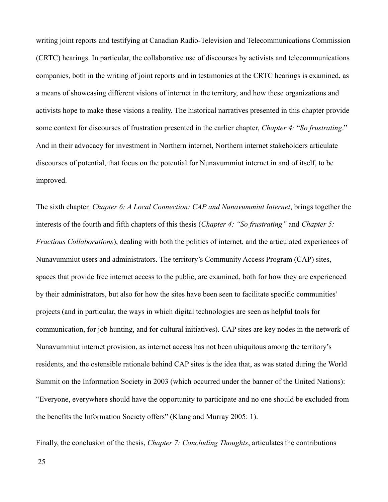writing joint reports and testifying at Canadian Radio-Television and Telecommunications Commission (CRTC) hearings. In particular, the collaborative use of discourses by activists and telecommunications companies, both in the writing of joint reports and in testimonies at the CRTC hearings is examined, as a means of showcasing different visions of internet in the territory, and how these organizations and activists hope to make these visions a reality. The historical narratives presented in this chapter provide some context for discourses of frustration presented in the earlier chapter, *Chapter 4:* "*So frustrating*." And in their advocacy for investment in Northern internet, Northern internet stakeholders articulate discourses of potential, that focus on the potential for Nunavummiut internet in and of itself, to be improved.

The sixth chapter*, Chapter 6: A Local Connection: CAP and Nunavummiut Internet*, brings together the interests of the fourth and fifth chapters of this thesis (*Chapter 4: "So frustrating"* and *Chapter 5: Fractious Collaborations*), dealing with both the politics of internet, and the articulated experiences of Nunavummiut users and administrators. The territory's Community Access Program (CAP) sites, spaces that provide free internet access to the public, are examined, both for how they are experienced by their administrators, but also for how the sites have been seen to facilitate specific communities' projects (and in particular, the ways in which digital technologies are seen as helpful tools for communication, for job hunting, and for cultural initiatives). CAP sites are key nodes in the network of Nunavummiut internet provision, as internet access has not been ubiquitous among the territory's residents, and the ostensible rationale behind CAP sites is the idea that, as was stated during the World Summit on the Information Society in 2003 (which occurred under the banner of the United Nations): "Everyone, everywhere should have the opportunity to participate and no one should be excluded from the benefits the Information Society offers" (Klang and Murray 2005: 1).

Finally, the conclusion of the thesis, *Chapter 7: Concluding Thoughts*, articulates the contributions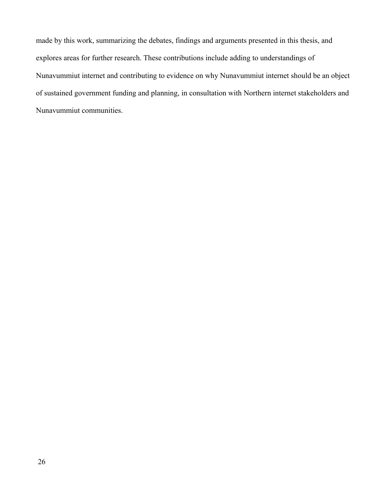made by this work, summarizing the debates, findings and arguments presented in this thesis, and explores areas for further research. These contributions include adding to understandings of Nunavummiut internet and contributing to evidence on why Nunavummiut internet should be an object of sustained government funding and planning, in consultation with Northern internet stakeholders and Nunavummiut communities.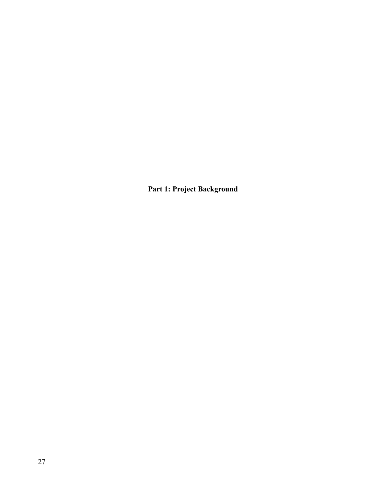**Part 1: Project Background**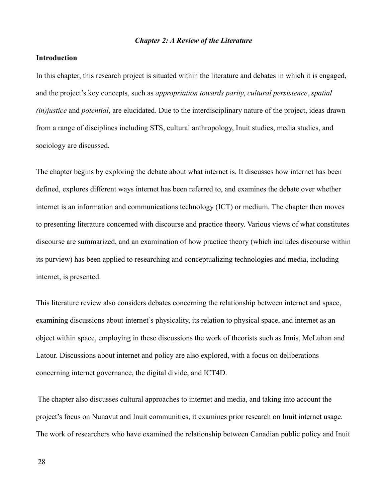### *Chapter 2: A Review of the Literature*

### **Introduction**

In this chapter, this research project is situated within the literature and debates in which it is engaged, and the project's key concepts, such as *appropriation towards parity*, *cultural persistence*, *spatial (in)justice* and *potential*, are elucidated. Due to the interdisciplinary nature of the project, ideas drawn from a range of disciplines including STS, cultural anthropology, Inuit studies, media studies, and sociology are discussed.

The chapter begins by exploring the debate about what internet is. It discusses how internet has been defined, explores different ways internet has been referred to, and examines the debate over whether internet is an information and communications technology (ICT) or medium. The chapter then moves to presenting literature concerned with discourse and practice theory. Various views of what constitutes discourse are summarized, and an examination of how practice theory (which includes discourse within its purview) has been applied to researching and conceptualizing technologies and media, including internet, is presented.

This literature review also considers debates concerning the relationship between internet and space, examining discussions about internet's physicality, its relation to physical space, and internet as an object within space, employing in these discussions the work of theorists such as Innis, McLuhan and Latour. Discussions about internet and policy are also explored, with a focus on deliberations concerning internet governance, the digital divide, and ICT4D.

 The chapter also discusses cultural approaches to internet and media, and taking into account the project's focus on Nunavut and Inuit communities, it examines prior research on Inuit internet usage. The work of researchers who have examined the relationship between Canadian public policy and Inuit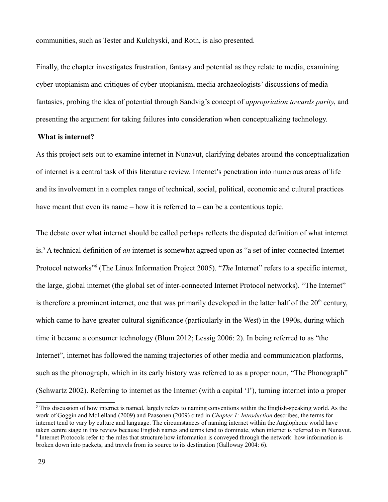communities, such as Tester and Kulchyski, and Roth, is also presented.

Finally, the chapter investigates frustration, fantasy and potential as they relate to media, examining cyber-utopianism and critiques of cyber-utopianism, media archaeologists' discussions of media fantasies, probing the idea of potential through Sandvig's concept of *appropriation towards parity*, and presenting the argument for taking failures into consideration when conceptualizing technology.

### **What is internet?**

As this project sets out to examine internet in Nunavut, clarifying debates around the conceptualization of internet is a central task of this literature review. Internet's penetration into numerous areas of life and its involvement in a complex range of technical, social, political, economic and cultural practices have meant that even its name – how it is referred to – can be a contentious topic.

The debate over what internet should be called perhaps reflects the disputed definition of what internet is.[5](#page-29-0) A technical definition of *an* internet is somewhat agreed upon as "a set of inter-connected Internet Protocol networks<sup>"[6](#page-29-1)</sup> (The Linux Information Project 2005). "The Internet" refers to a specific internet, the large, global internet (the global set of inter-connected Internet Protocol networks). "The Internet" is therefore a prominent internet, one that was primarily developed in the latter half of the  $20<sup>th</sup>$  century, which came to have greater cultural significance (particularly in the West) in the 1990s, during which time it became a consumer technology (Blum 2012; Lessig 2006: 2). In being referred to as "the Internet", internet has followed the naming trajectories of other media and communication platforms, such as the phonograph, which in its early history was referred to as a proper noun, "The Phonograph" (Schwartz 2002). Referring to internet as the Internet (with a capital 'I'), turning internet into a proper

<span id="page-29-1"></span><span id="page-29-0"></span> $<sup>5</sup>$  This discussion of how internet is named, largely refers to naming conventions within the English-speaking world. As the</sup> work of Goggin and McLelland (2009) and Paasonen (2009) cited in *Chapter 1: Introduction* describes, the terms for internet tend to vary by culture and language. The circumstances of naming internet within the Anglophone world have taken centre stage in this review because English names and terms tend to dominate, when internet is referred to in Nunavut. 6 Internet Protocols refer to the rules that structure how information is conveyed through the network: how information is broken down into packets, and travels from its source to its destination (Galloway 2004: 6).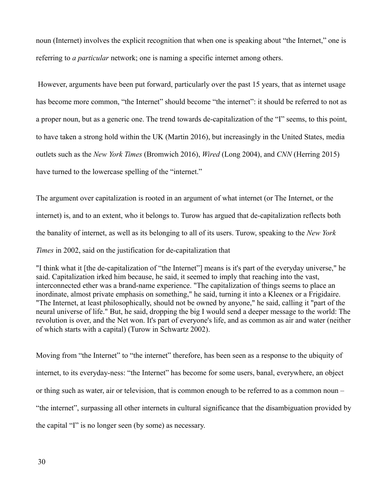noun (Internet) involves the explicit recognition that when one is speaking about "the Internet," one is referring to *a particular* network; one is naming a specific internet among others.

 However, arguments have been put forward, particularly over the past 15 years, that as internet usage has become more common, "the Internet" should become "the internet": it should be referred to not as a proper noun, but as a generic one. The trend towards de-capitalization of the "I" seems, to this point, to have taken a strong hold within the UK (Martin 2016), but increasingly in the United States, media outlets such as the *New York Times* (Bromwich 2016), *Wired* (Long 2004), and *CNN* (Herring 2015) have turned to the lowercase spelling of the "internet."

The argument over capitalization is rooted in an argument of what internet (or The Internet, or the internet) is, and to an extent, who it belongs to. Turow has argued that de-capitalization reflects both the banality of internet, as well as its belonging to all of its users. Turow, speaking to the *New York Times* in 2002, said on the justification for de-capitalization that

"I think what it [the de-capitalization of "the Internet"] means is it's part of the everyday universe," he said. Capitalization irked him because, he said, it seemed to imply that reaching into the vast, interconnected ether was a brand-name experience. "The capitalization of things seems to place an inordinate, almost private emphasis on something," he said, turning it into a Kleenex or a Frigidaire. "The Internet, at least philosophically, should not be owned by anyone," he said, calling it "part of the neural universe of life." But, he said, dropping the big I would send a deeper message to the world: The revolution is over, and the Net won. It's part of everyone's life, and as common as air and water (neither of which starts with a capital) (Turow in Schwartz 2002).

Moving from "the Internet" to "the internet" therefore, has been seen as a response to the ubiquity of internet, to its everyday-ness: "the Internet" has become for some users, banal, everywhere, an object or thing such as water, air or television, that is common enough to be referred to as a common noun – "the internet", surpassing all other internets in cultural significance that the disambiguation provided by the capital "I" is no longer seen (by some) as necessary.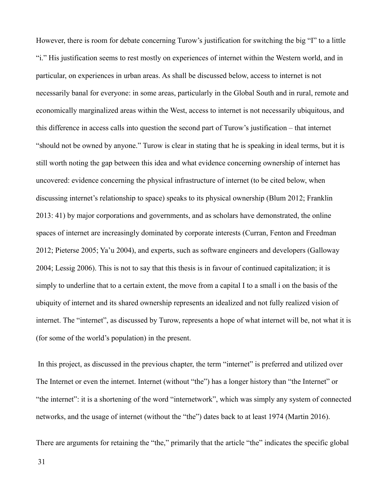However, there is room for debate concerning Turow's justification for switching the big "I" to a little "i." His justification seems to rest mostly on experiences of internet within the Western world, and in particular, on experiences in urban areas. As shall be discussed below, access to internet is not necessarily banal for everyone: in some areas, particularly in the Global South and in rural, remote and economically marginalized areas within the West, access to internet is not necessarily ubiquitous, and this difference in access calls into question the second part of Turow's justification – that internet "should not be owned by anyone." Turow is clear in stating that he is speaking in ideal terms, but it is still worth noting the gap between this idea and what evidence concerning ownership of internet has uncovered: evidence concerning the physical infrastructure of internet (to be cited below, when discussing internet's relationship to space) speaks to its physical ownership (Blum 2012; Franklin 2013: 41) by major corporations and governments, and as scholars have demonstrated, the online spaces of internet are increasingly dominated by corporate interests (Curran, Fenton and Freedman 2012; Pieterse 2005; Ya'u 2004), and experts, such as software engineers and developers (Galloway 2004; Lessig 2006). This is not to say that this thesis is in favour of continued capitalization; it is simply to underline that to a certain extent, the move from a capital I to a small i on the basis of the ubiquity of internet and its shared ownership represents an idealized and not fully realized vision of internet. The "internet", as discussed by Turow, represents a hope of what internet will be, not what it is (for some of the world's population) in the present.

 In this project, as discussed in the previous chapter, the term "internet" is preferred and utilized over The Internet or even the internet. Internet (without "the") has a longer history than "the Internet" or "the internet": it is a shortening of the word "internetwork", which was simply any system of connected networks, and the usage of internet (without the "the") dates back to at least 1974 (Martin 2016).

There are arguments for retaining the "the," primarily that the article "the" indicates the specific global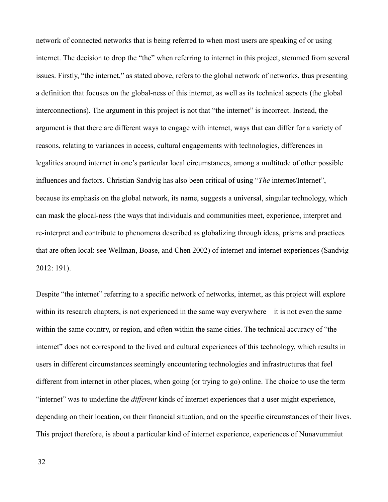network of connected networks that is being referred to when most users are speaking of or using internet. The decision to drop the "the" when referring to internet in this project, stemmed from several issues. Firstly, "the internet," as stated above, refers to the global network of networks, thus presenting a definition that focuses on the global-ness of this internet, as well as its technical aspects (the global interconnections). The argument in this project is not that "the internet" is incorrect. Instead, the argument is that there are different ways to engage with internet, ways that can differ for a variety of reasons, relating to variances in access, cultural engagements with technologies, differences in legalities around internet in one's particular local circumstances, among a multitude of other possible influences and factors. Christian Sandvig has also been critical of using "*The* internet/Internet", because its emphasis on the global network, its name, suggests a universal, singular technology, which can mask the glocal-ness (the ways that individuals and communities meet, experience, interpret and re-interpret and contribute to phenomena described as globalizing through ideas, prisms and practices that are often local: see Wellman, Boase, and Chen 2002) of internet and internet experiences (Sandvig 2012: 191).

Despite "the internet" referring to a specific network of networks, internet, as this project will explore within its research chapters, is not experienced in the same way everywhere – it is not even the same within the same country, or region, and often within the same cities. The technical accuracy of "the internet" does not correspond to the lived and cultural experiences of this technology, which results in users in different circumstances seemingly encountering technologies and infrastructures that feel different from internet in other places, when going (or trying to go) online. The choice to use the term "internet" was to underline the *different* kinds of internet experiences that a user might experience, depending on their location, on their financial situation, and on the specific circumstances of their lives. This project therefore, is about a particular kind of internet experience, experiences of Nunavummiut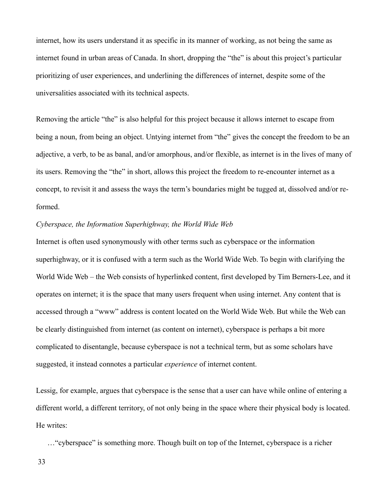internet, how its users understand it as specific in its manner of working, as not being the same as internet found in urban areas of Canada. In short, dropping the "the" is about this project's particular prioritizing of user experiences, and underlining the differences of internet, despite some of the universalities associated with its technical aspects.

Removing the article "the" is also helpful for this project because it allows internet to escape from being a noun, from being an object. Untying internet from "the" gives the concept the freedom to be an adjective, a verb, to be as banal, and/or amorphous, and/or flexible, as internet is in the lives of many of its users. Removing the "the" in short, allows this project the freedom to re-encounter internet as a concept, to revisit it and assess the ways the term's boundaries might be tugged at, dissolved and/or reformed.

### *Cyberspace, the Information Superhighway, the World Wide Web*

Internet is often used synonymously with other terms such as cyberspace or the information superhighway, or it is confused with a term such as the World Wide Web. To begin with clarifying the World Wide Web – the Web consists of hyperlinked content, first developed by Tim Berners-Lee, and it operates on internet; it is the space that many users frequent when using internet. Any content that is accessed through a "www" address is content located on the World Wide Web. But while the Web can be clearly distinguished from internet (as content on internet), cyberspace is perhaps a bit more complicated to disentangle, because cyberspace is not a technical term, but as some scholars have suggested, it instead connotes a particular *experience* of internet content.

Lessig, for example, argues that cyberspace is the sense that a user can have while online of entering a different world, a different territory, of not only being in the space where their physical body is located. He writes:

…"cyberspace" is something more. Though built on top of the Internet, cyberspace is a richer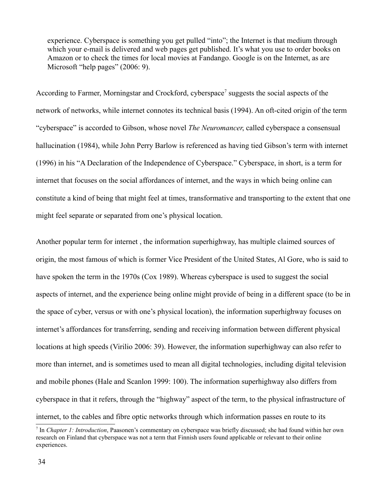experience. Cyberspace is something you get pulled "into"; the Internet is that medium through which your e-mail is delivered and web pages get published. It's what you use to order books on Amazon or to check the times for local movies at Fandango. Google is on the Internet, as are Microsoft "help pages" (2006: 9).

According to Farmer, Morningstar and Crockford, cyberspace<sup>[7](#page-34-0)</sup> suggests the social aspects of the network of networks, while internet connotes its technical basis (1994). An oft-cited origin of the term "cyberspace" is accorded to Gibson, whose novel *The Neuromancer*, called cyberspace a consensual hallucination (1984), while John Perry Barlow is referenced as having tied Gibson's term with internet (1996) in his "A Declaration of the Independence of Cyberspace." Cyberspace, in short, is a term for internet that focuses on the social affordances of internet, and the ways in which being online can constitute a kind of being that might feel at times, transformative and transporting to the extent that one might feel separate or separated from one's physical location.

Another popular term for internet , the information superhighway, has multiple claimed sources of origin, the most famous of which is former Vice President of the United States, Al Gore, who is said to have spoken the term in the 1970s (Cox 1989). Whereas cyberspace is used to suggest the social aspects of internet, and the experience being online might provide of being in a different space (to be in the space of cyber, versus or with one's physical location), the information superhighway focuses on internet's affordances for transferring, sending and receiving information between different physical locations at high speeds (Virilio 2006: 39). However, the information superhighway can also refer to more than internet, and is sometimes used to mean all digital technologies, including digital television and mobile phones (Hale and Scanlon 1999: 100). The information superhighway also differs from cyberspace in that it refers, through the "highway" aspect of the term, to the physical infrastructure of internet, to the cables and fibre optic networks through which information passes en route to its

<span id="page-34-0"></span><sup>7</sup> In *Chapter 1: Introduction*, Paasonen's commentary on cyberspace was briefly discussed; she had found within her own research on Finland that cyberspace was not a term that Finnish users found applicable or relevant to their online experiences.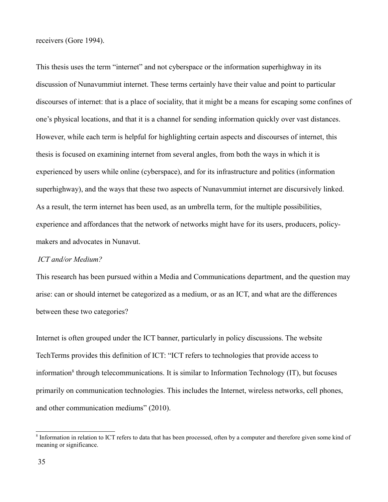receivers (Gore 1994).

This thesis uses the term "internet" and not cyberspace or the information superhighway in its discussion of Nunavummiut internet. These terms certainly have their value and point to particular discourses of internet: that is a place of sociality, that it might be a means for escaping some confines of one's physical locations, and that it is a channel for sending information quickly over vast distances. However, while each term is helpful for highlighting certain aspects and discourses of internet, this thesis is focused on examining internet from several angles, from both the ways in which it is experienced by users while online (cyberspace), and for its infrastructure and politics (information superhighway), and the ways that these two aspects of Nunavummiut internet are discursively linked. As a result, the term internet has been used, as an umbrella term, for the multiple possibilities, experience and affordances that the network of networks might have for its users, producers, policymakers and advocates in Nunavut.

### *ICT and/or Medium?*

This research has been pursued within a Media and Communications department, and the question may arise: can or should internet be categorized as a medium, or as an ICT, and what are the differences between these two categories?

Internet is often grouped under the ICT banner, particularly in policy discussions. The website TechTerms provides this definition of ICT: "ICT refers to technologies that provide access to information<sup>[8](#page-35-0)</sup> through telecommunications. It is similar to Information Technology (IT), but focuses primarily on communication technologies. This includes the Internet, wireless networks, cell phones, and other communication mediums" (2010).

<span id="page-35-0"></span><sup>&</sup>lt;sup>8</sup> Information in relation to ICT refers to data that has been processed, often by a computer and therefore given some kind of meaning or significance.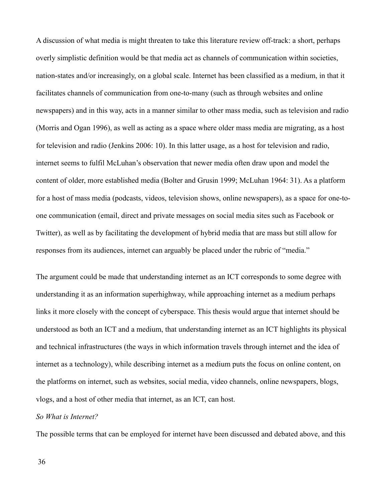A discussion of what media is might threaten to take this literature review off-track: a short, perhaps overly simplistic definition would be that media act as channels of communication within societies, nation-states and/or increasingly, on a global scale. Internet has been classified as a medium, in that it facilitates channels of communication from one-to-many (such as through websites and online newspapers) and in this way, acts in a manner similar to other mass media, such as television and radio (Morris and Ogan 1996), as well as acting as a space where older mass media are migrating, as a host for television and radio (Jenkins 2006: 10). In this latter usage, as a host for television and radio, internet seems to fulfil McLuhan's observation that newer media often draw upon and model the content of older, more established media (Bolter and Grusin 1999; McLuhan 1964: 31). As a platform for a host of mass media (podcasts, videos, television shows, online newspapers), as a space for one-toone communication (email, direct and private messages on social media sites such as Facebook or Twitter), as well as by facilitating the development of hybrid media that are mass but still allow for responses from its audiences, internet can arguably be placed under the rubric of "media."

The argument could be made that understanding internet as an ICT corresponds to some degree with understanding it as an information superhighway, while approaching internet as a medium perhaps links it more closely with the concept of cyberspace. This thesis would argue that internet should be understood as both an ICT and a medium, that understanding internet as an ICT highlights its physical and technical infrastructures (the ways in which information travels through internet and the idea of internet as a technology), while describing internet as a medium puts the focus on online content, on the platforms on internet, such as websites, social media, video channels, online newspapers, blogs, vlogs, and a host of other media that internet, as an ICT, can host.

# *So What is Internet?*

The possible terms that can be employed for internet have been discussed and debated above, and this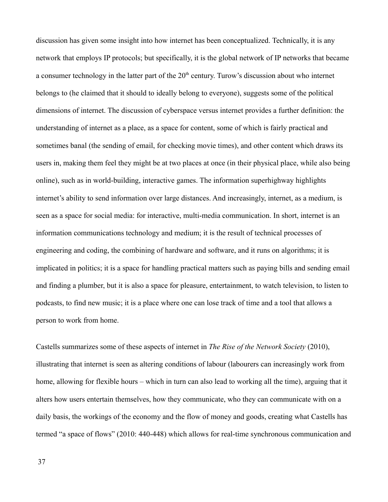discussion has given some insight into how internet has been conceptualized. Technically, it is any network that employs IP protocols; but specifically, it is the global network of IP networks that became a consumer technology in the latter part of the  $20<sup>th</sup>$  century. Turow's discussion about who internet belongs to (he claimed that it should to ideally belong to everyone), suggests some of the political dimensions of internet. The discussion of cyberspace versus internet provides a further definition: the understanding of internet as a place, as a space for content, some of which is fairly practical and sometimes banal (the sending of email, for checking movie times), and other content which draws its users in, making them feel they might be at two places at once (in their physical place, while also being online), such as in world-building, interactive games. The information superhighway highlights internet's ability to send information over large distances. And increasingly, internet, as a medium, is seen as a space for social media: for interactive, multi-media communication. In short, internet is an information communications technology and medium; it is the result of technical processes of engineering and coding, the combining of hardware and software, and it runs on algorithms; it is implicated in politics; it is a space for handling practical matters such as paying bills and sending email and finding a plumber, but it is also a space for pleasure, entertainment, to watch television, to listen to podcasts, to find new music; it is a place where one can lose track of time and a tool that allows a person to work from home.

Castells summarizes some of these aspects of internet in *The Rise of the Network Society* (2010), illustrating that internet is seen as altering conditions of labour (labourers can increasingly work from home, allowing for flexible hours – which in turn can also lead to working all the time), arguing that it alters how users entertain themselves, how they communicate, who they can communicate with on a daily basis, the workings of the economy and the flow of money and goods, creating what Castells has termed "a space of flows" (2010: 440-448) which allows for real-time synchronous communication and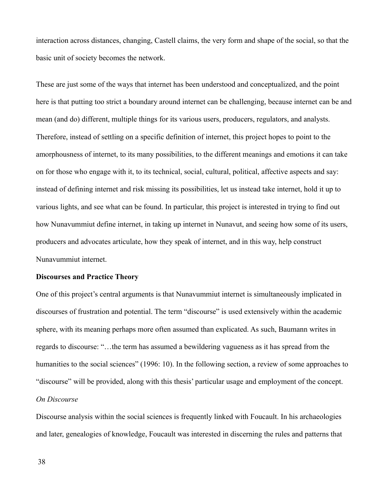interaction across distances, changing, Castell claims, the very form and shape of the social, so that the basic unit of society becomes the network.

These are just some of the ways that internet has been understood and conceptualized, and the point here is that putting too strict a boundary around internet can be challenging, because internet can be and mean (and do) different, multiple things for its various users, producers, regulators, and analysts. Therefore, instead of settling on a specific definition of internet, this project hopes to point to the amorphousness of internet, to its many possibilities, to the different meanings and emotions it can take on for those who engage with it, to its technical, social, cultural, political, affective aspects and say: instead of defining internet and risk missing its possibilities, let us instead take internet, hold it up to various lights, and see what can be found. In particular, this project is interested in trying to find out how Nunavummiut define internet, in taking up internet in Nunavut, and seeing how some of its users, producers and advocates articulate, how they speak of internet, and in this way, help construct Nunavummiut internet.

#### **Discourses and Practice Theory**

One of this project's central arguments is that Nunavummiut internet is simultaneously implicated in discourses of frustration and potential. The term "discourse" is used extensively within the academic sphere, with its meaning perhaps more often assumed than explicated. As such, Baumann writes in regards to discourse: "…the term has assumed a bewildering vagueness as it has spread from the humanities to the social sciences" (1996: 10). In the following section, a review of some approaches to "discourse" will be provided, along with this thesis' particular usage and employment of the concept. *On Discourse* 

Discourse analysis within the social sciences is frequently linked with Foucault. In his archaeologies and later, genealogies of knowledge, Foucault was interested in discerning the rules and patterns that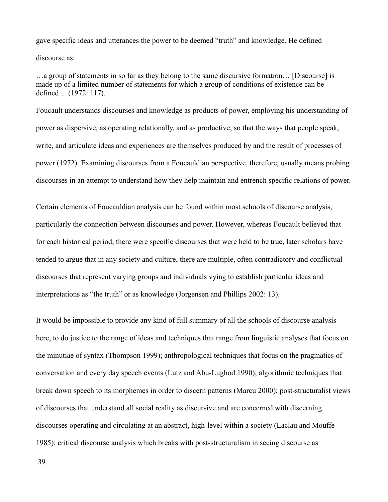gave specific ideas and utterances the power to be deemed "truth" and knowledge. He defined discourse as:

…a group of statements in so far as they belong to the same discursive formation… [Discourse] is made up of a limited number of statements for which a group of conditions of existence can be defined… (1972: 117).

Foucault understands discourses and knowledge as products of power, employing his understanding of power as dispersive, as operating relationally, and as productive, so that the ways that people speak, write, and articulate ideas and experiences are themselves produced by and the result of processes of power (1972). Examining discourses from a Foucauldian perspective, therefore, usually means probing discourses in an attempt to understand how they help maintain and entrench specific relations of power.

Certain elements of Foucauldian analysis can be found within most schools of discourse analysis, particularly the connection between discourses and power. However, whereas Foucault believed that for each historical period, there were specific discourses that were held to be true, later scholars have tended to argue that in any society and culture, there are multiple, often contradictory and conflictual discourses that represent varying groups and individuals vying to establish particular ideas and interpretations as "the truth" or as knowledge (Jorgensen and Phillips 2002: 13).

It would be impossible to provide any kind of full summary of all the schools of discourse analysis here, to do justice to the range of ideas and techniques that range from linguistic analyses that focus on the minutiae of syntax (Thompson 1999); anthropological techniques that focus on the pragmatics of conversation and every day speech events (Lutz and Abu-Lughod 1990); algorithmic techniques that break down speech to its morphemes in order to discern patterns (Marcu 2000); post-structuralist views of discourses that understand all social reality as discursive and are concerned with discerning discourses operating and circulating at an abstract, high-level within a society (Laclau and Mouffe 1985); critical discourse analysis which breaks with post-structuralism in seeing discourse as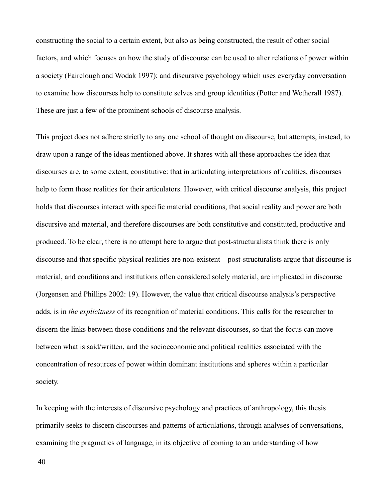constructing the social to a certain extent, but also as being constructed, the result of other social factors, and which focuses on how the study of discourse can be used to alter relations of power within a society (Fairclough and Wodak 1997); and discursive psychology which uses everyday conversation to examine how discourses help to constitute selves and group identities (Potter and Wetherall 1987). These are just a few of the prominent schools of discourse analysis.

This project does not adhere strictly to any one school of thought on discourse, but attempts, instead, to draw upon a range of the ideas mentioned above. It shares with all these approaches the idea that discourses are, to some extent, constitutive: that in articulating interpretations of realities, discourses help to form those realities for their articulators. However, with critical discourse analysis, this project holds that discourses interact with specific material conditions, that social reality and power are both discursive and material, and therefore discourses are both constitutive and constituted, productive and produced. To be clear, there is no attempt here to argue that post-structuralists think there is only discourse and that specific physical realities are non-existent – post-structuralists argue that discourse is material, and conditions and institutions often considered solely material, are implicated in discourse (Jorgensen and Phillips 2002: 19). However, the value that critical discourse analysis's perspective adds, is in *the explicitness* of its recognition of material conditions. This calls for the researcher to discern the links between those conditions and the relevant discourses, so that the focus can move between what is said/written, and the socioeconomic and political realities associated with the concentration of resources of power within dominant institutions and spheres within a particular society.

In keeping with the interests of discursive psychology and practices of anthropology, this thesis primarily seeks to discern discourses and patterns of articulations, through analyses of conversations, examining the pragmatics of language, in its objective of coming to an understanding of how

40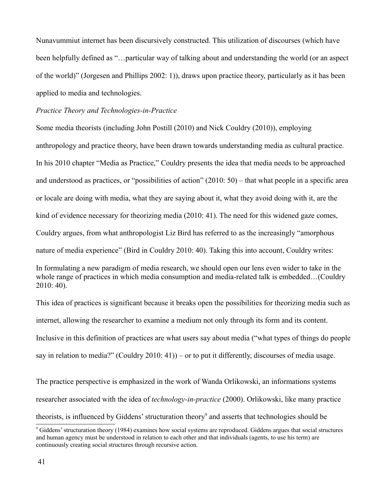Nunavummiut internet has been discursively constructed. This utilization of discourses (which have been helpfully defined as "…particular way of talking about and understanding the world (or an aspect of the world)" (Jorgesen and Phillips 2002: 1)), draws upon practice theory, particularly as it has been applied to media and technologies.

# *Practice Theory and Technologies-in-Practice*

Some media theorists (including John Postill (2010) and Nick Couldry (2010)), employing anthropology and practice theory, have been drawn towards understanding media as cultural practice. In his 2010 chapter "Media as Practice," Couldry presents the idea that media needs to be approached and understood as practices, or "possibilities of action" (2010: 50) – that what people in a specific area or locale are doing with media, what they are saying about it, what they avoid doing with it, are the kind of evidence necessary for theorizing media (2010: 41). The need for this widened gaze comes, Couldry argues, from what anthropologist Liz Bird has referred to as the increasingly "amorphous nature of media experience" (Bird in Couldry 2010: 40). Taking this into account, Couldry writes: In formulating a new paradigm of media research, we should open our lens even wider to take in the

whole range of practices in which media consumption and media-related talk is embedded…(Couldry 2010: 40).

This idea of practices is significant because it breaks open the possibilities for theorizing media such as internet, allowing the researcher to examine a medium not only through its form and its content. Inclusive in this definition of practices are what users say about media ("what types of things do people say in relation to media?" (Couldry 2010: 41)) – or to put it differently, discourses of media usage.

The practice perspective is emphasized in the work of Wanda Orlikowski, an informations systems researcher associated with the idea of *technology-in-practice* (2000). Orlikowski, like many practice theorists, is influenced by Giddens' structuration theory<sup>[9](#page-41-0)</sup> and asserts that technologies should be

<span id="page-41-0"></span><sup>9</sup> Giddens' structuration theory (1984) examines how social systems are reproduced. Giddens argues that social structures and human agency must be understood in relation to each other and that individuals (agents, to use his term) are continuously creating social structures through recursive action.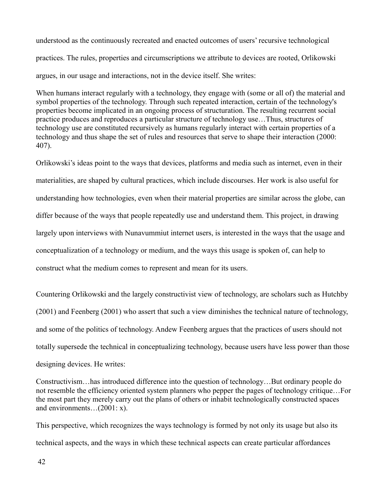understood as the continuously recreated and enacted outcomes of users' recursive technological practices. The rules, properties and circumscriptions we attribute to devices are rooted, Orlikowski argues, in our usage and interactions, not in the device itself. She writes:

When humans interact regularly with a technology, they engage with (some or all of) the material and symbol properties of the technology. Through such repeated interaction, certain of the technology's properties become implicated in an ongoing process of structuration. The resulting recurrent social practice produces and reproduces a particular structure of technology use…Thus, structures of technology use are constituted recursively as humans regularly interact with certain properties of a technology and thus shape the set of rules and resources that serve to shape their interaction (2000: 407).

Orlikowski's ideas point to the ways that devices, platforms and media such as internet, even in their materialities, are shaped by cultural practices, which include discourses. Her work is also useful for understanding how technologies, even when their material properties are similar across the globe, can differ because of the ways that people repeatedly use and understand them. This project, in drawing largely upon interviews with Nunavummiut internet users, is interested in the ways that the usage and conceptualization of a technology or medium, and the ways this usage is spoken of, can help to construct what the medium comes to represent and mean for its users.

Countering Orlikowski and the largely constructivist view of technology, are scholars such as Hutchby (2001) and Feenberg (2001) who assert that such a view diminishes the technical nature of technology, and some of the politics of technology. Andew Feenberg argues that the practices of users should not totally supersede the technical in conceptualizing technology, because users have less power than those designing devices. He writes:

Constructivism…has introduced difference into the question of technology…But ordinary people do not resemble the efficiency oriented system planners who pepper the pages of technology critique…For the most part they merely carry out the plans of others or inhabit technologically constructed spaces and environments…(2001: x).

This perspective, which recognizes the ways technology is formed by not only its usage but also its technical aspects, and the ways in which these technical aspects can create particular affordances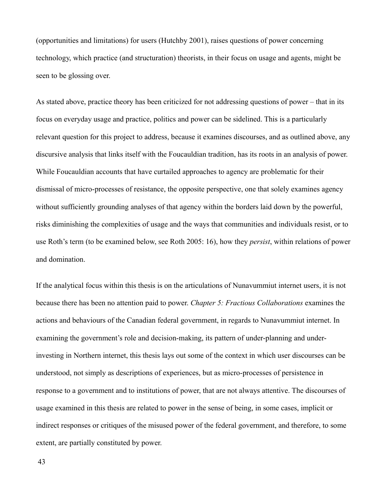(opportunities and limitations) for users (Hutchby 2001), raises questions of power concerning technology, which practice (and structuration) theorists, in their focus on usage and agents, might be seen to be glossing over.

As stated above, practice theory has been criticized for not addressing questions of power – that in its focus on everyday usage and practice, politics and power can be sidelined. This is a particularly relevant question for this project to address, because it examines discourses, and as outlined above, any discursive analysis that links itself with the Foucauldian tradition, has its roots in an analysis of power. While Foucauldian accounts that have curtailed approaches to agency are problematic for their dismissal of micro-processes of resistance, the opposite perspective, one that solely examines agency without sufficiently grounding analyses of that agency within the borders laid down by the powerful, risks diminishing the complexities of usage and the ways that communities and individuals resist, or to use Roth's term (to be examined below, see Roth 2005: 16), how they *persist*, within relations of power and domination.

If the analytical focus within this thesis is on the articulations of Nunavummiut internet users, it is not because there has been no attention paid to power. *Chapter 5: Fractious Collaborations* examines the actions and behaviours of the Canadian federal government, in regards to Nunavummiut internet. In examining the government's role and decision-making, its pattern of under-planning and underinvesting in Northern internet, this thesis lays out some of the context in which user discourses can be understood, not simply as descriptions of experiences, but as micro-processes of persistence in response to a government and to institutions of power, that are not always attentive. The discourses of usage examined in this thesis are related to power in the sense of being, in some cases, implicit or indirect responses or critiques of the misused power of the federal government, and therefore, to some extent, are partially constituted by power.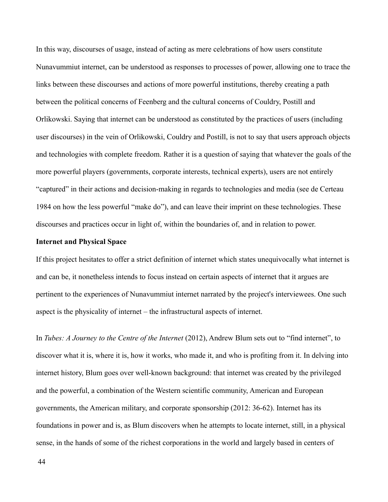In this way, discourses of usage, instead of acting as mere celebrations of how users constitute Nunavummiut internet, can be understood as responses to processes of power, allowing one to trace the links between these discourses and actions of more powerful institutions, thereby creating a path between the political concerns of Feenberg and the cultural concerns of Couldry, Postill and Orlikowski. Saying that internet can be understood as constituted by the practices of users (including user discourses) in the vein of Orlikowski, Couldry and Postill, is not to say that users approach objects and technologies with complete freedom. Rather it is a question of saying that whatever the goals of the more powerful players (governments, corporate interests, technical experts), users are not entirely "captured" in their actions and decision-making in regards to technologies and media (see de Certeau 1984 on how the less powerful "make do"), and can leave their imprint on these technologies. These discourses and practices occur in light of, within the boundaries of, and in relation to power.

#### **Internet and Physical Space**

If this project hesitates to offer a strict definition of internet which states unequivocally what internet is and can be, it nonetheless intends to focus instead on certain aspects of internet that it argues are pertinent to the experiences of Nunavummiut internet narrated by the project's interviewees. One such aspect is the physicality of internet – the infrastructural aspects of internet.

In *Tubes: A Journey to the Centre of the Internet* (2012), Andrew Blum sets out to "find internet", to discover what it is, where it is, how it works, who made it, and who is profiting from it. In delving into internet history, Blum goes over well-known background: that internet was created by the privileged and the powerful, a combination of the Western scientific community, American and European governments, the American military, and corporate sponsorship (2012: 36-62). Internet has its foundations in power and is, as Blum discovers when he attempts to locate internet, still, in a physical sense, in the hands of some of the richest corporations in the world and largely based in centers of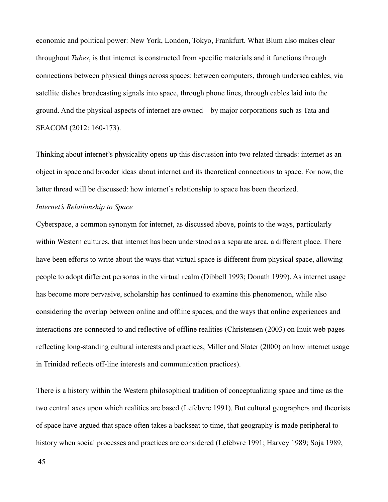economic and political power: New York, London, Tokyo, Frankfurt. What Blum also makes clear throughout *Tubes*, is that internet is constructed from specific materials and it functions through connections between physical things across spaces: between computers, through undersea cables, via satellite dishes broadcasting signals into space, through phone lines, through cables laid into the ground. And the physical aspects of internet are owned – by major corporations such as Tata and SEACOM (2012: 160-173).

Thinking about internet's physicality opens up this discussion into two related threads: internet as an object in space and broader ideas about internet and its theoretical connections to space. For now, the latter thread will be discussed: how internet's relationship to space has been theorized.

# *Internet's Relationship to Space*

Cyberspace, a common synonym for internet, as discussed above, points to the ways, particularly within Western cultures, that internet has been understood as a separate area, a different place. There have been efforts to write about the ways that virtual space is different from physical space, allowing people to adopt different personas in the virtual realm (Dibbell 1993; Donath 1999). As internet usage has become more pervasive, scholarship has continued to examine this phenomenon, while also considering the overlap between online and offline spaces, and the ways that online experiences and interactions are connected to and reflective of offline realities (Christensen (2003) on Inuit web pages reflecting long-standing cultural interests and practices; Miller and Slater (2000) on how internet usage in Trinidad reflects off-line interests and communication practices).

There is a history within the Western philosophical tradition of conceptualizing space and time as the two central axes upon which realities are based (Lefebvre 1991). But cultural geographers and theorists of space have argued that space often takes a backseat to time, that geography is made peripheral to history when social processes and practices are considered (Lefebvre 1991; Harvey 1989; Soja 1989,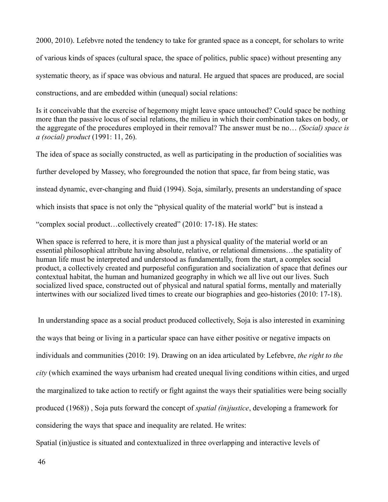2000, 2010). Lefebvre noted the tendency to take for granted space as a concept, for scholars to write of various kinds of spaces (cultural space, the space of politics, public space) without presenting any systematic theory, as if space was obvious and natural. He argued that spaces are produced, are social constructions, and are embedded within (unequal) social relations:

Is it conceivable that the exercise of hegemony might leave space untouched? Could space be nothing more than the passive locus of social relations, the milieu in which their combination takes on body, or the aggregate of the procedures employed in their removal? The answer must be no… *(Social) space is a (social) product* (1991: 11, 26).

The idea of space as socially constructed, as well as participating in the production of socialities was further developed by Massey, who foregrounded the notion that space, far from being static, was instead dynamic, ever-changing and fluid (1994). Soja, similarly, presents an understanding of space which insists that space is not only the "physical quality of the material world" but is instead a "complex social product…collectively created" (2010: 17-18). He states:

When space is referred to here, it is more than just a physical quality of the material world or an essential philosophical attribute having absolute, relative, or relational dimensions…the spatiality of human life must be interpreted and understood as fundamentally, from the start, a complex social product, a collectively created and purposeful configuration and socialization of space that defines our contextual habitat, the human and humanized geography in which we all live out our lives. Such socialized lived space, constructed out of physical and natural spatial forms, mentally and materially intertwines with our socialized lived times to create our biographies and geo-histories (2010: 17-18).

 In understanding space as a social product produced collectively, Soja is also interested in examining the ways that being or living in a particular space can have either positive or negative impacts on individuals and communities (2010: 19). Drawing on an idea articulated by Lefebvre, *the right to the city* (which examined the ways urbanism had created unequal living conditions within cities, and urged the marginalized to take action to rectify or fight against the ways their spatialities were being socially produced (1968)) , Soja puts forward the concept of *spatial (in)justice*, developing a framework for considering the ways that space and inequality are related. He writes:

Spatial (in)justice is situated and contextualized in three overlapping and interactive levels of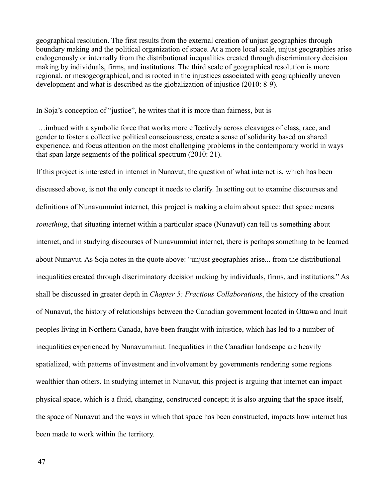geographical resolution. The first results from the external creation of unjust geographies through boundary making and the political organization of space. At a more local scale, unjust geographies arise endogenously or internally from the distributional inequalities created through discriminatory decision making by individuals, firms, and institutions. The third scale of geographical resolution is more regional, or mesogeographical, and is rooted in the injustices associated with geographically uneven development and what is described as the globalization of injustice (2010: 8-9).

In Soja's conception of "justice", he writes that it is more than fairness, but is

 …imbued with a symbolic force that works more effectively across cleavages of class, race, and gender to foster a collective political consciousness, create a sense of solidarity based on shared experience, and focus attention on the most challenging problems in the contemporary world in ways that span large segments of the political spectrum (2010: 21).

If this project is interested in internet in Nunavut, the question of what internet is, which has been discussed above, is not the only concept it needs to clarify. In setting out to examine discourses and definitions of Nunavummiut internet, this project is making a claim about space: that space means *something*, that situating internet within a particular space (Nunavut) can tell us something about internet, and in studying discourses of Nunavummiut internet, there is perhaps something to be learned about Nunavut. As Soja notes in the quote above: "unjust geographies arise... from the distributional inequalities created through discriminatory decision making by individuals, firms, and institutions." As shall be discussed in greater depth in *Chapter 5: Fractious Collaborations*, the history of the creation of Nunavut, the history of relationships between the Canadian government located in Ottawa and Inuit peoples living in Northern Canada, have been fraught with injustice, which has led to a number of inequalities experienced by Nunavummiut. Inequalities in the Canadian landscape are heavily spatialized, with patterns of investment and involvement by governments rendering some regions wealthier than others. In studying internet in Nunavut, this project is arguing that internet can impact physical space, which is a fluid, changing, constructed concept; it is also arguing that the space itself, the space of Nunavut and the ways in which that space has been constructed, impacts how internet has been made to work within the territory.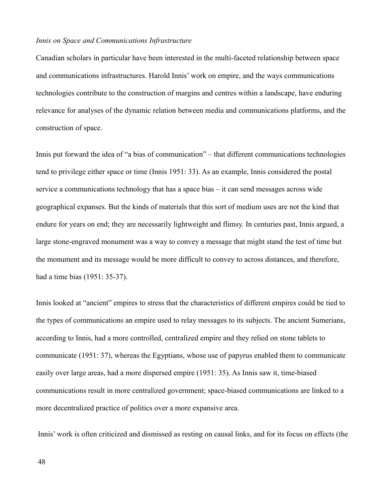#### *Innis on Space and Communications Infrastructure*

Canadian scholars in particular have been interested in the multi-faceted relationship between space and communications infrastructures. Harold Innis' work on empire, and the ways communications technologies contribute to the construction of margins and centres within a landscape, have enduring relevance for analyses of the dynamic relation between media and communications platforms, and the construction of space.

Innis put forward the idea of "a bias of communication" – that different communications technologies tend to privilege either space or time (Innis 1951: 33). As an example, Innis considered the postal service a communications technology that has a space bias – it can send messages across wide geographical expanses. But the kinds of materials that this sort of medium uses are not the kind that endure for years on end; they are necessarily lightweight and flimsy. In centuries past, Innis argued, a large stone-engraved monument was a way to convey a message that might stand the test of time but the monument and its message would be more difficult to convey to across distances, and therefore, had a time bias (1951: 35-37).

Innis looked at "ancient" empires to stress that the characteristics of different empires could be tied to the types of communications an empire used to relay messages to its subjects. The ancient Sumerians, according to Innis, had a more controlled, centralized empire and they relied on stone tablets to communicate (1951: 37), whereas the Egyptians, whose use of papyrus enabled them to communicate easily over large areas, had a more dispersed empire (1951: 35). As Innis saw it, time-biased communications result in more centralized government; space-biased communications are linked to a more decentralized practice of politics over a more expansive area.

Innis' work is often criticized and dismissed as resting on causal links, and for its focus on effects (the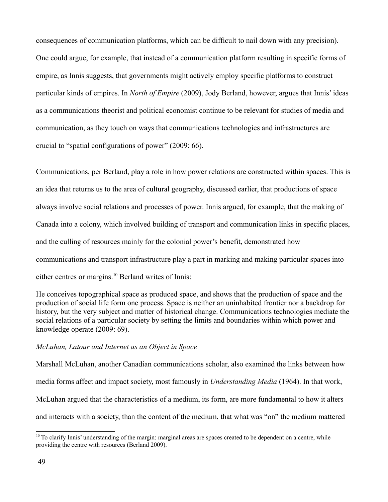consequences of communication platforms, which can be difficult to nail down with any precision). One could argue, for example, that instead of a communication platform resulting in specific forms of empire, as Innis suggests, that governments might actively employ specific platforms to construct particular kinds of empires. In *North of Empire* (2009), Jody Berland, however, argues that Innis' ideas as a communications theorist and political economist continue to be relevant for studies of media and communication, as they touch on ways that communications technologies and infrastructures are crucial to "spatial configurations of power" (2009: 66).

Communications, per Berland, play a role in how power relations are constructed within spaces. This is an idea that returns us to the area of cultural geography, discussed earlier, that productions of space always involve social relations and processes of power. Innis argued, for example, that the making of Canada into a colony, which involved building of transport and communication links in specific places, and the culling of resources mainly for the colonial power's benefit, demonstrated how communications and transport infrastructure play a part in marking and making particular spaces into either centres or margins.[10](#page-49-0) Berland writes of Innis:

He conceives topographical space as produced space, and shows that the production of space and the production of social life form one process. Space is neither an uninhabited frontier nor a backdrop for history, but the very subject and matter of historical change. Communications technologies mediate the social relations of a particular society by setting the limits and boundaries within which power and knowledge operate (2009: 69).

# *McLuhan, Latour and Internet as an Object in Space*

Marshall McLuhan, another Canadian communications scholar, also examined the links between how media forms affect and impact society, most famously in *Understanding Media* (1964). In that work, McLuhan argued that the characteristics of a medium, its form, are more fundamental to how it alters and interacts with a society, than the content of the medium, that what was "on" the medium mattered

<span id="page-49-0"></span><sup>&</sup>lt;sup>10</sup> To clarify Innis' understanding of the margin: marginal areas are spaces created to be dependent on a centre, while providing the centre with resources (Berland 2009).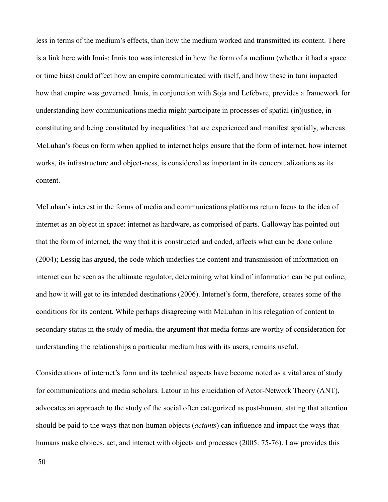less in terms of the medium's effects, than how the medium worked and transmitted its content. There is a link here with Innis: Innis too was interested in how the form of a medium (whether it had a space or time bias) could affect how an empire communicated with itself, and how these in turn impacted how that empire was governed. Innis, in conjunction with Soja and Lefebvre, provides a framework for understanding how communications media might participate in processes of spatial (in)justice, in constituting and being constituted by inequalities that are experienced and manifest spatially, whereas McLuhan's focus on form when applied to internet helps ensure that the form of internet, how internet works, its infrastructure and object-ness, is considered as important in its conceptualizations as its content.

McLuhan's interest in the forms of media and communications platforms return focus to the idea of internet as an object in space: internet as hardware, as comprised of parts. Galloway has pointed out that the form of internet, the way that it is constructed and coded, affects what can be done online (2004); Lessig has argued, the code which underlies the content and transmission of information on internet can be seen as the ultimate regulator, determining what kind of information can be put online, and how it will get to its intended destinations (2006). Internet's form, therefore, creates some of the conditions for its content. While perhaps disagreeing with McLuhan in his relegation of content to secondary status in the study of media, the argument that media forms are worthy of consideration for understanding the relationships a particular medium has with its users, remains useful.

Considerations of internet's form and its technical aspects have become noted as a vital area of study for communications and media scholars. Latour in his elucidation of Actor-Network Theory (ANT), advocates an approach to the study of the social often categorized as post-human, stating that attention should be paid to the ways that non-human objects (*actants*) can influence and impact the ways that humans make choices, act, and interact with objects and processes (2005: 75-76). Law provides this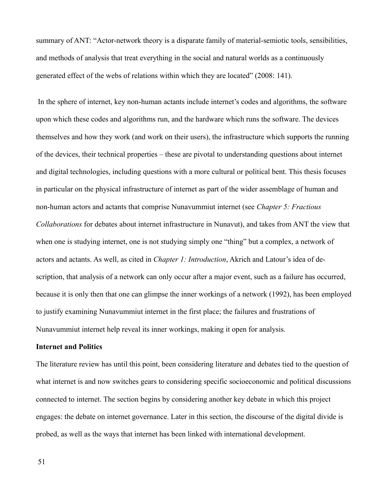summary of ANT: "Actor-network theory is a disparate family of material-semiotic tools, sensibilities, and methods of analysis that treat everything in the social and natural worlds as a continuously generated effect of the webs of relations within which they are located" (2008: 141).

 In the sphere of internet, key non-human actants include internet's codes and algorithms, the software upon which these codes and algorithms run, and the hardware which runs the software. The devices themselves and how they work (and work on their users), the infrastructure which supports the running of the devices, their technical properties – these are pivotal to understanding questions about internet and digital technologies, including questions with a more cultural or political bent. This thesis focuses in particular on the physical infrastructure of internet as part of the wider assemblage of human and non-human actors and actants that comprise Nunavummiut internet (see *Chapter 5: Fractious Collaborations* for debates about internet infrastructure in Nunavut), and takes from ANT the view that when one is studying internet, one is not studying simply one "thing" but a complex, a network of actors and actants. As well, as cited in *Chapter 1: Introduction*, Akrich and Latour's idea of description, that analysis of a network can only occur after a major event, such as a failure has occurred, because it is only then that one can glimpse the inner workings of a network (1992), has been employed to justify examining Nunavummiut internet in the first place; the failures and frustrations of Nunavummiut internet help reveal its inner workings, making it open for analysis.

#### **Internet and Politics**

The literature review has until this point, been considering literature and debates tied to the question of what internet is and now switches gears to considering specific socioeconomic and political discussions connected to internet. The section begins by considering another key debate in which this project engages: the debate on internet governance. Later in this section, the discourse of the digital divide is probed, as well as the ways that internet has been linked with international development.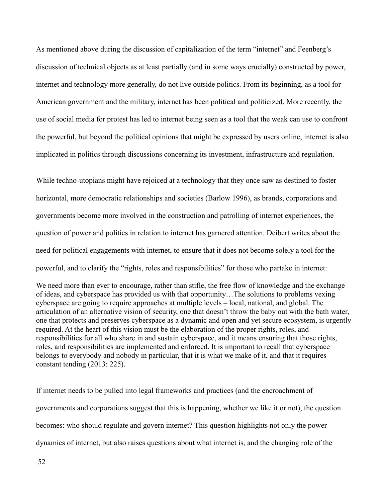As mentioned above during the discussion of capitalization of the term "internet" and Feenberg's discussion of technical objects as at least partially (and in some ways crucially) constructed by power, internet and technology more generally, do not live outside politics. From its beginning, as a tool for American government and the military, internet has been political and politicized. More recently, the use of social media for protest has led to internet being seen as a tool that the weak can use to confront the powerful, but beyond the political opinions that might be expressed by users online, internet is also implicated in politics through discussions concerning its investment, infrastructure and regulation.

While techno-utopians might have rejoiced at a technology that they once saw as destined to foster horizontal, more democratic relationships and societies (Barlow 1996), as brands, corporations and governments become more involved in the construction and patrolling of internet experiences, the question of power and politics in relation to internet has garnered attention. Deibert writes about the need for political engagements with internet, to ensure that it does not become solely a tool for the powerful, and to clarify the "rights, roles and responsibilities" for those who partake in internet:

We need more than ever to encourage, rather than stifle, the free flow of knowledge and the exchange of ideas, and cyberspace has provided us with that opportunity…The solutions to problems vexing cyberspace are going to require approaches at multiple levels – local, national, and global. The articulation of an alternative vision of security, one that doesn't throw the baby out with the bath water, one that protects and preserves cyberspace as a dynamic and open and yet secure ecosystem, is urgently required. At the heart of this vision must be the elaboration of the proper rights, roles, and responsibilities for all who share in and sustain cyberspace, and it means ensuring that those rights, roles, and responsibilities are implemented and enforced. It is important to recall that cyberspace belongs to everybody and nobody in particular, that it is what we make of it, and that it requires constant tending (2013: 225).

If internet needs to be pulled into legal frameworks and practices (and the encroachment of governments and corporations suggest that this is happening, whether we like it or not), the question becomes: who should regulate and govern internet? This question highlights not only the power dynamics of internet, but also raises questions about what internet is, and the changing role of the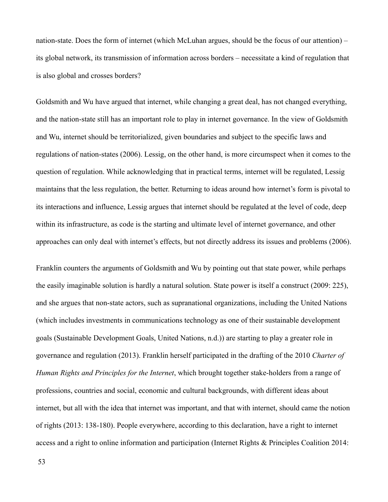nation-state. Does the form of internet (which McLuhan argues, should be the focus of our attention) – its global network, its transmission of information across borders – necessitate a kind of regulation that is also global and crosses borders?

Goldsmith and Wu have argued that internet, while changing a great deal, has not changed everything, and the nation-state still has an important role to play in internet governance. In the view of Goldsmith and Wu, internet should be territorialized, given boundaries and subject to the specific laws and regulations of nation-states (2006). Lessig, on the other hand, is more circumspect when it comes to the question of regulation. While acknowledging that in practical terms, internet will be regulated, Lessig maintains that the less regulation, the better. Returning to ideas around how internet's form is pivotal to its interactions and influence, Lessig argues that internet should be regulated at the level of code, deep within its infrastructure, as code is the starting and ultimate level of internet governance, and other approaches can only deal with internet's effects, but not directly address its issues and problems (2006).

Franklin counters the arguments of Goldsmith and Wu by pointing out that state power, while perhaps the easily imaginable solution is hardly a natural solution. State power is itself a construct (2009: 225), and she argues that non-state actors, such as supranational organizations, including the United Nations (which includes investments in communications technology as one of their sustainable development goals (Sustainable Development Goals, United Nations, n.d.)) are starting to play a greater role in governance and regulation (2013). Franklin herself participated in the drafting of the 2010 *Charter of Human Rights and Principles for the Internet*, which brought together stake-holders from a range of professions, countries and social, economic and cultural backgrounds, with different ideas about internet, but all with the idea that internet was important, and that with internet, should came the notion of rights (2013: 138-180). People everywhere, according to this declaration, have a right to internet access and a right to online information and participation (Internet Rights & Principles Coalition 2014: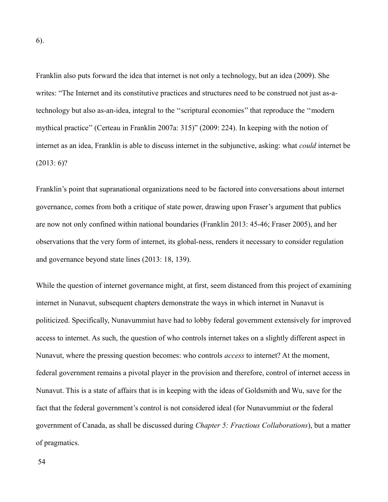Franklin also puts forward the idea that internet is not only a technology, but an idea (2009). She writes: "The Internet and its constitutive practices and structures need to be construed not just as-atechnology but also as-an-idea, integral to the ''scriptural economies'' that reproduce the ''modern mythical practice'' (Certeau in Franklin 2007a: 315)" (2009: 224). In keeping with the notion of internet as an idea, Franklin is able to discuss internet in the subjunctive, asking: what *could* internet be  $(2013:6)?$ 

Franklin's point that supranational organizations need to be factored into conversations about internet governance, comes from both a critique of state power, drawing upon Fraser's argument that publics are now not only confined within national boundaries (Franklin 2013: 45-46; Fraser 2005), and her observations that the very form of internet, its global-ness, renders it necessary to consider regulation and governance beyond state lines (2013: 18, 139).

While the question of internet governance might, at first, seem distanced from this project of examining internet in Nunavut, subsequent chapters demonstrate the ways in which internet in Nunavut is politicized. Specifically, Nunavummiut have had to lobby federal government extensively for improved access to internet. As such, the question of who controls internet takes on a slightly different aspect in Nunavut, where the pressing question becomes: who controls *access* to internet? At the moment, federal government remains a pivotal player in the provision and therefore, control of internet access in Nunavut. This is a state of affairs that is in keeping with the ideas of Goldsmith and Wu, save for the fact that the federal government's control is not considered ideal (for Nunavummiut or the federal government of Canada, as shall be discussed during *Chapter 5: Fractious Collaborations*), but a matter of pragmatics.

6).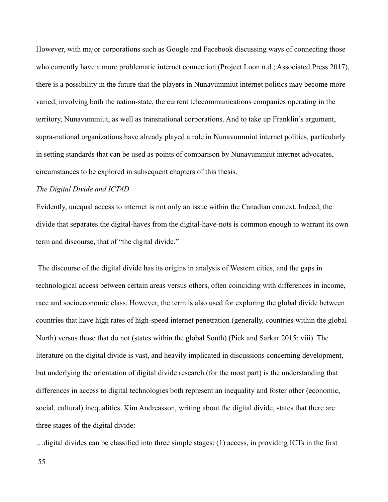However, with major corporations such as Google and Facebook discussing ways of connecting those who currently have a more problematic internet connection (Project Loon n.d.; Associated Press 2017), there is a possibility in the future that the players in Nunavummiut internet politics may become more varied, involving both the nation-state, the current telecommunications companies operating in the territory, Nunavummiut, as well as transnational corporations. And to take up Franklin's argument, supra-national organizations have already played a role in Nunavummiut internet politics, particularly in setting standards that can be used as points of comparison by Nunavummiut internet advocates, circumstances to be explored in subsequent chapters of this thesis.

#### *The Digital Divide and ICT4D*

Evidently, unequal access to internet is not only an issue within the Canadian context. Indeed, the divide that separates the digital-haves from the digital-have-nots is common enough to warrant its own term and discourse, that of "the digital divide."

 The discourse of the digital divide has its origins in analysis of Western cities, and the gaps in technological access between certain areas versus others, often coinciding with differences in income, race and socioeconomic class. However, the term is also used for exploring the global divide between countries that have high rates of high-speed internet penetration (generally, countries within the global North) versus those that do not (states within the global South) (Pick and Sarkar 2015: viii). The literature on the digital divide is vast, and heavily implicated in discussions concerning development, but underlying the orientation of digital divide research (for the most part) is the understanding that differences in access to digital technologies both represent an inequality and foster other (economic, social, cultural) inequalities. Kim Andreasson, writing about the digital divide, states that there are three stages of the digital divide:

…digital divides can be classified into three simple stages: (1) access, in providing ICTs in the first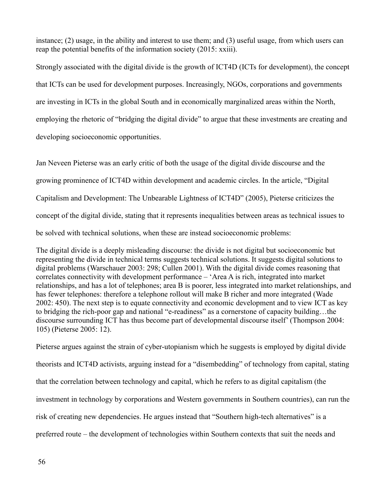instance; (2) usage, in the ability and interest to use them; and (3) useful usage, from which users can reap the potential benefits of the information society (2015: xxiii).

Strongly associated with the digital divide is the growth of ICT4D (ICTs for development), the concept that ICTs can be used for development purposes. Increasingly, NGOs, corporations and governments are investing in ICTs in the global South and in economically marginalized areas within the North, employing the rhetoric of "bridging the digital divide" to argue that these investments are creating and developing socioeconomic opportunities.

Jan Neveen Pieterse was an early critic of both the usage of the digital divide discourse and the growing prominence of ICT4D within development and academic circles. In the article, "Digital Capitalism and Development: The Unbearable Lightness of ICT4D" (2005), Pieterse criticizes the concept of the digital divide, stating that it represents inequalities between areas as technical issues to be solved with technical solutions, when these are instead socioeconomic problems:

The digital divide is a deeply misleading discourse: the divide is not digital but socioeconomic but representing the divide in technical terms suggests technical solutions. It suggests digital solutions to digital problems (Warschauer 2003: 298; Cullen 2001). With the digital divide comes reasoning that correlates connectivity with development performance – 'Area A is rich, integrated into market relationships, and has a lot of telephones; area B is poorer, less integrated into market relationships, and has fewer telephones: therefore a telephone rollout will make B richer and more integrated (Wade 2002: 450). The next step is to equate connectivity and economic development and to view ICT as key to bridging the rich-poor gap and national "e-readiness" as a cornerstone of capacity building…the discourse surrounding ICT has thus become part of developmental discourse itself' (Thompson 2004: 105) (Pieterse 2005: 12).

Pieterse argues against the strain of cyber-utopianism which he suggests is employed by digital divide theorists and ICT4D activists, arguing instead for a "disembedding" of technology from capital, stating that the correlation between technology and capital, which he refers to as digital capitalism (the investment in technology by corporations and Western governments in Southern countries), can run the risk of creating new dependencies. He argues instead that "Southern high-tech alternatives" is a preferred route – the development of technologies within Southern contexts that suit the needs and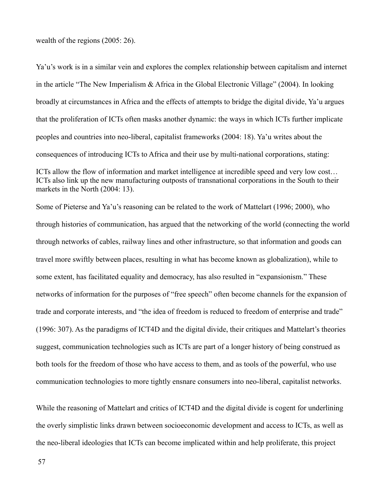wealth of the regions (2005: 26).

Ya'u's work is in a similar vein and explores the complex relationship between capitalism and internet in the article "The New Imperialism & Africa in the Global Electronic Village" (2004). In looking broadly at circumstances in Africa and the effects of attempts to bridge the digital divide, Ya'u argues that the proliferation of ICTs often masks another dynamic: the ways in which ICTs further implicate peoples and countries into neo-liberal, capitalist frameworks (2004: 18). Ya'u writes about the consequences of introducing ICTs to Africa and their use by multi-national corporations, stating:

ICTs allow the flow of information and market intelligence at incredible speed and very low cost… ICTs also link up the new manufacturing outposts of transnational corporations in the South to their markets in the North (2004: 13).

Some of Pieterse and Ya'u's reasoning can be related to the work of Mattelart (1996; 2000), who through histories of communication, has argued that the networking of the world (connecting the world through networks of cables, railway lines and other infrastructure, so that information and goods can travel more swiftly between places, resulting in what has become known as globalization), while to some extent, has facilitated equality and democracy, has also resulted in "expansionism." These networks of information for the purposes of "free speech" often become channels for the expansion of trade and corporate interests, and "the idea of freedom is reduced to freedom of enterprise and trade" (1996: 307). As the paradigms of ICT4D and the digital divide, their critiques and Mattelart's theories suggest, communication technologies such as ICTs are part of a longer history of being construed as both tools for the freedom of those who have access to them, and as tools of the powerful, who use communication technologies to more tightly ensnare consumers into neo-liberal, capitalist networks.

While the reasoning of Mattelart and critics of ICT4D and the digital divide is cogent for underlining the overly simplistic links drawn between socioeconomic development and access to ICTs, as well as the neo-liberal ideologies that ICTs can become implicated within and help proliferate, this project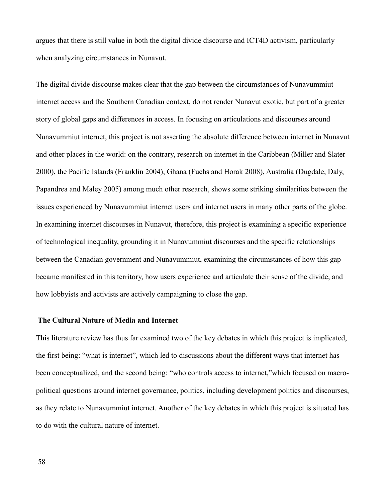argues that there is still value in both the digital divide discourse and ICT4D activism, particularly when analyzing circumstances in Nunavut.

The digital divide discourse makes clear that the gap between the circumstances of Nunavummiut internet access and the Southern Canadian context, do not render Nunavut exotic, but part of a greater story of global gaps and differences in access. In focusing on articulations and discourses around Nunavummiut internet, this project is not asserting the absolute difference between internet in Nunavut and other places in the world: on the contrary, research on internet in the Caribbean (Miller and Slater 2000), the Pacific Islands (Franklin 2004), Ghana (Fuchs and Horak 2008), Australia (Dugdale, Daly, Papandrea and Maley 2005) among much other research, shows some striking similarities between the issues experienced by Nunavummiut internet users and internet users in many other parts of the globe. In examining internet discourses in Nunavut, therefore, this project is examining a specific experience of technological inequality, grounding it in Nunavummiut discourses and the specific relationships between the Canadian government and Nunavummiut, examining the circumstances of how this gap became manifested in this territory, how users experience and articulate their sense of the divide, and how lobbyists and activists are actively campaigning to close the gap.

#### **The Cultural Nature of Media and Internet**

This literature review has thus far examined two of the key debates in which this project is implicated, the first being: "what is internet", which led to discussions about the different ways that internet has been conceptualized, and the second being: "who controls access to internet,"which focused on macropolitical questions around internet governance, politics, including development politics and discourses, as they relate to Nunavummiut internet. Another of the key debates in which this project is situated has to do with the cultural nature of internet.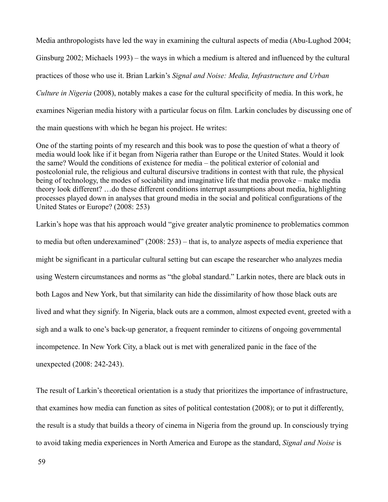Media anthropologists have led the way in examining the cultural aspects of media (Abu-Lughod 2004; Ginsburg 2002; Michaels 1993) – the ways in which a medium is altered and influenced by the cultural practices of those who use it. Brian Larkin's *Signal and Noise: Media, Infrastructure and Urban Culture in Nigeria* (2008), notably makes a case for the cultural specificity of media. In this work, he examines Nigerian media history with a particular focus on film. Larkin concludes by discussing one of the main questions with which he began his project. He writes:

One of the starting points of my research and this book was to pose the question of what a theory of media would look like if it began from Nigeria rather than Europe or the United States. Would it look the same? Would the conditions of existence for media – the political exterior of colonial and postcolonial rule, the religious and cultural discursive traditions in contest with that rule, the physical being of technology, the modes of sociability and imaginative life that media provoke – make media theory look different? …do these different conditions interrupt assumptions about media, highlighting processes played down in analyses that ground media in the social and political configurations of the United States or Europe? (2008: 253)

Larkin's hope was that his approach would "give greater analytic prominence to problematics common to media but often underexamined" (2008: 253) – that is, to analyze aspects of media experience that might be significant in a particular cultural setting but can escape the researcher who analyzes media using Western circumstances and norms as "the global standard." Larkin notes, there are black outs in both Lagos and New York, but that similarity can hide the dissimilarity of how those black outs are lived and what they signify. In Nigeria, black outs are a common, almost expected event, greeted with a sigh and a walk to one's back-up generator, a frequent reminder to citizens of ongoing governmental incompetence. In New York City, a black out is met with generalized panic in the face of the unexpected (2008: 242-243).

The result of Larkin's theoretical orientation is a study that prioritizes the importance of infrastructure, that examines how media can function as sites of political contestation (2008); or to put it differently, the result is a study that builds a theory of cinema in Nigeria from the ground up. In consciously trying to avoid taking media experiences in North America and Europe as the standard, *Signal and Noise* is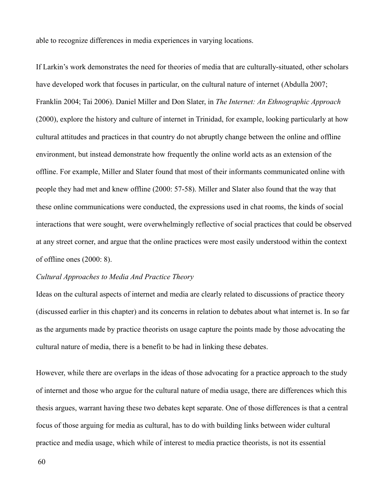able to recognize differences in media experiences in varying locations.

If Larkin's work demonstrates the need for theories of media that are culturally-situated, other scholars have developed work that focuses in particular, on the cultural nature of internet (Abdulla 2007; Franklin 2004; Tai 2006). Daniel Miller and Don Slater, in *The Internet: An Ethnographic Approach*  (2000), explore the history and culture of internet in Trinidad, for example, looking particularly at how cultural attitudes and practices in that country do not abruptly change between the online and offline environment, but instead demonstrate how frequently the online world acts as an extension of the offline. For example, Miller and Slater found that most of their informants communicated online with people they had met and knew offline (2000: 57-58). Miller and Slater also found that the way that these online communications were conducted, the expressions used in chat rooms, the kinds of social interactions that were sought, were overwhelmingly reflective of social practices that could be observed at any street corner, and argue that the online practices were most easily understood within the context of offline ones (2000: 8).

# *Cultural Approaches to Media And Practice Theory*

Ideas on the cultural aspects of internet and media are clearly related to discussions of practice theory (discussed earlier in this chapter) and its concerns in relation to debates about what internet is. In so far as the arguments made by practice theorists on usage capture the points made by those advocating the cultural nature of media, there is a benefit to be had in linking these debates.

However, while there are overlaps in the ideas of those advocating for a practice approach to the study of internet and those who argue for the cultural nature of media usage, there are differences which this thesis argues, warrant having these two debates kept separate. One of those differences is that a central focus of those arguing for media as cultural, has to do with building links between wider cultural practice and media usage, which while of interest to media practice theorists, is not its essential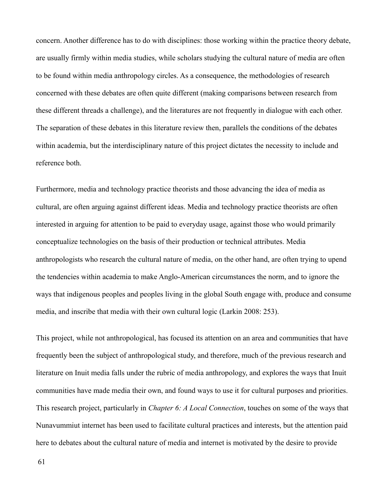concern. Another difference has to do with disciplines: those working within the practice theory debate, are usually firmly within media studies, while scholars studying the cultural nature of media are often to be found within media anthropology circles. As a consequence, the methodologies of research concerned with these debates are often quite different (making comparisons between research from these different threads a challenge), and the literatures are not frequently in dialogue with each other. The separation of these debates in this literature review then, parallels the conditions of the debates within academia, but the interdisciplinary nature of this project dictates the necessity to include and reference both.

Furthermore, media and technology practice theorists and those advancing the idea of media as cultural, are often arguing against different ideas. Media and technology practice theorists are often interested in arguing for attention to be paid to everyday usage, against those who would primarily conceptualize technologies on the basis of their production or technical attributes. Media anthropologists who research the cultural nature of media, on the other hand, are often trying to upend the tendencies within academia to make Anglo-American circumstances the norm, and to ignore the ways that indigenous peoples and peoples living in the global South engage with, produce and consume media, and inscribe that media with their own cultural logic (Larkin 2008: 253).

This project, while not anthropological, has focused its attention on an area and communities that have frequently been the subject of anthropological study, and therefore, much of the previous research and literature on Inuit media falls under the rubric of media anthropology, and explores the ways that Inuit communities have made media their own, and found ways to use it for cultural purposes and priorities. This research project, particularly in *Chapter 6: A Local Connection*, touches on some of the ways that Nunavummiut internet has been used to facilitate cultural practices and interests, but the attention paid here to debates about the cultural nature of media and internet is motivated by the desire to provide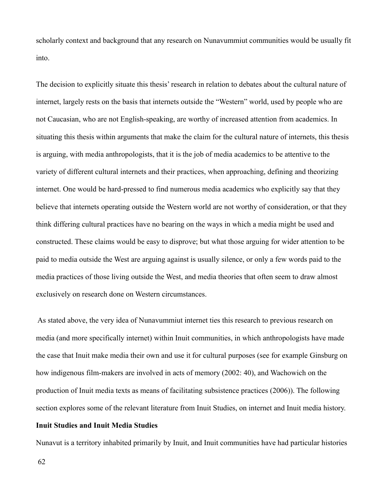scholarly context and background that any research on Nunavummiut communities would be usually fit into.

The decision to explicitly situate this thesis' research in relation to debates about the cultural nature of internet, largely rests on the basis that internets outside the "Western" world, used by people who are not Caucasian, who are not English-speaking, are worthy of increased attention from academics. In situating this thesis within arguments that make the claim for the cultural nature of internets, this thesis is arguing, with media anthropologists, that it is the job of media academics to be attentive to the variety of different cultural internets and their practices, when approaching, defining and theorizing internet. One would be hard-pressed to find numerous media academics who explicitly say that they believe that internets operating outside the Western world are not worthy of consideration, or that they think differing cultural practices have no bearing on the ways in which a media might be used and constructed. These claims would be easy to disprove; but what those arguing for wider attention to be paid to media outside the West are arguing against is usually silence, or only a few words paid to the media practices of those living outside the West, and media theories that often seem to draw almost exclusively on research done on Western circumstances.

 As stated above, the very idea of Nunavummiut internet ties this research to previous research on media (and more specifically internet) within Inuit communities, in which anthropologists have made the case that Inuit make media their own and use it for cultural purposes (see for example Ginsburg on how indigenous film-makers are involved in acts of memory (2002: 40), and Wachowich on the production of Inuit media texts as means of facilitating subsistence practices (2006)). The following section explores some of the relevant literature from Inuit Studies, on internet and Inuit media history.

#### **Inuit Studies and Inuit Media Studies**

Nunavut is a territory inhabited primarily by Inuit, and Inuit communities have had particular histories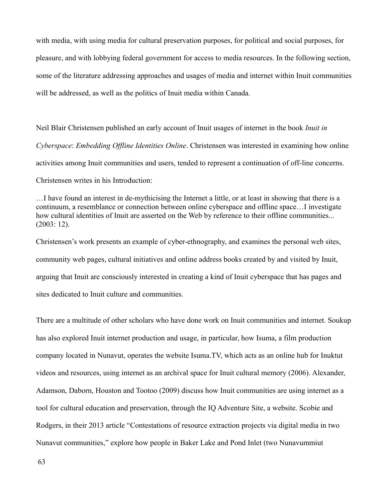with media, with using media for cultural preservation purposes, for political and social purposes, for pleasure, and with lobbying federal government for access to media resources. In the following section, some of the literature addressing approaches and usages of media and internet within Inuit communities will be addressed, as well as the politics of Inuit media within Canada.

Neil Blair Christensen published an early account of Inuit usages of internet in the book *Inuit in Cyberspace*: *Embedding Offline Identities Online*. Christensen was interested in examining how online activities among Inuit communities and users, tended to represent a continuation of off-line concerns. Christensen writes in his Introduction:

…I have found an interest in de-mythicising the Internet a little, or at least in showing that there is a continuum, a resemblance or connection between online cyberspace and offline space…I investigate how cultural identities of Inuit are asserted on the Web by reference to their offline communities... (2003: 12).

Christensen's work presents an example of cyber-ethnography, and examines the personal web sites, community web pages, cultural initiatives and online address books created by and visited by Inuit, arguing that Inuit are consciously interested in creating a kind of Inuit cyberspace that has pages and sites dedicated to Inuit culture and communities.

There are a multitude of other scholars who have done work on Inuit communities and internet. Soukup has also explored Inuit internet production and usage, in particular, how Isuma, a film production company located in Nunavut, operates the website Isuma.TV, which acts as an online hub for Inuktut videos and resources, using internet as an archival space for Inuit cultural memory (2006). Alexander, Adamson, Daborn, Houston and Tootoo (2009) discuss how Inuit communities are using internet as a tool for cultural education and preservation, through the IQ Adventure Site, a website. Scobie and Rodgers, in their 2013 article "Contestations of resource extraction projects via digital media in two Nunavut communities," explore how people in Baker Lake and Pond Inlet (two Nunavummiut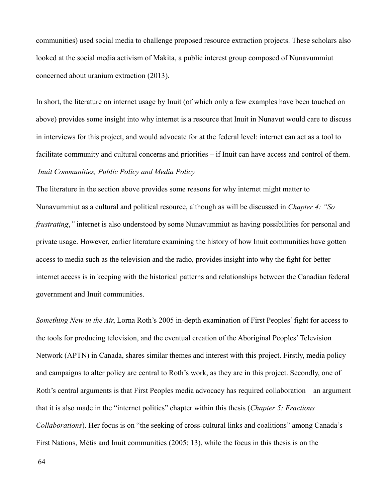communities) used social media to challenge proposed resource extraction projects. These scholars also looked at the social media activism of Makita, a public interest group composed of Nunavummiut concerned about uranium extraction (2013).

In short, the literature on internet usage by Inuit (of which only a few examples have been touched on above) provides some insight into why internet is a resource that Inuit in Nunavut would care to discuss in interviews for this project, and would advocate for at the federal level: internet can act as a tool to facilitate community and cultural concerns and priorities – if Inuit can have access and control of them.  *Inuit Communities, Public Policy and Media Policy*

The literature in the section above provides some reasons for why internet might matter to Nunavummiut as a cultural and political resource, although as will be discussed in *Chapter 4: "So frustrating*,*"* internet is also understood by some Nunavummiut as having possibilities for personal and private usage. However, earlier literature examining the history of how Inuit communities have gotten access to media such as the television and the radio, provides insight into why the fight for better internet access is in keeping with the historical patterns and relationships between the Canadian federal government and Inuit communities.

*Something New in the Air*, Lorna Roth's 2005 in-depth examination of First Peoples' fight for access to the tools for producing television, and the eventual creation of the Aboriginal Peoples' Television Network (APTN) in Canada, shares similar themes and interest with this project. Firstly, media policy and campaigns to alter policy are central to Roth's work, as they are in this project. Secondly, one of Roth's central arguments is that First Peoples media advocacy has required collaboration – an argument that it is also made in the "internet politics" chapter within this thesis (*Chapter 5: Fractious Collaborations*). Her focus is on "the seeking of cross-cultural links and coalitions" among Canada's First Nations, Métis and Inuit communities (2005: 13), while the focus in this thesis is on the

64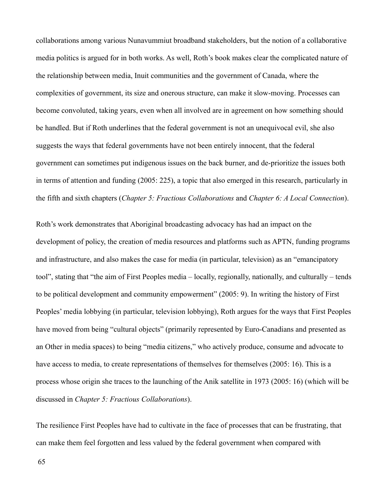collaborations among various Nunavummiut broadband stakeholders, but the notion of a collaborative media politics is argued for in both works. As well, Roth's book makes clear the complicated nature of the relationship between media, Inuit communities and the government of Canada, where the complexities of government, its size and onerous structure, can make it slow-moving. Processes can become convoluted, taking years, even when all involved are in agreement on how something should be handled. But if Roth underlines that the federal government is not an unequivocal evil, she also suggests the ways that federal governments have not been entirely innocent, that the federal government can sometimes put indigenous issues on the back burner, and de-prioritize the issues both in terms of attention and funding (2005: 225), a topic that also emerged in this research, particularly in the fifth and sixth chapters (*Chapter 5: Fractious Collaborations* and *Chapter 6: A Local Connection*).

Roth's work demonstrates that Aboriginal broadcasting advocacy has had an impact on the development of policy, the creation of media resources and platforms such as APTN, funding programs and infrastructure, and also makes the case for media (in particular, television) as an "emancipatory tool", stating that "the aim of First Peoples media – locally, regionally, nationally, and culturally – tends to be political development and community empowerment" (2005: 9). In writing the history of First Peoples' media lobbying (in particular, television lobbying), Roth argues for the ways that First Peoples have moved from being "cultural objects" (primarily represented by Euro-Canadians and presented as an Other in media spaces) to being "media citizens," who actively produce, consume and advocate to have access to media, to create representations of themselves for themselves (2005: 16). This is a process whose origin she traces to the launching of the Anik satellite in 1973 (2005: 16) (which will be discussed in *Chapter 5: Fractious Collaborations*).

The resilience First Peoples have had to cultivate in the face of processes that can be frustrating, that can make them feel forgotten and less valued by the federal government when compared with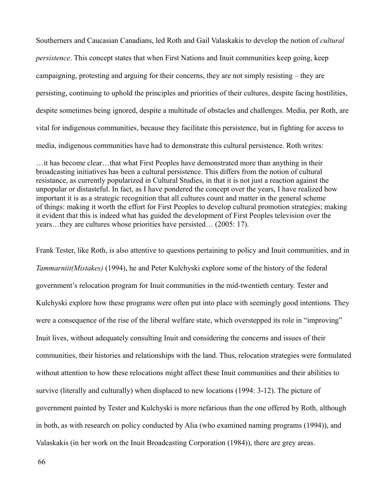Southerners and Caucasian Canadians, led Roth and Gail Valaskakis to develop the notion of *cultural persistence*. This concept states that when First Nations and Inuit communities keep going, keep campaigning, protesting and arguing for their concerns, they are not simply resisting – they are persisting, continuing to uphold the principles and priorities of their cultures, despite facing hostilities, despite sometimes being ignored, despite a multitude of obstacles and challenges. Media, per Roth, are vital for indigenous communities, because they facilitate this persistence, but in fighting for access to media, indigenous communities have had to demonstrate this cultural persistence. Roth writes:

…it has become clear…that what First Peoples have demonstrated more than anything in their broadcasting initiatives has been a cultural persistence. This differs from the notion of cultural resistance, as currently popularized in Cultural Studies, in that it is not just a reaction against the unpopular or distasteful. In fact, as I have pondered the concept over the years, I have realized how important it is as a strategic recognition that all cultures count and matter in the general scheme of things: making it worth the effort for First Peoples to develop cultural promotion strategies; making it evident that this is indeed what has guided the development of First Peoples television over the years…they are cultures whose priorities have persisted… (2005: 17).

Frank Tester, like Roth, is also attentive to questions pertaining to policy and Inuit communities, and in *Tammarniit(Mistakes)* (1994), he and Peter Kulchyski explore some of the history of the federal government's relocation program for Inuit communities in the mid-twentieth century. Tester and Kulchyski explore how these programs were often put into place with seemingly good intentions. They were a consequence of the rise of the liberal welfare state, which overstepped its role in "improving" Inuit lives, without adequately consulting Inuit and considering the concerns and issues of their communities, their histories and relationships with the land. Thus, relocation strategies were formulated without attention to how these relocations might affect these Inuit communities and their abilities to survive (literally and culturally) when displaced to new locations (1994: 3-12). The picture of government painted by Tester and Kulchyski is more nefarious than the one offered by Roth, although in both, as with research on policy conducted by Alia (who examined naming programs (1994)), and Valaskakis (in her work on the Inuit Broadcasting Corporation (1984)), there are grey areas.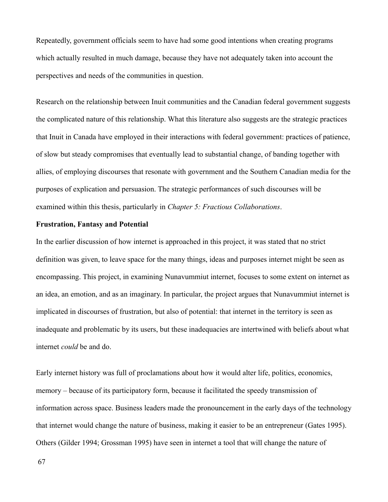Repeatedly, government officials seem to have had some good intentions when creating programs which actually resulted in much damage, because they have not adequately taken into account the perspectives and needs of the communities in question.

Research on the relationship between Inuit communities and the Canadian federal government suggests the complicated nature of this relationship. What this literature also suggests are the strategic practices that Inuit in Canada have employed in their interactions with federal government: practices of patience, of slow but steady compromises that eventually lead to substantial change, of banding together with allies, of employing discourses that resonate with government and the Southern Canadian media for the purposes of explication and persuasion. The strategic performances of such discourses will be examined within this thesis, particularly in *Chapter 5: Fractious Collaborations*.

#### **Frustration, Fantasy and Potential**

In the earlier discussion of how internet is approached in this project, it was stated that no strict definition was given, to leave space for the many things, ideas and purposes internet might be seen as encompassing. This project, in examining Nunavummiut internet, focuses to some extent on internet as an idea, an emotion, and as an imaginary. In particular, the project argues that Nunavummiut internet is implicated in discourses of frustration, but also of potential: that internet in the territory is seen as inadequate and problematic by its users, but these inadequacies are intertwined with beliefs about what internet *could* be and do.

Early internet history was full of proclamations about how it would alter life, politics, economics, memory – because of its participatory form, because it facilitated the speedy transmission of information across space. Business leaders made the pronouncement in the early days of the technology that internet would change the nature of business, making it easier to be an entrepreneur (Gates 1995). Others (Gilder 1994; Grossman 1995) have seen in internet a tool that will change the nature of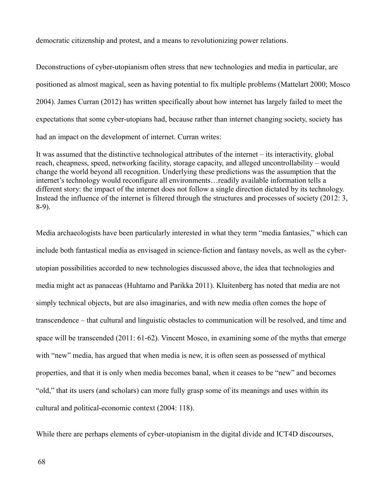democratic citizenship and protest, and a means to revolutionizing power relations.

Deconstructions of cyber-utopianism often stress that new technologies and media in particular, are positioned as almost magical, seen as having potential to fix multiple problems (Mattelart 2000; Mosco 2004). James Curran (2012) has written specifically about how internet has largely failed to meet the expectations that some cyber-utopians had, because rather than internet changing society, society has had an impact on the development of internet. Curran writes:

It was assumed that the distinctive technological attributes of the internet – its interactivity, global reach, cheapness, speed, networking facility, storage capacity, and alleged uncontrollability – would change the world beyond all recognition. Underlying these predictions was the assumption that the internet's technology would reconfigure all environments…readily available information tells a different story: the impact of the internet does not follow a single direction dictated by its technology. Instead the influence of the internet is filtered through the structures and processes of society (2012: 3, 8-9).

Media archaeologists have been particularly interested in what they term "media fantasies," which can include both fantastical media as envisaged in science-fiction and fantasy novels, as well as the cyberutopian possibilities accorded to new technologies discussed above, the idea that technologies and media might act as panaceas (Huhtamo and Parikka 2011). Kluitenberg has noted that media are not simply technical objects, but are also imaginaries, and with new media often comes the hope of transcendence – that cultural and linguistic obstacles to communication will be resolved, and time and space will be transcended (2011: 61-62). Vincent Mosco, in examining some of the myths that emerge with "new" media, has argued that when media is new, it is often seen as possessed of mythical properties, and that it is only when media becomes banal, when it ceases to be "new" and becomes "old," that its users (and scholars) can more fully grasp some of its meanings and uses within its cultural and political-economic context (2004: 118).

While there are perhaps elements of cyber-utopianism in the digital divide and ICT4D discourses,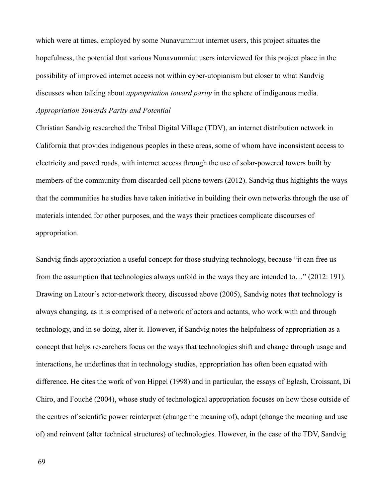which were at times, employed by some Nunavummiut internet users, this project situates the hopefulness, the potential that various Nunavummiut users interviewed for this project place in the possibility of improved internet access not within cyber-utopianism but closer to what Sandvig discusses when talking about *appropriation toward parity* in the sphere of indigenous media. *Appropriation Towards Parity and Potential*

Christian Sandvig researched the Tribal Digital Village (TDV), an internet distribution network in California that provides indigenous peoples in these areas, some of whom have inconsistent access to electricity and paved roads, with internet access through the use of solar-powered towers built by members of the community from discarded cell phone towers (2012). Sandvig thus highights the ways that the communities he studies have taken initiative in building their own networks through the use of materials intended for other purposes, and the ways their practices complicate discourses of appropriation.

Sandvig finds appropriation a useful concept for those studying technology, because "it can free us from the assumption that technologies always unfold in the ways they are intended to…" (2012: 191). Drawing on Latour's actor-network theory, discussed above (2005), Sandvig notes that technology is always changing, as it is comprised of a network of actors and actants, who work with and through technology, and in so doing, alter it. However, if Sandvig notes the helpfulness of appropriation as a concept that helps researchers focus on the ways that technologies shift and change through usage and interactions, he underlines that in technology studies, appropriation has often been equated with difference. He cites the work of von Hippel (1998) and in particular, the essays of Eglash, Croissant, Di Chiro, and Fouché (2004), whose study of technological appropriation focuses on how those outside of the centres of scientific power reinterpret (change the meaning of), adapt (change the meaning and use of) and reinvent (alter technical structures) of technologies. However, in the case of the TDV, Sandvig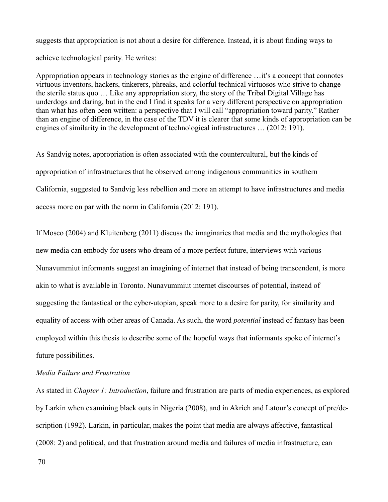suggests that appropriation is not about a desire for difference. Instead, it is about finding ways to achieve technological parity. He writes:

Appropriation appears in technology stories as the engine of difference …it's a concept that connotes virtuous inventors, hackers, tinkerers, phreaks, and colorful technical virtuosos who strive to change the sterile status quo … Like any appropriation story, the story of the Tribal Digital Village has underdogs and daring, but in the end I find it speaks for a very different perspective on appropriation than what has often been written: a perspective that I will call "appropriation toward parity." Rather than an engine of difference, in the case of the TDV it is clearer that some kinds of appropriation can be engines of similarity in the development of technological infrastructures … (2012: 191).

As Sandvig notes, appropriation is often associated with the countercultural, but the kinds of appropriation of infrastructures that he observed among indigenous communities in southern California, suggested to Sandvig less rebellion and more an attempt to have infrastructures and media access more on par with the norm in California (2012: 191).

If Mosco (2004) and Kluitenberg (2011) discuss the imaginaries that media and the mythologies that new media can embody for users who dream of a more perfect future, interviews with various Nunavummiut informants suggest an imagining of internet that instead of being transcendent, is more akin to what is available in Toronto. Nunavummiut internet discourses of potential, instead of suggesting the fantastical or the cyber-utopian, speak more to a desire for parity, for similarity and equality of access with other areas of Canada. As such, the word *potential* instead of fantasy has been employed within this thesis to describe some of the hopeful ways that informants spoke of internet's future possibilities.

# *Media Failure and Frustration*

As stated in *Chapter 1: Introduction*, failure and frustration are parts of media experiences, as explored by Larkin when examining black outs in Nigeria (2008), and in Akrich and Latour's concept of pre/description (1992). Larkin, in particular, makes the point that media are always affective, fantastical (2008: 2) and political, and that frustration around media and failures of media infrastructure, can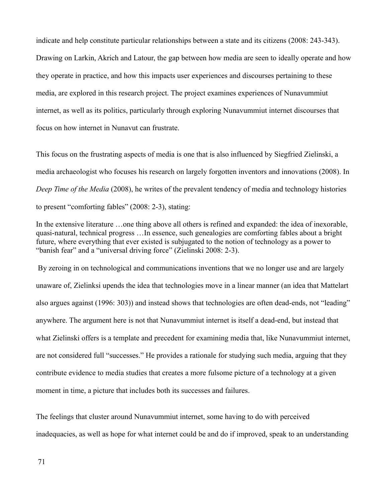indicate and help constitute particular relationships between a state and its citizens (2008: 243-343). Drawing on Larkin, Akrich and Latour, the gap between how media are seen to ideally operate and how they operate in practice, and how this impacts user experiences and discourses pertaining to these media, are explored in this research project. The project examines experiences of Nunavummiut internet, as well as its politics, particularly through exploring Nunavummiut internet discourses that focus on how internet in Nunavut can frustrate.

This focus on the frustrating aspects of media is one that is also influenced by Siegfried Zielinski, a media archaeologist who focuses his research on largely forgotten inventors and innovations (2008). In *Deep Time of the Media* (2008), he writes of the prevalent tendency of media and technology histories to present "comforting fables" (2008: 2-3), stating:

In the extensive literature …one thing above all others is refined and expanded: the idea of inexorable, quasi-natural, technical progress …In essence, such genealogies are comforting fables about a bright future, where everything that ever existed is subjugated to the notion of technology as a power to "banish fear" and a "universal driving force" (Zielinski 2008: 2-3).

 By zeroing in on technological and communications inventions that we no longer use and are largely unaware of, Zielinksi upends the idea that technologies move in a linear manner (an idea that Mattelart also argues against (1996: 303)) and instead shows that technologies are often dead-ends, not "leading" anywhere. The argument here is not that Nunavummiut internet is itself a dead-end, but instead that what Zielinski offers is a template and precedent for examining media that, like Nunavummiut internet, are not considered full "successes." He provides a rationale for studying such media, arguing that they contribute evidence to media studies that creates a more fulsome picture of a technology at a given moment in time, a picture that includes both its successes and failures.

The feelings that cluster around Nunavummiut internet, some having to do with perceived inadequacies, as well as hope for what internet could be and do if improved, speak to an understanding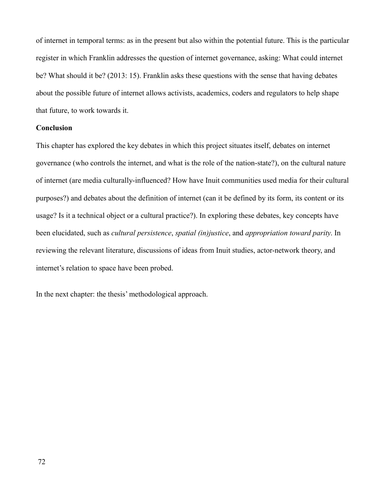of internet in temporal terms: as in the present but also within the potential future. This is the particular register in which Franklin addresses the question of internet governance, asking: What could internet be? What should it be? (2013: 15). Franklin asks these questions with the sense that having debates about the possible future of internet allows activists, academics, coders and regulators to help shape that future, to work towards it.

## **Conclusion**

This chapter has explored the key debates in which this project situates itself, debates on internet governance (who controls the internet, and what is the role of the nation-state?), on the cultural nature of internet (are media culturally-influenced? How have Inuit communities used media for their cultural purposes?) and debates about the definition of internet (can it be defined by its form, its content or its usage? Is it a technical object or a cultural practice?). In exploring these debates, key concepts have been elucidated, such as *cultural persistence*, *spatial (in)justice*, and *appropriation toward parity*. In reviewing the relevant literature, discussions of ideas from Inuit studies, actor-network theory, and internet's relation to space have been probed.

In the next chapter: the thesis' methodological approach.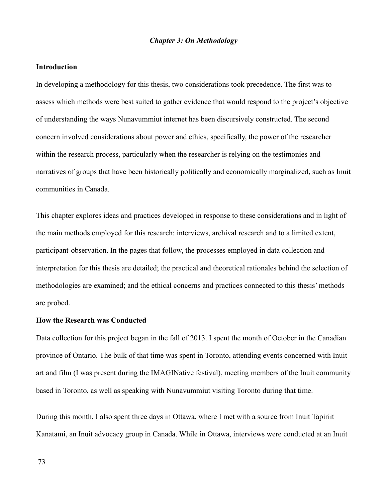## *Chapter 3: On Methodology*

#### **Introduction**

In developing a methodology for this thesis, two considerations took precedence. The first was to assess which methods were best suited to gather evidence that would respond to the project's objective of understanding the ways Nunavummiut internet has been discursively constructed. The second concern involved considerations about power and ethics, specifically, the power of the researcher within the research process, particularly when the researcher is relying on the testimonies and narratives of groups that have been historically politically and economically marginalized, such as Inuit communities in Canada.

This chapter explores ideas and practices developed in response to these considerations and in light of the main methods employed for this research: interviews, archival research and to a limited extent, participant-observation. In the pages that follow, the processes employed in data collection and interpretation for this thesis are detailed; the practical and theoretical rationales behind the selection of methodologies are examined; and the ethical concerns and practices connected to this thesis' methods are probed.

#### **How the Research was Conducted**

Data collection for this project began in the fall of 2013. I spent the month of October in the Canadian province of Ontario. The bulk of that time was spent in Toronto, attending events concerned with Inuit art and film (I was present during the IMAGINative festival), meeting members of the Inuit community based in Toronto, as well as speaking with Nunavummiut visiting Toronto during that time.

During this month, I also spent three days in Ottawa, where I met with a source from Inuit Tapiriit Kanatami, an Inuit advocacy group in Canada. While in Ottawa, interviews were conducted at an Inuit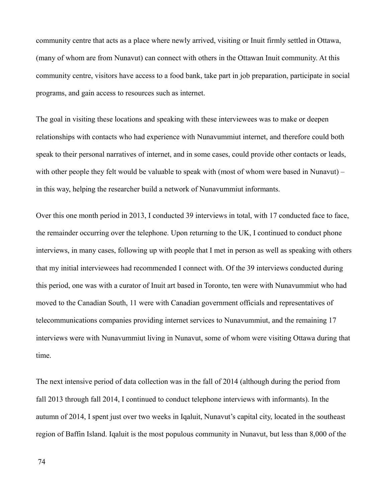community centre that acts as a place where newly arrived, visiting or Inuit firmly settled in Ottawa, (many of whom are from Nunavut) can connect with others in the Ottawan Inuit community. At this community centre, visitors have access to a food bank, take part in job preparation, participate in social programs, and gain access to resources such as internet.

The goal in visiting these locations and speaking with these interviewees was to make or deepen relationships with contacts who had experience with Nunavummiut internet, and therefore could both speak to their personal narratives of internet, and in some cases, could provide other contacts or leads, with other people they felt would be valuable to speak with (most of whom were based in Nunavut) – in this way, helping the researcher build a network of Nunavummiut informants.

Over this one month period in 2013, I conducted 39 interviews in total, with 17 conducted face to face, the remainder occurring over the telephone. Upon returning to the UK, I continued to conduct phone interviews, in many cases, following up with people that I met in person as well as speaking with others that my initial interviewees had recommended I connect with. Of the 39 interviews conducted during this period, one was with a curator of Inuit art based in Toronto, ten were with Nunavummiut who had moved to the Canadian South, 11 were with Canadian government officials and representatives of telecommunications companies providing internet services to Nunavummiut, and the remaining 17 interviews were with Nunavummiut living in Nunavut, some of whom were visiting Ottawa during that time.

The next intensive period of data collection was in the fall of 2014 (although during the period from fall 2013 through fall 2014, I continued to conduct telephone interviews with informants). In the autumn of 2014, I spent just over two weeks in Iqaluit, Nunavut's capital city, located in the southeast region of Baffin Island. Iqaluit is the most populous community in Nunavut, but less than 8,000 of the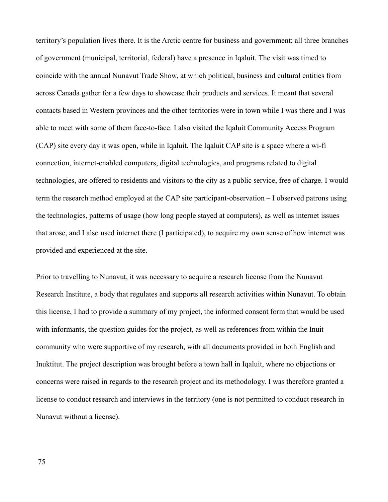territory's population lives there. It is the Arctic centre for business and government; all three branches of government (municipal, territorial, federal) have a presence in Iqaluit. The visit was timed to coincide with the annual Nunavut Trade Show, at which political, business and cultural entities from across Canada gather for a few days to showcase their products and services. It meant that several contacts based in Western provinces and the other territories were in town while I was there and I was able to meet with some of them face-to-face. I also visited the Iqaluit Community Access Program (CAP) site every day it was open, while in Iqaluit. The Iqaluit CAP site is a space where a wi-fi connection, internet-enabled computers, digital technologies, and programs related to digital technologies, are offered to residents and visitors to the city as a public service, free of charge. I would term the research method employed at the CAP site participant-observation – I observed patrons using the technologies, patterns of usage (how long people stayed at computers), as well as internet issues that arose, and I also used internet there (I participated), to acquire my own sense of how internet was provided and experienced at the site.

Prior to travelling to Nunavut, it was necessary to acquire a research license from the Nunavut Research Institute, a body that regulates and supports all research activities within Nunavut. To obtain this license, I had to provide a summary of my project, the informed consent form that would be used with informants, the question guides for the project, as well as references from within the Inuit community who were supportive of my research, with all documents provided in both English and Inuktitut. The project description was brought before a town hall in Iqaluit, where no objections or concerns were raised in regards to the research project and its methodology. I was therefore granted a license to conduct research and interviews in the territory (one is not permitted to conduct research in Nunavut without a license).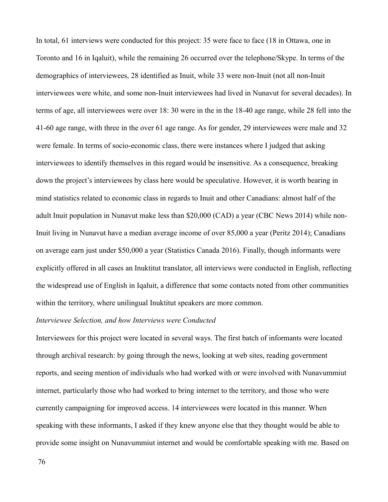In total, 61 interviews were conducted for this project: 35 were face to face (18 in Ottawa, one in Toronto and 16 in Iqaluit), while the remaining 26 occurred over the telephone/Skype. In terms of the demographics of interviewees, 28 identified as Inuit, while 33 were non-Inuit (not all non-Inuit interviewees were white, and some non-Inuit interviewees had lived in Nunavut for several decades). In terms of age, all interviewees were over 18: 30 were in the in the 18-40 age range, while 28 fell into the 41-60 age range, with three in the over 61 age range. As for gender, 29 interviewees were male and 32 were female. In terms of socio-economic class, there were instances where I judged that asking interviewees to identify themselves in this regard would be insensitive. As a consequence, breaking down the project's interviewees by class here would be speculative. However, it is worth bearing in mind statistics related to economic class in regards to Inuit and other Canadians: almost half of the adult Inuit population in Nunavut make less than \$20,000 (CAD) a year (CBC News 2014) while non-Inuit living in Nunavut have a median average income of over 85,000 a year (Peritz 2014); Canadians on average earn just under \$50,000 a year (Statistics Canada 2016). Finally, though informants were explicitly offered in all cases an Inuktitut translator, all interviews were conducted in English, reflecting the widespread use of English in Iqaluit, a difference that some contacts noted from other communities within the territory, where unilingual Inuktitut speakers are more common.

#### *Interviewee Selection, and how Interviews were Conducted*

Interviewees for this project were located in several ways. The first batch of informants were located through archival research: by going through the news, looking at web sites, reading government reports, and seeing mention of individuals who had worked with or were involved with Nunavummiut internet, particularly those who had worked to bring internet to the territory, and those who were currently campaigning for improved access. 14 interviewees were located in this manner. When speaking with these informants, I asked if they knew anyone else that they thought would be able to provide some insight on Nunavummiut internet and would be comfortable speaking with me. Based on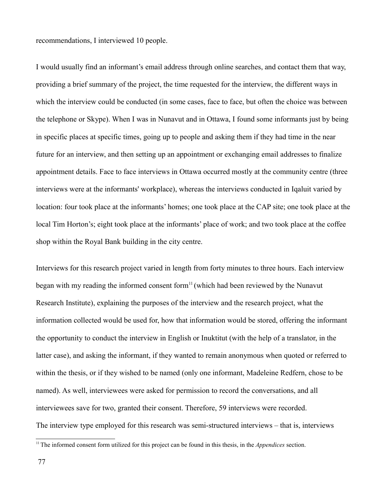recommendations, I interviewed 10 people.

I would usually find an informant's email address through online searches, and contact them that way, providing a brief summary of the project, the time requested for the interview, the different ways in which the interview could be conducted (in some cases, face to face, but often the choice was between the telephone or Skype). When I was in Nunavut and in Ottawa, I found some informants just by being in specific places at specific times, going up to people and asking them if they had time in the near future for an interview, and then setting up an appointment or exchanging email addresses to finalize appointment details. Face to face interviews in Ottawa occurred mostly at the community centre (three interviews were at the informants' workplace), whereas the interviews conducted in Iqaluit varied by location: four took place at the informants' homes; one took place at the CAP site; one took place at the local Tim Horton's; eight took place at the informants' place of work; and two took place at the coffee shop within the Royal Bank building in the city centre.

Interviews for this research project varied in length from forty minutes to three hours. Each interview began with my reading the informed consent form<sup>[11](#page-77-0)</sup> (which had been reviewed by the Nunavut Research Institute), explaining the purposes of the interview and the research project, what the information collected would be used for, how that information would be stored, offering the informant the opportunity to conduct the interview in English or Inuktitut (with the help of a translator, in the latter case), and asking the informant, if they wanted to remain anonymous when quoted or referred to within the thesis, or if they wished to be named (only one informant, Madeleine Redfern, chose to be named). As well, interviewees were asked for permission to record the conversations, and all interviewees save for two, granted their consent. Therefore, 59 interviews were recorded. The interview type employed for this research was semi-structured interviews – that is, interviews

<span id="page-77-0"></span><sup>&</sup>lt;sup>11</sup>The informed consent form utilized for this project can be found in this thesis, in the *Appendices* section.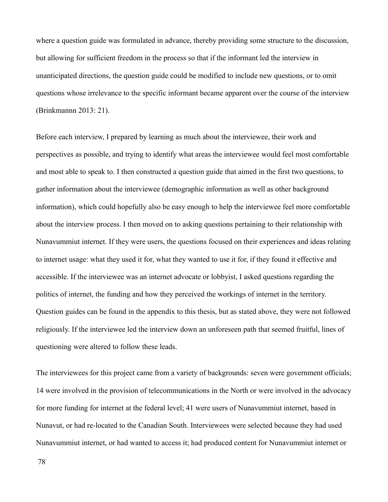where a question guide was formulated in advance, thereby providing some structure to the discussion, but allowing for sufficient freedom in the process so that if the informant led the interview in unanticipated directions, the question guide could be modified to include new questions, or to omit questions whose irrelevance to the specific informant became apparent over the course of the interview (Brinkmannn 2013: 21).

Before each interview, I prepared by learning as much about the interviewee, their work and perspectives as possible, and trying to identify what areas the interviewee would feel most comfortable and most able to speak to. I then constructed a question guide that aimed in the first two questions, to gather information about the interviewee (demographic information as well as other background information), which could hopefully also be easy enough to help the interviewee feel more comfortable about the interview process. I then moved on to asking questions pertaining to their relationship with Nunavummiut internet. If they were users, the questions focused on their experiences and ideas relating to internet usage: what they used it for, what they wanted to use it for, if they found it effective and accessible. If the interviewee was an internet advocate or lobbyist, I asked questions regarding the politics of internet, the funding and how they perceived the workings of internet in the territory. Question guides can be found in the appendix to this thesis, but as stated above, they were not followed religiously. If the interviewee led the interview down an unforeseen path that seemed fruitful, lines of questioning were altered to follow these leads.

The interviewees for this project came from a variety of backgrounds: seven were government officials; 14 were involved in the provision of telecommunications in the North or were involved in the advocacy for more funding for internet at the federal level; 41 were users of Nunavummiut internet, based in Nunavut, or had re-located to the Canadian South. Interviewees were selected because they had used Nunavummiut internet, or had wanted to access it; had produced content for Nunavummiut internet or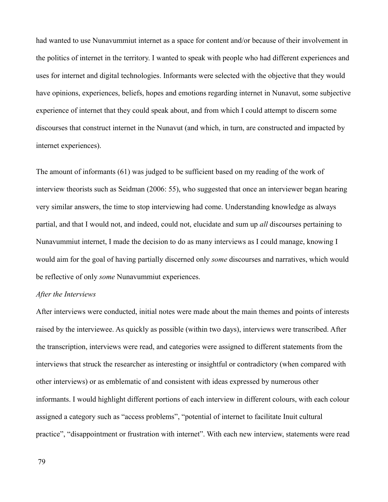had wanted to use Nunavummiut internet as a space for content and/or because of their involvement in the politics of internet in the territory. I wanted to speak with people who had different experiences and uses for internet and digital technologies. Informants were selected with the objective that they would have opinions, experiences, beliefs, hopes and emotions regarding internet in Nunavut, some subjective experience of internet that they could speak about, and from which I could attempt to discern some discourses that construct internet in the Nunavut (and which, in turn, are constructed and impacted by internet experiences).

The amount of informants (61) was judged to be sufficient based on my reading of the work of interview theorists such as Seidman (2006: 55), who suggested that once an interviewer began hearing very similar answers, the time to stop interviewing had come. Understanding knowledge as always partial, and that I would not, and indeed, could not, elucidate and sum up *all* discourses pertaining to Nunavummiut internet, I made the decision to do as many interviews as I could manage, knowing I would aim for the goal of having partially discerned only *some* discourses and narratives, which would be reflective of only *some* Nunavummiut experiences.

# *After the Interviews*

After interviews were conducted, initial notes were made about the main themes and points of interests raised by the interviewee. As quickly as possible (within two days), interviews were transcribed. After the transcription, interviews were read, and categories were assigned to different statements from the interviews that struck the researcher as interesting or insightful or contradictory (when compared with other interviews) or as emblematic of and consistent with ideas expressed by numerous other informants. I would highlight different portions of each interview in different colours, with each colour assigned a category such as "access problems", "potential of internet to facilitate Inuit cultural practice", "disappointment or frustration with internet". With each new interview, statements were read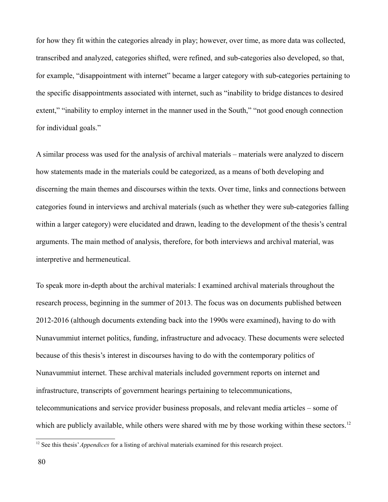for how they fit within the categories already in play; however, over time, as more data was collected, transcribed and analyzed, categories shifted, were refined, and sub-categories also developed, so that, for example, "disappointment with internet" became a larger category with sub-categories pertaining to the specific disappointments associated with internet, such as "inability to bridge distances to desired extent," "inability to employ internet in the manner used in the South," "not good enough connection for individual goals."

A similar process was used for the analysis of archival materials – materials were analyzed to discern how statements made in the materials could be categorized, as a means of both developing and discerning the main themes and discourses within the texts. Over time, links and connections between categories found in interviews and archival materials (such as whether they were sub-categories falling within a larger category) were elucidated and drawn, leading to the development of the thesis's central arguments. The main method of analysis, therefore, for both interviews and archival material, was interpretive and hermeneutical.

To speak more in-depth about the archival materials: I examined archival materials throughout the research process, beginning in the summer of 2013. The focus was on documents published between 2012-2016 (although documents extending back into the 1990s were examined), having to do with Nunavummiut internet politics, funding, infrastructure and advocacy. These documents were selected because of this thesis's interest in discourses having to do with the contemporary politics of Nunavummiut internet. These archival materials included government reports on internet and infrastructure, transcripts of government hearings pertaining to telecommunications, telecommunications and service provider business proposals, and relevant media articles – some of which are publicly available, while others were shared with me by those working within these sectors.<sup>[12](#page-80-0)</sup>

<span id="page-80-0"></span><sup>&</sup>lt;sup>12</sup> See this thesis' *Appendices* for a listing of archival materials examined for this research project.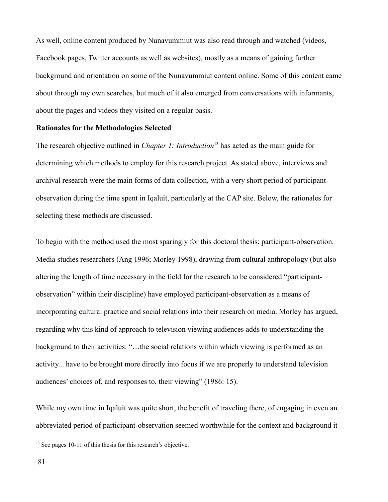As well, online content produced by Nunavummiut was also read through and watched (videos, Facebook pages, Twitter accounts as well as websites), mostly as a means of gaining further background and orientation on some of the Nunavummiut content online. Some of this content came about through my own searches, but much of it also emerged from conversations with informants, about the pages and videos they visited on a regular basis.

# **Rationales for the Methodologies Selected**

The research objective outlined in *Chapter 1: Introduction*[13](#page-81-0) has acted as the main guide for determining which methods to employ for this research project. As stated above, interviews and archival research were the main forms of data collection, with a very short period of participantobservation during the time spent in Iqaluit, particularly at the CAP site. Below, the rationales for selecting these methods are discussed.

To begin with the method used the most sparingly for this doctoral thesis: participant-observation. Media studies researchers (Ang 1996; Morley 1998), drawing from cultural anthropology (but also altering the length of time necessary in the field for the research to be considered "participantobservation" within their discipline) have employed participant-observation as a means of incorporating cultural practice and social relations into their research on media. Morley has argued, regarding why this kind of approach to television viewing audiences adds to understanding the background to their activities: "…the social relations within which viewing is performed as an activity... have to be brought more directly into focus if we are properly to understand television audiences' choices of, and responses to, their viewing" (1986: 15).

While my own time in Iqaluit was quite short, the benefit of traveling there, of engaging in even an abbreviated period of participant-observation seemed worthwhile for the context and background it

<span id="page-81-0"></span><sup>&</sup>lt;sup>13</sup> See pages 10-11 of this thesis for this research's objective.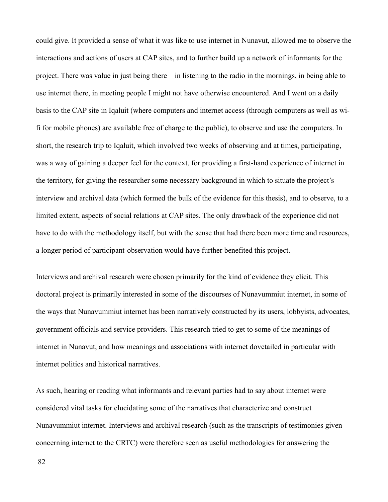could give. It provided a sense of what it was like to use internet in Nunavut, allowed me to observe the interactions and actions of users at CAP sites, and to further build up a network of informants for the project. There was value in just being there – in listening to the radio in the mornings, in being able to use internet there, in meeting people I might not have otherwise encountered. And I went on a daily basis to the CAP site in Iqaluit (where computers and internet access (through computers as well as wifi for mobile phones) are available free of charge to the public), to observe and use the computers. In short, the research trip to Iqaluit, which involved two weeks of observing and at times, participating, was a way of gaining a deeper feel for the context, for providing a first-hand experience of internet in the territory, for giving the researcher some necessary background in which to situate the project's interview and archival data (which formed the bulk of the evidence for this thesis), and to observe, to a limited extent, aspects of social relations at CAP sites. The only drawback of the experience did not have to do with the methodology itself, but with the sense that had there been more time and resources, a longer period of participant-observation would have further benefited this project.

Interviews and archival research were chosen primarily for the kind of evidence they elicit. This doctoral project is primarily interested in some of the discourses of Nunavummiut internet, in some of the ways that Nunavummiut internet has been narratively constructed by its users, lobbyists, advocates, government officials and service providers. This research tried to get to some of the meanings of internet in Nunavut, and how meanings and associations with internet dovetailed in particular with internet politics and historical narratives.

As such, hearing or reading what informants and relevant parties had to say about internet were considered vital tasks for elucidating some of the narratives that characterize and construct Nunavummiut internet. Interviews and archival research (such as the transcripts of testimonies given concerning internet to the CRTC) were therefore seen as useful methodologies for answering the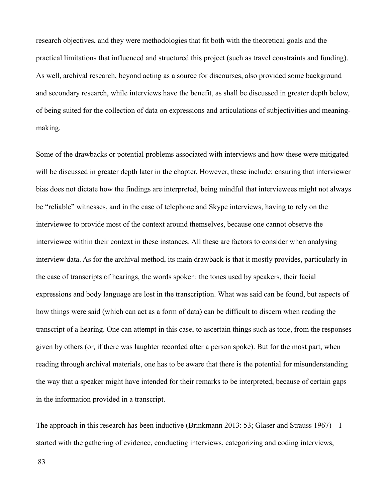research objectives, and they were methodologies that fit both with the theoretical goals and the practical limitations that influenced and structured this project (such as travel constraints and funding). As well, archival research, beyond acting as a source for discourses, also provided some background and secondary research, while interviews have the benefit, as shall be discussed in greater depth below, of being suited for the collection of data on expressions and articulations of subjectivities and meaningmaking.

Some of the drawbacks or potential problems associated with interviews and how these were mitigated will be discussed in greater depth later in the chapter. However, these include: ensuring that interviewer bias does not dictate how the findings are interpreted, being mindful that interviewees might not always be "reliable" witnesses, and in the case of telephone and Skype interviews, having to rely on the interviewee to provide most of the context around themselves, because one cannot observe the interviewee within their context in these instances. All these are factors to consider when analysing interview data. As for the archival method, its main drawback is that it mostly provides, particularly in the case of transcripts of hearings, the words spoken: the tones used by speakers, their facial expressions and body language are lost in the transcription. What was said can be found, but aspects of how things were said (which can act as a form of data) can be difficult to discern when reading the transcript of a hearing. One can attempt in this case, to ascertain things such as tone, from the responses given by others (or, if there was laughter recorded after a person spoke). But for the most part, when reading through archival materials, one has to be aware that there is the potential for misunderstanding the way that a speaker might have intended for their remarks to be interpreted, because of certain gaps in the information provided in a transcript.

The approach in this research has been inductive (Brinkmann 2013: 53; Glaser and Strauss 1967) – I started with the gathering of evidence, conducting interviews, categorizing and coding interviews,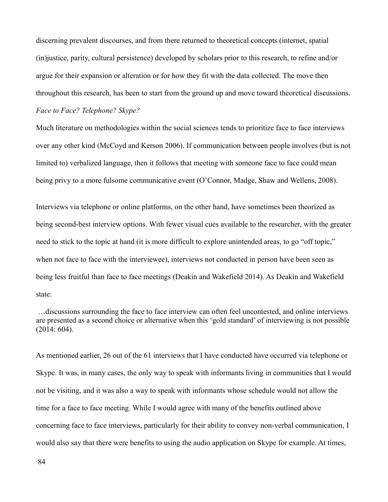discerning prevalent discourses, and from there returned to theoretical concepts (internet, spatial (in)justice, parity, cultural persistence) developed by scholars prior to this research, to refine and/or argue for their expansion or alteration or for how they fit with the data collected. The move then throughout this research, has been to start from the ground up and move toward theoretical discussions.

# *Face to Face? Telephone? Skype?*

Much literature on methodologies within the social sciences tends to prioritize face to face interviews over any other kind (McCoyd and Kerson 2006). If communication between people involves (but is not limited to) verbalized language, then it follows that meeting with someone face to face could mean being privy to a more fulsome communicative event (O'Connor, Madge, Shaw and Wellens, 2008).

Interviews via telephone or online platforms, on the other hand, have sometimes been theorized as being second-best interview options. With fewer visual cues available to the researcher, with the greater need to stick to the topic at hand (it is more difficult to explore unintended areas, to go "off topic," when not face to face with the interviewee), interviews not conducted in person have been seen as being less fruitful than face to face meetings (Deakin and Wakefield 2014). As Deakin and Wakefield state:

 …discussions surrounding the face to face interview can often feel uncontested, and online interviews are presented as a second choice or alternative when this 'gold standard' of interviewing is not possible (2014: 604).

As mentioned earlier, 26 out of the 61 interviews that I have conducted have occurred via telephone or Skype. It was, in many cases, the only way to speak with informants living in communities that I would not be visiting, and it was also a way to speak with informants whose schedule would not allow the time for a face to face meeting. While I would agree with many of the benefits outlined above concerning face to face interviews, particularly for their ability to convey non-verbal communication, I would also say that there were benefits to using the audio application on Skype for example. At times,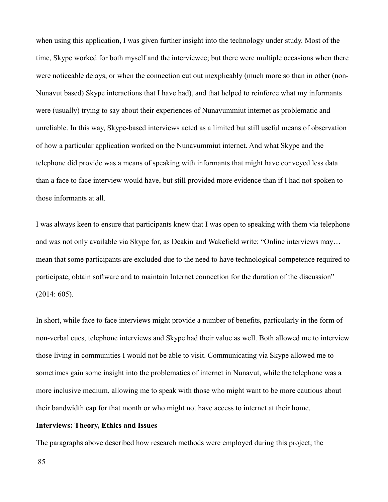when using this application, I was given further insight into the technology under study. Most of the time, Skype worked for both myself and the interviewee; but there were multiple occasions when there were noticeable delays, or when the connection cut out inexplicably (much more so than in other (non-Nunavut based) Skype interactions that I have had), and that helped to reinforce what my informants were (usually) trying to say about their experiences of Nunavummiut internet as problematic and unreliable. In this way, Skype-based interviews acted as a limited but still useful means of observation of how a particular application worked on the Nunavummiut internet. And what Skype and the telephone did provide was a means of speaking with informants that might have conveyed less data than a face to face interview would have, but still provided more evidence than if I had not spoken to those informants at all.

I was always keen to ensure that participants knew that I was open to speaking with them via telephone and was not only available via Skype for, as Deakin and Wakefield write: "Online interviews may… mean that some participants are excluded due to the need to have technological competence required to participate, obtain software and to maintain Internet connection for the duration of the discussion" (2014: 605).

In short, while face to face interviews might provide a number of benefits, particularly in the form of non-verbal cues, telephone interviews and Skype had their value as well. Both allowed me to interview those living in communities I would not be able to visit. Communicating via Skype allowed me to sometimes gain some insight into the problematics of internet in Nunavut, while the telephone was a more inclusive medium, allowing me to speak with those who might want to be more cautious about their bandwidth cap for that month or who might not have access to internet at their home.

## **Interviews: Theory, Ethics and Issues**

The paragraphs above described how research methods were employed during this project; the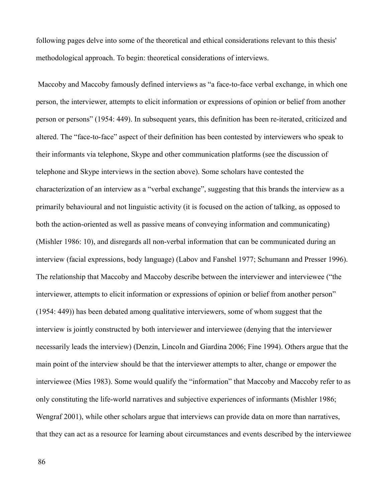following pages delve into some of the theoretical and ethical considerations relevant to this thesis' methodological approach. To begin: theoretical considerations of interviews.

 Maccoby and Maccoby famously defined interviews as "a face-to-face verbal exchange, in which one person, the interviewer, attempts to elicit information or expressions of opinion or belief from another person or persons" (1954: 449). In subsequent years, this definition has been re-iterated, criticized and altered. The "face-to-face" aspect of their definition has been contested by interviewers who speak to their informants via telephone, Skype and other communication platforms (see the discussion of telephone and Skype interviews in the section above). Some scholars have contested the characterization of an interview as a "verbal exchange", suggesting that this brands the interview as a primarily behavioural and not linguistic activity (it is focused on the action of talking, as opposed to both the action-oriented as well as passive means of conveying information and communicating) (Mishler 1986: 10), and disregards all non-verbal information that can be communicated during an interview (facial expressions, body language) (Labov and Fanshel 1977; Schumann and Presser 1996). The relationship that Maccoby and Maccoby describe between the interviewer and interviewee ("the interviewer, attempts to elicit information or expressions of opinion or belief from another person" (1954: 449)) has been debated among qualitative interviewers, some of whom suggest that the interview is jointly constructed by both interviewer and interviewee (denying that the interviewer necessarily leads the interview) (Denzin, Lincoln and Giardina 2006; Fine 1994). Others argue that the main point of the interview should be that the interviewer attempts to alter, change or empower the interviewee (Mies 1983). Some would qualify the "information" that Maccoby and Maccoby refer to as only constituting the life-world narratives and subjective experiences of informants (Mishler 1986; Wengraf 2001), while other scholars argue that interviews can provide data on more than narratives, that they can act as a resource for learning about circumstances and events described by the interviewee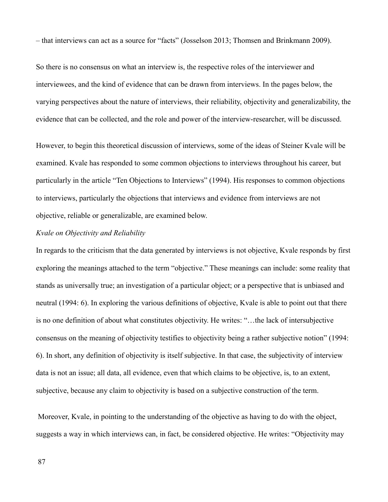– that interviews can act as a source for "facts" (Josselson 2013; Thomsen and Brinkmann 2009).

So there is no consensus on what an interview is, the respective roles of the interviewer and interviewees, and the kind of evidence that can be drawn from interviews. In the pages below, the varying perspectives about the nature of interviews, their reliability, objectivity and generalizability, the evidence that can be collected, and the role and power of the interview-researcher, will be discussed.

However, to begin this theoretical discussion of interviews, some of the ideas of Steiner Kvale will be examined. Kvale has responded to some common objections to interviews throughout his career, but particularly in the article "Ten Objections to Interviews" (1994). His responses to common objections to interviews, particularly the objections that interviews and evidence from interviews are not objective, reliable or generalizable, are examined below.

# *Kvale on Objectivity and Reliability*

In regards to the criticism that the data generated by interviews is not objective, Kvale responds by first exploring the meanings attached to the term "objective." These meanings can include: some reality that stands as universally true; an investigation of a particular object; or a perspective that is unbiased and neutral (1994: 6). In exploring the various definitions of objective, Kvale is able to point out that there is no one definition of about what constitutes objectivity. He writes: "…the lack of intersubjective consensus on the meaning of objectivity testifies to objectivity being a rather subjective notion" (1994: 6). In short, any definition of objectivity is itself subjective. In that case, the subjectivity of interview data is not an issue; all data, all evidence, even that which claims to be objective, is, to an extent, subjective, because any claim to objectivity is based on a subjective construction of the term.

 Moreover, Kvale, in pointing to the understanding of the objective as having to do with the object, suggests a way in which interviews can, in fact, be considered objective. He writes: "Objectivity may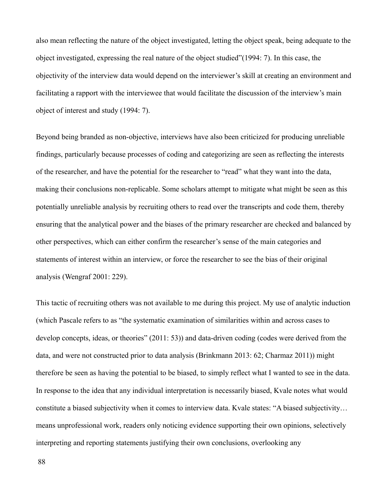also mean reflecting the nature of the object investigated, letting the object speak, being adequate to the object investigated, expressing the real nature of the object studied"(1994: 7). In this case, the objectivity of the interview data would depend on the interviewer's skill at creating an environment and facilitating a rapport with the interviewee that would facilitate the discussion of the interview's main object of interest and study (1994: 7).

Beyond being branded as non-objective, interviews have also been criticized for producing unreliable findings, particularly because processes of coding and categorizing are seen as reflecting the interests of the researcher, and have the potential for the researcher to "read" what they want into the data, making their conclusions non-replicable. Some scholars attempt to mitigate what might be seen as this potentially unreliable analysis by recruiting others to read over the transcripts and code them, thereby ensuring that the analytical power and the biases of the primary researcher are checked and balanced by other perspectives, which can either confirm the researcher's sense of the main categories and statements of interest within an interview, or force the researcher to see the bias of their original analysis (Wengraf 2001: 229).

This tactic of recruiting others was not available to me during this project. My use of analytic induction (which Pascale refers to as "the systematic examination of similarities within and across cases to develop concepts, ideas, or theories" (2011: 53)) and data-driven coding (codes were derived from the data, and were not constructed prior to data analysis (Brinkmann 2013: 62; Charmaz 2011)) might therefore be seen as having the potential to be biased, to simply reflect what I wanted to see in the data. In response to the idea that any individual interpretation is necessarily biased, Kvale notes what would constitute a biased subjectivity when it comes to interview data. Kvale states: "A biased subjectivity… means unprofessional work, readers only noticing evidence supporting their own opinions, selectively interpreting and reporting statements justifying their own conclusions, overlooking any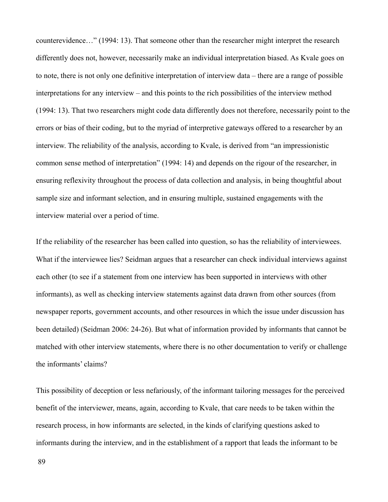counterevidence…" (1994: 13). That someone other than the researcher might interpret the research differently does not, however, necessarily make an individual interpretation biased. As Kvale goes on to note, there is not only one definitive interpretation of interview data – there are a range of possible interpretations for any interview – and this points to the rich possibilities of the interview method (1994: 13). That two researchers might code data differently does not therefore, necessarily point to the errors or bias of their coding, but to the myriad of interpretive gateways offered to a researcher by an interview. The reliability of the analysis, according to Kvale, is derived from "an impressionistic common sense method of interpretation" (1994: 14) and depends on the rigour of the researcher, in ensuring reflexivity throughout the process of data collection and analysis, in being thoughtful about sample size and informant selection, and in ensuring multiple, sustained engagements with the interview material over a period of time.

If the reliability of the researcher has been called into question, so has the reliability of interviewees. What if the interviewee lies? Seidman argues that a researcher can check individual interviews against each other (to see if a statement from one interview has been supported in interviews with other informants), as well as checking interview statements against data drawn from other sources (from newspaper reports, government accounts, and other resources in which the issue under discussion has been detailed) (Seidman 2006: 24-26). But what of information provided by informants that cannot be matched with other interview statements, where there is no other documentation to verify or challenge the informants' claims?

This possibility of deception or less nefariously, of the informant tailoring messages for the perceived benefit of the interviewer, means, again, according to Kvale, that care needs to be taken within the research process, in how informants are selected, in the kinds of clarifying questions asked to informants during the interview, and in the establishment of a rapport that leads the informant to be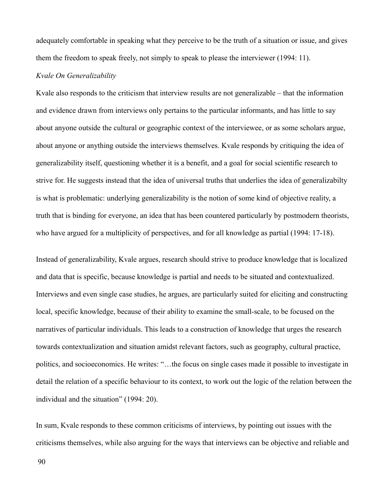adequately comfortable in speaking what they perceive to be the truth of a situation or issue, and gives them the freedom to speak freely, not simply to speak to please the interviewer (1994: 11).

# *Kvale On Generalizability*

Kvale also responds to the criticism that interview results are not generalizable – that the information and evidence drawn from interviews only pertains to the particular informants, and has little to say about anyone outside the cultural or geographic context of the interviewee, or as some scholars argue, about anyone or anything outside the interviews themselves. Kvale responds by critiquing the idea of generalizability itself, questioning whether it is a benefit, and a goal for social scientific research to strive for. He suggests instead that the idea of universal truths that underlies the idea of generalizabilty is what is problematic: underlying generalizability is the notion of some kind of objective reality, a truth that is binding for everyone, an idea that has been countered particularly by postmodern theorists, who have argued for a multiplicity of perspectives, and for all knowledge as partial (1994: 17-18).

Instead of generalizability, Kvale argues, research should strive to produce knowledge that is localized and data that is specific, because knowledge is partial and needs to be situated and contextualized. Interviews and even single case studies, he argues, are particularly suited for eliciting and constructing local, specific knowledge, because of their ability to examine the small-scale, to be focused on the narratives of particular individuals. This leads to a construction of knowledge that urges the research towards contextualization and situation amidst relevant factors, such as geography, cultural practice, politics, and socioeconomics. He writes: "…the focus on single cases made it possible to investigate in detail the relation of a specific behaviour to its context, to work out the logic of the relation between the individual and the situation" (1994: 20).

In sum, Kvale responds to these common criticisms of interviews, by pointing out issues with the criticisms themselves, while also arguing for the ways that interviews can be objective and reliable and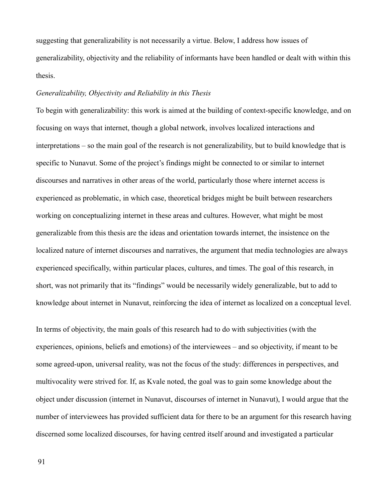suggesting that generalizability is not necessarily a virtue. Below, I address how issues of generalizability, objectivity and the reliability of informants have been handled or dealt with within this thesis.

## *Generalizability, Objectivity and Reliability in this Thesis*

To begin with generalizability: this work is aimed at the building of context-specific knowledge, and on focusing on ways that internet, though a global network, involves localized interactions and interpretations – so the main goal of the research is not generalizability, but to build knowledge that is specific to Nunavut. Some of the project's findings might be connected to or similar to internet discourses and narratives in other areas of the world, particularly those where internet access is experienced as problematic, in which case, theoretical bridges might be built between researchers working on conceptualizing internet in these areas and cultures. However, what might be most generalizable from this thesis are the ideas and orientation towards internet, the insistence on the localized nature of internet discourses and narratives, the argument that media technologies are always experienced specifically, within particular places, cultures, and times. The goal of this research, in short, was not primarily that its "findings" would be necessarily widely generalizable, but to add to knowledge about internet in Nunavut, reinforcing the idea of internet as localized on a conceptual level.

In terms of objectivity, the main goals of this research had to do with subjectivities (with the experiences, opinions, beliefs and emotions) of the interviewees – and so objectivity, if meant to be some agreed-upon, universal reality, was not the focus of the study: differences in perspectives, and multivocality were strived for. If, as Kvale noted, the goal was to gain some knowledge about the object under discussion (internet in Nunavut, discourses of internet in Nunavut), I would argue that the number of interviewees has provided sufficient data for there to be an argument for this research having discerned some localized discourses, for having centred itself around and investigated a particular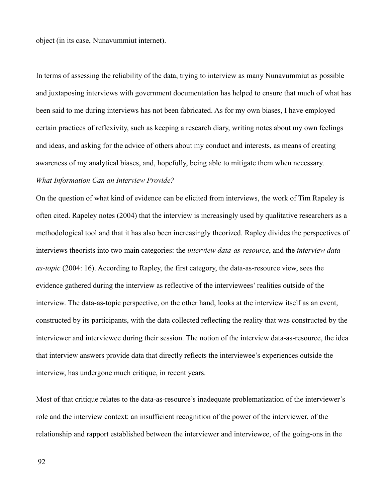object (in its case, Nunavummiut internet).

In terms of assessing the reliability of the data, trying to interview as many Nunavummiut as possible and juxtaposing interviews with government documentation has helped to ensure that much of what has been said to me during interviews has not been fabricated. As for my own biases, I have employed certain practices of reflexivity, such as keeping a research diary, writing notes about my own feelings and ideas, and asking for the advice of others about my conduct and interests, as means of creating awareness of my analytical biases, and, hopefully, being able to mitigate them when necessary.

# *What Information Can an Interview Provide?*

On the question of what kind of evidence can be elicited from interviews, the work of Tim Rapeley is often cited. Rapeley notes (2004) that the interview is increasingly used by qualitative researchers as a methodological tool and that it has also been increasingly theorized. Rapley divides the perspectives of interviews theorists into two main categories: the *interview data-as-resource*, and the *interview dataas-topic* (2004: 16). According to Rapley, the first category, the data-as-resource view, sees the evidence gathered during the interview as reflective of the interviewees' realities outside of the interview. The data-as-topic perspective, on the other hand, looks at the interview itself as an event, constructed by its participants, with the data collected reflecting the reality that was constructed by the interviewer and interviewee during their session. The notion of the interview data-as-resource, the idea that interview answers provide data that directly reflects the interviewee's experiences outside the interview, has undergone much critique, in recent years.

Most of that critique relates to the data-as-resource's inadequate problematization of the interviewer's role and the interview context: an insufficient recognition of the power of the interviewer, of the relationship and rapport established between the interviewer and interviewee, of the going-ons in the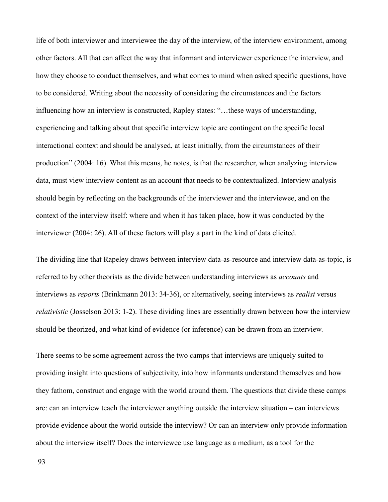life of both interviewer and interviewee the day of the interview, of the interview environment, among other factors. All that can affect the way that informant and interviewer experience the interview, and how they choose to conduct themselves, and what comes to mind when asked specific questions, have to be considered. Writing about the necessity of considering the circumstances and the factors influencing how an interview is constructed, Rapley states: "…these ways of understanding, experiencing and talking about that specific interview topic are contingent on the specific local interactional context and should be analysed, at least initially, from the circumstances of their production" (2004: 16). What this means, he notes, is that the researcher, when analyzing interview data, must view interview content as an account that needs to be contextualized. Interview analysis should begin by reflecting on the backgrounds of the interviewer and the interviewee, and on the context of the interview itself: where and when it has taken place, how it was conducted by the interviewer (2004: 26). All of these factors will play a part in the kind of data elicited.

The dividing line that Rapeley draws between interview data-as-resource and interview data-as-topic, is referred to by other theorists as the divide between understanding interviews as *accounts* and interviews as *reports* (Brinkmann 2013: 34-36), or alternatively, seeing interviews as *realist* versus *relativistic* (Josselson 2013: 1-2). These dividing lines are essentially drawn between how the interview should be theorized, and what kind of evidence (or inference) can be drawn from an interview.

There seems to be some agreement across the two camps that interviews are uniquely suited to providing insight into questions of subjectivity, into how informants understand themselves and how they fathom, construct and engage with the world around them. The questions that divide these camps are: can an interview teach the interviewer anything outside the interview situation – can interviews provide evidence about the world outside the interview? Or can an interview only provide information about the interview itself? Does the interviewee use language as a medium, as a tool for the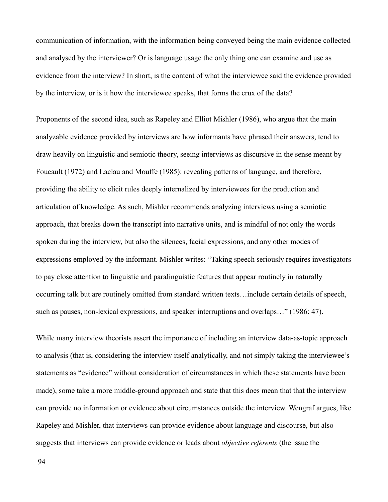communication of information, with the information being conveyed being the main evidence collected and analysed by the interviewer? Or is language usage the only thing one can examine and use as evidence from the interview? In short, is the content of what the interviewee said the evidence provided by the interview, or is it how the interviewee speaks, that forms the crux of the data?

Proponents of the second idea, such as Rapeley and Elliot Mishler (1986), who argue that the main analyzable evidence provided by interviews are how informants have phrased their answers, tend to draw heavily on linguistic and semiotic theory, seeing interviews as discursive in the sense meant by Foucault (1972) and Laclau and Mouffe (1985): revealing patterns of language, and therefore, providing the ability to elicit rules deeply internalized by interviewees for the production and articulation of knowledge. As such, Mishler recommends analyzing interviews using a semiotic approach, that breaks down the transcript into narrative units, and is mindful of not only the words spoken during the interview, but also the silences, facial expressions, and any other modes of expressions employed by the informant. Mishler writes: "Taking speech seriously requires investigators to pay close attention to linguistic and paralinguistic features that appear routinely in naturally occurring talk but are routinely omitted from standard written texts…include certain details of speech, such as pauses, non-lexical expressions, and speaker interruptions and overlaps…" (1986: 47).

While many interview theorists assert the importance of including an interview data-as-topic approach to analysis (that is, considering the interview itself analytically, and not simply taking the interviewee's statements as "evidence" without consideration of circumstances in which these statements have been made), some take a more middle-ground approach and state that this does mean that that the interview can provide no information or evidence about circumstances outside the interview. Wengraf argues, like Rapeley and Mishler, that interviews can provide evidence about language and discourse, but also suggests that interviews can provide evidence or leads about *objective referents* (the issue the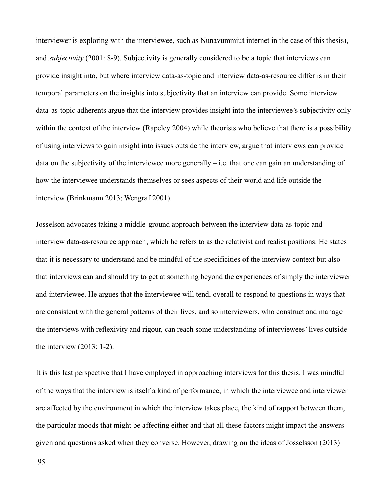interviewer is exploring with the interviewee, such as Nunavummiut internet in the case of this thesis), and *subjectivity* (2001: 8-9). Subjectivity is generally considered to be a topic that interviews can provide insight into, but where interview data-as-topic and interview data-as-resource differ is in their temporal parameters on the insights into subjectivity that an interview can provide. Some interview data-as-topic adherents argue that the interview provides insight into the interviewee's subjectivity only within the context of the interview (Rapeley 2004) while theorists who believe that there is a possibility of using interviews to gain insight into issues outside the interview, argue that interviews can provide data on the subjectivity of the interviewee more generally – i.e. that one can gain an understanding of how the interviewee understands themselves or sees aspects of their world and life outside the interview (Brinkmann 2013; Wengraf 2001).

Josselson advocates taking a middle-ground approach between the interview data-as-topic and interview data-as-resource approach, which he refers to as the relativist and realist positions. He states that it is necessary to understand and be mindful of the specificities of the interview context but also that interviews can and should try to get at something beyond the experiences of simply the interviewer and interviewee. He argues that the interviewee will tend, overall to respond to questions in ways that are consistent with the general patterns of their lives, and so interviewers, who construct and manage the interviews with reflexivity and rigour, can reach some understanding of interviewees' lives outside the interview (2013: 1-2).

It is this last perspective that I have employed in approaching interviews for this thesis. I was mindful of the ways that the interview is itself a kind of performance, in which the interviewee and interviewer are affected by the environment in which the interview takes place, the kind of rapport between them, the particular moods that might be affecting either and that all these factors might impact the answers given and questions asked when they converse. However, drawing on the ideas of Josselsson (2013)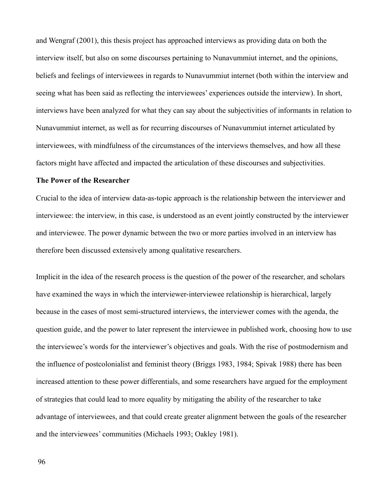and Wengraf (2001), this thesis project has approached interviews as providing data on both the interview itself, but also on some discourses pertaining to Nunavummiut internet, and the opinions, beliefs and feelings of interviewees in regards to Nunavummiut internet (both within the interview and seeing what has been said as reflecting the interviewees' experiences outside the interview). In short, interviews have been analyzed for what they can say about the subjectivities of informants in relation to Nunavummiut internet, as well as for recurring discourses of Nunavummiut internet articulated by interviewees, with mindfulness of the circumstances of the interviews themselves, and how all these factors might have affected and impacted the articulation of these discourses and subjectivities.

#### **The Power of the Researcher**

Crucial to the idea of interview data-as-topic approach is the relationship between the interviewer and interviewee: the interview, in this case, is understood as an event jointly constructed by the interviewer and interviewee. The power dynamic between the two or more parties involved in an interview has therefore been discussed extensively among qualitative researchers.

Implicit in the idea of the research process is the question of the power of the researcher, and scholars have examined the ways in which the interviewer-interviewee relationship is hierarchical, largely because in the cases of most semi-structured interviews, the interviewer comes with the agenda, the question guide, and the power to later represent the interviewee in published work, choosing how to use the interviewee's words for the interviewer's objectives and goals. With the rise of postmodernism and the influence of postcolonialist and feminist theory (Briggs 1983, 1984; Spivak 1988) there has been increased attention to these power differentials, and some researchers have argued for the employment of strategies that could lead to more equality by mitigating the ability of the researcher to take advantage of interviewees, and that could create greater alignment between the goals of the researcher and the interviewees' communities (Michaels 1993; Oakley 1981).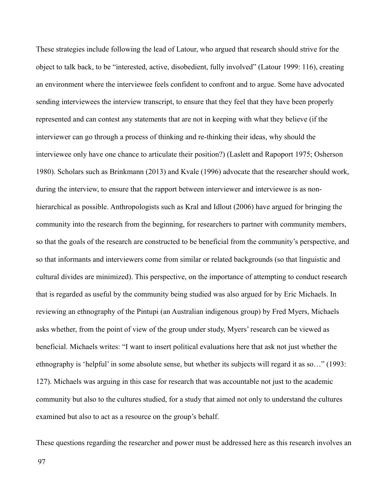These strategies include following the lead of Latour, who argued that research should strive for the object to talk back, to be "interested, active, disobedient, fully involved" (Latour 1999: 116), creating an environment where the interviewee feels confident to confront and to argue. Some have advocated sending interviewees the interview transcript, to ensure that they feel that they have been properly represented and can contest any statements that are not in keeping with what they believe (if the interviewer can go through a process of thinking and re-thinking their ideas, why should the interviewee only have one chance to articulate their position?) (Laslett and Rapoport 1975; Osherson 1980). Scholars such as Brinkmann (2013) and Kvale (1996) advocate that the researcher should work, during the interview, to ensure that the rapport between interviewer and interviewee is as nonhierarchical as possible. Anthropologists such as Kral and Idlout (2006) have argued for bringing the community into the research from the beginning, for researchers to partner with community members, so that the goals of the research are constructed to be beneficial from the community's perspective, and so that informants and interviewers come from similar or related backgrounds (so that linguistic and cultural divides are minimized). This perspective, on the importance of attempting to conduct research that is regarded as useful by the community being studied was also argued for by Eric Michaels. In reviewing an ethnography of the Pintupi (an Australian indigenous group) by Fred Myers, Michaels asks whether, from the point of view of the group under study, Myers' research can be viewed as beneficial. Michaels writes: "I want to insert political evaluations here that ask not just whether the ethnography is 'helpful' in some absolute sense, but whether its subjects will regard it as so…" (1993: 127). Michaels was arguing in this case for research that was accountable not just to the academic community but also to the cultures studied, for a study that aimed not only to understand the cultures examined but also to act as a resource on the group's behalf.

These questions regarding the researcher and power must be addressed here as this research involves an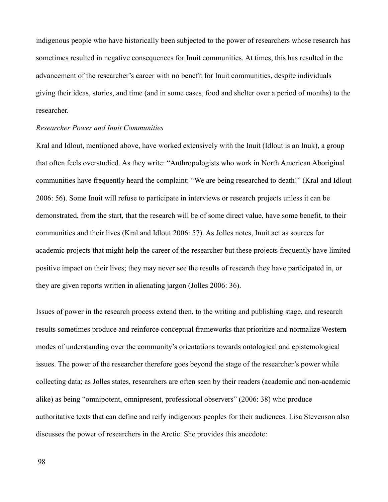indigenous people who have historically been subjected to the power of researchers whose research has sometimes resulted in negative consequences for Inuit communities. At times, this has resulted in the advancement of the researcher's career with no benefit for Inuit communities, despite individuals giving their ideas, stories, and time (and in some cases, food and shelter over a period of months) to the researcher.

#### *Researcher Power and Inuit Communities*

Kral and Idlout, mentioned above, have worked extensively with the Inuit (Idlout is an Inuk), a group that often feels overstudied. As they write: "Anthropologists who work in North American Aboriginal communities have frequently heard the complaint: "We are being researched to death!" (Kral and Idlout 2006: 56). Some Inuit will refuse to participate in interviews or research projects unless it can be demonstrated, from the start, that the research will be of some direct value, have some benefit, to their communities and their lives (Kral and Idlout 2006: 57). As Jolles notes, Inuit act as sources for academic projects that might help the career of the researcher but these projects frequently have limited positive impact on their lives; they may never see the results of research they have participated in, or they are given reports written in alienating jargon (Jolles 2006: 36).

Issues of power in the research process extend then, to the writing and publishing stage, and research results sometimes produce and reinforce conceptual frameworks that prioritize and normalize Western modes of understanding over the community's orientations towards ontological and epistemological issues. The power of the researcher therefore goes beyond the stage of the researcher's power while collecting data; as Jolles states, researchers are often seen by their readers (academic and non-academic alike) as being "omnipotent, omnipresent, professional observers" (2006: 38) who produce authoritative texts that can define and reify indigenous peoples for their audiences. Lisa Stevenson also discusses the power of researchers in the Arctic. She provides this anecdote: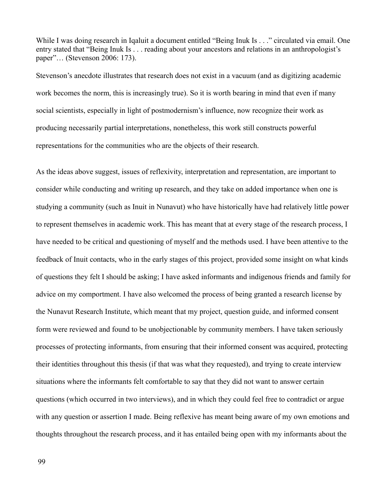While I was doing research in Iqaluit a document entitled "Being Inuk Is . . ." circulated via email. One entry stated that "Being Inuk Is . . . reading about your ancestors and relations in an anthropologist's paper"… (Stevenson 2006: 173).

Stevenson's anecdote illustrates that research does not exist in a vacuum (and as digitizing academic work becomes the norm, this is increasingly true). So it is worth bearing in mind that even if many social scientists, especially in light of postmodernism's influence, now recognize their work as producing necessarily partial interpretations, nonetheless, this work still constructs powerful representations for the communities who are the objects of their research.

As the ideas above suggest, issues of reflexivity, interpretation and representation, are important to consider while conducting and writing up research, and they take on added importance when one is studying a community (such as Inuit in Nunavut) who have historically have had relatively little power to represent themselves in academic work. This has meant that at every stage of the research process, I have needed to be critical and questioning of myself and the methods used. I have been attentive to the feedback of Inuit contacts, who in the early stages of this project, provided some insight on what kinds of questions they felt I should be asking; I have asked informants and indigenous friends and family for advice on my comportment. I have also welcomed the process of being granted a research license by the Nunavut Research Institute, which meant that my project, question guide, and informed consent form were reviewed and found to be unobjectionable by community members. I have taken seriously processes of protecting informants, from ensuring that their informed consent was acquired, protecting their identities throughout this thesis (if that was what they requested), and trying to create interview situations where the informants felt comfortable to say that they did not want to answer certain questions (which occurred in two interviews), and in which they could feel free to contradict or argue with any question or assertion I made. Being reflexive has meant being aware of my own emotions and thoughts throughout the research process, and it has entailed being open with my informants about the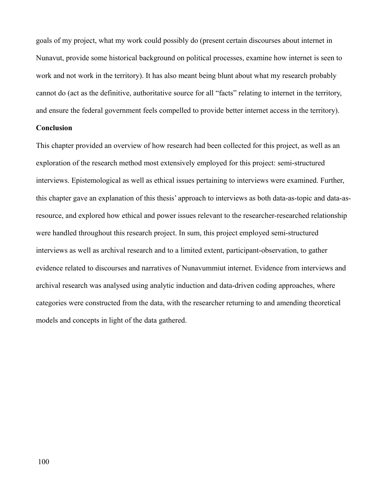goals of my project, what my work could possibly do (present certain discourses about internet in Nunavut, provide some historical background on political processes, examine how internet is seen to work and not work in the territory). It has also meant being blunt about what my research probably cannot do (act as the definitive, authoritative source for all "facts" relating to internet in the territory, and ensure the federal government feels compelled to provide better internet access in the territory).

# **Conclusion**

This chapter provided an overview of how research had been collected for this project, as well as an exploration of the research method most extensively employed for this project: semi-structured interviews. Epistemological as well as ethical issues pertaining to interviews were examined. Further, this chapter gave an explanation of this thesis' approach to interviews as both data-as-topic and data-asresource, and explored how ethical and power issues relevant to the researcher-researched relationship were handled throughout this research project. In sum, this project employed semi-structured interviews as well as archival research and to a limited extent, participant-observation, to gather evidence related to discourses and narratives of Nunavummiut internet. Evidence from interviews and archival research was analysed using analytic induction and data-driven coding approaches, where categories were constructed from the data, with the researcher returning to and amending theoretical models and concepts in light of the data gathered.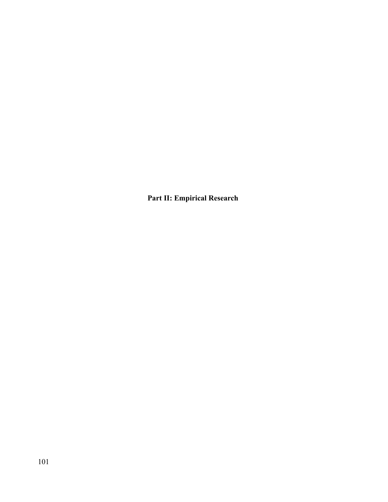**Part II: Empirical Research**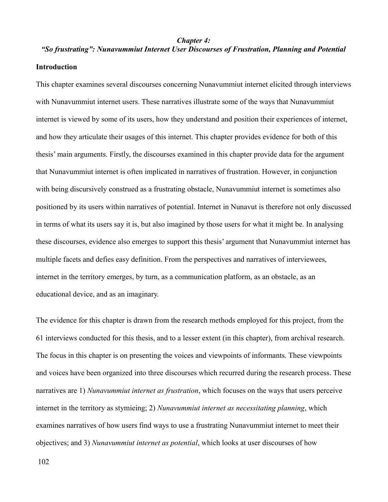#### *Chapter 4:*

# *"So frustrating": Nunavummiut Internet User Discourses of Frustration, Planning and Potential* **Introduction**

This chapter examines several discourses concerning Nunavummiut internet elicited through interviews with Nunavummiut internet users. These narratives illustrate some of the ways that Nunavummiut internet is viewed by some of its users, how they understand and position their experiences of internet, and how they articulate their usages of this internet. This chapter provides evidence for both of this thesis' main arguments. Firstly, the discourses examined in this chapter provide data for the argument that Nunavummiut internet is often implicated in narratives of frustration. However, in conjunction with being discursively construed as a frustrating obstacle, Nunavummiut internet is sometimes also positioned by its users within narratives of potential. Internet in Nunavut is therefore not only discussed in terms of what its users say it is, but also imagined by those users for what it might be. In analysing these discourses, evidence also emerges to support this thesis' argument that Nunavummiut internet has multiple facets and defies easy definition. From the perspectives and narratives of interviewees, internet in the territory emerges, by turn, as a communication platform, as an obstacle, as an educational device, and as an imaginary.

The evidence for this chapter is drawn from the research methods employed for this project, from the 61 interviews conducted for this thesis, and to a lesser extent (in this chapter), from archival research. The focus in this chapter is on presenting the voices and viewpoints of informants. These viewpoints and voices have been organized into three discourses which recurred during the research process. These narratives are 1) *Nunavummiut internet as frustration*, which focuses on the ways that users perceive internet in the territory as stymieing; 2) *Nunavummiut internet as necessitating planning*, which examines narratives of how users find ways to use a frustrating Nunavummiut internet to meet their objectives; and 3) *Nunavummiut internet as potential*, which looks at user discourses of how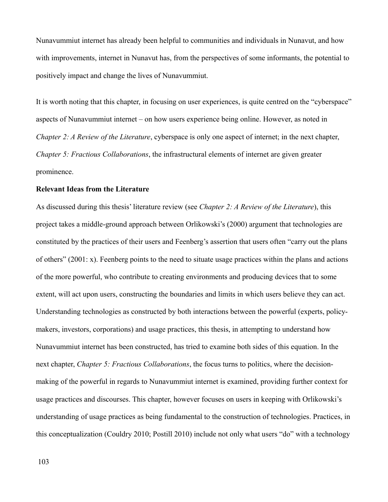Nunavummiut internet has already been helpful to communities and individuals in Nunavut, and how with improvements, internet in Nunavut has, from the perspectives of some informants, the potential to positively impact and change the lives of Nunavummiut.

It is worth noting that this chapter, in focusing on user experiences, is quite centred on the "cyberspace" aspects of Nunavummiut internet – on how users experience being online. However, as noted in *Chapter 2: A Review of the Literature*, cyberspace is only one aspect of internet; in the next chapter, *Chapter 5: Fractious Collaborations*, the infrastructural elements of internet are given greater prominence.

#### **Relevant Ideas from the Literature**

As discussed during this thesis' literature review (see *Chapter 2: A Review of the Literature*), this project takes a middle-ground approach between Orlikowski's (2000) argument that technologies are constituted by the practices of their users and Feenberg's assertion that users often "carry out the plans of others" (2001: x). Feenberg points to the need to situate usage practices within the plans and actions of the more powerful, who contribute to creating environments and producing devices that to some extent, will act upon users, constructing the boundaries and limits in which users believe they can act. Understanding technologies as constructed by both interactions between the powerful (experts, policymakers, investors, corporations) and usage practices, this thesis, in attempting to understand how Nunavummiut internet has been constructed, has tried to examine both sides of this equation. In the next chapter, *Chapter 5: Fractious Collaborations*, the focus turns to politics, where the decisionmaking of the powerful in regards to Nunavummiut internet is examined, providing further context for usage practices and discourses. This chapter, however focuses on users in keeping with Orlikowski's understanding of usage practices as being fundamental to the construction of technologies. Practices, in this conceptualization (Couldry 2010; Postill 2010) include not only what users "do" with a technology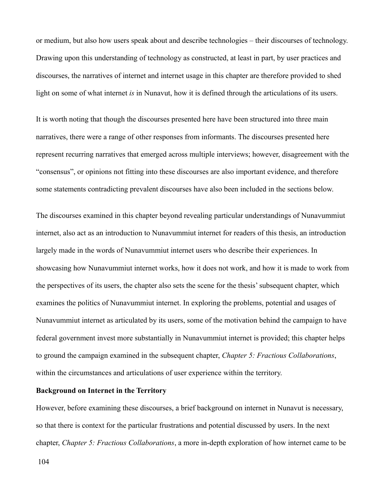or medium, but also how users speak about and describe technologies – their discourses of technology. Drawing upon this understanding of technology as constructed, at least in part, by user practices and discourses, the narratives of internet and internet usage in this chapter are therefore provided to shed light on some of what internet *is* in Nunavut, how it is defined through the articulations of its users.

It is worth noting that though the discourses presented here have been structured into three main narratives, there were a range of other responses from informants. The discourses presented here represent recurring narratives that emerged across multiple interviews; however, disagreement with the "consensus", or opinions not fitting into these discourses are also important evidence, and therefore some statements contradicting prevalent discourses have also been included in the sections below.

The discourses examined in this chapter beyond revealing particular understandings of Nunavummiut internet, also act as an introduction to Nunavummiut internet for readers of this thesis, an introduction largely made in the words of Nunavummiut internet users who describe their experiences. In showcasing how Nunavummiut internet works, how it does not work, and how it is made to work from the perspectives of its users, the chapter also sets the scene for the thesis' subsequent chapter, which examines the politics of Nunavummiut internet. In exploring the problems, potential and usages of Nunavummiut internet as articulated by its users, some of the motivation behind the campaign to have federal government invest more substantially in Nunavummiut internet is provided; this chapter helps to ground the campaign examined in the subsequent chapter, *Chapter 5: Fractious Collaborations*, within the circumstances and articulations of user experience within the territory.

# **Background on Internet in the Territory**

However, before examining these discourses, a brief background on internet in Nunavut is necessary, so that there is context for the particular frustrations and potential discussed by users. In the next chapter, *Chapter 5: Fractious Collaborations*, a more in-depth exploration of how internet came to be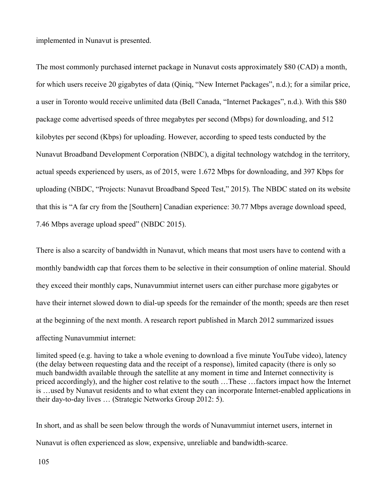implemented in Nunavut is presented.

The most commonly purchased internet package in Nunavut costs approximately \$80 (CAD) a month, for which users receive 20 gigabytes of data (Qiniq, "New Internet Packages", n.d.); for a similar price, a user in Toronto would receive unlimited data (Bell Canada, "Internet Packages", n.d.). With this \$80 package come advertised speeds of three megabytes per second (Mbps) for downloading, and 512 kilobytes per second (Kbps) for uploading. However, according to speed tests conducted by the Nunavut Broadband Development Corporation (NBDC), a digital technology watchdog in the territory, actual speeds experienced by users, as of 2015, were 1.672 Mbps for downloading, and 397 Kbps for uploading (NBDC, "Projects: Nunavut Broadband Speed Test," 2015). The NBDC stated on its website that this is "A far cry from the [Southern] Canadian experience: 30.77 Mbps average download speed, 7.46 Mbps average upload speed" (NBDC 2015).

There is also a scarcity of bandwidth in Nunavut, which means that most users have to contend with a monthly bandwidth cap that forces them to be selective in their consumption of online material. Should they exceed their monthly caps, Nunavummiut internet users can either purchase more gigabytes or have their internet slowed down to dial-up speeds for the remainder of the month; speeds are then reset at the beginning of the next month. A research report published in March 2012 summarized issues affecting Nunavummiut internet:

limited speed (e.g. having to take a whole evening to download a five minute YouTube video), latency (the delay between requesting data and the receipt of a response), limited capacity (there is only so much bandwidth available through the satellite at any moment in time and Internet connectivity is priced accordingly), and the higher cost relative to the south …These …factors impact how the Internet is …used by Nunavut residents and to what extent they can incorporate Internet-enabled applications in their day-to-day lives … (Strategic Networks Group 2012: 5).

In short, and as shall be seen below through the words of Nunavummiut internet users, internet in Nunavut is often experienced as slow, expensive, unreliable and bandwidth-scarce.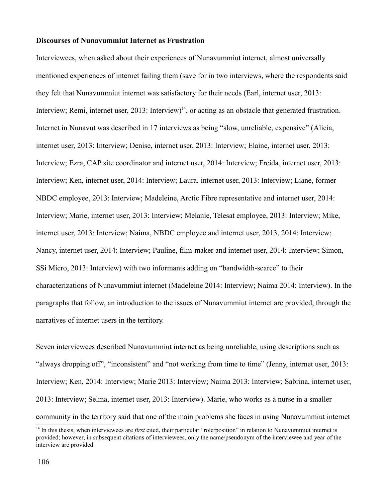#### **Discourses of Nunavummiut Internet as Frustration**

Interviewees, when asked about their experiences of Nunavummiut internet, almost universally mentioned experiences of internet failing them (save for in two interviews, where the respondents said they felt that Nunavummiut internet was satisfactory for their needs (Earl, internet user, 2013: Interview; Remi, internet user,  $2013$ : Interview)<sup>[14](#page-106-0)</sup>, or acting as an obstacle that generated frustration. Internet in Nunavut was described in 17 interviews as being "slow, unreliable, expensive" (Alicia, internet user, 2013: Interview; Denise, internet user, 2013: Interview; Elaine, internet user, 2013: Interview; Ezra, CAP site coordinator and internet user, 2014: Interview; Freida, internet user, 2013: Interview; Ken, internet user, 2014: Interview; Laura, internet user, 2013: Interview; Liane, former NBDC employee, 2013: Interview; Madeleine, Arctic Fibre representative and internet user, 2014: Interview; Marie, internet user, 2013: Interview; Melanie, Telesat employee, 2013: Interview; Mike, internet user, 2013: Interview; Naima, NBDC employee and internet user, 2013, 2014: Interview; Nancy, internet user, 2014: Interview; Pauline, film-maker and internet user, 2014: Interview; Simon, SSi Micro, 2013: Interview) with two informants adding on "bandwidth-scarce" to their characterizations of Nunavummiut internet (Madeleine 2014: Interview; Naima 2014: Interview). In the paragraphs that follow, an introduction to the issues of Nunavummiut internet are provided, through the narratives of internet users in the territory.

Seven interviewees described Nunavummiut internet as being unreliable, using descriptions such as "always dropping off", "inconsistent" and "not working from time to time" (Jenny, internet user, 2013: Interview; Ken, 2014: Interview; Marie 2013: Interview; Naima 2013: Interview; Sabrina, internet user, 2013: Interview; Selma, internet user, 2013: Interview). Marie, who works as a nurse in a smaller community in the territory said that one of the main problems she faces in using Nunavummiut internet

<span id="page-106-0"></span><sup>14</sup> In this thesis, when interviewees are *first* cited, their particular "role/position" in relation to Nunavummiut internet is provided; however, in subsequent citations of interviewees, only the name/pseudonym of the interviewee and year of the interview are provided.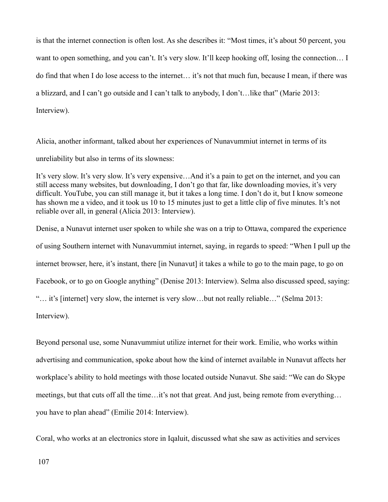is that the internet connection is often lost. As she describes it: "Most times, it's about 50 percent, you want to open something, and you can't. It's very slow. It'll keep hooking off, losing the connection... I do find that when I do lose access to the internet… it's not that much fun, because I mean, if there was a blizzard, and I can't go outside and I can't talk to anybody, I don't…like that" (Marie 2013: Interview).

Alicia, another informant, talked about her experiences of Nunavummiut internet in terms of its unreliability but also in terms of its slowness:

It's very slow. It's very slow. It's very expensive…And it's a pain to get on the internet, and you can still access many websites, but downloading, I don't go that far, like downloading movies, it's very difficult. YouTube, you can still manage it, but it takes a long time. I don't do it, but I know someone has shown me a video, and it took us 10 to 15 minutes just to get a little clip of five minutes. It's not reliable over all, in general (Alicia 2013: Interview).

Denise, a Nunavut internet user spoken to while she was on a trip to Ottawa, compared the experience of using Southern internet with Nunavummiut internet, saying, in regards to speed: "When I pull up the internet browser, here, it's instant, there [in Nunavut] it takes a while to go to the main page, to go on Facebook, or to go on Google anything" (Denise 2013: Interview). Selma also discussed speed, saying: "… it's [internet] very slow, the internet is very slow…but not really reliable…" (Selma 2013: Interview).

Beyond personal use, some Nunavummiut utilize internet for their work. Emilie, who works within advertising and communication, spoke about how the kind of internet available in Nunavut affects her workplace's ability to hold meetings with those located outside Nunavut. She said: "We can do Skype meetings, but that cuts off all the time…it's not that great. And just, being remote from everything… you have to plan ahead" (Emilie 2014: Interview).

Coral, who works at an electronics store in Iqaluit, discussed what she saw as activities and services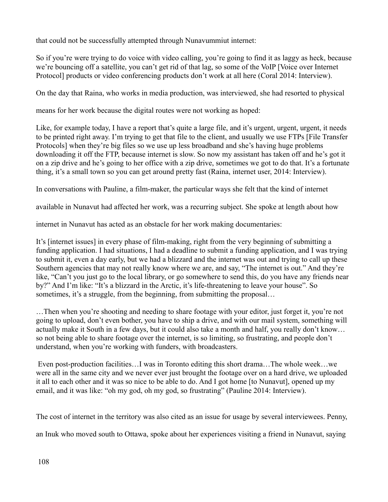that could not be successfully attempted through Nunavummiut internet:

So if you're were trying to do voice with video calling, you're going to find it as laggy as heck, because we're bouncing off a satellite, you can't get rid of that lag, so some of the VoIP [Voice over Internet Protocol] products or video conferencing products don't work at all here (Coral 2014: Interview).

On the day that Raina, who works in media production, was interviewed, she had resorted to physical

means for her work because the digital routes were not working as hoped:

Like, for example today, I have a report that's quite a large file, and it's urgent, urgent, urgent, it needs to be printed right away. I'm trying to get that file to the client, and usually we use FTPs [File Transfer Protocols] when they're big files so we use up less broadband and she's having huge problems downloading it off the FTP, because internet is slow. So now my assistant has taken off and he's got it on a zip drive and he's going to her office with a zip drive, sometimes we got to do that. It's a fortunate thing, it's a small town so you can get around pretty fast (Raina, internet user, 2014: Interview).

In conversations with Pauline, a film-maker, the particular ways she felt that the kind of internet

available in Nunavut had affected her work, was a recurring subject. She spoke at length about how

internet in Nunavut has acted as an obstacle for her work making documentaries:

It's [internet issues] in every phase of film-making, right from the very beginning of submitting a funding application. I had situations, I had a deadline to submit a funding application, and I was trying to submit it, even a day early, but we had a blizzard and the internet was out and trying to call up these Southern agencies that may not really know where we are, and say, "The internet is out." And they're like, "Can't you just go to the local library, or go somewhere to send this, do you have any friends near by?" And I'm like: "It's a blizzard in the Arctic, it's life-threatening to leave your house". So sometimes, it's a struggle, from the beginning, from submitting the proposal...

…Then when you're shooting and needing to share footage with your editor, just forget it, you're not going to upload, don't even bother, you have to ship a drive, and with our mail system, something will actually make it South in a few days, but it could also take a month and half, you really don't know… so not being able to share footage over the internet, is so limiting, so frustrating, and people don't understand, when you're working with funders, with broadcasters.

 Even post-production facilities…I was in Toronto editing this short drama…The whole week…we were all in the same city and we never ever just brought the footage over on a hard drive, we uploaded it all to each other and it was so nice to be able to do. And I got home [to Nunavut], opened up my email, and it was like: "oh my god, oh my god, so frustrating" (Pauline 2014: Interview).

The cost of internet in the territory was also cited as an issue for usage by several interviewees. Penny,

an Inuk who moved south to Ottawa, spoke about her experiences visiting a friend in Nunavut, saying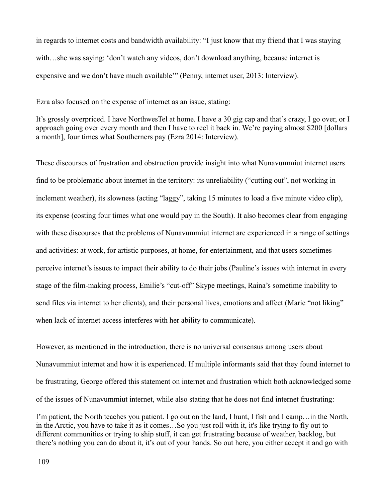in regards to internet costs and bandwidth availability: "I just know that my friend that I was staying with...she was saying: 'don't watch any videos, don't download anything, because internet is expensive and we don't have much available'" (Penny, internet user, 2013: Interview).

Ezra also focused on the expense of internet as an issue, stating:

It's grossly overpriced. I have NorthwesTel at home. I have a 30 gig cap and that's crazy, I go over, or I approach going over every month and then I have to reel it back in. We're paying almost \$200 [dollars a month], four times what Southerners pay (Ezra 2014: Interview).

These discourses of frustration and obstruction provide insight into what Nunavummiut internet users find to be problematic about internet in the territory: its unreliability ("cutting out", not working in inclement weather), its slowness (acting "laggy", taking 15 minutes to load a five minute video clip), its expense (costing four times what one would pay in the South). It also becomes clear from engaging with these discourses that the problems of Nunavummiut internet are experienced in a range of settings and activities: at work, for artistic purposes, at home, for entertainment, and that users sometimes perceive internet's issues to impact their ability to do their jobs (Pauline's issues with internet in every stage of the film-making process, Emilie's "cut-off" Skype meetings, Raina's sometime inability to send files via internet to her clients), and their personal lives, emotions and affect (Marie "not liking" when lack of internet access interferes with her ability to communicate).

However, as mentioned in the introduction, there is no universal consensus among users about Nunavummiut internet and how it is experienced. If multiple informants said that they found internet to be frustrating, George offered this statement on internet and frustration which both acknowledged some of the issues of Nunavummiut internet, while also stating that he does not find internet frustrating:

I'm patient, the North teaches you patient. I go out on the land, I hunt, I fish and I camp…in the North, in the Arctic, you have to take it as it comes…So you just roll with it, it's like trying to fly out to different communities or trying to ship stuff, it can get frustrating because of weather, backlog, but there's nothing you can do about it, it's out of your hands. So out here, you either accept it and go with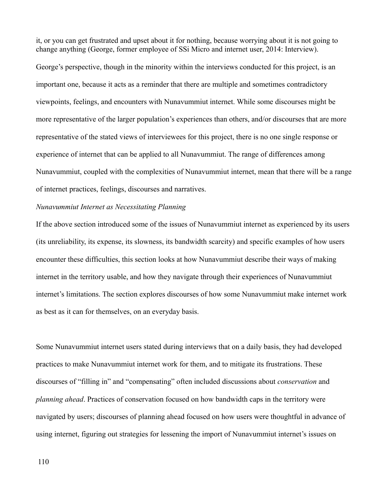it, or you can get frustrated and upset about it for nothing, because worrying about it is not going to change anything (George, former employee of SSi Micro and internet user, 2014: Interview).

George's perspective, though in the minority within the interviews conducted for this project, is an important one, because it acts as a reminder that there are multiple and sometimes contradictory viewpoints, feelings, and encounters with Nunavummiut internet. While some discourses might be more representative of the larger population's experiences than others, and/or discourses that are more representative of the stated views of interviewees for this project, there is no one single response or experience of internet that can be applied to all Nunavummiut. The range of differences among Nunavummiut, coupled with the complexities of Nunavummiut internet, mean that there will be a range of internet practices, feelings, discourses and narratives.

## *Nunavummiut Internet as Necessitating Planning*

If the above section introduced some of the issues of Nunavummiut internet as experienced by its users (its unreliability, its expense, its slowness, its bandwidth scarcity) and specific examples of how users encounter these difficulties, this section looks at how Nunavummiut describe their ways of making internet in the territory usable, and how they navigate through their experiences of Nunavummiut internet's limitations. The section explores discourses of how some Nunavummiut make internet work as best as it can for themselves, on an everyday basis.

Some Nunavummiut internet users stated during interviews that on a daily basis, they had developed practices to make Nunavummiut internet work for them, and to mitigate its frustrations. These discourses of "filling in" and "compensating" often included discussions about *conservation* and *planning ahead*. Practices of conservation focused on how bandwidth caps in the territory were navigated by users; discourses of planning ahead focused on how users were thoughtful in advance of using internet, figuring out strategies for lessening the import of Nunavummiut internet's issues on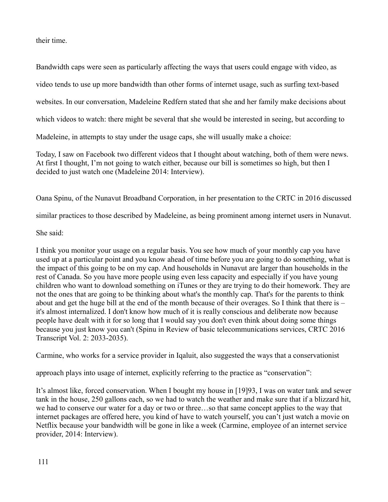their time.

Bandwidth caps were seen as particularly affecting the ways that users could engage with video, as video tends to use up more bandwidth than other forms of internet usage, such as surfing text-based websites. In our conversation, Madeleine Redfern stated that she and her family make decisions about which videos to watch: there might be several that she would be interested in seeing, but according to Madeleine, in attempts to stay under the usage caps, she will usually make a choice:

Today, I saw on Facebook two different videos that I thought about watching, both of them were news. At first I thought, I'm not going to watch either, because our bill is sometimes so high, but then I decided to just watch one (Madeleine 2014: Interview).

Oana Spinu, of the Nunavut Broadband Corporation, in her presentation to the CRTC in 2016 discussed

similar practices to those described by Madeleine, as being prominent among internet users in Nunavut.

# She said:

I think you monitor your usage on a regular basis. You see how much of your monthly cap you have used up at a particular point and you know ahead of time before you are going to do something, what is the impact of this going to be on my cap. And households in Nunavut are larger than households in the rest of Canada. So you have more people using even less capacity and especially if you have young children who want to download something on iTunes or they are trying to do their homework. They are not the ones that are going to be thinking about what's the monthly cap. That's for the parents to think about and get the huge bill at the end of the month because of their overages. So I think that there is – it's almost internalized. I don't know how much of it is really conscious and deliberate now because people have dealt with it for so long that I would say you don't even think about doing some things because you just know you can't (Spinu in Review of basic telecommunications services, CRTC 2016 Transcript Vol. 2: 2033-2035).

Carmine, who works for a service provider in Iqaluit, also suggested the ways that a conservationist

approach plays into usage of internet, explicitly referring to the practice as "conservation":

It's almost like, forced conservation. When I bought my house in [19]93, I was on water tank and sewer tank in the house, 250 gallons each, so we had to watch the weather and make sure that if a blizzard hit, we had to conserve our water for a day or two or three…so that same concept applies to the way that internet packages are offered here, you kind of have to watch yourself, you can't just watch a movie on Netflix because your bandwidth will be gone in like a week (Carmine, employee of an internet service provider, 2014: Interview).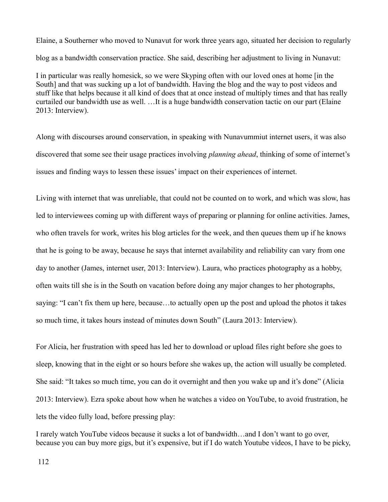Elaine, a Southerner who moved to Nunavut for work three years ago, situated her decision to regularly blog as a bandwidth conservation practice. She said, describing her adjustment to living in Nunavut:

I in particular was really homesick, so we were Skyping often with our loved ones at home [in the South] and that was sucking up a lot of bandwidth. Having the blog and the way to post videos and stuff like that helps because it all kind of does that at once instead of multiply times and that has really curtailed our bandwidth use as well. …It is a huge bandwidth conservation tactic on our part (Elaine 2013: Interview).

Along with discourses around conservation, in speaking with Nunavummiut internet users, it was also discovered that some see their usage practices involving *planning ahead*, thinking of some of internet's issues and finding ways to lessen these issues' impact on their experiences of internet.

Living with internet that was unreliable, that could not be counted on to work, and which was slow, has led to interviewees coming up with different ways of preparing or planning for online activities. James, who often travels for work, writes his blog articles for the week, and then queues them up if he knows that he is going to be away, because he says that internet availability and reliability can vary from one day to another (James, internet user, 2013: Interview). Laura, who practices photography as a hobby, often waits till she is in the South on vacation before doing any major changes to her photographs, saying: "I can't fix them up here, because…to actually open up the post and upload the photos it takes so much time, it takes hours instead of minutes down South" (Laura 2013: Interview).

For Alicia, her frustration with speed has led her to download or upload files right before she goes to sleep, knowing that in the eight or so hours before she wakes up, the action will usually be completed. She said: "It takes so much time, you can do it overnight and then you wake up and it's done" (Alicia 2013: Interview). Ezra spoke about how when he watches a video on YouTube, to avoid frustration, he lets the video fully load, before pressing play:

I rarely watch YouTube videos because it sucks a lot of bandwidth…and I don't want to go over, because you can buy more gigs, but it's expensive, but if I do watch Youtube videos, I have to be picky,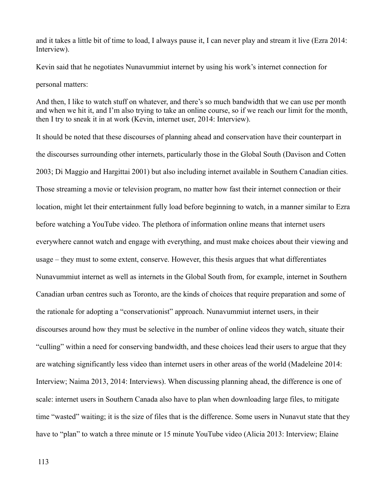and it takes a little bit of time to load, I always pause it, I can never play and stream it live (Ezra 2014: Interview).

Kevin said that he negotiates Nunavummiut internet by using his work's internet connection for personal matters:

And then, I like to watch stuff on whatever, and there's so much bandwidth that we can use per month and when we hit it, and I'm also trying to take an online course, so if we reach our limit for the month, then I try to sneak it in at work (Kevin, internet user, 2014: Interview).

It should be noted that these discourses of planning ahead and conservation have their counterpart in the discourses surrounding other internets, particularly those in the Global South (Davison and Cotten 2003; Di Maggio and Hargittai 2001) but also including internet available in Southern Canadian cities. Those streaming a movie or television program, no matter how fast their internet connection or their location, might let their entertainment fully load before beginning to watch, in a manner similar to Ezra before watching a YouTube video. The plethora of information online means that internet users everywhere cannot watch and engage with everything, and must make choices about their viewing and usage – they must to some extent, conserve. However, this thesis argues that what differentiates Nunavummiut internet as well as internets in the Global South from, for example, internet in Southern Canadian urban centres such as Toronto, are the kinds of choices that require preparation and some of the rationale for adopting a "conservationist" approach. Nunavummiut internet users, in their discourses around how they must be selective in the number of online videos they watch, situate their "culling" within a need for conserving bandwidth, and these choices lead their users to argue that they are watching significantly less video than internet users in other areas of the world (Madeleine 2014: Interview; Naima 2013, 2014: Interviews). When discussing planning ahead, the difference is one of scale: internet users in Southern Canada also have to plan when downloading large files, to mitigate time "wasted" waiting; it is the size of files that is the difference. Some users in Nunavut state that they have to "plan" to watch a three minute or 15 minute YouTube video (Alicia 2013: Interview; Elaine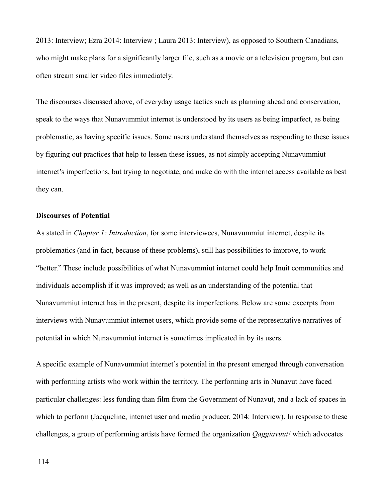2013: Interview; Ezra 2014: Interview ; Laura 2013: Interview), as opposed to Southern Canadians, who might make plans for a significantly larger file, such as a movie or a television program, but can often stream smaller video files immediately.

The discourses discussed above, of everyday usage tactics such as planning ahead and conservation, speak to the ways that Nunavummiut internet is understood by its users as being imperfect, as being problematic, as having specific issues. Some users understand themselves as responding to these issues by figuring out practices that help to lessen these issues, as not simply accepting Nunavummiut internet's imperfections, but trying to negotiate, and make do with the internet access available as best they can.

### **Discourses of Potential**

As stated in *Chapter 1: Introduction*, for some interviewees, Nunavummiut internet, despite its problematics (and in fact, because of these problems), still has possibilities to improve, to work "better." These include possibilities of what Nunavummiut internet could help Inuit communities and individuals accomplish if it was improved; as well as an understanding of the potential that Nunavummiut internet has in the present, despite its imperfections. Below are some excerpts from interviews with Nunavummiut internet users, which provide some of the representative narratives of potential in which Nunavummiut internet is sometimes implicated in by its users.

A specific example of Nunavummiut internet's potential in the present emerged through conversation with performing artists who work within the territory. The performing arts in Nunavut have faced particular challenges: less funding than film from the Government of Nunavut, and a lack of spaces in which to perform (Jacqueline, internet user and media producer, 2014: Interview). In response to these challenges, a group of performing artists have formed the organization *Qaggiavuut!* which advocates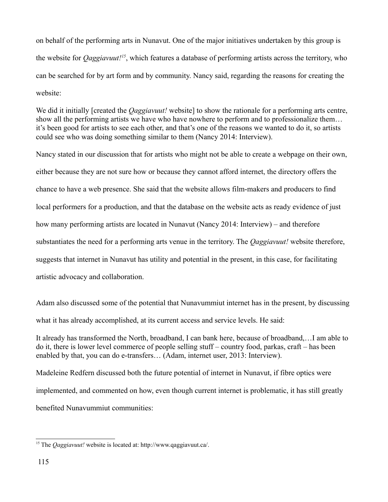on behalf of the performing arts in Nunavut. One of the major initiatives undertaken by this group is the website for *Qaggiavuut![15](#page-115-0)*, which features a database of performing artists across the territory, who can be searched for by art form and by community. Nancy said, regarding the reasons for creating the website:

We did it initially [created the *Qaggiavuut!* website] to show the rationale for a performing arts centre, show all the performing artists we have who have nowhere to perform and to professionalize them… it's been good for artists to see each other, and that's one of the reasons we wanted to do it, so artists could see who was doing something similar to them (Nancy 2014: Interview).

Nancy stated in our discussion that for artists who might not be able to create a webpage on their own, either because they are not sure how or because they cannot afford internet, the directory offers the chance to have a web presence. She said that the website allows film-makers and producers to find local performers for a production, and that the database on the website acts as ready evidence of just how many performing artists are located in Nunavut (Nancy 2014: Interview) – and therefore substantiates the need for a performing arts venue in the territory. The *Qaggiavuut!* website therefore, suggests that internet in Nunavut has utility and potential in the present, in this case, for facilitating artistic advocacy and collaboration.

Adam also discussed some of the potential that Nunavummiut internet has in the present, by discussing what it has already accomplished, at its current access and service levels. He said:

It already has transformed the North, broadband, I can bank here, because of broadband,…I am able to do it, there is lower level commerce of people selling stuff – country food, parkas, craft – has been enabled by that, you can do e-transfers… (Adam, internet user, 2013: Interview).

Madeleine Redfern discussed both the future potential of internet in Nunavut, if fibre optics were implemented, and commented on how, even though current internet is problematic, it has still greatly benefited Nunavummiut communities:

<span id="page-115-0"></span><sup>15</sup> The *Qaggiavuut!* website is located at: http://www.qaggiavuut.ca/.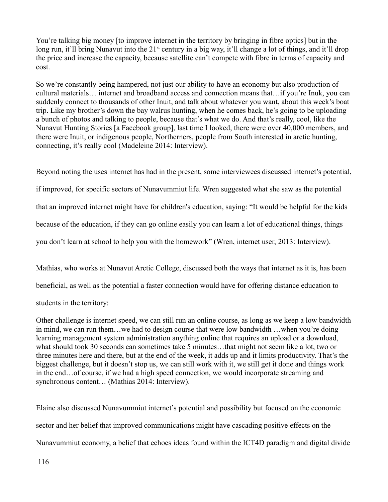You're talking big money [to improve internet in the territory by bringing in fibre optics] but in the long run, it'll bring Nunavut into the 21<sup>st</sup> century in a big way, it'll change a lot of things, and it'll drop the price and increase the capacity, because satellite can't compete with fibre in terms of capacity and cost.

So we're constantly being hampered, not just our ability to have an economy but also production of cultural materials… internet and broadband access and connection means that…if you're Inuk, you can suddenly connect to thousands of other Inuit, and talk about whatever you want, about this week's boat trip. Like my brother's down the bay walrus hunting, when he comes back, he's going to be uploading a bunch of photos and talking to people, because that's what we do. And that's really, cool, like the Nunavut Hunting Stories [a Facebook group], last time I looked, there were over 40,000 members, and there were Inuit, or indigenous people, Northerners, people from South interested in arctic hunting, connecting, it's really cool (Madeleine 2014: Interview).

Beyond noting the uses internet has had in the present, some interviewees discussed internet's potential, if improved, for specific sectors of Nunavummiut life. Wren suggested what she saw as the potential that an improved internet might have for children's education, saying: "It would be helpful for the kids because of the education, if they can go online easily you can learn a lot of educational things, things you don't learn at school to help you with the homework" (Wren, internet user, 2013: Interview).

Mathias, who works at Nunavut Arctic College, discussed both the ways that internet as it is, has been beneficial, as well as the potential a faster connection would have for offering distance education to students in the territory:

Other challenge is internet speed, we can still run an online course, as long as we keep a low bandwidth in mind, we can run them…we had to design course that were low bandwidth …when you're doing learning management system administration anything online that requires an upload or a download, what should took 30 seconds can sometimes take 5 minutes…that might not seem like a lot, two or three minutes here and there, but at the end of the week, it adds up and it limits productivity. That's the biggest challenge, but it doesn't stop us, we can still work with it, we still get it done and things work in the end…of course, if we had a high speed connection, we would incorporate streaming and synchronous content… (Mathias 2014: Interview).

Elaine also discussed Nunavummiut internet's potential and possibility but focused on the economic sector and her belief that improved communications might have cascading positive effects on the Nunavummiut economy, a belief that echoes ideas found within the ICT4D paradigm and digital divide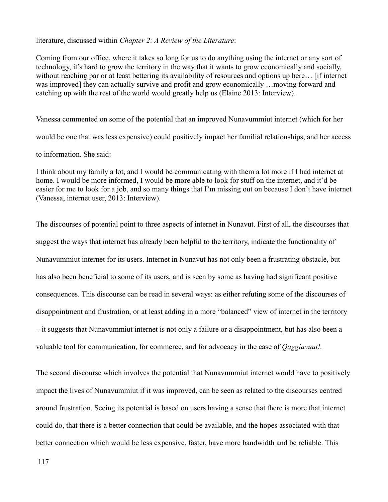#### literature, discussed within *Chapter 2: A Review of the Literature*:

Coming from our office, where it takes so long for us to do anything using the internet or any sort of technology, it's hard to grow the territory in the way that it wants to grow economically and socially, without reaching par or at least bettering its availability of resources and options up here... [if internet] was improved] they can actually survive and profit and grow economically …moving forward and catching up with the rest of the world would greatly help us (Elaine 2013: Interview).

Vanessa commented on some of the potential that an improved Nunavummiut internet (which for her would be one that was less expensive) could positively impact her familial relationships, and her access to information. She said:

I think about my family a lot, and I would be communicating with them a lot more if I had internet at home. I would be more informed, I would be more able to look for stuff on the internet, and it'd be easier for me to look for a job, and so many things that I'm missing out on because I don't have internet (Vanessa, internet user, 2013: Interview).

The discourses of potential point to three aspects of internet in Nunavut. First of all, the discourses that suggest the ways that internet has already been helpful to the territory, indicate the functionality of Nunavummiut internet for its users. Internet in Nunavut has not only been a frustrating obstacle, but has also been beneficial to some of its users, and is seen by some as having had significant positive consequences. This discourse can be read in several ways: as either refuting some of the discourses of disappointment and frustration, or at least adding in a more "balanced" view of internet in the territory – it suggests that Nunavummiut internet is not only a failure or a disappointment, but has also been a valuable tool for communication, for commerce, and for advocacy in the case of *Qaggiavuut!.*

The second discourse which involves the potential that Nunavummiut internet would have to positively impact the lives of Nunavummiut if it was improved, can be seen as related to the discourses centred around frustration. Seeing its potential is based on users having a sense that there is more that internet could do, that there is a better connection that could be available, and the hopes associated with that better connection which would be less expensive, faster, have more bandwidth and be reliable. This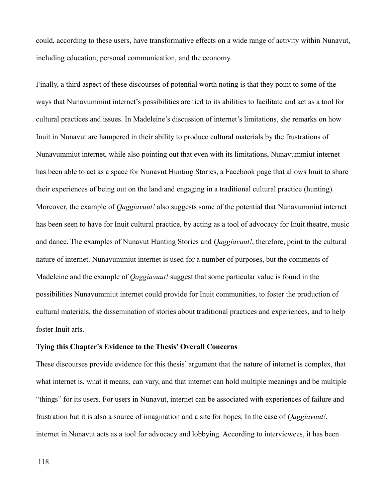could, according to these users, have transformative effects on a wide range of activity within Nunavut, including education, personal communication, and the economy.

Finally, a third aspect of these discourses of potential worth noting is that they point to some of the ways that Nunavummiut internet's possibilities are tied to its abilities to facilitate and act as a tool for cultural practices and issues. In Madeleine's discussion of internet's limitations, she remarks on how Inuit in Nunavut are hampered in their ability to produce cultural materials by the frustrations of Nunavummiut internet, while also pointing out that even with its limitations, Nunavummiut internet has been able to act as a space for Nunavut Hunting Stories, a Facebook page that allows Inuit to share their experiences of being out on the land and engaging in a traditional cultural practice (hunting). Moreover, the example of *Qaggiavuut!* also suggests some of the potential that Nunavummiut internet has been seen to have for Inuit cultural practice, by acting as a tool of advocacy for Inuit theatre, music and dance. The examples of Nunavut Hunting Stories and *Qaggiavuut!*, therefore, point to the cultural nature of internet. Nunavummiut internet is used for a number of purposes, but the comments of Madeleine and the example of *Qaggiavuut!* suggest that some particular value is found in the possibilities Nunavummiut internet could provide for Inuit communities, to foster the production of cultural materials, the dissemination of stories about traditional practices and experiences, and to help foster Inuit arts.

### **Tying this Chapter's Evidence to the Thesis' Overall Concerns**

These discourses provide evidence for this thesis' argument that the nature of internet is complex, that what internet is, what it means, can vary, and that internet can hold multiple meanings and be multiple "things" for its users. For users in Nunavut, internet can be associated with experiences of failure and frustration but it is also a source of imagination and a site for hopes. In the case of *Qaggiavuut!*, internet in Nunavut acts as a tool for advocacy and lobbying. According to interviewees, it has been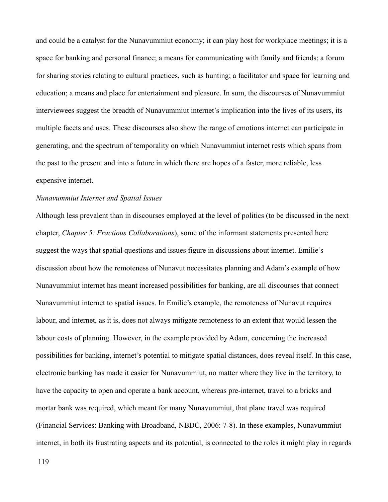and could be a catalyst for the Nunavummiut economy; it can play host for workplace meetings; it is a space for banking and personal finance; a means for communicating with family and friends; a forum for sharing stories relating to cultural practices, such as hunting; a facilitator and space for learning and education; a means and place for entertainment and pleasure. In sum, the discourses of Nunavummiut interviewees suggest the breadth of Nunavummiut internet's implication into the lives of its users, its multiple facets and uses. These discourses also show the range of emotions internet can participate in generating, and the spectrum of temporality on which Nunavummiut internet rests which spans from the past to the present and into a future in which there are hopes of a faster, more reliable, less expensive internet.

### *Nunavummiut Internet and Spatial Issues*

Although less prevalent than in discourses employed at the level of politics (to be discussed in the next chapter, *Chapter 5: Fractious Collaborations*), some of the informant statements presented here suggest the ways that spatial questions and issues figure in discussions about internet. Emilie's discussion about how the remoteness of Nunavut necessitates planning and Adam's example of how Nunavummiut internet has meant increased possibilities for banking, are all discourses that connect Nunavummiut internet to spatial issues. In Emilie's example, the remoteness of Nunavut requires labour, and internet, as it is, does not always mitigate remoteness to an extent that would lessen the labour costs of planning. However, in the example provided by Adam, concerning the increased possibilities for banking, internet's potential to mitigate spatial distances, does reveal itself. In this case, electronic banking has made it easier for Nunavummiut, no matter where they live in the territory, to have the capacity to open and operate a bank account, whereas pre-internet, travel to a bricks and mortar bank was required, which meant for many Nunavummiut, that plane travel was required (Financial Services: Banking with Broadband, NBDC, 2006: 7-8). In these examples, Nunavummiut internet, in both its frustrating aspects and its potential, is connected to the roles it might play in regards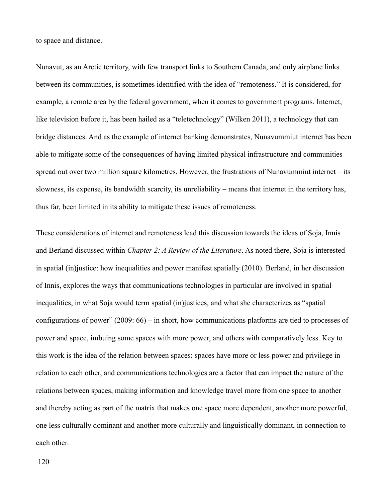to space and distance.

Nunavut, as an Arctic territory, with few transport links to Southern Canada, and only airplane links between its communities, is sometimes identified with the idea of "remoteness." It is considered, for example, a remote area by the federal government, when it comes to government programs. Internet, like television before it, has been hailed as a "teletechnology" (Wilken 2011), a technology that can bridge distances. And as the example of internet banking demonstrates, Nunavummiut internet has been able to mitigate some of the consequences of having limited physical infrastructure and communities spread out over two million square kilometres. However, the frustrations of Nunavummiut internet – its slowness, its expense, its bandwidth scarcity, its unreliability – means that internet in the territory has, thus far, been limited in its ability to mitigate these issues of remoteness.

These considerations of internet and remoteness lead this discussion towards the ideas of Soja, Innis and Berland discussed within *Chapter 2: A Review of the Literature*. As noted there, Soja is interested in spatial (in)justice: how inequalities and power manifest spatially (2010). Berland, in her discussion of Innis, explores the ways that communications technologies in particular are involved in spatial inequalities, in what Soja would term spatial (in)justices, and what she characterizes as "spatial configurations of power" (2009: 66) – in short, how communications platforms are tied to processes of power and space, imbuing some spaces with more power, and others with comparatively less. Key to this work is the idea of the relation between spaces: spaces have more or less power and privilege in relation to each other, and communications technologies are a factor that can impact the nature of the relations between spaces, making information and knowledge travel more from one space to another and thereby acting as part of the matrix that makes one space more dependent, another more powerful, one less culturally dominant and another more culturally and linguistically dominant, in connection to each other.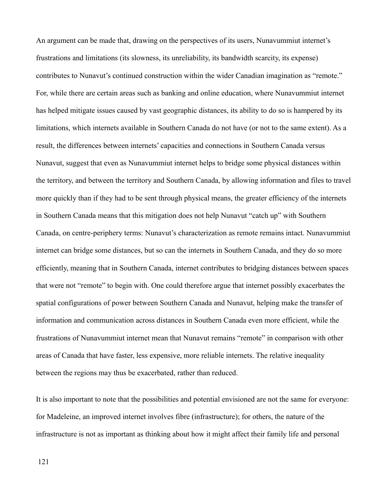An argument can be made that, drawing on the perspectives of its users, Nunavummiut internet's frustrations and limitations (its slowness, its unreliability, its bandwidth scarcity, its expense) contributes to Nunavut's continued construction within the wider Canadian imagination as "remote." For, while there are certain areas such as banking and online education, where Nunavummiut internet has helped mitigate issues caused by vast geographic distances, its ability to do so is hampered by its limitations, which internets available in Southern Canada do not have (or not to the same extent). As a result, the differences between internets' capacities and connections in Southern Canada versus Nunavut, suggest that even as Nunavummiut internet helps to bridge some physical distances within the territory, and between the territory and Southern Canada, by allowing information and files to travel more quickly than if they had to be sent through physical means, the greater efficiency of the internets in Southern Canada means that this mitigation does not help Nunavut "catch up" with Southern Canada, on centre-periphery terms: Nunavut's characterization as remote remains intact. Nunavummiut internet can bridge some distances, but so can the internets in Southern Canada, and they do so more efficiently, meaning that in Southern Canada, internet contributes to bridging distances between spaces that were not "remote" to begin with. One could therefore argue that internet possibly exacerbates the spatial configurations of power between Southern Canada and Nunavut, helping make the transfer of information and communication across distances in Southern Canada even more efficient, while the frustrations of Nunavummiut internet mean that Nunavut remains "remote" in comparison with other areas of Canada that have faster, less expensive, more reliable internets. The relative inequality between the regions may thus be exacerbated, rather than reduced.

It is also important to note that the possibilities and potential envisioned are not the same for everyone: for Madeleine, an improved internet involves fibre (infrastructure); for others, the nature of the infrastructure is not as important as thinking about how it might affect their family life and personal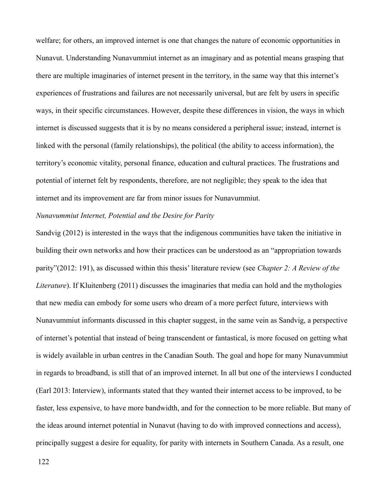welfare; for others, an improved internet is one that changes the nature of economic opportunities in Nunavut. Understanding Nunavummiut internet as an imaginary and as potential means grasping that there are multiple imaginaries of internet present in the territory, in the same way that this internet's experiences of frustrations and failures are not necessarily universal, but are felt by users in specific ways, in their specific circumstances. However, despite these differences in vision, the ways in which internet is discussed suggests that it is by no means considered a peripheral issue; instead, internet is linked with the personal (family relationships), the political (the ability to access information), the territory's economic vitality, personal finance, education and cultural practices. The frustrations and potential of internet felt by respondents, therefore, are not negligible; they speak to the idea that internet and its improvement are far from minor issues for Nunavummiut.

# *Nunavummiut Internet, Potential and the Desire for Parity*

Sandvig (2012) is interested in the ways that the indigenous communities have taken the initiative in building their own networks and how their practices can be understood as an "appropriation towards parity"(2012: 191), as discussed within this thesis' literature review (see *Chapter 2: A Review of the Literature*). If Kluitenberg (2011) discusses the imaginaries that media can hold and the mythologies that new media can embody for some users who dream of a more perfect future, interviews with Nunavummiut informants discussed in this chapter suggest, in the same vein as Sandvig, a perspective of internet's potential that instead of being transcendent or fantastical, is more focused on getting what is widely available in urban centres in the Canadian South. The goal and hope for many Nunavummiut in regards to broadband, is still that of an improved internet. In all but one of the interviews I conducted (Earl 2013: Interview), informants stated that they wanted their internet access to be improved, to be faster, less expensive, to have more bandwidth, and for the connection to be more reliable. But many of the ideas around internet potential in Nunavut (having to do with improved connections and access), principally suggest a desire for equality, for parity with internets in Southern Canada. As a result, one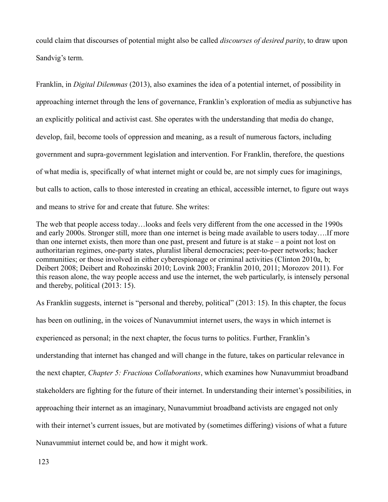could claim that discourses of potential might also be called *discourses of desired parity*, to draw upon Sandvig's term.

Franklin, in *Digital Dilemmas* (2013), also examines the idea of a potential internet, of possibility in approaching internet through the lens of governance, Franklin's exploration of media as subjunctive has an explicitly political and activist cast. She operates with the understanding that media do change, develop, fail, become tools of oppression and meaning, as a result of numerous factors, including government and supra-government legislation and intervention. For Franklin, therefore, the questions of what media is, specifically of what internet might or could be, are not simply cues for imaginings, but calls to action, calls to those interested in creating an ethical, accessible internet, to figure out ways and means to strive for and create that future. She writes:

The web that people access today…looks and feels very different from the one accessed in the 1990s and early 2000s. Stronger still, more than one internet is being made available to users today….If more than one internet exists, then more than one past, present and future is at stake – a point not lost on authoritarian regimes, one-party states, pluralist liberal democracies; peer-to-peer networks; hacker communities; or those involved in either cyberespionage or criminal activities (Clinton 2010a, b; Deibert 2008; Deibert and Rohozinski 2010; Lovink 2003; Franklin 2010, 2011; Morozov 2011). For this reason alone, the way people access and use the internet, the web particularly, is intensely personal and thereby, political (2013: 15).

As Franklin suggests, internet is "personal and thereby, political" (2013: 15). In this chapter, the focus has been on outlining, in the voices of Nunavummiut internet users, the ways in which internet is experienced as personal; in the next chapter, the focus turns to politics. Further, Franklin's understanding that internet has changed and will change in the future, takes on particular relevance in the next chapter, *Chapter 5: Fractious Collaborations*, which examines how Nunavummiut broadband stakeholders are fighting for the future of their internet. In understanding their internet's possibilities, in approaching their internet as an imaginary, Nunavummiut broadband activists are engaged not only with their internet's current issues, but are motivated by (sometimes differing) visions of what a future Nunavummiut internet could be, and how it might work.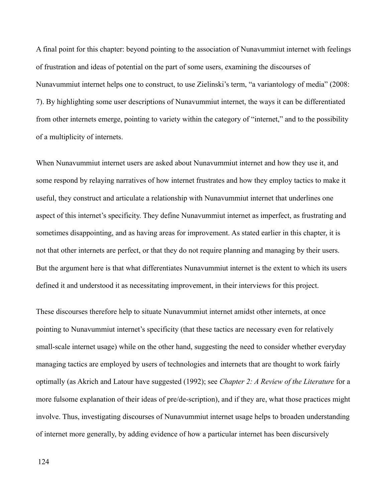A final point for this chapter: beyond pointing to the association of Nunavummiut internet with feelings of frustration and ideas of potential on the part of some users, examining the discourses of Nunavummiut internet helps one to construct, to use Zielinski's term, "a variantology of media" (2008: 7). By highlighting some user descriptions of Nunavummiut internet, the ways it can be differentiated from other internets emerge, pointing to variety within the category of "internet," and to the possibility of a multiplicity of internets.

When Nunavummiut internet users are asked about Nunavummiut internet and how they use it, and some respond by relaying narratives of how internet frustrates and how they employ tactics to make it useful, they construct and articulate a relationship with Nunavummiut internet that underlines one aspect of this internet's specificity. They define Nunavummiut internet as imperfect, as frustrating and sometimes disappointing, and as having areas for improvement. As stated earlier in this chapter, it is not that other internets are perfect, or that they do not require planning and managing by their users. But the argument here is that what differentiates Nunavummiut internet is the extent to which its users defined it and understood it as necessitating improvement, in their interviews for this project.

These discourses therefore help to situate Nunavummiut internet amidst other internets, at once pointing to Nunavummiut internet's specificity (that these tactics are necessary even for relatively small-scale internet usage) while on the other hand, suggesting the need to consider whether everyday managing tactics are employed by users of technologies and internets that are thought to work fairly optimally (as Akrich and Latour have suggested (1992); see *Chapter 2: A Review of the Literature* for a more fulsome explanation of their ideas of pre/de-scription), and if they are, what those practices might involve. Thus, investigating discourses of Nunavummiut internet usage helps to broaden understanding of internet more generally, by adding evidence of how a particular internet has been discursively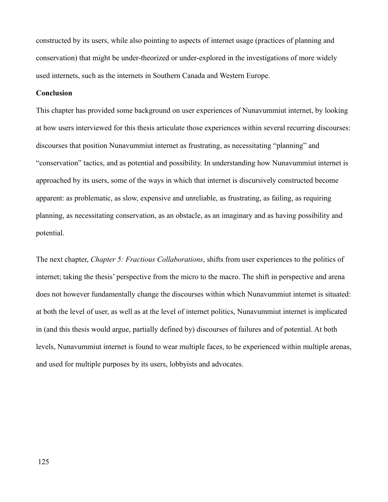constructed by its users, while also pointing to aspects of internet usage (practices of planning and conservation) that might be under-theorized or under-explored in the investigations of more widely used internets, such as the internets in Southern Canada and Western Europe.

### **Conclusion**

This chapter has provided some background on user experiences of Nunavummiut internet, by looking at how users interviewed for this thesis articulate those experiences within several recurring discourses: discourses that position Nunavummiut internet as frustrating, as necessitating "planning" and "conservation" tactics, and as potential and possibility. In understanding how Nunavummiut internet is approached by its users, some of the ways in which that internet is discursively constructed become apparent: as problematic, as slow, expensive and unreliable, as frustrating, as failing, as requiring planning, as necessitating conservation, as an obstacle, as an imaginary and as having possibility and potential.

The next chapter, *Chapter 5: Fractious Collaborations*, shifts from user experiences to the politics of internet; taking the thesis' perspective from the micro to the macro. The shift in perspective and arena does not however fundamentally change the discourses within which Nunavummiut internet is situated: at both the level of user, as well as at the level of internet politics, Nunavummiut internet is implicated in (and this thesis would argue, partially defined by) discourses of failures and of potential. At both levels, Nunavummiut internet is found to wear multiple faces, to be experienced within multiple arenas, and used for multiple purposes by its users, lobbyists and advocates.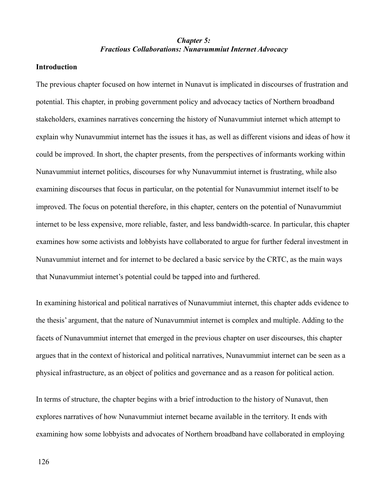## *Chapter 5: Fractious Collaborations: Nunavummiut Internet Advocacy*

### **Introduction**

The previous chapter focused on how internet in Nunavut is implicated in discourses of frustration and potential. This chapter, in probing government policy and advocacy tactics of Northern broadband stakeholders, examines narratives concerning the history of Nunavummiut internet which attempt to explain why Nunavummiut internet has the issues it has, as well as different visions and ideas of how it could be improved. In short, the chapter presents, from the perspectives of informants working within Nunavummiut internet politics, discourses for why Nunavummiut internet is frustrating, while also examining discourses that focus in particular, on the potential for Nunavummiut internet itself to be improved. The focus on potential therefore, in this chapter, centers on the potential of Nunavummiut internet to be less expensive, more reliable, faster, and less bandwidth-scarce. In particular, this chapter examines how some activists and lobbyists have collaborated to argue for further federal investment in Nunavummiut internet and for internet to be declared a basic service by the CRTC, as the main ways that Nunavummiut internet's potential could be tapped into and furthered.

In examining historical and political narratives of Nunavummiut internet, this chapter adds evidence to the thesis' argument, that the nature of Nunavummiut internet is complex and multiple. Adding to the facets of Nunavummiut internet that emerged in the previous chapter on user discourses, this chapter argues that in the context of historical and political narratives, Nunavummiut internet can be seen as a physical infrastructure, as an object of politics and governance and as a reason for political action.

In terms of structure, the chapter begins with a brief introduction to the history of Nunavut, then explores narratives of how Nunavummiut internet became available in the territory. It ends with examining how some lobbyists and advocates of Northern broadband have collaborated in employing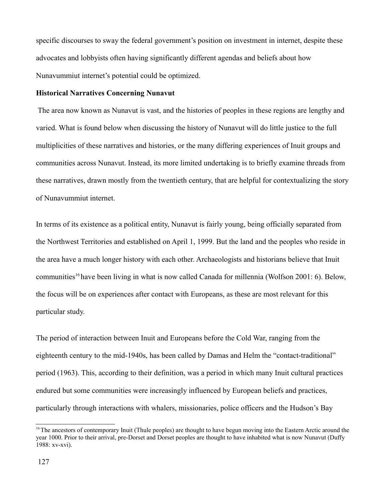specific discourses to sway the federal government's position on investment in internet, despite these advocates and lobbyists often having significantly different agendas and beliefs about how Nunavummiut internet's potential could be optimized.

#### **Historical Narratives Concerning Nunavut**

 The area now known as Nunavut is vast, and the histories of peoples in these regions are lengthy and varied. What is found below when discussing the history of Nunavut will do little justice to the full multiplicities of these narratives and histories, or the many differing experiences of Inuit groups and communities across Nunavut. Instead, its more limited undertaking is to briefly examine threads from these narratives, drawn mostly from the twentieth century, that are helpful for contextualizing the story of Nunavummiut internet.

In terms of its existence as a political entity, Nunavut is fairly young, being officially separated from the Northwest Territories and established on April 1, 1999. But the land and the peoples who reside in the area have a much longer history with each other. Archaeologists and historians believe that Inuit communities<sup>[16](#page-127-0)</sup> have been living in what is now called Canada for millennia (Wolfson 2001: 6). Below, the focus will be on experiences after contact with Europeans, as these are most relevant for this particular study.

The period of interaction between Inuit and Europeans before the Cold War, ranging from the eighteenth century to the mid-1940s, has been called by Damas and Helm the "contact-traditional" period (1963). This, according to their definition, was a period in which many Inuit cultural practices endured but some communities were increasingly influenced by European beliefs and practices, particularly through interactions with whalers, missionaries, police officers and the Hudson's Bay

<span id="page-127-0"></span> $16$ The ancestors of contemporary Inuit (Thule peoples) are thought to have begun moving into the Eastern Arctic around the year 1000. Prior to their arrival, pre-Dorset and Dorset peoples are thought to have inhabited what is now Nunavut (Duffy 1988: xv-xvi).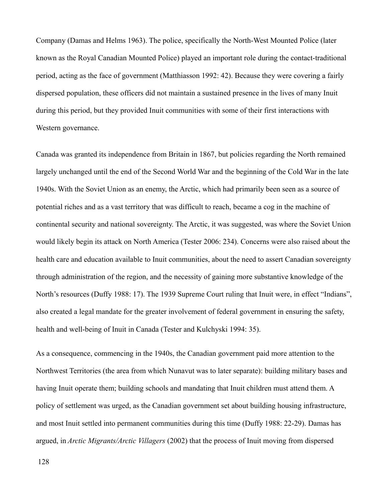Company (Damas and Helms 1963). The police, specifically the North-West Mounted Police (later known as the Royal Canadian Mounted Police) played an important role during the contact-traditional period, acting as the face of government (Matthiasson 1992: 42). Because they were covering a fairly dispersed population, these officers did not maintain a sustained presence in the lives of many Inuit during this period, but they provided Inuit communities with some of their first interactions with Western governance.

Canada was granted its independence from Britain in 1867, but policies regarding the North remained largely unchanged until the end of the Second World War and the beginning of the Cold War in the late 1940s. With the Soviet Union as an enemy, the Arctic, which had primarily been seen as a source of potential riches and as a vast territory that was difficult to reach, became a cog in the machine of continental security and national sovereignty. The Arctic, it was suggested, was where the Soviet Union would likely begin its attack on North America (Tester 2006: 234). Concerns were also raised about the health care and education available to Inuit communities, about the need to assert Canadian sovereignty through administration of the region, and the necessity of gaining more substantive knowledge of the North's resources (Duffy 1988: 17). The 1939 Supreme Court ruling that Inuit were, in effect "Indians", also created a legal mandate for the greater involvement of federal government in ensuring the safety, health and well-being of Inuit in Canada (Tester and Kulchyski 1994: 35).

As a consequence, commencing in the 1940s, the Canadian government paid more attention to the Northwest Territories (the area from which Nunavut was to later separate): building military bases and having Inuit operate them; building schools and mandating that Inuit children must attend them. A policy of settlement was urged, as the Canadian government set about building housing infrastructure, and most Inuit settled into permanent communities during this time (Duffy 1988: 22-29). Damas has argued, in *Arctic Migrants/Arctic Villagers* (2002) that the process of Inuit moving from dispersed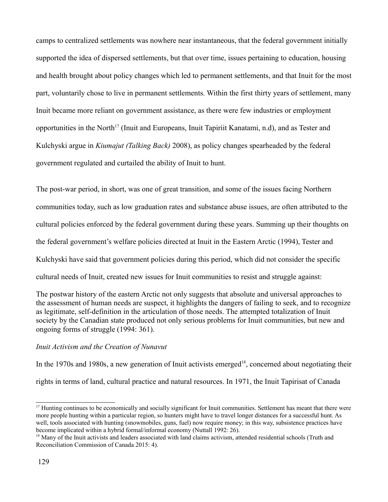camps to centralized settlements was nowhere near instantaneous, that the federal government initially supported the idea of dispersed settlements, but that over time, issues pertaining to education, housing and health brought about policy changes which led to permanent settlements, and that Inuit for the most part, voluntarily chose to live in permanent settlements. Within the first thirty years of settlement, many Inuit became more reliant on government assistance, as there were few industries or employment opportunities in the North<sup>[17](#page-129-0)</sup> (Inuit and Europeans, Inuit Tapiriit Kanatami, n.d), and as Tester and Kulchyski argue in *Kiumajut (Talking Back)* 2008), as policy changes spearheaded by the federal government regulated and curtailed the ability of Inuit to hunt.

The post-war period, in short, was one of great transition, and some of the issues facing Northern communities today, such as low graduation rates and substance abuse issues, are often attributed to the cultural policies enforced by the federal government during these years. Summing up their thoughts on the federal government's welfare policies directed at Inuit in the Eastern Arctic (1994), Tester and Kulchyski have said that government policies during this period, which did not consider the specific cultural needs of Inuit, created new issues for Inuit communities to resist and struggle against:

The postwar history of the eastern Arctic not only suggests that absolute and universal approaches to the assessment of human needs are suspect, it highlights the dangers of failing to seek, and to recognize as legitimate, self-definition in the articulation of those needs. The attempted totalization of Inuit society by the Canadian state produced not only serious problems for Inuit communities, but new and ongoing forms of struggle (1994: 361).

### *Inuit Activism and the Creation of Nunavut*

In the 1970s and 1980s, a new generation of Inuit activists emerged<sup>[18](#page-129-1)</sup>, concerned about negotiating their rights in terms of land, cultural practice and natural resources. In 1971, the Inuit Tapirisat of Canada

<span id="page-129-0"></span> $17$  Hunting continues to be economically and socially significant for Inuit communities. Settlement has meant that there were more people hunting within a particular region, so hunters might have to travel longer distances for a successful hunt. As well, tools associated with hunting (snowmobiles, guns, fuel) now require money; in this way, subsistence practices have become implicated within a hybrid formal/informal economy (Nuttall 1992: 26).

<span id="page-129-1"></span><sup>&</sup>lt;sup>18</sup> Many of the Inuit activists and leaders associated with land claims activism, attended residential schools (Truth and Reconciliation Commission of Canada 2015: 4).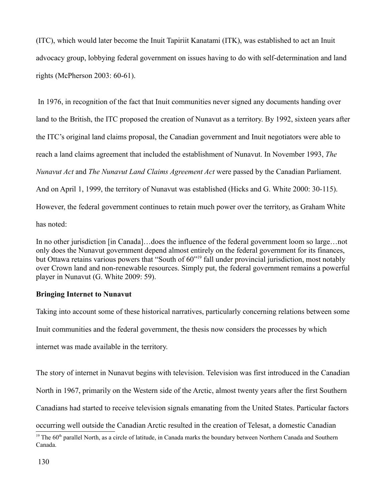(ITC), which would later become the Inuit Tapiriit Kanatami (ITK), was established to act an Inuit advocacy group, lobbying federal government on issues having to do with self-determination and land rights (McPherson 2003: 60-61).

 In 1976, in recognition of the fact that Inuit communities never signed any documents handing over land to the British, the ITC proposed the creation of Nunavut as a territory. By 1992, sixteen years after the ITC's original land claims proposal, the Canadian government and Inuit negotiators were able to reach a land claims agreement that included the establishment of Nunavut. In November 1993, *The Nunavut Act* and *The Nunavut Land Claims Agreement Act* were passed by the Canadian Parliament. And on April 1, 1999, the territory of Nunavut was established (Hicks and G. White 2000: 30-115). However, the federal government continues to retain much power over the territory, as Graham White has noted:

In no other jurisdiction [in Canada]…does the influence of the federal government loom so large…not only does the Nunavut government depend almost entirely on the federal government for its finances, but Ottawa retains various powers that "South of 60"[19](#page-130-0) fall under provincial jurisdiction, most notably over Crown land and non-renewable resources. Simply put, the federal government remains a powerful player in Nunavut (G. White 2009: 59).

# **Bringing Internet to Nunavut**

Taking into account some of these historical narratives, particularly concerning relations between some Inuit communities and the federal government, the thesis now considers the processes by which internet was made available in the territory.

The story of internet in Nunavut begins with television. Television was first introduced in the Canadian

North in 1967, primarily on the Western side of the Arctic, almost twenty years after the first Southern

Canadians had started to receive television signals emanating from the United States. Particular factors

occurring well outside the Canadian Arctic resulted in the creation of Telesat, a domestic Canadian

<span id="page-130-0"></span> $19$  The  $60<sup>th</sup>$  parallel North, as a circle of latitude, in Canada marks the boundary between Northern Canada and Southern Canada.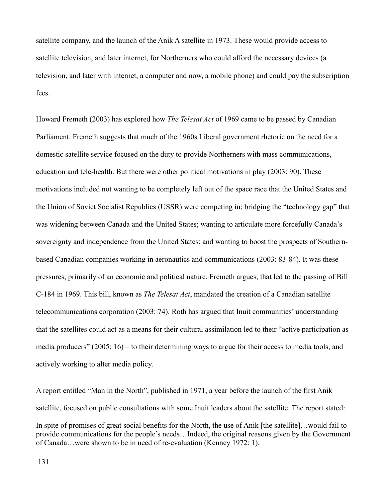satellite company, and the launch of the Anik A satellite in 1973. These would provide access to satellite television, and later internet, for Northerners who could afford the necessary devices (a television, and later with internet, a computer and now, a mobile phone) and could pay the subscription fees.

Howard Fremeth (2003) has explored how *The Telesat Act* of 1969 came to be passed by Canadian Parliament. Fremeth suggests that much of the 1960s Liberal government rhetoric on the need for a domestic satellite service focused on the duty to provide Northerners with mass communications, education and tele-health. But there were other political motivations in play (2003: 90). These motivations included not wanting to be completely left out of the space race that the United States and the Union of Soviet Socialist Republics (USSR) were competing in; bridging the "technology gap" that was widening between Canada and the United States; wanting to articulate more forcefully Canada's sovereignty and independence from the United States; and wanting to boost the prospects of Southernbased Canadian companies working in aeronautics and communications (2003: 83-84). It was these pressures, primarily of an economic and political nature, Fremeth argues, that led to the passing of Bill C-184 in 1969. This bill, known as *The Telesat Act*, mandated the creation of a Canadian satellite telecommunications corporation (2003: 74). Roth has argued that Inuit communities' understanding that the satellites could act as a means for their cultural assimilation led to their "active participation as media producers" (2005: 16) – to their determining ways to argue for their access to media tools, and actively working to alter media policy.

A report entitled "Man in the North", published in 1971, a year before the launch of the first Anik satellite, focused on public consultations with some Inuit leaders about the satellite. The report stated: In spite of promises of great social benefits for the North, the use of Anik [the satellite]…would fail to provide communications for the people's needs…Indeed, the original reasons given by the Government of Canada…were shown to be in need of re-evaluation (Kenney 1972: 1).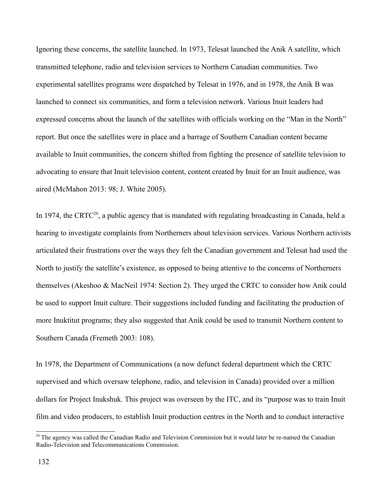Ignoring these concerns, the satellite launched. In 1973, Telesat launched the Anik A satellite, which transmitted telephone, radio and television services to Northern Canadian communities. Two experimental satellites programs were dispatched by Telesat in 1976, and in 1978, the Anik B was launched to connect six communities, and form a television network. Various Inuit leaders had expressed concerns about the launch of the satellites with officials working on the "Man in the North" report. But once the satellites were in place and a barrage of Southern Canadian content became available to Inuit communities, the concern shifted from fighting the presence of satellite television to advocating to ensure that Inuit television content, content created by Inuit for an Inuit audience, was aired (McMahon 2013: 98; J. White 2005).

In 1974, the CRTC<sup>[20](#page-132-0)</sup>, a public agency that is mandated with regulating broadcasting in Canada, held a hearing to investigate complaints from Northerners about television services. Various Northern activists articulated their frustrations over the ways they felt the Canadian government and Telesat had used the North to justify the satellite's existence, as opposed to being attentive to the concerns of Northerners themselves (Akeshoo & MacNeil 1974: Section 2). They urged the CRTC to consider how Anik could be used to support Inuit culture. Their suggestions included funding and facilitating the production of more Inuktitut programs; they also suggested that Anik could be used to transmit Northern content to Southern Canada (Fremeth 2003: 108).

In 1978, the Department of Communications (a now defunct federal department which the CRTC supervised and which oversaw telephone, radio, and television in Canada) provided over a million dollars for Project Inukshuk. This project was overseen by the ITC, and its "purpose was to train Inuit film and video producers, to establish Inuit production centres in the North and to conduct interactive

<span id="page-132-0"></span><sup>&</sup>lt;sup>20</sup> The agency was called the Canadian Radio and Television Commission but it would later be re-named the Canadian Radio-Television and Telecommunications Commission.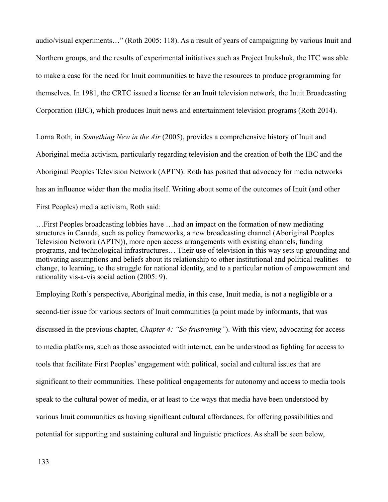audio/visual experiments…" (Roth 2005: 118). As a result of years of campaigning by various Inuit and Northern groups, and the results of experimental initiatives such as Project Inukshuk, the ITC was able to make a case for the need for Inuit communities to have the resources to produce programming for themselves. In 1981, the CRTC issued a license for an Inuit television network, the Inuit Broadcasting Corporation (IBC), which produces Inuit news and entertainment television programs (Roth 2014).

Lorna Roth, in *Something New in the Air* (2005), provides a comprehensive history of Inuit and Aboriginal media activism, particularly regarding television and the creation of both the IBC and the Aboriginal Peoples Television Network (APTN). Roth has posited that advocacy for media networks has an influence wider than the media itself. Writing about some of the outcomes of Inuit (and other First Peoples) media activism, Roth said:

…First Peoples broadcasting lobbies have …had an impact on the formation of new mediating structures in Canada, such as policy frameworks, a new broadcasting channel (Aboriginal Peoples Television Network (APTN)), more open access arrangements with existing channels, funding programs, and technological infrastructures… Their use of television in this way sets up grounding and motivating assumptions and beliefs about its relationship to other institutional and political realities – to change, to learning, to the struggle for national identity, and to a particular notion of empowerment and rationality vis-a-vis social action (2005: 9).

Employing Roth's perspective, Aboriginal media, in this case, Inuit media, is not a negligible or a second-tier issue for various sectors of Inuit communities (a point made by informants, that was discussed in the previous chapter, *Chapter 4: "So frustrating"*). With this view, advocating for access to media platforms, such as those associated with internet, can be understood as fighting for access to tools that facilitate First Peoples' engagement with political, social and cultural issues that are significant to their communities. These political engagements for autonomy and access to media tools speak to the cultural power of media, or at least to the ways that media have been understood by various Inuit communities as having significant cultural affordances, for offering possibilities and potential for supporting and sustaining cultural and linguistic practices. As shall be seen below,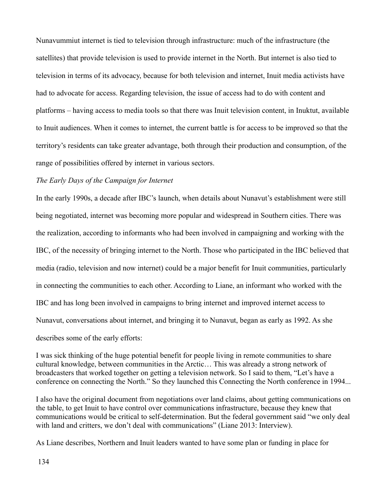Nunavummiut internet is tied to television through infrastructure: much of the infrastructure (the satellites) that provide television is used to provide internet in the North. But internet is also tied to television in terms of its advocacy, because for both television and internet, Inuit media activists have had to advocate for access. Regarding television, the issue of access had to do with content and platforms – having access to media tools so that there was Inuit television content, in Inuktut, available to Inuit audiences. When it comes to internet, the current battle is for access to be improved so that the territory's residents can take greater advantage, both through their production and consumption, of the range of possibilities offered by internet in various sectors.

## *The Early Days of the Campaign for Internet*

In the early 1990s, a decade after IBC's launch, when details about Nunavut's establishment were still being negotiated, internet was becoming more popular and widespread in Southern cities. There was the realization, according to informants who had been involved in campaigning and working with the IBC, of the necessity of bringing internet to the North. Those who participated in the IBC believed that media (radio, television and now internet) could be a major benefit for Inuit communities, particularly in connecting the communities to each other. According to Liane, an informant who worked with the IBC and has long been involved in campaigns to bring internet and improved internet access to Nunavut, conversations about internet, and bringing it to Nunavut, began as early as 1992. As she describes some of the early efforts:

I was sick thinking of the huge potential benefit for people living in remote communities to share cultural knowledge, between communities in the Arctic… This was already a strong network of broadcasters that worked together on getting a television network. So I said to them, "Let's have a conference on connecting the North." So they launched this Connecting the North conference in 1994...

I also have the original document from negotiations over land claims, about getting communications on the table, to get Inuit to have control over communications infrastructure, because they knew that communications would be critical to self-determination. But the federal government said "we only deal with land and critters, we don't deal with communications" (Liane 2013: Interview).

As Liane describes, Northern and Inuit leaders wanted to have some plan or funding in place for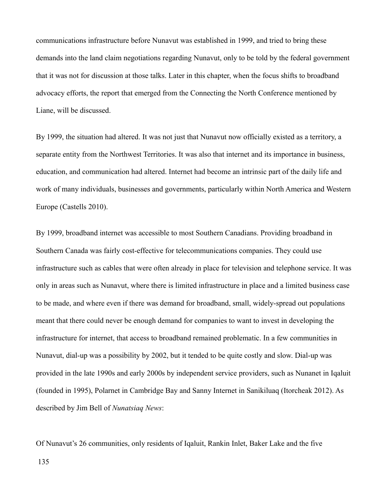communications infrastructure before Nunavut was established in 1999, and tried to bring these demands into the land claim negotiations regarding Nunavut, only to be told by the federal government that it was not for discussion at those talks. Later in this chapter, when the focus shifts to broadband advocacy efforts, the report that emerged from the Connecting the North Conference mentioned by Liane, will be discussed.

By 1999, the situation had altered. It was not just that Nunavut now officially existed as a territory, a separate entity from the Northwest Territories. It was also that internet and its importance in business, education, and communication had altered. Internet had become an intrinsic part of the daily life and work of many individuals, businesses and governments, particularly within North America and Western Europe (Castells 2010).

By 1999, broadband internet was accessible to most Southern Canadians. Providing broadband in Southern Canada was fairly cost-effective for telecommunications companies. They could use infrastructure such as cables that were often already in place for television and telephone service. It was only in areas such as Nunavut, where there is limited infrastructure in place and a limited business case to be made, and where even if there was demand for broadband, small, widely-spread out populations meant that there could never be enough demand for companies to want to invest in developing the infrastructure for internet, that access to broadband remained problematic. In a few communities in Nunavut, dial-up was a possibility by 2002, but it tended to be quite costly and slow. Dial-up was provided in the late 1990s and early 2000s by independent service providers, such as Nunanet in Iqaluit (founded in 1995), Polarnet in Cambridge Bay and Sanny Internet in Sanikiluaq (Itorcheak 2012). As described by Jim Bell of *Nunatsiaq News*:

Of Nunavut's 26 communities, only residents of Iqaluit, Rankin Inlet, Baker Lake and the five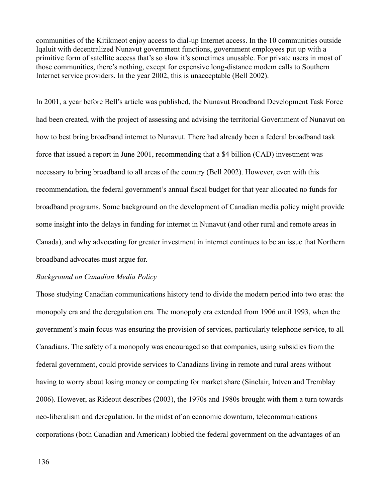communities of the Kitikmeot enjoy access to dial-up Internet access. In the 10 communities outside Iqaluit with decentralized Nunavut government functions, government employees put up with a primitive form of satellite access that's so slow it's sometimes unusable. For private users in most of those communities, there's nothing, except for expensive long-distance modem calls to Southern Internet service providers. In the year 2002, this is unacceptable (Bell 2002).

In 2001, a year before Bell's article was published, the Nunavut Broadband Development Task Force had been created, with the project of assessing and advising the territorial Government of Nunavut on how to best bring broadband internet to Nunavut. There had already been a federal broadband task force that issued a report in June 2001, recommending that a \$4 billion (CAD) investment was necessary to bring broadband to all areas of the country (Bell 2002). However, even with this recommendation, the federal government's annual fiscal budget for that year allocated no funds for broadband programs. Some background on the development of Canadian media policy might provide some insight into the delays in funding for internet in Nunavut (and other rural and remote areas in Canada), and why advocating for greater investment in internet continues to be an issue that Northern broadband advocates must argue for.

## *Background on Canadian Media Policy*

Those studying Canadian communications history tend to divide the modern period into two eras: the monopoly era and the deregulation era. The monopoly era extended from 1906 until 1993, when the government's main focus was ensuring the provision of services, particularly telephone service, to all Canadians. The safety of a monopoly was encouraged so that companies, using subsidies from the federal government, could provide services to Canadians living in remote and rural areas without having to worry about losing money or competing for market share (Sinclair, Intven and Tremblay 2006). However, as Rideout describes (2003), the 1970s and 1980s brought with them a turn towards neo-liberalism and deregulation. In the midst of an economic downturn, telecommunications corporations (both Canadian and American) lobbied the federal government on the advantages of an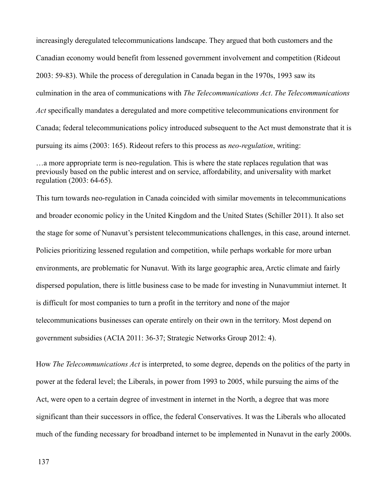increasingly deregulated telecommunications landscape. They argued that both customers and the Canadian economy would benefit from lessened government involvement and competition (Rideout 2003: 59-83). While the process of deregulation in Canada began in the 1970s, 1993 saw its culmination in the area of communications with *The Telecommunications Act*. *The Telecommunications Act* specifically mandates a deregulated and more competitive telecommunications environment for Canada; federal telecommunications policy introduced subsequent to the Act must demonstrate that it is pursuing its aims (2003: 165). Rideout refers to this process as *neo-regulation*, writing:

…a more appropriate term is neo-regulation. This is where the state replaces regulation that was previously based on the public interest and on service, affordability, and universality with market regulation (2003: 64-65).

This turn towards neo-regulation in Canada coincided with similar movements in telecommunications and broader economic policy in the United Kingdom and the United States (Schiller 2011). It also set the stage for some of Nunavut's persistent telecommunications challenges, in this case, around internet. Policies prioritizing lessened regulation and competition, while perhaps workable for more urban environments, are problematic for Nunavut. With its large geographic area, Arctic climate and fairly dispersed population, there is little business case to be made for investing in Nunavummiut internet. It is difficult for most companies to turn a profit in the territory and none of the major telecommunications businesses can operate entirely on their own in the territory. Most depend on government subsidies (ACIA 2011: 36-37; Strategic Networks Group 2012: 4).

How *The Telecommunications Act* is interpreted, to some degree, depends on the politics of the party in power at the federal level; the Liberals, in power from 1993 to 2005, while pursuing the aims of the Act, were open to a certain degree of investment in internet in the North, a degree that was more significant than their successors in office, the federal Conservatives. It was the Liberals who allocated much of the funding necessary for broadband internet to be implemented in Nunavut in the early 2000s.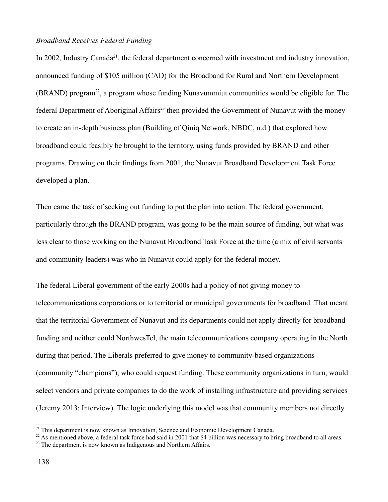### *Broadband Receives Federal Funding*

In 2002, Industry Canada<sup>[21](#page-138-0)</sup>, the federal department concerned with investment and industry innovation, announced funding of \$105 million (CAD) for the Broadband for Rural and Northern Development  $(BRAND)$  program<sup>[22](#page-138-1)</sup>, a program whose funding Nunavummiut communities would be eligible for. The federal Department of Aboriginal Affairs<sup>[23](#page-138-2)</sup> then provided the Government of Nunavut with the money to create an in-depth business plan (Building of Qiniq Network, NBDC, n.d.) that explored how broadband could feasibly be brought to the territory, using funds provided by BRAND and other programs. Drawing on their findings from 2001, the Nunavut Broadband Development Task Force developed a plan.

Then came the task of seeking out funding to put the plan into action. The federal government, particularly through the BRAND program, was going to be the main source of funding, but what was less clear to those working on the Nunavut Broadband Task Force at the time (a mix of civil servants and community leaders) was who in Nunavut could apply for the federal money.

The federal Liberal government of the early 2000s had a policy of not giving money to telecommunications corporations or to territorial or municipal governments for broadband. That meant that the territorial Government of Nunavut and its departments could not apply directly for broadband funding and neither could NorthwesTel, the main telecommunications company operating in the North during that period. The Liberals preferred to give money to community-based organizations (community "champions"), who could request funding. These community organizations in turn, would select vendors and private companies to do the work of installing infrastructure and providing services (Jeremy 2013: Interview). The logic underlying this model was that community members not directly

<span id="page-138-0"></span><sup>&</sup>lt;sup>21</sup> This department is now known as Innovation, Science and Economic Development Canada.

<span id="page-138-1"></span><sup>&</sup>lt;sup>22</sup> As mentioned above, a federal task force had said in 2001 that \$4 billion was necessary to bring broadband to all areas.

<span id="page-138-2"></span> $23$  The department is now known as Indigenous and Northern Affairs.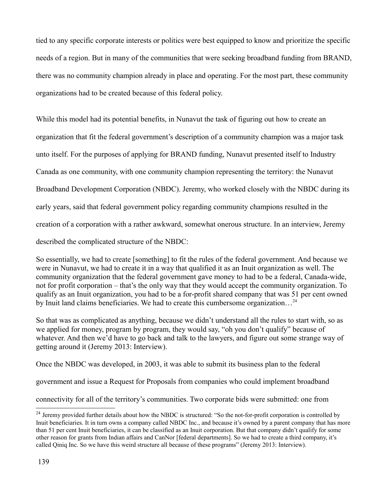tied to any specific corporate interests or politics were best equipped to know and prioritize the specific needs of a region. But in many of the communities that were seeking broadband funding from BRAND, there was no community champion already in place and operating. For the most part, these community organizations had to be created because of this federal policy.

While this model had its potential benefits, in Nunavut the task of figuring out how to create an organization that fit the federal government's description of a community champion was a major task unto itself. For the purposes of applying for BRAND funding, Nunavut presented itself to Industry Canada as one community, with one community champion representing the territory: the Nunavut Broadband Development Corporation (NBDC). Jeremy, who worked closely with the NBDC during its early years, said that federal government policy regarding community champions resulted in the creation of a corporation with a rather awkward, somewhat onerous structure. In an interview, Jeremy described the complicated structure of the NBDC:

So essentially, we had to create [something] to fit the rules of the federal government. And because we were in Nunavut, we had to create it in a way that qualified it as an Inuit organization as well. The community organization that the federal government gave money to had to be a federal, Canada-wide, not for profit corporation – that's the only way that they would accept the community organization. To qualify as an Inuit organization, you had to be a for-profit shared company that was 51 per cent owned by Inuit land claims beneficiaries. We had to create this cumbersome organization...<sup>[24](#page-139-0)</sup>

So that was as complicated as anything, because we didn't understand all the rules to start with, so as we applied for money, program by program, they would say, "oh you don't qualify" because of whatever. And then we'd have to go back and talk to the lawyers, and figure out some strange way of getting around it (Jeremy 2013: Interview).

Once the NBDC was developed, in 2003, it was able to submit its business plan to the federal

government and issue a Request for Proposals from companies who could implement broadband

connectivity for all of the territory's communities. Two corporate bids were submitted: one from

<span id="page-139-0"></span> $24$  Jeremy provided further details about how the NBDC is structured: "So the not-for-profit corporation is controlled by Inuit beneficiaries. It in turn owns a company called NBDC Inc., and because it's owned by a parent company that has more than 51 per cent Inuit beneficiaries, it can be classified as an Inuit corporation. But that company didn't qualify for some other reason for grants from Indian affairs and CanNor [federal departments]. So we had to create a third company, it's called Qiniq Inc. So we have this weird structure all because of these programs" (Jeremy 2013: Interview).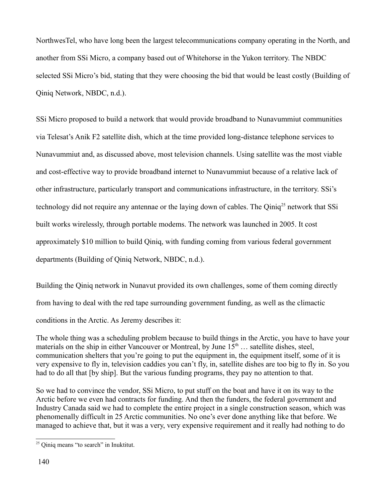NorthwesTel, who have long been the largest telecommunications company operating in the North, and another from SSi Micro, a company based out of Whitehorse in the Yukon territory. The NBDC selected SSi Micro's bid, stating that they were choosing the bid that would be least costly (Building of Qiniq Network, NBDC, n.d.).

SSi Micro proposed to build a network that would provide broadband to Nunavummiut communities via Telesat's Anik F2 satellite dish, which at the time provided long-distance telephone services to Nunavummiut and, as discussed above, most television channels. Using satellite was the most viable and cost-effective way to provide broadband internet to Nunavummiut because of a relative lack of other infrastructure, particularly transport and communications infrastructure, in the territory. SSi's technology did not require any antennae or the laying down of cables. The Qiniq<sup>[25](#page-140-0)</sup> network that SSi built works wirelessly, through portable modems. The network was launched in 2005. It cost approximately \$10 million to build Qiniq, with funding coming from various federal government departments (Building of Qiniq Network, NBDC, n.d.).

Building the Qiniq network in Nunavut provided its own challenges, some of them coming directly from having to deal with the red tape surrounding government funding, as well as the climactic conditions in the Arctic. As Jeremy describes it:

The whole thing was a scheduling problem because to build things in the Arctic, you have to have your materials on the ship in either Vancouver or Montreal, by June  $15<sup>th</sup>$  ... satellite dishes, steel, communication shelters that you're going to put the equipment in, the equipment itself, some of it is very expensive to fly in, television caddies you can't fly, in, satellite dishes are too big to fly in. So you had to do all that [by ship]. But the various funding programs, they pay no attention to that.

So we had to convince the vendor, SSi Micro, to put stuff on the boat and have it on its way to the Arctic before we even had contracts for funding. And then the funders, the federal government and Industry Canada said we had to complete the entire project in a single construction season, which was phenomenally difficult in 25 Arctic communities. No one's ever done anything like that before. We managed to achieve that, but it was a very, very expensive requirement and it really had nothing to do

<span id="page-140-0"></span><sup>&</sup>lt;sup>25</sup> Qiniq means "to search" in Inuktitut.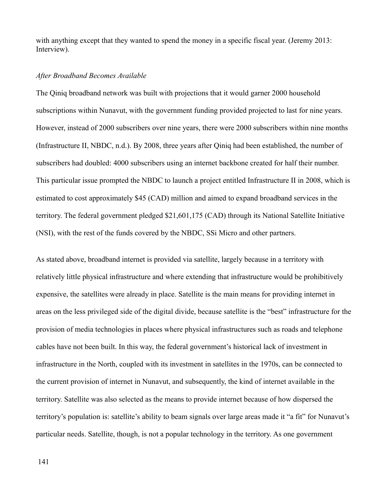with anything except that they wanted to spend the money in a specific fiscal year. (Jeremy 2013: Interview).

#### *After Broadband Becomes Available*

The Qiniq broadband network was built with projections that it would garner 2000 household subscriptions within Nunavut, with the government funding provided projected to last for nine years. However, instead of 2000 subscribers over nine years, there were 2000 subscribers within nine months (Infrastructure II, NBDC, n.d.). By 2008, three years after Qiniq had been established, the number of subscribers had doubled: 4000 subscribers using an internet backbone created for half their number. This particular issue prompted the NBDC to launch a project entitled Infrastructure II in 2008, which is estimated to cost approximately \$45 (CAD) million and aimed to expand broadband services in the territory. The federal government pledged \$21,601,175 (CAD) through its National Satellite Initiative (NSI), with the rest of the funds covered by the NBDC, SSi Micro and other partners.

As stated above, broadband internet is provided via satellite, largely because in a territory with relatively little physical infrastructure and where extending that infrastructure would be prohibitively expensive, the satellites were already in place. Satellite is the main means for providing internet in areas on the less privileged side of the digital divide, because satellite is the "best" infrastructure for the provision of media technologies in places where physical infrastructures such as roads and telephone cables have not been built. In this way, the federal government's historical lack of investment in infrastructure in the North, coupled with its investment in satellites in the 1970s, can be connected to the current provision of internet in Nunavut, and subsequently, the kind of internet available in the territory. Satellite was also selected as the means to provide internet because of how dispersed the territory's population is: satellite's ability to beam signals over large areas made it "a fit" for Nunavut's particular needs. Satellite, though, is not a popular technology in the territory. As one government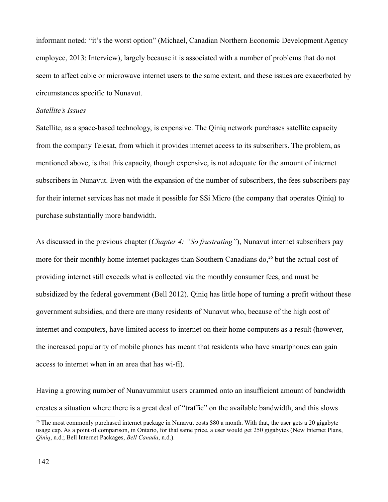informant noted: "it's the worst option" (Michael, Canadian Northern Economic Development Agency employee, 2013: Interview), largely because it is associated with a number of problems that do not seem to affect cable or microwave internet users to the same extent, and these issues are exacerbated by circumstances specific to Nunavut.

### *Satellite's Issues*

Satellite, as a space-based technology, is expensive. The Qiniq network purchases satellite capacity from the company Telesat, from which it provides internet access to its subscribers. The problem, as mentioned above, is that this capacity, though expensive, is not adequate for the amount of internet subscribers in Nunavut. Even with the expansion of the number of subscribers, the fees subscribers pay for their internet services has not made it possible for SSi Micro (the company that operates Qiniq) to purchase substantially more bandwidth.

As discussed in the previous chapter (*Chapter 4: "So frustrating"*), Nunavut internet subscribers pay more for their monthly home internet packages than Southern Canadians do,<sup>[26](#page-142-0)</sup> but the actual cost of providing internet still exceeds what is collected via the monthly consumer fees, and must be subsidized by the federal government (Bell 2012). Qiniq has little hope of turning a profit without these government subsidies, and there are many residents of Nunavut who, because of the high cost of internet and computers, have limited access to internet on their home computers as a result (however, the increased popularity of mobile phones has meant that residents who have smartphones can gain access to internet when in an area that has wi-fi).

Having a growing number of Nunavummiut users crammed onto an insufficient amount of bandwidth creates a situation where there is a great deal of "traffic" on the available bandwidth, and this slows

<span id="page-142-0"></span> $^{26}$  The most commonly purchased internet package in Nunavut costs \$80 a month. With that, the user gets a 20 gigabyte usage cap. As a point of comparison, in Ontario, for that same price, a user would get 250 gigabytes (New Internet Plans, *Qiniq*, n.d.; Bell Internet Packages, *Bell Canada*, n.d.).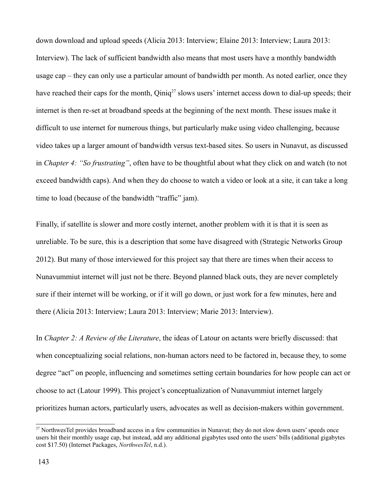down download and upload speeds (Alicia 2013: Interview; Elaine 2013: Interview; Laura 2013: Interview). The lack of sufficient bandwidth also means that most users have a monthly bandwidth usage cap – they can only use a particular amount of bandwidth per month. As noted earlier, once they have reached their caps for the month, Qiniq<sup>[27](#page-143-0)</sup> slows users' internet access down to dial-up speeds; their internet is then re-set at broadband speeds at the beginning of the next month. These issues make it difficult to use internet for numerous things, but particularly make using video challenging, because video takes up a larger amount of bandwidth versus text-based sites. So users in Nunavut, as discussed in *Chapter 4: "So frustrating"*, often have to be thoughtful about what they click on and watch (to not exceed bandwidth caps). And when they do choose to watch a video or look at a site, it can take a long time to load (because of the bandwidth "traffic" jam).

Finally, if satellite is slower and more costly internet, another problem with it is that it is seen as unreliable. To be sure, this is a description that some have disagreed with (Strategic Networks Group 2012). But many of those interviewed for this project say that there are times when their access to Nunavummiut internet will just not be there. Beyond planned black outs, they are never completely sure if their internet will be working, or if it will go down, or just work for a few minutes, here and there (Alicia 2013: Interview; Laura 2013: Interview; Marie 2013: Interview).

In *Chapter 2: A Review of the Literature*, the ideas of Latour on actants were briefly discussed: that when conceptualizing social relations, non-human actors need to be factored in, because they, to some degree "act" on people, influencing and sometimes setting certain boundaries for how people can act or choose to act (Latour 1999). This project's conceptualization of Nunavummiut internet largely prioritizes human actors, particularly users, advocates as well as decision-makers within government.

<span id="page-143-0"></span> $27$  NorthwesTel provides broadband access in a few communities in Nunavut; they do not slow down users' speeds once users hit their monthly usage cap, but instead, add any additional gigabytes used onto the users' bills (additional gigabytes cost \$17.50) (Internet Packages, *NorthwesTel*, n.d.).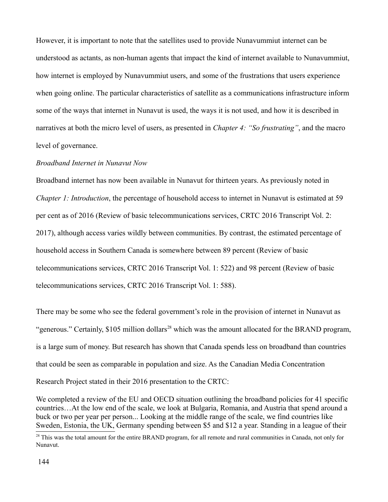However, it is important to note that the satellites used to provide Nunavummiut internet can be understood as actants, as non-human agents that impact the kind of internet available to Nunavummiut, how internet is employed by Nunavummiut users, and some of the frustrations that users experience when going online. The particular characteristics of satellite as a communications infrastructure inform some of the ways that internet in Nunavut is used, the ways it is not used, and how it is described in narratives at both the micro level of users, as presented in *Chapter 4: "So frustrating"*, and the macro level of governance.

### *Broadband Internet in Nunavut Now*

Broadband internet has now been available in Nunavut for thirteen years. As previously noted in *Chapter 1: Introduction*, the percentage of household access to internet in Nunavut is estimated at 59 per cent as of 2016 (Review of basic telecommunications services, CRTC 2016 Transcript Vol. 2: 2017), although access varies wildly between communities. By contrast, the estimated percentage of household access in Southern Canada is somewhere between 89 percent (Review of basic telecommunications services, CRTC 2016 Transcript Vol. 1: 522) and 98 percent (Review of basic telecommunications services, CRTC 2016 Transcript Vol. 1: 588).

There may be some who see the federal government's role in the provision of internet in Nunavut as "generous." Certainly,  $$105$  million dollars<sup>[28](#page-144-0)</sup> which was the amount allocated for the BRAND program, is a large sum of money. But research has shown that Canada spends less on broadband than countries that could be seen as comparable in population and size. As the Canadian Media Concentration Research Project stated in their 2016 presentation to the CRTC:

We completed a review of the EU and OECD situation outlining the broadband policies for 41 specific countries…At the low end of the scale, we look at Bulgaria, Romania, and Austria that spend around a buck or two per year per person... Looking at the middle range of the scale, we find countries like Sweden, Estonia, the UK, Germany spending between \$5 and \$12 a year. Standing in a league of their

<span id="page-144-0"></span><sup>&</sup>lt;sup>28</sup> This was the total amount for the entire BRAND program, for all remote and rural communities in Canada, not only for Nunavut.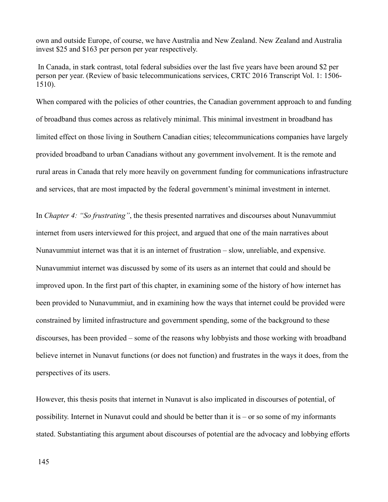own and outside Europe, of course, we have Australia and New Zealand. New Zealand and Australia invest \$25 and \$163 per person per year respectively.

 In Canada, in stark contrast, total federal subsidies over the last five years have been around \$2 per person per year. (Review of basic telecommunications services, CRTC 2016 Transcript Vol. 1: 1506- 1510).

When compared with the policies of other countries, the Canadian government approach to and funding of broadband thus comes across as relatively minimal. This minimal investment in broadband has limited effect on those living in Southern Canadian cities; telecommunications companies have largely provided broadband to urban Canadians without any government involvement. It is the remote and rural areas in Canada that rely more heavily on government funding for communications infrastructure and services, that are most impacted by the federal government's minimal investment in internet.

In *Chapter 4: "So frustrating"*, the thesis presented narratives and discourses about Nunavummiut internet from users interviewed for this project, and argued that one of the main narratives about Nunavummiut internet was that it is an internet of frustration – slow, unreliable, and expensive. Nunavummiut internet was discussed by some of its users as an internet that could and should be improved upon. In the first part of this chapter, in examining some of the history of how internet has been provided to Nunavummiut, and in examining how the ways that internet could be provided were constrained by limited infrastructure and government spending, some of the background to these discourses, has been provided – some of the reasons why lobbyists and those working with broadband believe internet in Nunavut functions (or does not function) and frustrates in the ways it does, from the perspectives of its users.

However, this thesis posits that internet in Nunavut is also implicated in discourses of potential, of possibility. Internet in Nunavut could and should be better than it is – or so some of my informants stated. Substantiating this argument about discourses of potential are the advocacy and lobbying efforts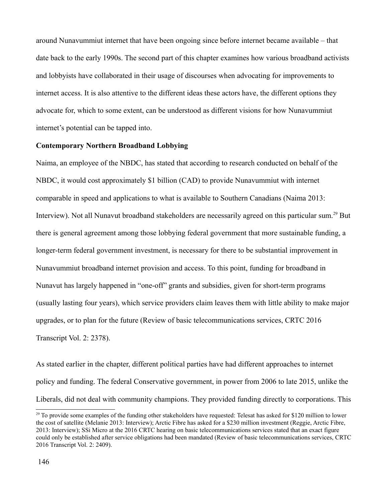around Nunavummiut internet that have been ongoing since before internet became available – that date back to the early 1990s. The second part of this chapter examines how various broadband activists and lobbyists have collaborated in their usage of discourses when advocating for improvements to internet access. It is also attentive to the different ideas these actors have, the different options they advocate for, which to some extent, can be understood as different visions for how Nunavummiut internet's potential can be tapped into.

#### **Contemporary Northern Broadband Lobbying**

Naima, an employee of the NBDC, has stated that according to research conducted on behalf of the NBDC, it would cost approximately \$1 billion (CAD) to provide Nunavummiut with internet comparable in speed and applications to what is available to Southern Canadians (Naima 2013: Interview). Not all Nunavut broadband stakeholders are necessarily agreed on this particular sum.<sup>[29](#page-146-0)</sup> But there is general agreement among those lobbying federal government that more sustainable funding, a longer-term federal government investment, is necessary for there to be substantial improvement in Nunavummiut broadband internet provision and access. To this point, funding for broadband in Nunavut has largely happened in "one-off" grants and subsidies, given for short-term programs (usually lasting four years), which service providers claim leaves them with little ability to make major upgrades, or to plan for the future (Review of basic telecommunications services, CRTC 2016 Transcript Vol. 2: 2378).

As stated earlier in the chapter, different political parties have had different approaches to internet policy and funding. The federal Conservative government, in power from 2006 to late 2015, unlike the Liberals, did not deal with community champions. They provided funding directly to corporations. This

<span id="page-146-0"></span> $^{29}$  To provide some examples of the funding other stakeholders have requested: Telesat has asked for \$120 million to lower the cost of satellite (Melanie 2013: Interview); Arctic Fibre has asked for a \$230 million investment (Reggie, Arctic Fibre, 2013: Interview); SSi Micro at the 2016 CRTC hearing on basic telecommunications services stated that an exact figure could only be established after service obligations had been mandated (Review of basic telecommunications services, CRTC 2016 Transcript Vol. 2: 2409).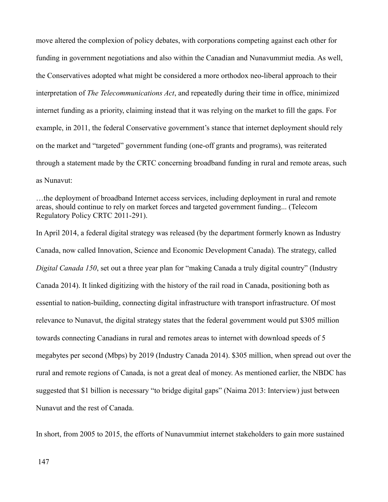move altered the complexion of policy debates, with corporations competing against each other for funding in government negotiations and also within the Canadian and Nunavummiut media. As well, the Conservatives adopted what might be considered a more orthodox neo-liberal approach to their interpretation of *The Telecommunications Act*, and repeatedly during their time in office, minimized internet funding as a priority, claiming instead that it was relying on the market to fill the gaps. For example, in 2011, the federal Conservative government's stance that internet deployment should rely on the market and "targeted" government funding (one-off grants and programs), was reiterated through a statement made by the CRTC concerning broadband funding in rural and remote areas, such as Nunavut:

…the deployment of broadband Internet access services, including deployment in rural and remote areas, should continue to rely on market forces and targeted government funding... (Telecom Regulatory Policy CRTC 2011-291).

In April 2014, a federal digital strategy was released (by the department formerly known as Industry Canada, now called Innovation, Science and Economic Development Canada). The strategy, called *Digital Canada 150*, set out a three year plan for "making Canada a truly digital country" (Industry Canada 2014). It linked digitizing with the history of the rail road in Canada, positioning both as essential to nation-building, connecting digital infrastructure with transport infrastructure. Of most relevance to Nunavut, the digital strategy states that the federal government would put \$305 million towards connecting Canadians in rural and remotes areas to internet with download speeds of 5 megabytes per second (Mbps) by 2019 (Industry Canada 2014). \$305 million, when spread out over the rural and remote regions of Canada, is not a great deal of money. As mentioned earlier, the NBDC has suggested that \$1 billion is necessary "to bridge digital gaps" (Naima 2013: Interview) just between Nunavut and the rest of Canada.

In short, from 2005 to 2015, the efforts of Nunavummiut internet stakeholders to gain more sustained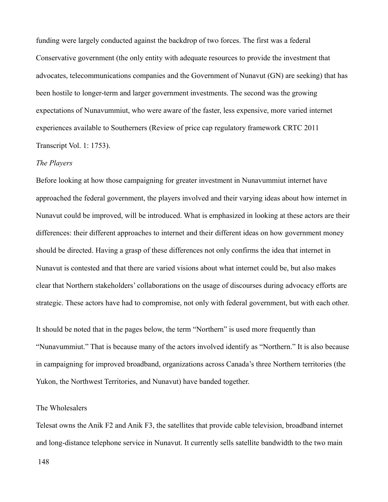funding were largely conducted against the backdrop of two forces. The first was a federal Conservative government (the only entity with adequate resources to provide the investment that advocates, telecommunications companies and the Government of Nunavut (GN) are seeking) that has been hostile to longer-term and larger government investments. The second was the growing expectations of Nunavummiut, who were aware of the faster, less expensive, more varied internet experiences available to Southerners (Review of price cap regulatory framework CRTC 2011 Transcript Vol. 1: 1753).

#### *The Players*

Before looking at how those campaigning for greater investment in Nunavummiut internet have approached the federal government, the players involved and their varying ideas about how internet in Nunavut could be improved, will be introduced. What is emphasized in looking at these actors are their differences: their different approaches to internet and their different ideas on how government money should be directed. Having a grasp of these differences not only confirms the idea that internet in Nunavut is contested and that there are varied visions about what internet could be, but also makes clear that Northern stakeholders' collaborations on the usage of discourses during advocacy efforts are strategic. These actors have had to compromise, not only with federal government, but with each other.

It should be noted that in the pages below, the term "Northern" is used more frequently than "Nunavummiut." That is because many of the actors involved identify as "Northern." It is also because in campaigning for improved broadband, organizations across Canada's three Northern territories (the Yukon, the Northwest Territories, and Nunavut) have banded together.

# The Wholesalers

Telesat owns the Anik F2 and Anik F3, the satellites that provide cable television, broadband internet and long-distance telephone service in Nunavut. It currently sells satellite bandwidth to the two main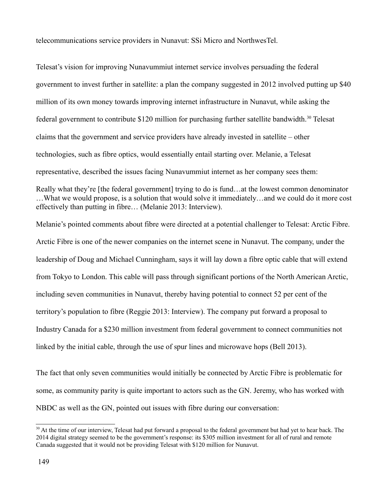telecommunications service providers in Nunavut: SSi Micro and NorthwesTel.

Telesat's vision for improving Nunavummiut internet service involves persuading the federal government to invest further in satellite: a plan the company suggested in 2012 involved putting up \$40 million of its own money towards improving internet infrastructure in Nunavut, while asking the federal government to contribute \$120 million for purchasing further satellite bandwidth.<sup>[30](#page-149-0)</sup> Telesat claims that the government and service providers have already invested in satellite – other technologies, such as fibre optics, would essentially entail starting over. Melanie, a Telesat representative, described the issues facing Nunavummiut internet as her company sees them: Really what they're [the federal government] trying to do is fund…at the lowest common denominator

…What we would propose, is a solution that would solve it immediately…and we could do it more cost effectively than putting in fibre… (Melanie 2013: Interview).

Melanie's pointed comments about fibre were directed at a potential challenger to Telesat: Arctic Fibre. Arctic Fibre is one of the newer companies on the internet scene in Nunavut. The company, under the leadership of Doug and Michael Cunningham, says it will lay down a fibre optic cable that will extend from Tokyo to London. This cable will pass through significant portions of the North American Arctic, including seven communities in Nunavut, thereby having potential to connect 52 per cent of the territory's population to fibre (Reggie 2013: Interview). The company put forward a proposal to Industry Canada for a \$230 million investment from federal government to connect communities not linked by the initial cable, through the use of spur lines and microwave hops (Bell 2013).

The fact that only seven communities would initially be connected by Arctic Fibre is problematic for some, as community parity is quite important to actors such as the GN. Jeremy, who has worked with NBDC as well as the GN, pointed out issues with fibre during our conversation:

<span id="page-149-0"></span><sup>&</sup>lt;sup>30</sup> At the time of our interview, Telesat had put forward a proposal to the federal government but had yet to hear back. The 2014 digital strategy seemed to be the government's response: its \$305 million investment for all of rural and remote Canada suggested that it would not be providing Telesat with \$120 million for Nunavut.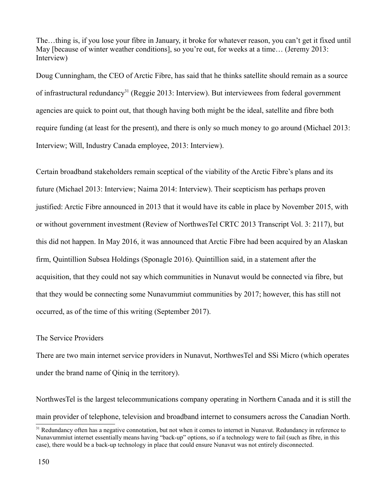The…thing is, if you lose your fibre in January, it broke for whatever reason, you can't get it fixed until May [because of winter weather conditions], so you're out, for weeks at a time... (Jeremy 2013: Interview)

Doug Cunningham, the CEO of Arctic Fibre, has said that he thinks satellite should remain as a source of infrastructural redundancy<sup>[31](#page-150-0)</sup> (Reggie 2013: Interview). But interviewees from federal government agencies are quick to point out, that though having both might be the ideal, satellite and fibre both require funding (at least for the present), and there is only so much money to go around (Michael 2013: Interview; Will, Industry Canada employee, 2013: Interview).

Certain broadband stakeholders remain sceptical of the viability of the Arctic Fibre's plans and its future (Michael 2013: Interview; Naima 2014: Interview). Their scepticism has perhaps proven justified: Arctic Fibre announced in 2013 that it would have its cable in place by November 2015, with or without government investment (Review of NorthwesTel CRTC 2013 Transcript Vol. 3: 2117), but this did not happen. In May 2016, it was announced that Arctic Fibre had been acquired by an Alaskan firm, Quintillion Subsea Holdings (Sponagle 2016). Quintillion said, in a statement after the acquisition, that they could not say which communities in Nunavut would be connected via fibre, but that they would be connecting some Nunavummiut communities by 2017; however, this has still not occurred, as of the time of this writing (September 2017).

# The Service Providers

There are two main internet service providers in Nunavut, NorthwesTel and SSi Micro (which operates under the brand name of Qiniq in the territory).

NorthwesTel is the largest telecommunications company operating in Northern Canada and it is still the main provider of telephone, television and broadband internet to consumers across the Canadian North.

<span id="page-150-0"></span><sup>&</sup>lt;sup>31</sup> Redundancy often has a negative connotation, but not when it comes to internet in Nunavut. Redundancy in reference to Nunavummiut internet essentially means having "back-up" options, so if a technology were to fail (such as fibre, in this case), there would be a back-up technology in place that could ensure Nunavut was not entirely disconnected.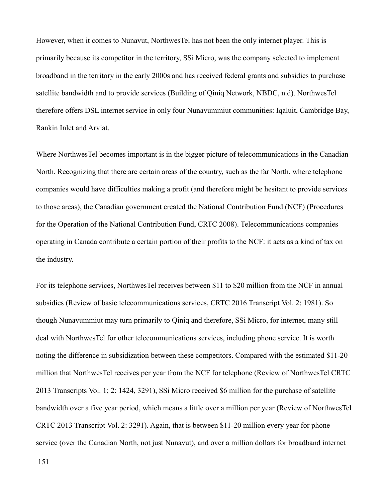However, when it comes to Nunavut, NorthwesTel has not been the only internet player. This is primarily because its competitor in the territory, SSi Micro, was the company selected to implement broadband in the territory in the early 2000s and has received federal grants and subsidies to purchase satellite bandwidth and to provide services (Building of Qiniq Network, NBDC, n.d). NorthwesTel therefore offers DSL internet service in only four Nunavummiut communities: Iqaluit, Cambridge Bay, Rankin Inlet and Arviat.

Where NorthwesTel becomes important is in the bigger picture of telecommunications in the Canadian North. Recognizing that there are certain areas of the country, such as the far North, where telephone companies would have difficulties making a profit (and therefore might be hesitant to provide services to those areas), the Canadian government created the National Contribution Fund (NCF) (Procedures for the Operation of the National Contribution Fund, CRTC 2008). Telecommunications companies operating in Canada contribute a certain portion of their profits to the NCF: it acts as a kind of tax on the industry.

For its telephone services, NorthwesTel receives between \$11 to \$20 million from the NCF in annual subsidies (Review of basic telecommunications services, CRTC 2016 Transcript Vol. 2: 1981). So though Nunavummiut may turn primarily to Qiniq and therefore, SSi Micro, for internet, many still deal with NorthwesTel for other telecommunications services, including phone service. It is worth noting the difference in subsidization between these competitors. Compared with the estimated \$11-20 million that NorthwesTel receives per year from the NCF for telephone (Review of NorthwesTel CRTC 2013 Transcripts Vol. 1; 2: 1424, 3291), SSi Micro received \$6 million for the purchase of satellite bandwidth over a five year period, which means a little over a million per year (Review of NorthwesTel CRTC 2013 Transcript Vol. 2: 3291). Again, that is between \$11-20 million every year for phone service (over the Canadian North, not just Nunavut), and over a million dollars for broadband internet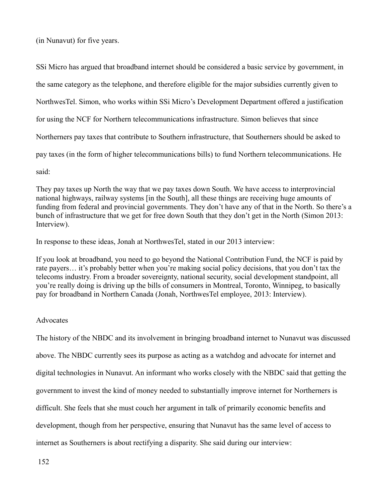(in Nunavut) for five years.

SSi Micro has argued that broadband internet should be considered a basic service by government, in the same category as the telephone, and therefore eligible for the major subsidies currently given to NorthwesTel. Simon, who works within SSi Micro's Development Department offered a justification for using the NCF for Northern telecommunications infrastructure. Simon believes that since Northerners pay taxes that contribute to Southern infrastructure, that Southerners should be asked to pay taxes (in the form of higher telecommunications bills) to fund Northern telecommunications. He said:

They pay taxes up North the way that we pay taxes down South. We have access to interprovincial national highways, railway systems [in the South], all these things are receiving huge amounts of funding from federal and provincial governments. They don't have any of that in the North. So there's a bunch of infrastructure that we get for free down South that they don't get in the North (Simon 2013: Interview).

In response to these ideas, Jonah at NorthwesTel, stated in our 2013 interview:

If you look at broadband, you need to go beyond the National Contribution Fund, the NCF is paid by rate payers… it's probably better when you're making social policy decisions, that you don't tax the telecoms industry. From a broader sovereignty, national security, social development standpoint, all you're really doing is driving up the bills of consumers in Montreal, Toronto, Winnipeg, to basically pay for broadband in Northern Canada (Jonah, NorthwesTel employee, 2013: Interview).

# **Advocates**

The history of the NBDC and its involvement in bringing broadband internet to Nunavut was discussed above. The NBDC currently sees its purpose as acting as a watchdog and advocate for internet and digital technologies in Nunavut. An informant who works closely with the NBDC said that getting the government to invest the kind of money needed to substantially improve internet for Northerners is difficult. She feels that she must couch her argument in talk of primarily economic benefits and development, though from her perspective, ensuring that Nunavut has the same level of access to internet as Southerners is about rectifying a disparity. She said during our interview: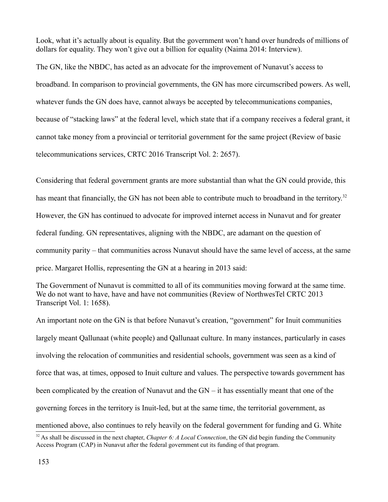Look, what it's actually about is equality. But the government won't hand over hundreds of millions of dollars for equality. They won't give out a billion for equality (Naima 2014: Interview).

The GN, like the NBDC, has acted as an advocate for the improvement of Nunavut's access to broadband. In comparison to provincial governments, the GN has more circumscribed powers. As well, whatever funds the GN does have, cannot always be accepted by telecommunications companies, because of "stacking laws" at the federal level, which state that if a company receives a federal grant, it cannot take money from a provincial or territorial government for the same project (Review of basic telecommunications services, CRTC 2016 Transcript Vol. 2: 2657).

Considering that federal government grants are more substantial than what the GN could provide, this has meant that financially, the GN has not been able to contribute much to broadband in the territory.<sup>[32](#page-153-0)</sup> However, the GN has continued to advocate for improved internet access in Nunavut and for greater federal funding. GN representatives, aligning with the NBDC, are adamant on the question of community parity – that communities across Nunavut should have the same level of access, at the same price. Margaret Hollis, representing the GN at a hearing in 2013 said:

The Government of Nunavut is committed to all of its communities moving forward at the same time. We do not want to have, have and have not communities (Review of NorthwesTel CRTC 2013 Transcript Vol. 1: 1658).

An important note on the GN is that before Nunavut's creation, "government" for Inuit communities largely meant Qallunaat (white people) and Qallunaat culture. In many instances, particularly in cases involving the relocation of communities and residential schools, government was seen as a kind of force that was, at times, opposed to Inuit culture and values. The perspective towards government has been complicated by the creation of Nunavut and the GN – it has essentially meant that one of the governing forces in the territory is Inuit-led, but at the same time, the territorial government, as mentioned above, also continues to rely heavily on the federal government for funding and G. White

<span id="page-153-0"></span><sup>32</sup> As shall be discussed in the next chapter, *Chapter 6: A Local Connection*, the GN did begin funding the Community Access Program (CAP) in Nunavut after the federal government cut its funding of that program.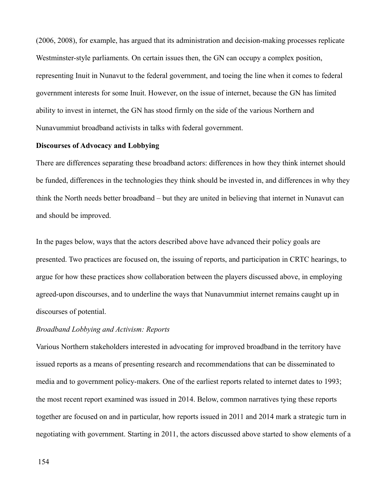(2006, 2008), for example, has argued that its administration and decision-making processes replicate Westminster-style parliaments. On certain issues then, the GN can occupy a complex position, representing Inuit in Nunavut to the federal government, and toeing the line when it comes to federal government interests for some Inuit. However, on the issue of internet, because the GN has limited ability to invest in internet, the GN has stood firmly on the side of the various Northern and Nunavummiut broadband activists in talks with federal government.

#### **Discourses of Advocacy and Lobbying**

There are differences separating these broadband actors: differences in how they think internet should be funded, differences in the technologies they think should be invested in, and differences in why they think the North needs better broadband – but they are united in believing that internet in Nunavut can and should be improved.

In the pages below, ways that the actors described above have advanced their policy goals are presented. Two practices are focused on, the issuing of reports, and participation in CRTC hearings, to argue for how these practices show collaboration between the players discussed above, in employing agreed-upon discourses, and to underline the ways that Nunavummiut internet remains caught up in discourses of potential.

# *Broadband Lobbying and Activism: Reports*

Various Northern stakeholders interested in advocating for improved broadband in the territory have issued reports as a means of presenting research and recommendations that can be disseminated to media and to government policy-makers. One of the earliest reports related to internet dates to 1993; the most recent report examined was issued in 2014. Below, common narratives tying these reports together are focused on and in particular, how reports issued in 2011 and 2014 mark a strategic turn in negotiating with government. Starting in 2011, the actors discussed above started to show elements of a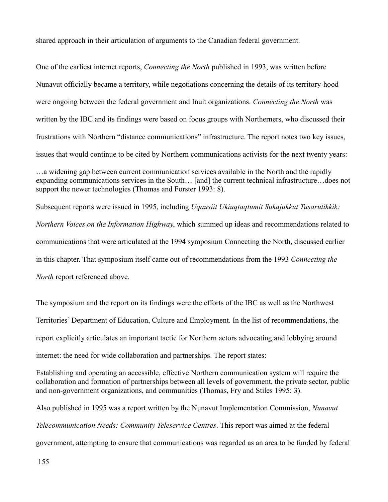shared approach in their articulation of arguments to the Canadian federal government.

One of the earliest internet reports, *Connecting the North* published in 1993, was written before Nunavut officially became a territory, while negotiations concerning the details of its territory-hood were ongoing between the federal government and Inuit organizations. *Connecting the North* was written by the IBC and its findings were based on focus groups with Northerners, who discussed their frustrations with Northern "distance communications" infrastructure. The report notes two key issues, issues that would continue to be cited by Northern communications activists for the next twenty years:

Subsequent reports were issued in 1995, including *Uqausiit Ukiuqtaqtumit Sukajukkut Tusarutikkik: Northern Voices on the Information Highway*, which summed up ideas and recommendations related to communications that were articulated at the 1994 symposium Connecting the North, discussed earlier in this chapter. That symposium itself came out of recommendations from the 1993 *Connecting the North* report referenced above.

The symposium and the report on its findings were the efforts of the IBC as well as the Northwest Territories' Department of Education, Culture and Employment. In the list of recommendations, the report explicitly articulates an important tactic for Northern actors advocating and lobbying around internet: the need for wide collaboration and partnerships. The report states:

Establishing and operating an accessible, effective Northern communication system will require the collaboration and formation of partnerships between all levels of government, the private sector, public and non-government organizations, and communities (Thomas, Fry and Stiles 1995: 3).

Also published in 1995 was a report written by the Nunavut Implementation Commission, *Nunavut Telecommunication Needs: Community Teleservice Centres*. This report was aimed at the federal government, attempting to ensure that communications was regarded as an area to be funded by federal

<sup>…</sup>a widening gap between current communication services available in the North and the rapidly expanding communications services in the South… [and] the current technical infrastructure…does not support the newer technologies (Thomas and Forster 1993: 8).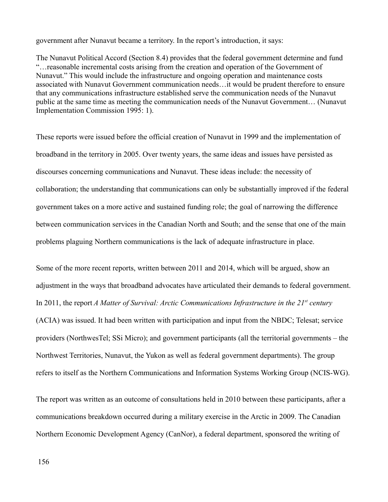government after Nunavut became a territory. In the report's introduction, it says:

The Nunavut Political Accord (Section 8.4) provides that the federal government determine and fund "…reasonable incremental costs arising from the creation and operation of the Government of Nunavut." This would include the infrastructure and ongoing operation and maintenance costs associated with Nunavut Government communication needs…it would be prudent therefore to ensure that any communications infrastructure established serve the communication needs of the Nunavut public at the same time as meeting the communication needs of the Nunavut Government… (Nunavut Implementation Commission 1995: 1).

These reports were issued before the official creation of Nunavut in 1999 and the implementation of broadband in the territory in 2005. Over twenty years, the same ideas and issues have persisted as discourses concerning communications and Nunavut. These ideas include: the necessity of collaboration; the understanding that communications can only be substantially improved if the federal government takes on a more active and sustained funding role; the goal of narrowing the difference between communication services in the Canadian North and South; and the sense that one of the main problems plaguing Northern communications is the lack of adequate infrastructure in place.

Some of the more recent reports, written between 2011 and 2014, which will be argued, show an adjustment in the ways that broadband advocates have articulated their demands to federal government. In 2011, the report *A Matter of Survival: Arctic Communications Infrastructure in the 21st century* (ACIA) was issued. It had been written with participation and input from the NBDC; Telesat; service providers (NorthwesTel; SSi Micro); and government participants (all the territorial governments – the Northwest Territories, Nunavut, the Yukon as well as federal government departments). The group refers to itself as the Northern Communications and Information Systems Working Group (NCIS-WG).

The report was written as an outcome of consultations held in 2010 between these participants, after a communications breakdown occurred during a military exercise in the Arctic in 2009. The Canadian Northern Economic Development Agency (CanNor), a federal department, sponsored the writing of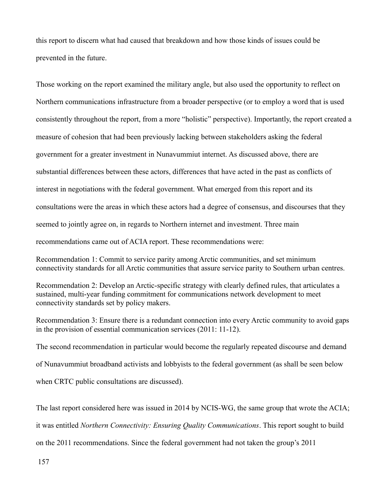this report to discern what had caused that breakdown and how those kinds of issues could be prevented in the future.

Those working on the report examined the military angle, but also used the opportunity to reflect on Northern communications infrastructure from a broader perspective (or to employ a word that is used consistently throughout the report, from a more "holistic" perspective). Importantly, the report created a measure of cohesion that had been previously lacking between stakeholders asking the federal government for a greater investment in Nunavummiut internet. As discussed above, there are substantial differences between these actors, differences that have acted in the past as conflicts of interest in negotiations with the federal government. What emerged from this report and its consultations were the areas in which these actors had a degree of consensus, and discourses that they seemed to jointly agree on, in regards to Northern internet and investment. Three main recommendations came out of ACIA report. These recommendations were:

Recommendation 1: Commit to service parity among Arctic communities, and set minimum connectivity standards for all Arctic communities that assure service parity to Southern urban centres.

Recommendation 2: Develop an Arctic-specific strategy with clearly defined rules, that articulates a sustained, multi-year funding commitment for communications network development to meet connectivity standards set by policy makers.

Recommendation 3: Ensure there is a redundant connection into every Arctic community to avoid gaps in the provision of essential communication services (2011: 11-12).

The second recommendation in particular would become the regularly repeated discourse and demand of Nunavummiut broadband activists and lobbyists to the federal government (as shall be seen below when CRTC public consultations are discussed).

The last report considered here was issued in 2014 by NCIS-WG, the same group that wrote the ACIA; it was entitled *Northern Connectivity: Ensuring Quality Communications*. This report sought to build on the 2011 recommendations. Since the federal government had not taken the group's 2011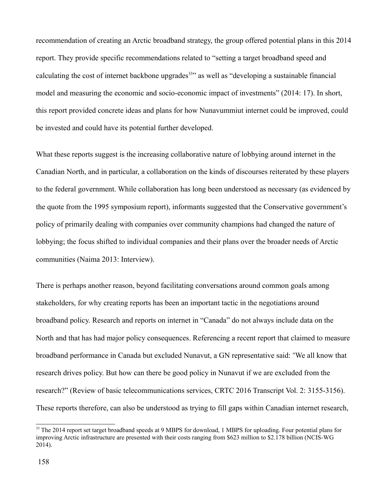recommendation of creating an Arctic broadband strategy, the group offered potential plans in this 2014 report. They provide specific recommendations related to "setting a target broadband speed and calculating the cost of internet backbone upgrades<sup>[33](#page-158-0)</sup> as well as "developing a sustainable financial model and measuring the economic and socio-economic impact of investments" (2014: 17). In short, this report provided concrete ideas and plans for how Nunavummiut internet could be improved, could be invested and could have its potential further developed.

What these reports suggest is the increasing collaborative nature of lobbying around internet in the Canadian North, and in particular, a collaboration on the kinds of discourses reiterated by these players to the federal government. While collaboration has long been understood as necessary (as evidenced by the quote from the 1995 symposium report), informants suggested that the Conservative government's policy of primarily dealing with companies over community champions had changed the nature of lobbying; the focus shifted to individual companies and their plans over the broader needs of Arctic communities (Naima 2013: Interview).

There is perhaps another reason, beyond facilitating conversations around common goals among stakeholders, for why creating reports has been an important tactic in the negotiations around broadband policy. Research and reports on internet in "Canada" do not always include data on the North and that has had major policy consequences. Referencing a recent report that claimed to measure broadband performance in Canada but excluded Nunavut, a GN representative said: "We all know that research drives policy. But how can there be good policy in Nunavut if we are excluded from the research?" (Review of basic telecommunications services, CRTC 2016 Transcript Vol. 2: 3155-3156). These reports therefore, can also be understood as trying to fill gaps within Canadian internet research,

<span id="page-158-0"></span><sup>&</sup>lt;sup>33</sup> The 2014 report set target broadband speeds at 9 MBPS for download, 1 MBPS for uploading. Four potential plans for improving Arctic infrastructure are presented with their costs ranging from \$623 million to \$2.178 billion (NCIS-WG 2014).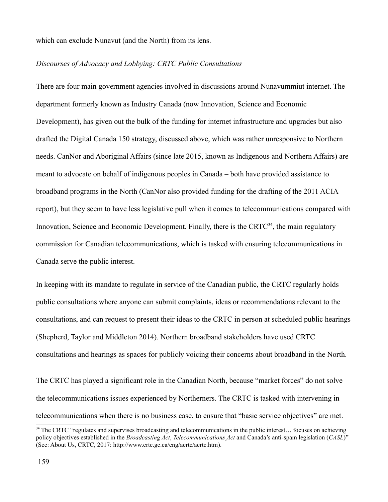which can exclude Nunavut (and the North) from its lens.

### *Discourses of Advocacy and Lobbying: CRTC Public Consultations*

There are four main government agencies involved in discussions around Nunavummiut internet. The department formerly known as Industry Canada (now Innovation, Science and Economic Development), has given out the bulk of the funding for internet infrastructure and upgrades but also drafted the Digital Canada 150 strategy, discussed above, which was rather unresponsive to Northern needs. CanNor and Aboriginal Affairs (since late 2015, known as Indigenous and Northern Affairs) are meant to advocate on behalf of indigenous peoples in Canada – both have provided assistance to broadband programs in the North (CanNor also provided funding for the drafting of the 2011 ACIA report), but they seem to have less legislative pull when it comes to telecommunications compared with Innovation, Science and Economic Development. Finally, there is the CRTC $34$ , the main regulatory commission for Canadian telecommunications, which is tasked with ensuring telecommunications in Canada serve the public interest.

In keeping with its mandate to regulate in service of the Canadian public, the CRTC regularly holds public consultations where anyone can submit complaints, ideas or recommendations relevant to the consultations, and can request to present their ideas to the CRTC in person at scheduled public hearings (Shepherd, Taylor and Middleton 2014). Northern broadband stakeholders have used CRTC consultations and hearings as spaces for publicly voicing their concerns about broadband in the North.

The CRTC has played a significant role in the Canadian North, because "market forces" do not solve the telecommunications issues experienced by Northerners. The CRTC is tasked with intervening in telecommunications when there is no business case, to ensure that "basic service objectives" are met.

<span id="page-159-0"></span><sup>&</sup>lt;sup>34</sup> The CRTC "regulates and supervises broadcasting and telecommunications in the public interest... focuses on achieving policy objectives established in the *Broadcasting Act*, *Telecommunications Act* and Canada's anti-spam legislation (*CASL*)" (See: About Us, CRTC, 2017: http://www.crtc.gc.ca/eng/acrtc/acrtc.htm).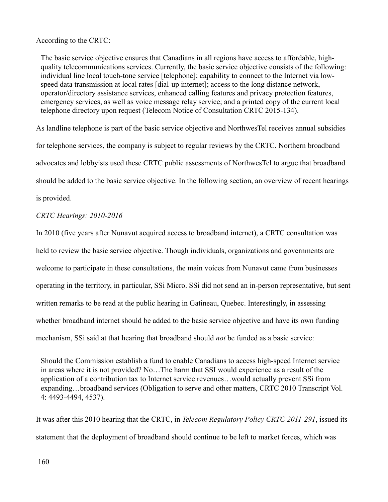According to the CRTC:

The basic service objective ensures that Canadians in all regions have access to affordable, highquality telecommunications services. Currently, the basic service objective consists of the following: individual line local touch-tone service [telephone]; capability to connect to the Internet via lowspeed data transmission at local rates [dial-up internet]; access to the long distance network, operator/directory assistance services, enhanced calling features and privacy protection features, emergency services, as well as voice message relay service; and a printed copy of the current local telephone directory upon request (Telecom Notice of Consultation CRTC 2015-134).

As landline telephone is part of the basic service objective and NorthwesTel receives annual subsidies for telephone services, the company is subject to regular reviews by the CRTC. Northern broadband advocates and lobbyists used these CRTC public assessments of NorthwesTel to argue that broadband should be added to the basic service objective. In the following section, an overview of recent hearings is provided.

# *CRTC Hearings: 2010-2016*

In 2010 (five years after Nunavut acquired access to broadband internet), a CRTC consultation was held to review the basic service objective. Though individuals, organizations and governments are welcome to participate in these consultations, the main voices from Nunavut came from businesses operating in the territory, in particular, SSi Micro. SSi did not send an in-person representative, but sent written remarks to be read at the public hearing in Gatineau, Quebec. Interestingly, in assessing whether broadband internet should be added to the basic service objective and have its own funding mechanism, SSi said at that hearing that broadband should *not* be funded as a basic service:

Should the Commission establish a fund to enable Canadians to access high-speed Internet service in areas where it is not provided? No…The harm that SSI would experience as a result of the application of a contribution tax to Internet service revenues…would actually prevent SSi from expanding…broadband services (Obligation to serve and other matters, CRTC 2010 Transcript Vol. 4: 4493-4494, 4537).

It was after this 2010 hearing that the CRTC, in *Telecom Regulatory Policy CRTC 2011-291*, issued its statement that the deployment of broadband should continue to be left to market forces, which was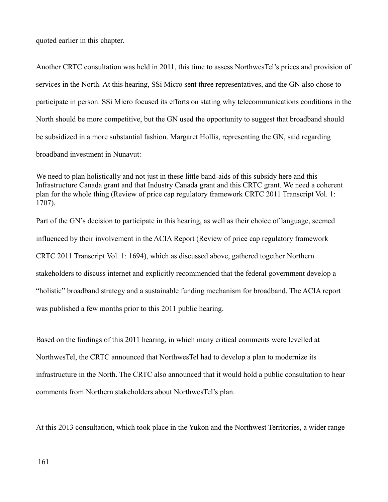quoted earlier in this chapter.

Another CRTC consultation was held in 2011, this time to assess NorthwesTel's prices and provision of services in the North. At this hearing, SSi Micro sent three representatives, and the GN also chose to participate in person. SSi Micro focused its efforts on stating why telecommunications conditions in the North should be more competitive, but the GN used the opportunity to suggest that broadband should be subsidized in a more substantial fashion. Margaret Hollis, representing the GN, said regarding broadband investment in Nunavut:

We need to plan holistically and not just in these little band-aids of this subsidy here and this Infrastructure Canada grant and that Industry Canada grant and this CRTC grant. We need a coherent plan for the whole thing (Review of price cap regulatory framework CRTC 2011 Transcript Vol. 1: 1707).

Part of the GN's decision to participate in this hearing, as well as their choice of language, seemed influenced by their involvement in the ACIA Report (Review of price cap regulatory framework CRTC 2011 Transcript Vol. 1: 1694), which as discussed above, gathered together Northern stakeholders to discuss internet and explicitly recommended that the federal government develop a "holistic" broadband strategy and a sustainable funding mechanism for broadband. The ACIA report was published a few months prior to this 2011 public hearing.

Based on the findings of this 2011 hearing, in which many critical comments were levelled at NorthwesTel, the CRTC announced that NorthwesTel had to develop a plan to modernize its infrastructure in the North. The CRTC also announced that it would hold a public consultation to hear comments from Northern stakeholders about NorthwesTel's plan.

At this 2013 consultation, which took place in the Yukon and the Northwest Territories, a wider range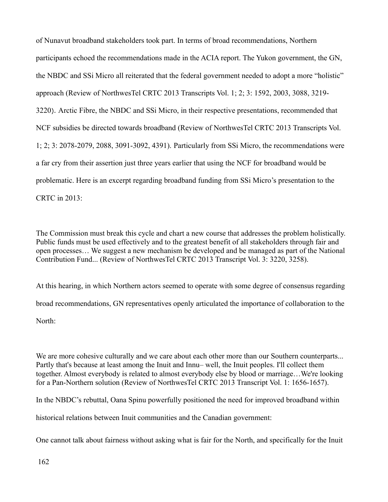of Nunavut broadband stakeholders took part. In terms of broad recommendations, Northern participants echoed the recommendations made in the ACIA report. The Yukon government, the GN, the NBDC and SSi Micro all reiterated that the federal government needed to adopt a more "holistic" approach (Review of NorthwesTel CRTC 2013 Transcripts Vol. 1; 2; 3: 1592, 2003, 3088, 3219- 3220). Arctic Fibre, the NBDC and SSi Micro, in their respective presentations, recommended that NCF subsidies be directed towards broadband (Review of NorthwesTel CRTC 2013 Transcripts Vol. 1; 2; 3: 2078-2079, 2088, 3091-3092, 4391). Particularly from SSi Micro, the recommendations were a far cry from their assertion just three years earlier that using the NCF for broadband would be problematic. Here is an excerpt regarding broadband funding from SSi Micro's presentation to the CRTC in 2013:

The Commission must break this cycle and chart a new course that addresses the problem holistically. Public funds must be used effectively and to the greatest benefit of all stakeholders through fair and open processes… We suggest a new mechanism be developed and be managed as part of the National Contribution Fund... (Review of NorthwesTel CRTC 2013 Transcript Vol. 3: 3220, 3258).

At this hearing, in which Northern actors seemed to operate with some degree of consensus regarding broad recommendations, GN representatives openly articulated the importance of collaboration to the North:

We are more cohesive culturally and we care about each other more than our Southern counterparts... Partly that's because at least among the Inuit and Innu– well, the Inuit peoples. I'll collect them together. Almost everybody is related to almost everybody else by blood or marriage…We're looking for a Pan-Northern solution (Review of NorthwesTel CRTC 2013 Transcript Vol. 1: 1656-1657).

In the NBDC's rebuttal, Oana Spinu powerfully positioned the need for improved broadband within

historical relations between Inuit communities and the Canadian government:

One cannot talk about fairness without asking what is fair for the North, and specifically for the Inuit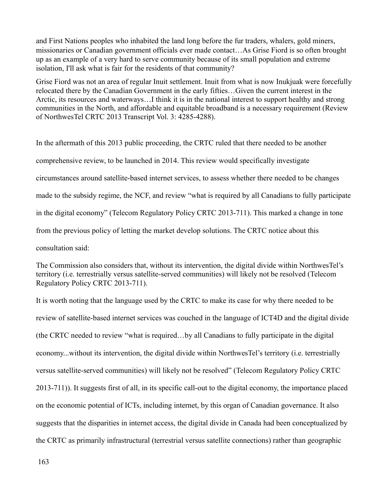and First Nations peoples who inhabited the land long before the fur traders, whalers, gold miners, missionaries or Canadian government officials ever made contact…As Grise Fiord is so often brought up as an example of a very hard to serve community because of its small population and extreme isolation, I'll ask what is fair for the residents of that community?

Grise Fiord was not an area of regular Inuit settlement. Inuit from what is now Inukjuak were forcefully relocated there by the Canadian Government in the early fifties…Given the current interest in the Arctic, its resources and waterways…I think it is in the national interest to support healthy and strong communities in the North, and affordable and equitable broadband is a necessary requirement (Review of NorthwesTel CRTC 2013 Transcript Vol. 3: 4285-4288).

In the aftermath of this 2013 public proceeding, the CRTC ruled that there needed to be another comprehensive review, to be launched in 2014. This review would specifically investigate circumstances around satellite-based internet services, to assess whether there needed to be changes made to the subsidy regime, the NCF, and review "what is required by all Canadians to fully participate in the digital economy" (Telecom Regulatory Policy CRTC 2013-711). This marked a change in tone from the previous policy of letting the market develop solutions. The CRTC notice about this consultation said:

The Commission also considers that, without its intervention, the digital divide within NorthwesTel's territory (i.e. terrestrially versus satellite-served communities) will likely not be resolved (Telecom Regulatory Policy CRTC 2013-711).

It is worth noting that the language used by the CRTC to make its case for why there needed to be review of satellite-based internet services was couched in the language of ICT4D and the digital divide (the CRTC needed to review "what is required…by all Canadians to fully participate in the digital economy...without its intervention, the digital divide within NorthwesTel's territory (i.e. terrestrially versus satellite-served communities) will likely not be resolved" (Telecom Regulatory Policy CRTC 2013-711)). It suggests first of all, in its specific call-out to the digital economy, the importance placed on the economic potential of ICTs, including internet, by this organ of Canadian governance. It also suggests that the disparities in internet access, the digital divide in Canada had been conceptualized by the CRTC as primarily infrastructural (terrestrial versus satellite connections) rather than geographic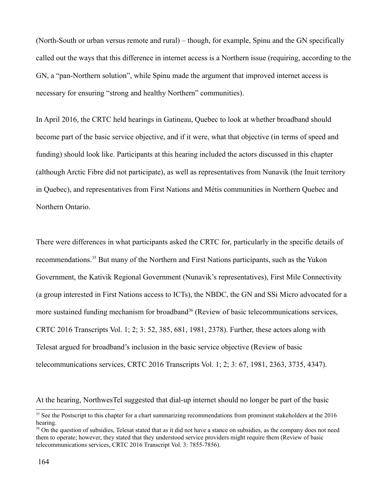(North-South or urban versus remote and rural) – though, for example, Spinu and the GN specifically called out the ways that this difference in internet access is a Northern issue (requiring, according to the GN, a "pan-Northern solution", while Spinu made the argument that improved internet access is necessary for ensuring "strong and healthy Northern" communities).

In April 2016, the CRTC held hearings in Gatineau, Quebec to look at whether broadband should become part of the basic service objective, and if it were, what that objective (in terms of speed and funding) should look like. Participants at this hearing included the actors discussed in this chapter (although Arctic Fibre did not participate), as well as representatives from Nunavik (the Inuit territory in Quebec), and representatives from First Nations and Métis communities in Northern Quebec and Northern Ontario.

There were differences in what participants asked the CRTC for, particularly in the specific details of recommendations.[35](#page-164-0) But many of the Northern and First Nations participants, such as the Yukon Government, the Kativik Regional Government (Nunavik's representatives), First Mile Connectivity (a group interested in First Nations access to ICTs), the NBDC, the GN and SSi Micro advocated for a more sustained funding mechanism for broadband<sup>[36](#page-164-1)</sup> (Review of basic telecommunications services, CRTC 2016 Transcripts Vol. 1; 2; 3: 52, 385, 681, 1981, 2378). Further, these actors along with Telesat argued for broadband's inclusion in the basic service objective (Review of basic telecommunications services, CRTC 2016 Transcripts Vol. 1; 2; 3: 67, 1981, 2363, 3735, 4347).

At the hearing, NorthwesTel suggested that dial-up internet should no longer be part of the basic

<span id="page-164-0"></span><sup>&</sup>lt;sup>35</sup> See the Postscript to this chapter for a chart summarizing recommendations from prominent stakeholders at the 2016 hearing.

<span id="page-164-1"></span><sup>&</sup>lt;sup>36</sup> On the question of subsidies. Telesat stated that as it did not have a stance on subsidies, as the company does not need them to operate; however, they stated that they understood service providers might require them (Review of basic telecommunications services, CRTC 2016 Transcript Vol. 3: 7855-7856).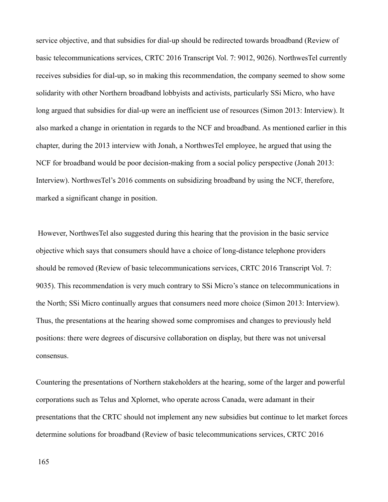service objective, and that subsidies for dial-up should be redirected towards broadband (Review of basic telecommunications services, CRTC 2016 Transcript Vol. 7: 9012, 9026). NorthwesTel currently receives subsidies for dial-up, so in making this recommendation, the company seemed to show some solidarity with other Northern broadband lobbyists and activists, particularly SSi Micro, who have long argued that subsidies for dial-up were an inefficient use of resources (Simon 2013: Interview). It also marked a change in orientation in regards to the NCF and broadband. As mentioned earlier in this chapter, during the 2013 interview with Jonah, a NorthwesTel employee, he argued that using the NCF for broadband would be poor decision-making from a social policy perspective (Jonah 2013: Interview). NorthwesTel's 2016 comments on subsidizing broadband by using the NCF, therefore, marked a significant change in position.

 However, NorthwesTel also suggested during this hearing that the provision in the basic service objective which says that consumers should have a choice of long-distance telephone providers should be removed (Review of basic telecommunications services, CRTC 2016 Transcript Vol. 7: 9035). This recommendation is very much contrary to SSi Micro's stance on telecommunications in the North; SSi Micro continually argues that consumers need more choice (Simon 2013: Interview). Thus, the presentations at the hearing showed some compromises and changes to previously held positions: there were degrees of discursive collaboration on display, but there was not universal consensus.

Countering the presentations of Northern stakeholders at the hearing, some of the larger and powerful corporations such as Telus and Xplornet, who operate across Canada, were adamant in their presentations that the CRTC should not implement any new subsidies but continue to let market forces determine solutions for broadband (Review of basic telecommunications services, CRTC 2016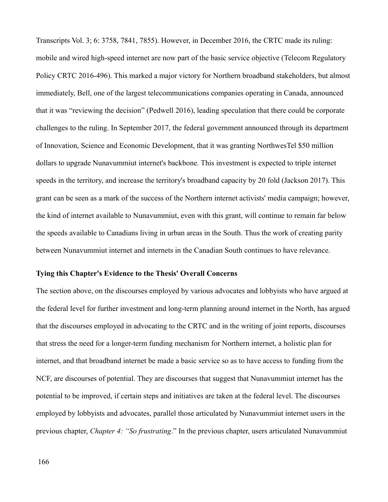Transcripts Vol. 3; 6: 3758, 7841, 7855). However, in December 2016, the CRTC made its ruling: mobile and wired high-speed internet are now part of the basic service objective (Telecom Regulatory Policy CRTC 2016-496). This marked a major victory for Northern broadband stakeholders, but almost immediately, Bell, one of the largest telecommunications companies operating in Canada, announced that it was "reviewing the decision" (Pedwell 2016), leading speculation that there could be corporate challenges to the ruling. In September 2017, the federal government announced through its department of Innovation, Science and Economic Development, that it was granting NorthwesTel \$50 million dollars to upgrade Nunavummiut internet's backbone. This investment is expected to triple internet speeds in the territory, and increase the territory's broadband capacity by 20 fold (Jackson 2017). This grant can be seen as a mark of the success of the Northern internet activists' media campaign; however, the kind of internet available to Nunavummiut, even with this grant, will continue to remain far below the speeds available to Canadians living in urban areas in the South. Thus the work of creating parity between Nunavummiut internet and internets in the Canadian South continues to have relevance.

# **Tying this Chapter's Evidence to the Thesis' Overall Concerns**

The section above, on the discourses employed by various advocates and lobbyists who have argued at the federal level for further investment and long-term planning around internet in the North, has argued that the discourses employed in advocating to the CRTC and in the writing of joint reports, discourses that stress the need for a longer-term funding mechanism for Northern internet, a holistic plan for internet, and that broadband internet be made a basic service so as to have access to funding from the NCF, are discourses of potential. They are discourses that suggest that Nunavummiut internet has the potential to be improved, if certain steps and initiatives are taken at the federal level. The discourses employed by lobbyists and advocates, parallel those articulated by Nunavummiut internet users in the previous chapter, *Chapter 4: "So frustrating*." In the previous chapter, users articulated Nunavummiut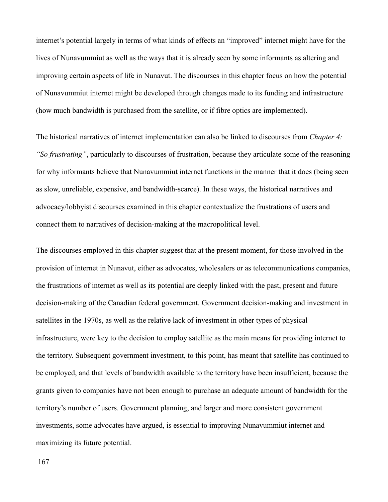internet's potential largely in terms of what kinds of effects an "improved" internet might have for the lives of Nunavummiut as well as the ways that it is already seen by some informants as altering and improving certain aspects of life in Nunavut. The discourses in this chapter focus on how the potential of Nunavummiut internet might be developed through changes made to its funding and infrastructure (how much bandwidth is purchased from the satellite, or if fibre optics are implemented).

The historical narratives of internet implementation can also be linked to discourses from *Chapter 4: "So frustrating"*, particularly to discourses of frustration, because they articulate some of the reasoning for why informants believe that Nunavummiut internet functions in the manner that it does (being seen as slow, unreliable, expensive, and bandwidth-scarce). In these ways, the historical narratives and advocacy/lobbyist discourses examined in this chapter contextualize the frustrations of users and connect them to narratives of decision-making at the macropolitical level.

The discourses employed in this chapter suggest that at the present moment, for those involved in the provision of internet in Nunavut, either as advocates, wholesalers or as telecommunications companies, the frustrations of internet as well as its potential are deeply linked with the past, present and future decision-making of the Canadian federal government. Government decision-making and investment in satellites in the 1970s, as well as the relative lack of investment in other types of physical infrastructure, were key to the decision to employ satellite as the main means for providing internet to the territory. Subsequent government investment, to this point, has meant that satellite has continued to be employed, and that levels of bandwidth available to the territory have been insufficient, because the grants given to companies have not been enough to purchase an adequate amount of bandwidth for the territory's number of users. Government planning, and larger and more consistent government investments, some advocates have argued, is essential to improving Nunavummiut internet and maximizing its future potential.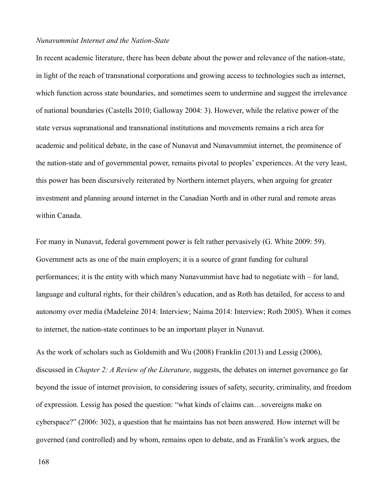#### *Nunavummiut Internet and the Nation-State*

In recent academic literature, there has been debate about the power and relevance of the nation-state, in light of the reach of transnational corporations and growing access to technologies such as internet, which function across state boundaries, and sometimes seem to undermine and suggest the irrelevance of national boundaries (Castells 2010; Galloway 2004: 3). However, while the relative power of the state versus supranational and transnational institutions and movements remains a rich area for academic and political debate, in the case of Nunavut and Nunavummiut internet, the prominence of the nation-state and of governmental power, remains pivotal to peoples' experiences. At the very least, this power has been discursively reiterated by Northern internet players, when arguing for greater investment and planning around internet in the Canadian North and in other rural and remote areas within Canada.

For many in Nunavut, federal government power is felt rather pervasively (G. White 2009: 59). Government acts as one of the main employers; it is a source of grant funding for cultural performances; it is the entity with which many Nunavummiut have had to negotiate with – for land, language and cultural rights, for their children's education, and as Roth has detailed, for access to and autonomy over media (Madeleine 2014: Interview; Naima 2014: Interview; Roth 2005). When it comes to internet, the nation-state continues to be an important player in Nunavut.

As the work of scholars such as Goldsmith and Wu (2008) Franklin (2013) and Lessig (2006), discussed in *Chapter 2: A Review of the Literature*, suggests, the debates on internet governance go far beyond the issue of internet provision, to considering issues of safety, security, criminality, and freedom of expression. Lessig has posed the question: "what kinds of claims can…sovereigns make on cyberspace?" (2006: 302), a question that he maintains has not been answered. How internet will be governed (and controlled) and by whom, remains open to debate, and as Franklin's work argues, the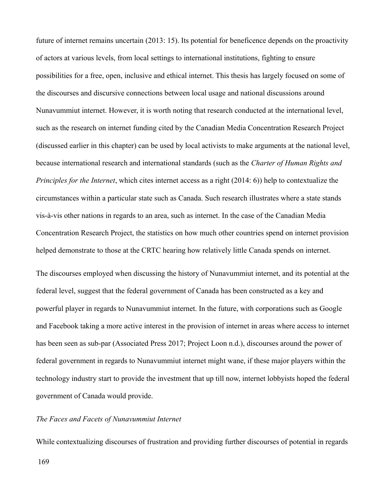future of internet remains uncertain (2013: 15). Its potential for beneficence depends on the proactivity of actors at various levels, from local settings to international institutions, fighting to ensure possibilities for a free, open, inclusive and ethical internet. This thesis has largely focused on some of the discourses and discursive connections between local usage and national discussions around Nunavummiut internet. However, it is worth noting that research conducted at the international level, such as the research on internet funding cited by the Canadian Media Concentration Research Project (discussed earlier in this chapter) can be used by local activists to make arguments at the national level, because international research and international standards (such as the *Charter of Human Rights and Principles for the Internet*, which cites internet access as a right (2014: 6)) help to contextualize the circumstances within a particular state such as Canada. Such research illustrates where a state stands vis-à-vis other nations in regards to an area, such as internet. In the case of the Canadian Media Concentration Research Project, the statistics on how much other countries spend on internet provision helped demonstrate to those at the CRTC hearing how relatively little Canada spends on internet.

The discourses employed when discussing the history of Nunavummiut internet, and its potential at the federal level, suggest that the federal government of Canada has been constructed as a key and powerful player in regards to Nunavummiut internet. In the future, with corporations such as Google and Facebook taking a more active interest in the provision of internet in areas where access to internet has been seen as sub-par (Associated Press 2017; Project Loon n.d.), discourses around the power of federal government in regards to Nunavummiut internet might wane, if these major players within the technology industry start to provide the investment that up till now, internet lobbyists hoped the federal government of Canada would provide.

# *The Faces and Facets of Nunavummiut Internet*

While contextualizing discourses of frustration and providing further discourses of potential in regards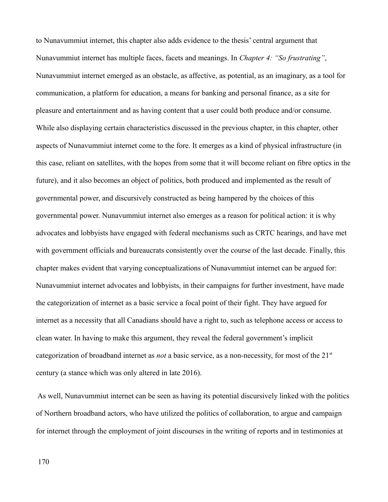to Nunavummiut internet, this chapter also adds evidence to the thesis' central argument that Nunavummiut internet has multiple faces, facets and meanings. In *Chapter 4: "So frustrating"*, Nunavummiut internet emerged as an obstacle, as affective, as potential, as an imaginary, as a tool for communication, a platform for education, a means for banking and personal finance, as a site for pleasure and entertainment and as having content that a user could both produce and/or consume. While also displaying certain characteristics discussed in the previous chapter, in this chapter, other aspects of Nunavummiut internet come to the fore. It emerges as a kind of physical infrastructure (in this case, reliant on satellites, with the hopes from some that it will become reliant on fibre optics in the future), and it also becomes an object of politics, both produced and implemented as the result of governmental power, and discursively constructed as being hampered by the choices of this governmental power. Nunavummiut internet also emerges as a reason for political action: it is why advocates and lobbyists have engaged with federal mechanisms such as CRTC hearings, and have met with government officials and bureaucrats consistently over the course of the last decade. Finally, this chapter makes evident that varying conceptualizations of Nunavummiut internet can be argued for: Nunavummiut internet advocates and lobbyists, in their campaigns for further investment, have made the categorization of internet as a basic service a focal point of their fight. They have argued for internet as a necessity that all Canadians should have a right to, such as telephone access or access to clean water. In having to make this argument, they reveal the federal government's implicit categorization of broadband internet as *not* a basic service, as a non-necessity, for most of the 21<sup>st</sup> century (a stance which was only altered in late 2016).

 As well, Nunavummiut internet can be seen as having its potential discursively linked with the politics of Northern broadband actors, who have utilized the politics of collaboration, to argue and campaign for internet through the employment of joint discourses in the writing of reports and in testimonies at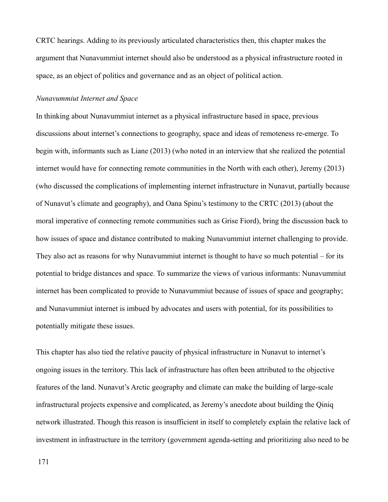CRTC hearings. Adding to its previously articulated characteristics then, this chapter makes the argument that Nunavummiut internet should also be understood as a physical infrastructure rooted in space, as an object of politics and governance and as an object of political action.

## *Nunavummiut Internet and Space*

In thinking about Nunavummiut internet as a physical infrastructure based in space, previous discussions about internet's connections to geography, space and ideas of remoteness re-emerge. To begin with, informants such as Liane (2013) (who noted in an interview that she realized the potential internet would have for connecting remote communities in the North with each other), Jeremy (2013) (who discussed the complications of implementing internet infrastructure in Nunavut, partially because of Nunavut's climate and geography), and Oana Spinu's testimony to the CRTC (2013) (about the moral imperative of connecting remote communities such as Grise Fiord), bring the discussion back to how issues of space and distance contributed to making Nunavummiut internet challenging to provide. They also act as reasons for why Nunavummiut internet is thought to have so much potential – for its potential to bridge distances and space. To summarize the views of various informants: Nunavummiut internet has been complicated to provide to Nunavummiut because of issues of space and geography; and Nunavummiut internet is imbued by advocates and users with potential, for its possibilities to potentially mitigate these issues.

This chapter has also tied the relative paucity of physical infrastructure in Nunavut to internet's ongoing issues in the territory. This lack of infrastructure has often been attributed to the objective features of the land. Nunavut's Arctic geography and climate can make the building of large-scale infrastructural projects expensive and complicated, as Jeremy's anecdote about building the Qiniq network illustrated. Though this reason is insufficient in itself to completely explain the relative lack of investment in infrastructure in the territory (government agenda-setting and prioritizing also need to be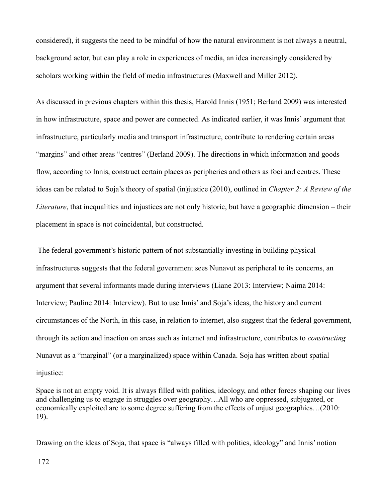considered), it suggests the need to be mindful of how the natural environment is not always a neutral, background actor, but can play a role in experiences of media, an idea increasingly considered by scholars working within the field of media infrastructures (Maxwell and Miller 2012).

As discussed in previous chapters within this thesis, Harold Innis (1951; Berland 2009) was interested in how infrastructure, space and power are connected. As indicated earlier, it was Innis' argument that infrastructure, particularly media and transport infrastructure, contribute to rendering certain areas "margins" and other areas "centres" (Berland 2009). The directions in which information and goods flow, according to Innis, construct certain places as peripheries and others as foci and centres. These ideas can be related to Soja's theory of spatial (in)justice (2010), outlined in *Chapter 2: A Review of the Literature*, that inequalities and injustices are not only historic, but have a geographic dimension – their placement in space is not coincidental, but constructed.

 The federal government's historic pattern of not substantially investing in building physical infrastructures suggests that the federal government sees Nunavut as peripheral to its concerns, an argument that several informants made during interviews (Liane 2013: Interview; Naima 2014: Interview; Pauline 2014: Interview). But to use Innis' and Soja's ideas, the history and current circumstances of the North, in this case, in relation to internet, also suggest that the federal government, through its action and inaction on areas such as internet and infrastructure, contributes to *constructing*  Nunavut as a "marginal" (or a marginalized) space within Canada. Soja has written about spatial injustice:

Space is not an empty void. It is always filled with politics, ideology, and other forces shaping our lives and challenging us to engage in struggles over geography…All who are oppressed, subjugated, or economically exploited are to some degree suffering from the effects of unjust geographies…(2010: 19).

Drawing on the ideas of Soja, that space is "always filled with politics, ideology" and Innis' notion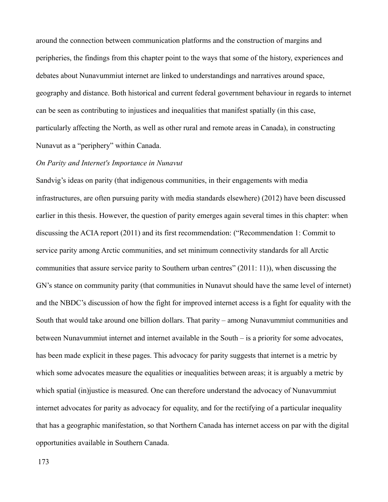around the connection between communication platforms and the construction of margins and peripheries, the findings from this chapter point to the ways that some of the history, experiences and debates about Nunavummiut internet are linked to understandings and narratives around space, geography and distance. Both historical and current federal government behaviour in regards to internet can be seen as contributing to injustices and inequalities that manifest spatially (in this case, particularly affecting the North, as well as other rural and remote areas in Canada), in constructing Nunavut as a "periphery" within Canada.

### *On Parity and Internet's Importance in Nunavut*

Sandvig's ideas on parity (that indigenous communities, in their engagements with media infrastructures, are often pursuing parity with media standards elsewhere) (2012) have been discussed earlier in this thesis. However, the question of parity emerges again several times in this chapter: when discussing the ACIA report (2011) and its first recommendation: ("Recommendation 1: Commit to service parity among Arctic communities, and set minimum connectivity standards for all Arctic communities that assure service parity to Southern urban centres" (2011: 11)), when discussing the GN's stance on community parity (that communities in Nunavut should have the same level of internet) and the NBDC's discussion of how the fight for improved internet access is a fight for equality with the South that would take around one billion dollars. That parity – among Nunavummiut communities and between Nunavummiut internet and internet available in the South – is a priority for some advocates, has been made explicit in these pages. This advocacy for parity suggests that internet is a metric by which some advocates measure the equalities or inequalities between areas; it is arguably a metric by which spatial (in)justice is measured. One can therefore understand the advocacy of Nunavummiut internet advocates for parity as advocacy for equality, and for the rectifying of a particular inequality that has a geographic manifestation, so that Northern Canada has internet access on par with the digital opportunities available in Southern Canada.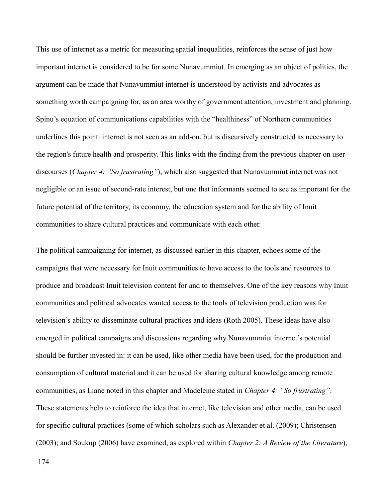This use of internet as a metric for measuring spatial inequalities, reinforces the sense of just how important internet is considered to be for some Nunavummiut. In emerging as an object of politics, the argument can be made that Nunavummiut internet is understood by activists and advocates as something worth campaigning for, as an area worthy of government attention, investment and planning. Spinu's equation of communications capabilities with the "healthiness" of Northern communities underlines this point: internet is not seen as an add-on, but is discursively constructed as necessary to the region's future health and prosperity. This links with the finding from the previous chapter on user discourses (*Chapter 4: "So frustrating"*), which also suggested that Nunavummiut internet was not negligible or an issue of second-rate interest, but one that informants seemed to see as important for the future potential of the territory, its economy, the education system and for the ability of Inuit communities to share cultural practices and communicate with each other.

The political campaigning for internet, as discussed earlier in this chapter, echoes some of the campaigns that were necessary for Inuit communities to have access to the tools and resources to produce and broadcast Inuit television content for and to themselves. One of the key reasons why Inuit communities and political advocates wanted access to the tools of television production was for television's ability to disseminate cultural practices and ideas (Roth 2005). These ideas have also emerged in political campaigns and discussions regarding why Nunavummiut internet's potential should be further invested in: it can be used, like other media have been used, for the production and consumption of cultural material and it can be used for sharing cultural knowledge among remote communities, as Liane noted in this chapter and Madeleine stated in *Chapter 4: "So frustrating"*. These statements help to reinforce the idea that internet, like television and other media, can be used for specific cultural practices (some of which scholars such as Alexander et al. (2009); Christensen (2003); and Soukup (2006) have examined, as explored within *Chapter 2: A Review of the Literature*),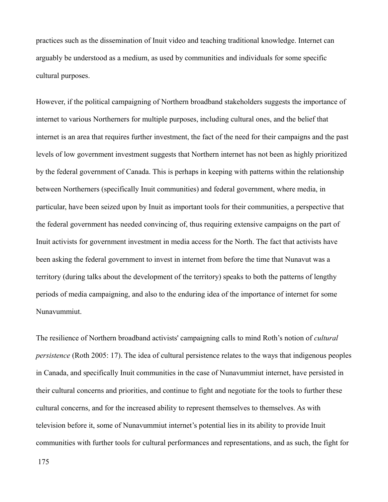practices such as the dissemination of Inuit video and teaching traditional knowledge. Internet can arguably be understood as a medium, as used by communities and individuals for some specific cultural purposes.

However, if the political campaigning of Northern broadband stakeholders suggests the importance of internet to various Northerners for multiple purposes, including cultural ones, and the belief that internet is an area that requires further investment, the fact of the need for their campaigns and the past levels of low government investment suggests that Northern internet has not been as highly prioritized by the federal government of Canada. This is perhaps in keeping with patterns within the relationship between Northerners (specifically Inuit communities) and federal government, where media, in particular, have been seized upon by Inuit as important tools for their communities, a perspective that the federal government has needed convincing of, thus requiring extensive campaigns on the part of Inuit activists for government investment in media access for the North. The fact that activists have been asking the federal government to invest in internet from before the time that Nunavut was a territory (during talks about the development of the territory) speaks to both the patterns of lengthy periods of media campaigning, and also to the enduring idea of the importance of internet for some Nunavummiut.

The resilience of Northern broadband activists' campaigning calls to mind Roth's notion of *cultural persistence* (Roth 2005: 17). The idea of cultural persistence relates to the ways that indigenous peoples in Canada, and specifically Inuit communities in the case of Nunavummiut internet, have persisted in their cultural concerns and priorities, and continue to fight and negotiate for the tools to further these cultural concerns, and for the increased ability to represent themselves to themselves. As with television before it, some of Nunavummiut internet's potential lies in its ability to provide Inuit communities with further tools for cultural performances and representations, and as such, the fight for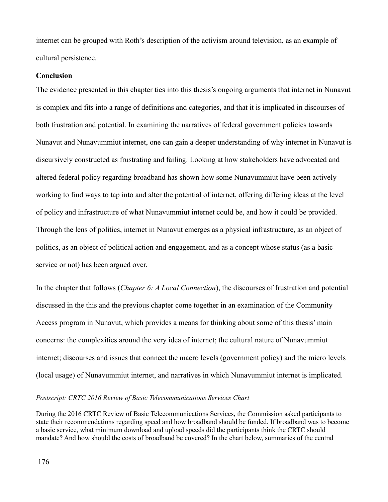internet can be grouped with Roth's description of the activism around television, as an example of cultural persistence.

### **Conclusion**

The evidence presented in this chapter ties into this thesis's ongoing arguments that internet in Nunavut is complex and fits into a range of definitions and categories, and that it is implicated in discourses of both frustration and potential. In examining the narratives of federal government policies towards Nunavut and Nunavummiut internet, one can gain a deeper understanding of why internet in Nunavut is discursively constructed as frustrating and failing. Looking at how stakeholders have advocated and altered federal policy regarding broadband has shown how some Nunavummiut have been actively working to find ways to tap into and alter the potential of internet, offering differing ideas at the level of policy and infrastructure of what Nunavummiut internet could be, and how it could be provided. Through the lens of politics, internet in Nunavut emerges as a physical infrastructure, as an object of politics, as an object of political action and engagement, and as a concept whose status (as a basic service or not) has been argued over.

In the chapter that follows (*Chapter 6: A Local Connection*), the discourses of frustration and potential discussed in the this and the previous chapter come together in an examination of the Community Access program in Nunavut, which provides a means for thinking about some of this thesis' main concerns: the complexities around the very idea of internet; the cultural nature of Nunavummiut internet; discourses and issues that connect the macro levels (government policy) and the micro levels (local usage) of Nunavummiut internet, and narratives in which Nunavummiut internet is implicated.

## *Postscript: CRTC 2016 Review of Basic Telecommunications Services Chart*

During the 2016 CRTC Review of Basic Telecommunications Services, the Commission asked participants to state their recommendations regarding speed and how broadband should be funded. If broadband was to become a basic service, what minimum download and upload speeds did the participants think the CRTC should mandate? And how should the costs of broadband be covered? In the chart below, summaries of the central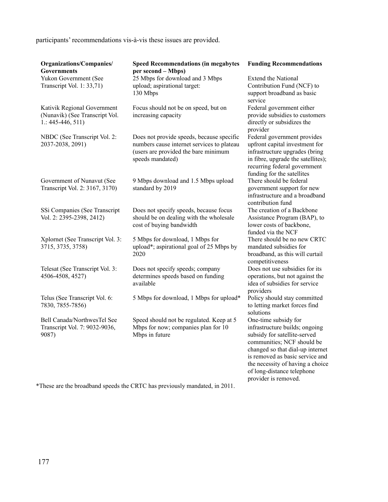participants' recommendations vis-à-vis these issues are provided.

| Organizations/Companies/<br><b>Governments</b>                                       | <b>Speed Recommendations (in megabytes</b><br>per second - Mbps)                                                                                    | <b>Funding Recommendations</b>                                                                                                                                                                                                                                                        |
|--------------------------------------------------------------------------------------|-----------------------------------------------------------------------------------------------------------------------------------------------------|---------------------------------------------------------------------------------------------------------------------------------------------------------------------------------------------------------------------------------------------------------------------------------------|
| Yukon Government (See<br>Transcript Vol. 1: 33,71)                                   | 25 Mbps for download and 3 Mbps<br>upload; aspirational target:<br>130 Mbps                                                                         | <b>Extend the National</b><br>Contribution Fund (NCF) to<br>support broadband as basic<br>service                                                                                                                                                                                     |
| Kativik Regional Government<br>(Nunavik) (See Transcript Vol.<br>$1: 445 - 446, 511$ | Focus should not be on speed, but on<br>increasing capacity                                                                                         | Federal government either<br>provide subsidies to customers<br>directly or subsidizes the<br>provider                                                                                                                                                                                 |
| NBDC (See Transcript Vol. 2:<br>2037-2038, 2091)                                     | Does not provide speeds, because specific<br>numbers cause internet services to plateau<br>(users are provided the bare minimum<br>speeds mandated) | Federal government provides<br>upfront capital investment for<br>infrastructure upgrades (bring<br>in fibre, upgrade the satellites);<br>recurring federal government<br>funding for the satellites                                                                                   |
| Government of Nunavut (See<br>Transcript Vol. 2: 3167, 3170)                         | 9 Mbps download and 1.5 Mbps upload<br>standard by 2019                                                                                             | There should be federal<br>government support for new<br>infrastructure and a broadband<br>contribution fund                                                                                                                                                                          |
| SSi Companies (See Transcript<br>Vol. 2: 2395-2398, 2412)                            | Does not specify speeds, because focus<br>should be on dealing with the wholesale<br>cost of buying bandwidth                                       | The creation of a Backbone<br>Assistance Program (BAP), to<br>lower costs of backbone,<br>funded via the NCF                                                                                                                                                                          |
| Xplornet (See Transcript Vol. 3:<br>3715, 3735, 3758)                                | 5 Mbps for download, 1 Mbps for<br>upload*; aspirational goal of 25 Mbps by<br>2020                                                                 | There should be no new CRTC<br>mandated subsidies for<br>broadband, as this will curtail<br>competitiveness                                                                                                                                                                           |
| Telesat (See Transcript Vol. 3:<br>4506-4508, 4527)                                  | Does not specify speeds; company<br>determines speeds based on funding<br>available                                                                 | Does not use subsidies for its<br>operations, but not against the<br>idea of subsidies for service<br>providers                                                                                                                                                                       |
| Telus (See Transcript Vol. 6:<br>7830, 7855-7856)                                    | 5 Mbps for download, 1 Mbps for upload*                                                                                                             | Policy should stay committed<br>to letting market forces find<br>solutions                                                                                                                                                                                                            |
| Bell Canada/NorthwesTel See<br>Transcript Vol. 7: 9032-9036,<br>9087)                | Speed should not be regulated. Keep at 5<br>Mbps for now; companies plan for 10<br>Mbps in future                                                   | One-time subsidy for<br>infrastructure builds; ongoing<br>subsidy for satellite-served<br>communities; NCF should be<br>changed so that dial-up internet<br>is removed as basic service and<br>the necessity of having a choice<br>of long-distance telephone<br>provider is removed. |

\*These are the broadband speeds the CRTC has previously mandated, in 2011.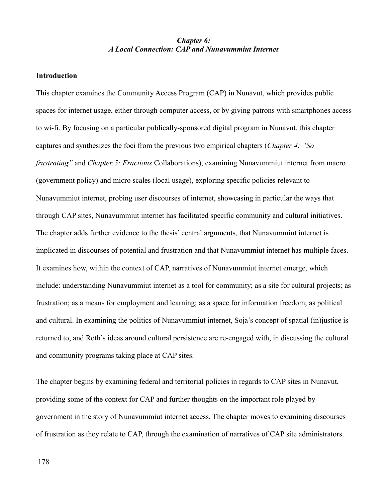# *Chapter 6: A Local Connection: CAP and Nunavummiut Internet*

### **Introduction**

This chapter examines the Community Access Program (CAP) in Nunavut, which provides public spaces for internet usage, either through computer access, or by giving patrons with smartphones access to wi-fi. By focusing on a particular publically-sponsored digital program in Nunavut, this chapter captures and synthesizes the foci from the previous two empirical chapters (*Chapter 4: "So frustrating"* and *Chapter 5: Fractious* Collaborations), examining Nunavummiut internet from macro (government policy) and micro scales (local usage), exploring specific policies relevant to Nunavummiut internet, probing user discourses of internet, showcasing in particular the ways that through CAP sites, Nunavummiut internet has facilitated specific community and cultural initiatives. The chapter adds further evidence to the thesis' central arguments, that Nunavummiut internet is implicated in discourses of potential and frustration and that Nunavummiut internet has multiple faces. It examines how, within the context of CAP, narratives of Nunavummiut internet emerge, which include: understanding Nunavummiut internet as a tool for community; as a site for cultural projects; as frustration; as a means for employment and learning; as a space for information freedom; as political and cultural. In examining the politics of Nunavummiut internet, Soja's concept of spatial (in)justice is returned to, and Roth's ideas around cultural persistence are re-engaged with, in discussing the cultural and community programs taking place at CAP sites.

The chapter begins by examining federal and territorial policies in regards to CAP sites in Nunavut, providing some of the context for CAP and further thoughts on the important role played by government in the story of Nunavummiut internet access. The chapter moves to examining discourses of frustration as they relate to CAP, through the examination of narratives of CAP site administrators.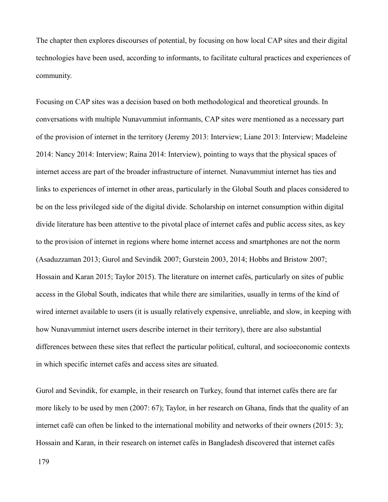The chapter then explores discourses of potential, by focusing on how local CAP sites and their digital technologies have been used, according to informants, to facilitate cultural practices and experiences of community.

Focusing on CAP sites was a decision based on both methodological and theoretical grounds. In conversations with multiple Nunavummiut informants, CAP sites were mentioned as a necessary part of the provision of internet in the territory (Jeremy 2013: Interview; Liane 2013: Interview; Madeleine 2014: Nancy 2014: Interview; Raina 2014: Interview), pointing to ways that the physical spaces of internet access are part of the broader infrastructure of internet. Nunavummiut internet has ties and links to experiences of internet in other areas, particularly in the Global South and places considered to be on the less privileged side of the digital divide. Scholarship on internet consumption within digital divide literature has been attentive to the pivotal place of internet cafés and public access sites, as key to the provision of internet in regions where home internet access and smartphones are not the norm (Asaduzzaman 2013; Gurol and Sevindik 2007; Gurstein 2003, 2014; Hobbs and Bristow 2007; Hossain and Karan 2015; Taylor 2015). The literature on internet cafés, particularly on sites of public access in the Global South, indicates that while there are similarities, usually in terms of the kind of wired internet available to users (it is usually relatively expensive, unreliable, and slow, in keeping with how Nunavummiut internet users describe internet in their territory), there are also substantial differences between these sites that reflect the particular political, cultural, and socioeconomic contexts in which specific internet cafés and access sites are situated.

Gurol and Sevindik, for example, in their research on Turkey, found that internet cafés there are far more likely to be used by men (2007: 67); Taylor, in her research on Ghana, finds that the quality of an internet café can often be linked to the international mobility and networks of their owners (2015: 3); Hossain and Karan, in their research on internet cafés in Bangladesh discovered that internet cafés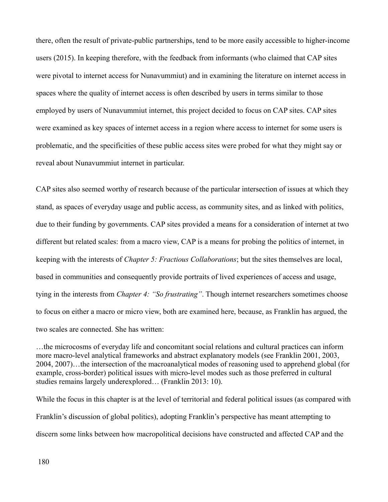there, often the result of private-public partnerships, tend to be more easily accessible to higher-income users (2015). In keeping therefore, with the feedback from informants (who claimed that CAP sites were pivotal to internet access for Nunavummiut) and in examining the literature on internet access in spaces where the quality of internet access is often described by users in terms similar to those employed by users of Nunavummiut internet, this project decided to focus on CAP sites. CAP sites were examined as key spaces of internet access in a region where access to internet for some users is problematic, and the specificities of these public access sites were probed for what they might say or reveal about Nunavummiut internet in particular.

CAP sites also seemed worthy of research because of the particular intersection of issues at which they stand, as spaces of everyday usage and public access, as community sites, and as linked with politics, due to their funding by governments. CAP sites provided a means for a consideration of internet at two different but related scales: from a macro view, CAP is a means for probing the politics of internet, in keeping with the interests of *Chapter 5: Fractious Collaborations*; but the sites themselves are local, based in communities and consequently provide portraits of lived experiences of access and usage, tying in the interests from *Chapter 4: "So frustrating"*. Though internet researchers sometimes choose to focus on either a macro or micro view, both are examined here, because, as Franklin has argued, the two scales are connected. She has written:

…the microcosms of everyday life and concomitant social relations and cultural practices can inform more macro-level analytical frameworks and abstract explanatory models (see Franklin 2001, 2003, 2004, 2007)…the intersection of the macroanalytical modes of reasoning used to apprehend global (for example, cross-border) political issues with micro-level modes such as those preferred in cultural studies remains largely underexplored… (Franklin 2013: 10).

While the focus in this chapter is at the level of territorial and federal political issues (as compared with Franklin's discussion of global politics), adopting Franklin's perspective has meant attempting to discern some links between how macropolitical decisions have constructed and affected CAP and the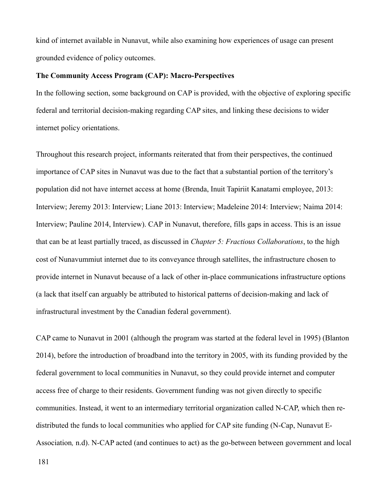kind of internet available in Nunavut, while also examining how experiences of usage can present grounded evidence of policy outcomes.

### **The Community Access Program (CAP): Macro-Perspectives**

In the following section, some background on CAP is provided, with the objective of exploring specific federal and territorial decision-making regarding CAP sites, and linking these decisions to wider internet policy orientations.

Throughout this research project, informants reiterated that from their perspectives, the continued importance of CAP sites in Nunavut was due to the fact that a substantial portion of the territory's population did not have internet access at home (Brenda, Inuit Tapiriit Kanatami employee, 2013: Interview; Jeremy 2013: Interview; Liane 2013: Interview; Madeleine 2014: Interview; Naima 2014: Interview; Pauline 2014, Interview). CAP in Nunavut, therefore, fills gaps in access. This is an issue that can be at least partially traced, as discussed in *Chapter 5: Fractious Collaborations*, to the high cost of Nunavummiut internet due to its conveyance through satellites, the infrastructure chosen to provide internet in Nunavut because of a lack of other in-place communications infrastructure options (a lack that itself can arguably be attributed to historical patterns of decision-making and lack of infrastructural investment by the Canadian federal government).

CAP came to Nunavut in 2001 (although the program was started at the federal level in 1995) (Blanton 2014), before the introduction of broadband into the territory in 2005, with its funding provided by the federal government to local communities in Nunavut, so they could provide internet and computer access free of charge to their residents. Government funding was not given directly to specific communities. Instead, it went to an intermediary territorial organization called N-CAP, which then redistributed the funds to local communities who applied for CAP site funding (N-Cap, Nunavut E-Association*,* n.d). N-CAP acted (and continues to act) as the go-between between government and local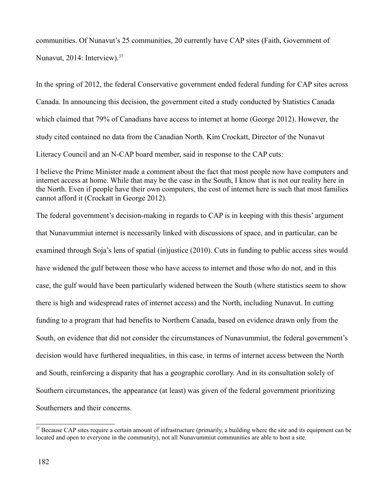communities. Of Nunavut's 25 communities, 20 currently have CAP sites (Faith, Government of Nunavut, 2014: Interview).<sup>[37](#page-182-0)</sup>

In the spring of 2012, the federal Conservative government ended federal funding for CAP sites across Canada. In announcing this decision, the government cited a study conducted by Statistics Canada which claimed that 79% of Canadians have access to internet at home (George 2012). However, the study cited contained no data from the Canadian North. Kim Crockatt, Director of the Nunavut Literacy Council and an N-CAP board member, said in response to the CAP cuts:

I believe the Prime Minister made a comment about the fact that most people now have computers and internet access at home. While that may be the case in the South, I know that is not our reality here in the North. Even if people have their own computers, the cost of internet here is such that most families cannot afford it (Crockatt in George 2012).

The federal government's decision-making in regards to CAP is in keeping with this thesis' argument that Nunavummiut internet is necessarily linked with discussions of space, and in particular, can be examined through Soja's lens of spatial (in)justice (2010). Cuts in funding to public access sites would have widened the gulf between those who have access to internet and those who do not, and in this case, the gulf would have been particularly widened between the South (where statistics seem to show there is high and widespread rates of internet access) and the North, including Nunavut. In cutting funding to a program that had benefits to Northern Canada, based on evidence drawn only from the South, on evidence that did not consider the circumstances of Nunavummiut, the federal government's decision would have furthered inequalities, in this case, in terms of internet access between the North and South, reinforcing a disparity that has a geographic corollary. And in its consultation solely of Southern circumstances, the appearance (at least) was given of the federal government prioritizing Southerners and their concerns.

<span id="page-182-0"></span><sup>&</sup>lt;sup>37</sup> Because CAP sites require a certain amount of infrastructure (primarily, a building where the site and its equipment can be located and open to everyone in the community), not all Nunavummiut communities are able to host a site.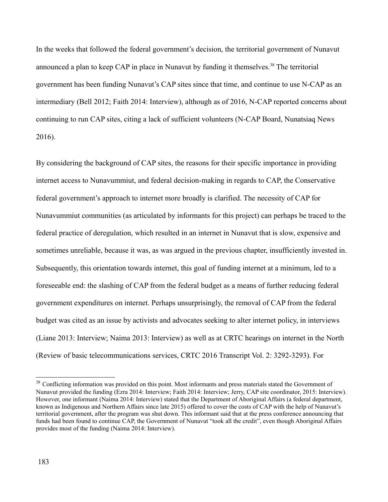In the weeks that followed the federal government's decision, the territorial government of Nunavut announced a plan to keep CAP in place in Nunavut by funding it themselves.<sup>[38](#page-183-0)</sup> The territorial government has been funding Nunavut's CAP sites since that time, and continue to use N-CAP as an intermediary (Bell 2012; Faith 2014: Interview), although as of 2016, N-CAP reported concerns about continuing to run CAP sites, citing a lack of sufficient volunteers (N-CAP Board, Nunatsiaq News 2016).

By considering the background of CAP sites, the reasons for their specific importance in providing internet access to Nunavummiut, and federal decision-making in regards to CAP, the Conservative federal government's approach to internet more broadly is clarified. The necessity of CAP for Nunavummiut communities (as articulated by informants for this project) can perhaps be traced to the federal practice of deregulation, which resulted in an internet in Nunavut that is slow, expensive and sometimes unreliable, because it was, as was argued in the previous chapter, insufficiently invested in. Subsequently, this orientation towards internet, this goal of funding internet at a minimum, led to a foreseeable end: the slashing of CAP from the federal budget as a means of further reducing federal government expenditures on internet. Perhaps unsurprisingly, the removal of CAP from the federal budget was cited as an issue by activists and advocates seeking to alter internet policy, in interviews (Liane 2013: Interview; Naima 2013: Interview) as well as at CRTC hearings on internet in the North (Review of basic telecommunications services, CRTC 2016 Transcript Vol. 2: 3292-3293). For

<span id="page-183-0"></span><sup>&</sup>lt;sup>38</sup> Conflicting information was provided on this point. Most informants and press materials stated the Government of Nunavut provided the funding (Ezra 2014: Interview; Faith 2014: Interview; Jerry, CAP site coordinator, 2015: Interview). However, one informant (Naima 2014: Interview) stated that the Department of Aboriginal Affairs (a federal department, known as Indigenous and Northern Affairs since late 2015) offered to cover the costs of CAP with the help of Nunavut's territorial government, after the program was shut down. This informant said that at the press conference announcing that funds had been found to continue CAP, the Government of Nunavut "took all the credit", even though Aboriginal Affairs provides most of the funding (Naima 2014: Interview).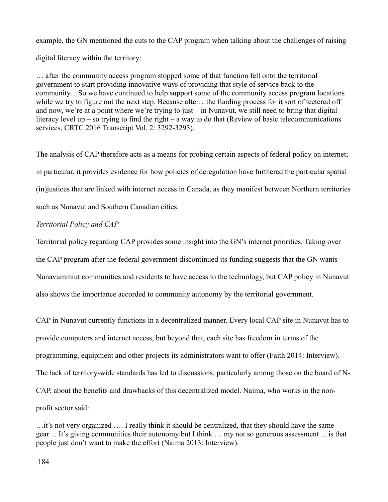example, the GN mentioned the cuts to the CAP program when talking about the challenges of raising digital literacy within the territory:

… after the community access program stopped some of that function fell onto the territorial government to start providing innovative ways of providing that style of service back to the community…So we have continued to help support some of the community access program locations while we try to figure out the next step. Because after…the funding process for it sort of teetered off and now, we're at a point where we're trying to just – in Nunavut, we still need to bring that digital literacy level up – so trying to find the right – a way to do that (Review of basic telecommunications services, CRTC 2016 Transcript Vol. 2: 3292-3293).

The analysis of CAP therefore acts as a means for probing certain aspects of federal policy on internet; in particular, it provides evidence for how policies of deregulation have furthered the particular spatial (in)justices that are linked with internet access in Canada, as they manifest between Northern territories such as Nunavut and Southern Canadian cities.

## *Territorial Policy and CAP*

Territorial policy regarding CAP provides some insight into the GN's internet priorities. Taking over the CAP program after the federal government discontinued its funding suggests that the GN wants Nunavummiut communities and residents to have access to the technology, but CAP policy in Nunavut also shows the importance accorded to community autonomy by the territorial government.

CAP in Nunavut currently functions in a decentralized manner. Every local CAP site in Nunavut has to provide computers and internet access, but beyond that, each site has freedom in terms of the programming, equipment and other projects its administrators want to offer (Faith 2014: Interview). The lack of territory-wide standards has led to discussions, particularly among those on the board of N-CAP, about the benefits and drawbacks of this decentralized model. Naima, who works in the nonprofit sector said:

<sup>…</sup>it's not very organized …. I really think it should be centralized, that they should have the same gear ... It's giving communities their autonomy but I think … my not so generous assessment …is that people just don't want to make the effort (Naima 2013: Interview).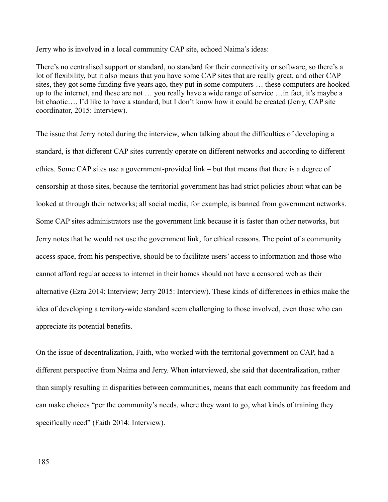Jerry who is involved in a local community CAP site, echoed Naima's ideas:

There's no centralised support or standard, no standard for their connectivity or software, so there's a lot of flexibility, but it also means that you have some CAP sites that are really great, and other CAP sites, they got some funding five years ago, they put in some computers … these computers are hooked up to the internet, and these are not … you really have a wide range of service …in fact, it's maybe a bit chaotic…. I'd like to have a standard, but I don't know how it could be created (Jerry, CAP site coordinator, 2015: Interview).

The issue that Jerry noted during the interview, when talking about the difficulties of developing a standard, is that different CAP sites currently operate on different networks and according to different ethics. Some CAP sites use a government-provided link – but that means that there is a degree of censorship at those sites, because the territorial government has had strict policies about what can be looked at through their networks; all social media, for example, is banned from government networks. Some CAP sites administrators use the government link because it is faster than other networks, but Jerry notes that he would not use the government link, for ethical reasons. The point of a community access space, from his perspective, should be to facilitate users' access to information and those who cannot afford regular access to internet in their homes should not have a censored web as their alternative (Ezra 2014: Interview; Jerry 2015: Interview). These kinds of differences in ethics make the idea of developing a territory-wide standard seem challenging to those involved, even those who can appreciate its potential benefits.

On the issue of decentralization, Faith, who worked with the territorial government on CAP, had a different perspective from Naima and Jerry. When interviewed, she said that decentralization, rather than simply resulting in disparities between communities, means that each community has freedom and can make choices "per the community's needs, where they want to go, what kinds of training they specifically need" (Faith 2014: Interview).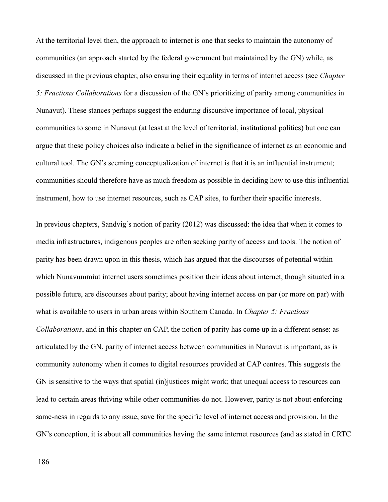At the territorial level then, the approach to internet is one that seeks to maintain the autonomy of communities (an approach started by the federal government but maintained by the GN) while, as discussed in the previous chapter, also ensuring their equality in terms of internet access (see *Chapter 5: Fractious Collaborations* for a discussion of the GN's prioritizing of parity among communities in Nunavut). These stances perhaps suggest the enduring discursive importance of local, physical communities to some in Nunavut (at least at the level of territorial, institutional politics) but one can argue that these policy choices also indicate a belief in the significance of internet as an economic and cultural tool. The GN's seeming conceptualization of internet is that it is an influential instrument; communities should therefore have as much freedom as possible in deciding how to use this influential instrument, how to use internet resources, such as CAP sites, to further their specific interests.

In previous chapters, Sandvig's notion of parity (2012) was discussed: the idea that when it comes to media infrastructures, indigenous peoples are often seeking parity of access and tools. The notion of parity has been drawn upon in this thesis, which has argued that the discourses of potential within which Nunavummiut internet users sometimes position their ideas about internet, though situated in a possible future, are discourses about parity; about having internet access on par (or more on par) with what is available to users in urban areas within Southern Canada. In *Chapter 5: Fractious Collaborations*, and in this chapter on CAP, the notion of parity has come up in a different sense: as articulated by the GN, parity of internet access between communities in Nunavut is important, as is community autonomy when it comes to digital resources provided at CAP centres. This suggests the GN is sensitive to the ways that spatial (in)justices might work; that unequal access to resources can lead to certain areas thriving while other communities do not. However, parity is not about enforcing same-ness in regards to any issue, save for the specific level of internet access and provision. In the GN's conception, it is about all communities having the same internet resources (and as stated in CRTC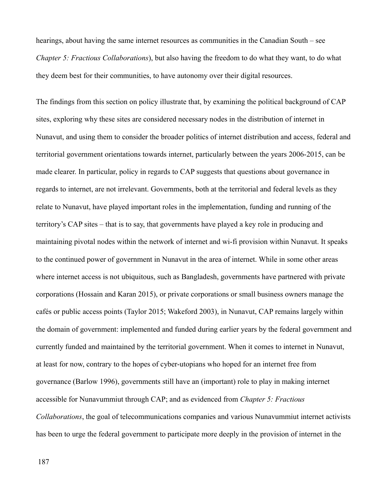hearings, about having the same internet resources as communities in the Canadian South – see *Chapter 5: Fractious Collaborations*), but also having the freedom to do what they want, to do what they deem best for their communities, to have autonomy over their digital resources.

The findings from this section on policy illustrate that, by examining the political background of CAP sites, exploring why these sites are considered necessary nodes in the distribution of internet in Nunavut, and using them to consider the broader politics of internet distribution and access, federal and territorial government orientations towards internet, particularly between the years 2006-2015, can be made clearer. In particular, policy in regards to CAP suggests that questions about governance in regards to internet, are not irrelevant. Governments, both at the territorial and federal levels as they relate to Nunavut, have played important roles in the implementation, funding and running of the territory's CAP sites – that is to say, that governments have played a key role in producing and maintaining pivotal nodes within the network of internet and wi-fi provision within Nunavut. It speaks to the continued power of government in Nunavut in the area of internet. While in some other areas where internet access is not ubiquitous, such as Bangladesh, governments have partnered with private corporations (Hossain and Karan 2015), or private corporations or small business owners manage the cafés or public access points (Taylor 2015; Wakeford 2003), in Nunavut, CAP remains largely within the domain of government: implemented and funded during earlier years by the federal government and currently funded and maintained by the territorial government. When it comes to internet in Nunavut, at least for now, contrary to the hopes of cyber-utopians who hoped for an internet free from governance (Barlow 1996), governments still have an (important) role to play in making internet accessible for Nunavummiut through CAP; and as evidenced from *Chapter 5: Fractious Collaborations*, the goal of telecommunications companies and various Nunavummiut internet activists has been to urge the federal government to participate more deeply in the provision of internet in the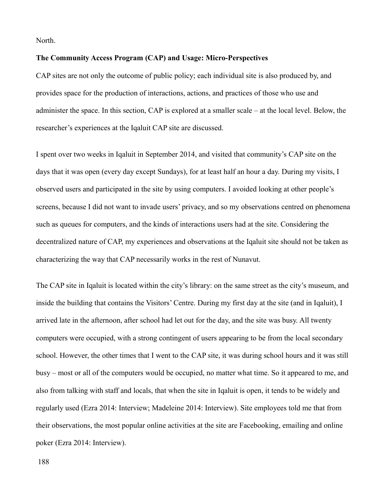North.

#### **The Community Access Program (CAP) and Usage: Micro-Perspectives**

CAP sites are not only the outcome of public policy; each individual site is also produced by, and provides space for the production of interactions, actions, and practices of those who use and administer the space. In this section, CAP is explored at a smaller scale – at the local level. Below, the researcher's experiences at the Iqaluit CAP site are discussed.

I spent over two weeks in Iqaluit in September 2014, and visited that community's CAP site on the days that it was open (every day except Sundays), for at least half an hour a day. During my visits, I observed users and participated in the site by using computers. I avoided looking at other people's screens, because I did not want to invade users' privacy, and so my observations centred on phenomena such as queues for computers, and the kinds of interactions users had at the site. Considering the decentralized nature of CAP, my experiences and observations at the Iqaluit site should not be taken as characterizing the way that CAP necessarily works in the rest of Nunavut.

The CAP site in Iqaluit is located within the city's library: on the same street as the city's museum, and inside the building that contains the Visitors' Centre. During my first day at the site (and in Iqaluit), I arrived late in the afternoon, after school had let out for the day, and the site was busy. All twenty computers were occupied, with a strong contingent of users appearing to be from the local secondary school. However, the other times that I went to the CAP site, it was during school hours and it was still busy – most or all of the computers would be occupied, no matter what time. So it appeared to me, and also from talking with staff and locals, that when the site in Iqaluit is open, it tends to be widely and regularly used (Ezra 2014: Interview; Madeleine 2014: Interview). Site employees told me that from their observations, the most popular online activities at the site are Facebooking, emailing and online poker (Ezra 2014: Interview).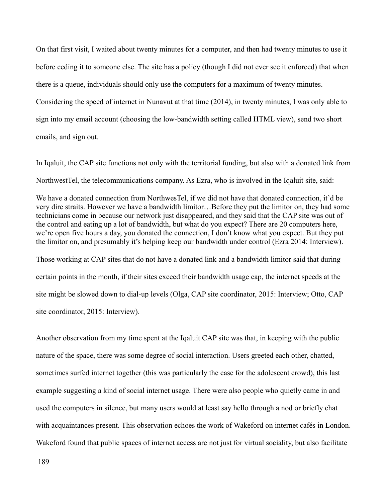On that first visit, I waited about twenty minutes for a computer, and then had twenty minutes to use it before ceding it to someone else. The site has a policy (though I did not ever see it enforced) that when there is a queue, individuals should only use the computers for a maximum of twenty minutes. Considering the speed of internet in Nunavut at that time (2014), in twenty minutes, I was only able to sign into my email account (choosing the low-bandwidth setting called HTML view), send two short emails, and sign out.

In Iqaluit, the CAP site functions not only with the territorial funding, but also with a donated link from NorthwestTel, the telecommunications company. As Ezra, who is involved in the Iqaluit site, said:

We have a donated connection from NorthwesTel, if we did not have that donated connection, it'd be very dire straits. However we have a bandwidth limitor…Before they put the limitor on, they had some technicians come in because our network just disappeared, and they said that the CAP site was out of the control and eating up a lot of bandwidth, but what do you expect? There are 20 computers here, we're open five hours a day, you donated the connection, I don't know what you expect. But they put the limitor on, and presumably it's helping keep our bandwidth under control (Ezra 2014: Interview).

Those working at CAP sites that do not have a donated link and a bandwidth limitor said that during certain points in the month, if their sites exceed their bandwidth usage cap, the internet speeds at the site might be slowed down to dial-up levels (Olga, CAP site coordinator, 2015: Interview; Otto, CAP site coordinator, 2015: Interview).

Another observation from my time spent at the Iqaluit CAP site was that, in keeping with the public nature of the space, there was some degree of social interaction. Users greeted each other, chatted, sometimes surfed internet together (this was particularly the case for the adolescent crowd), this last example suggesting a kind of social internet usage. There were also people who quietly came in and used the computers in silence, but many users would at least say hello through a nod or briefly chat with acquaintances present. This observation echoes the work of Wakeford on internet cafés in London. Wakeford found that public spaces of internet access are not just for virtual sociality, but also facilitate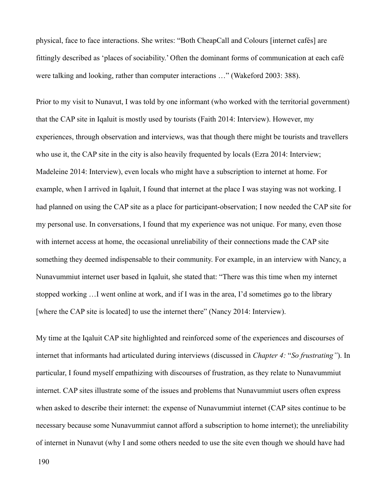physical, face to face interactions. She writes: "Both CheapCall and Colours [internet cafés] are fittingly described as 'places of sociability.' Often the dominant forms of communication at each café were talking and looking, rather than computer interactions …" (Wakeford 2003: 388).

Prior to my visit to Nunavut, I was told by one informant (who worked with the territorial government) that the CAP site in Iqaluit is mostly used by tourists (Faith 2014: Interview). However, my experiences, through observation and interviews, was that though there might be tourists and travellers who use it, the CAP site in the city is also heavily frequented by locals (Ezra 2014: Interview; Madeleine 2014: Interview), even locals who might have a subscription to internet at home. For example, when I arrived in Iqaluit, I found that internet at the place I was staying was not working. I had planned on using the CAP site as a place for participant-observation; I now needed the CAP site for my personal use. In conversations, I found that my experience was not unique. For many, even those with internet access at home, the occasional unreliability of their connections made the CAP site something they deemed indispensable to their community. For example, in an interview with Nancy, a Nunavummiut internet user based in Iqaluit, she stated that: "There was this time when my internet stopped working …I went online at work, and if I was in the area, I'd sometimes go to the library [where the CAP site is located] to use the internet there" (Nancy 2014: Interview).

My time at the Iqaluit CAP site highlighted and reinforced some of the experiences and discourses of internet that informants had articulated during interviews (discussed in *Chapter 4:* "*So frustrating"*). In particular, I found myself empathizing with discourses of frustration, as they relate to Nunavummiut internet. CAP sites illustrate some of the issues and problems that Nunavummiut users often express when asked to describe their internet: the expense of Nunavummiut internet (CAP sites continue to be necessary because some Nunavummiut cannot afford a subscription to home internet); the unreliability of internet in Nunavut (why I and some others needed to use the site even though we should have had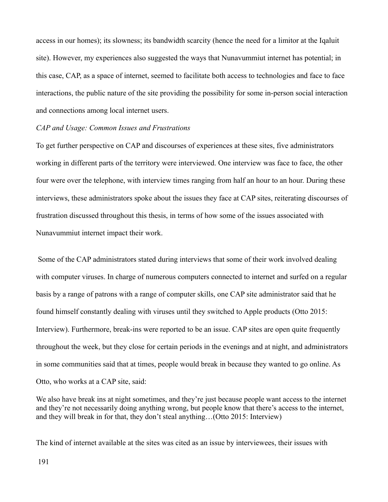access in our homes); its slowness; its bandwidth scarcity (hence the need for a limitor at the Iqaluit site). However, my experiences also suggested the ways that Nunavummiut internet has potential; in this case, CAP, as a space of internet, seemed to facilitate both access to technologies and face to face interactions, the public nature of the site providing the possibility for some in-person social interaction and connections among local internet users.

### *CAP and Usage: Common Issues and Frustrations*

To get further perspective on CAP and discourses of experiences at these sites, five administrators working in different parts of the territory were interviewed. One interview was face to face, the other four were over the telephone, with interview times ranging from half an hour to an hour. During these interviews, these administrators spoke about the issues they face at CAP sites, reiterating discourses of frustration discussed throughout this thesis, in terms of how some of the issues associated with Nunavummiut internet impact their work.

 Some of the CAP administrators stated during interviews that some of their work involved dealing with computer viruses. In charge of numerous computers connected to internet and surfed on a regular basis by a range of patrons with a range of computer skills, one CAP site administrator said that he found himself constantly dealing with viruses until they switched to Apple products (Otto 2015: Interview). Furthermore, break-ins were reported to be an issue. CAP sites are open quite frequently throughout the week, but they close for certain periods in the evenings and at night, and administrators in some communities said that at times, people would break in because they wanted to go online. As Otto, who works at a CAP site, said:

We also have break ins at night sometimes, and they're just because people want access to the internet and they're not necessarily doing anything wrong, but people know that there's access to the internet, and they will break in for that, they don't steal anything…(Otto 2015: Interview)

The kind of internet available at the sites was cited as an issue by interviewees, their issues with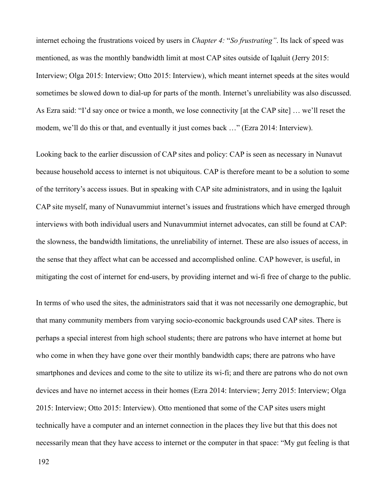internet echoing the frustrations voiced by users in *Chapter 4:* "*So frustrating"*. Its lack of speed was mentioned, as was the monthly bandwidth limit at most CAP sites outside of Iqaluit (Jerry 2015: Interview; Olga 2015: Interview; Otto 2015: Interview), which meant internet speeds at the sites would sometimes be slowed down to dial-up for parts of the month. Internet's unreliability was also discussed. As Ezra said: "I'd say once or twice a month, we lose connectivity [at the CAP site] … we'll reset the modem, we'll do this or that, and eventually it just comes back …" (Ezra 2014: Interview).

Looking back to the earlier discussion of CAP sites and policy: CAP is seen as necessary in Nunavut because household access to internet is not ubiquitous. CAP is therefore meant to be a solution to some of the territory's access issues. But in speaking with CAP site administrators, and in using the Iqaluit CAP site myself, many of Nunavummiut internet's issues and frustrations which have emerged through interviews with both individual users and Nunavummiut internet advocates, can still be found at CAP: the slowness, the bandwidth limitations, the unreliability of internet. These are also issues of access, in the sense that they affect what can be accessed and accomplished online. CAP however, is useful, in mitigating the cost of internet for end-users, by providing internet and wi-fi free of charge to the public.

In terms of who used the sites, the administrators said that it was not necessarily one demographic, but that many community members from varying socio-economic backgrounds used CAP sites. There is perhaps a special interest from high school students; there are patrons who have internet at home but who come in when they have gone over their monthly bandwidth caps; there are patrons who have smartphones and devices and come to the site to utilize its wi-fi; and there are patrons who do not own devices and have no internet access in their homes (Ezra 2014: Interview; Jerry 2015: Interview; Olga 2015: Interview; Otto 2015: Interview). Otto mentioned that some of the CAP sites users might technically have a computer and an internet connection in the places they live but that this does not necessarily mean that they have access to internet or the computer in that space: "My gut feeling is that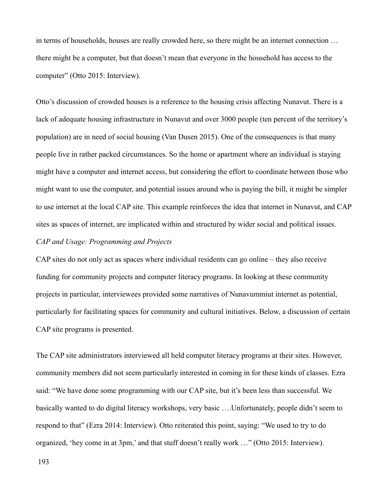in terms of households, houses are really crowded here, so there might be an internet connection … there might be a computer, but that doesn't mean that everyone in the household has access to the computer" (Otto 2015: Interview).

Otto's discussion of crowded houses is a reference to the housing crisis affecting Nunavut. There is a lack of adequate housing infrastructure in Nunavut and over 3000 people (ten percent of the territory's population) are in need of social housing (Van Dusen 2015). One of the consequences is that many people live in rather packed circumstances. So the home or apartment where an individual is staying might have a computer and internet access, but considering the effort to coordinate between those who might want to use the computer, and potential issues around who is paying the bill, it might be simpler to use internet at the local CAP site. This example reinforces the idea that internet in Nunavut, and CAP sites as spaces of internet, are implicated within and structured by wider social and political issues.

# *CAP and Usage: Programming and Projects*

CAP sites do not only act as spaces where individual residents can go online – they also receive funding for community projects and computer literacy programs. In looking at these community projects in particular, interviewees provided some narratives of Nunavummiut internet as potential, particularly for facilitating spaces for community and cultural initiatives. Below, a discussion of certain CAP site programs is presented.

The CAP site administrators interviewed all held computer literacy programs at their sites. However, community members did not seem particularly interested in coming in for these kinds of classes. Ezra said: "We have done some programming with our CAP site, but it's been less than successful. We basically wanted to do digital literacy workshops, very basic ….Unfortunately, people didn't seem to respond to that" (Ezra 2014: Interview). Otto reiterated this point, saying: "We used to try to do organized, 'hey come in at 3pm,' and that stuff doesn't really work …" (Otto 2015: Interview).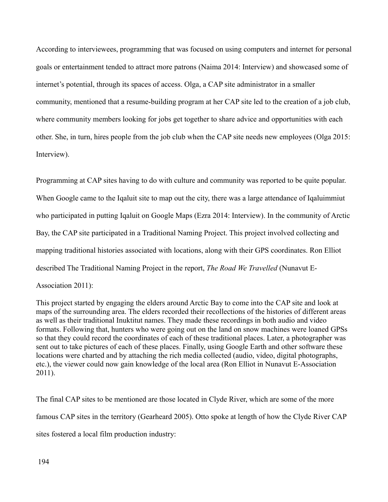According to interviewees, programming that was focused on using computers and internet for personal goals or entertainment tended to attract more patrons (Naima 2014: Interview) and showcased some of internet's potential, through its spaces of access. Olga, a CAP site administrator in a smaller community, mentioned that a resume-building program at her CAP site led to the creation of a job club, where community members looking for jobs get together to share advice and opportunities with each other. She, in turn, hires people from the job club when the CAP site needs new employees (Olga 2015: Interview).

Programming at CAP sites having to do with culture and community was reported to be quite popular. When Google came to the Iqaluit site to map out the city, there was a large attendance of Iqaluimmiut who participated in putting Iqaluit on Google Maps (Ezra 2014: Interview). In the community of Arctic Bay, the CAP site participated in a Traditional Naming Project. This project involved collecting and mapping traditional histories associated with locations, along with their GPS coordinates. Ron Elliot described The Traditional Naming Project in the report, *The Road We Travelled* (Nunavut E-Association 2011):

This project started by engaging the elders around Arctic Bay to come into the CAP site and look at maps of the surrounding area. The elders recorded their recollections of the histories of different areas as well as their traditional Inuktitut names. They made these recordings in both audio and video formats. Following that, hunters who were going out on the land on snow machines were loaned GPSs so that they could record the coordinates of each of these traditional places. Later, a photographer was sent out to take pictures of each of these places. Finally, using Google Earth and other software these locations were charted and by attaching the rich media collected (audio, video, digital photographs, etc.), the viewer could now gain knowledge of the local area (Ron Elliot in Nunavut E-Association 2011).

The final CAP sites to be mentioned are those located in Clyde River, which are some of the more famous CAP sites in the territory (Gearheard 2005). Otto spoke at length of how the Clyde River CAP sites fostered a local film production industry: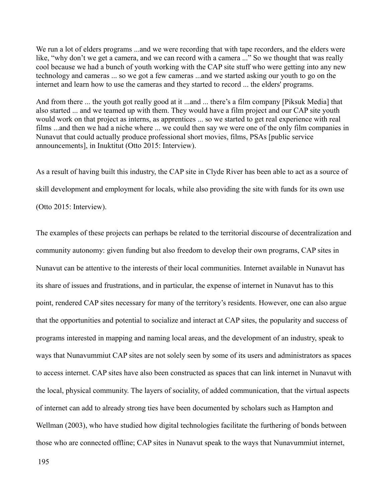We run a lot of elders programs ...and we were recording that with tape recorders, and the elders were like, "why don't we get a camera, and we can record with a camera ..." So we thought that was really cool because we had a bunch of youth working with the CAP site stuff who were getting into any new technology and cameras ... so we got a few cameras ...and we started asking our youth to go on the internet and learn how to use the cameras and they started to record ... the elders' programs.

And from there ... the youth got really good at it ...and ... there's a film company [Piksuk Media] that also started ... and we teamed up with them. They would have a film project and our CAP site youth would work on that project as interns, as apprentices ... so we started to get real experience with real films ...and then we had a niche where ... we could then say we were one of the only film companies in Nunavut that could actually produce professional short movies, films, PSAs [public service announcements], in Inuktitut (Otto 2015: Interview).

As a result of having built this industry, the CAP site in Clyde River has been able to act as a source of skill development and employment for locals, while also providing the site with funds for its own use (Otto 2015: Interview).

The examples of these projects can perhaps be related to the territorial discourse of decentralization and community autonomy: given funding but also freedom to develop their own programs, CAP sites in Nunavut can be attentive to the interests of their local communities. Internet available in Nunavut has its share of issues and frustrations, and in particular, the expense of internet in Nunavut has to this point, rendered CAP sites necessary for many of the territory's residents. However, one can also argue that the opportunities and potential to socialize and interact at CAP sites, the popularity and success of programs interested in mapping and naming local areas, and the development of an industry, speak to ways that Nunavummiut CAP sites are not solely seen by some of its users and administrators as spaces to access internet. CAP sites have also been constructed as spaces that can link internet in Nunavut with the local, physical community. The layers of sociality, of added communication, that the virtual aspects of internet can add to already strong ties have been documented by scholars such as Hampton and Wellman (2003), who have studied how digital technologies facilitate the furthering of bonds between those who are connected offline; CAP sites in Nunavut speak to the ways that Nunavummiut internet,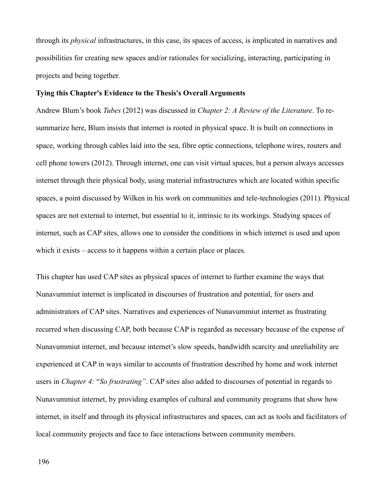through its *physical* infrastructures, in this case, its spaces of access, is implicated in narratives and possibilities for creating new spaces and/or rationales for socializing, interacting, participating in projects and being together.

#### **Tying this Chapter's Evidence to the Thesis's Overall Arguments**

Andrew Blum's book *Tubes* (2012) was discussed in *Chapter 2: A Review of the Literature*. To resummarize here, Blum insists that internet is rooted in physical space. It is built on connections in space, working through cables laid into the sea, fibre optic connections, telephone wires, routers and cell phone towers (2012). Through internet, one can visit virtual spaces, but a person always accesses internet through their physical body, using material infrastructures which are located within specific spaces, a point discussed by Wilken in his work on communities and tele-technologies (2011). Physical spaces are not external to internet, but essential to it, intrinsic to its workings. Studying spaces of internet, such as CAP sites, allows one to consider the conditions in which internet is used and upon which it exists – access to it happens within a certain place or places.

This chapter has used CAP sites as physical spaces of internet to further examine the ways that Nunavummiut internet is implicated in discourses of frustration and potential, for users and administrators of CAP sites. Narratives and experiences of Nunavummiut internet as frustrating recurred when discussing CAP, both because CAP is regarded as necessary because of the expense of Nunavummiut internet, and because internet's slow speeds, bandwidth scarcity and unreliability are experienced at CAP in ways similar to accounts of frustration described by home and work internet users in *Chapter 4:* "*So frustrating"*. CAP sites also added to discourses of potential in regards to Nunavummiut internet, by providing examples of cultural and community programs that show how internet, in itself and through its physical infrastructures and spaces, can act as tools and facilitators of local community projects and face to face interactions between community members.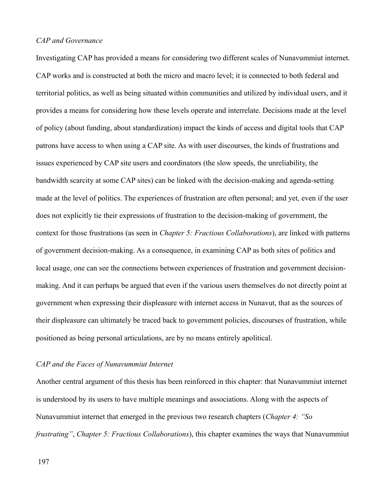### *CAP and Governance*

Investigating CAP has provided a means for considering two different scales of Nunavummiut internet. CAP works and is constructed at both the micro and macro level; it is connected to both federal and territorial politics, as well as being situated within communities and utilized by individual users, and it provides a means for considering how these levels operate and interrelate. Decisions made at the level of policy (about funding, about standardization) impact the kinds of access and digital tools that CAP patrons have access to when using a CAP site. As with user discourses, the kinds of frustrations and issues experienced by CAP site users and coordinators (the slow speeds, the unreliability, the bandwidth scarcity at some CAP sites) can be linked with the decision-making and agenda-setting made at the level of politics. The experiences of frustration are often personal; and yet, even if the user does not explicitly tie their expressions of frustration to the decision-making of government, the context for those frustrations (as seen in *Chapter 5: Fractious Collaborations*), are linked with patterns of government decision-making. As a consequence, in examining CAP as both sites of politics and local usage, one can see the connections between experiences of frustration and government decisionmaking. And it can perhaps be argued that even if the various users themselves do not directly point at government when expressing their displeasure with internet access in Nunavut, that as the sources of their displeasure can ultimately be traced back to government policies, discourses of frustration, while positioned as being personal articulations, are by no means entirely apolitical.

### *CAP and the Faces of Nunavummiut Internet*

Another central argument of this thesis has been reinforced in this chapter: that Nunavummiut internet is understood by its users to have multiple meanings and associations. Along with the aspects of Nunavummiut internet that emerged in the previous two research chapters (*Chapter 4: "So frustrating"*, *Chapter 5: Fractious Collaborations*), this chapter examines the ways that Nunavummiut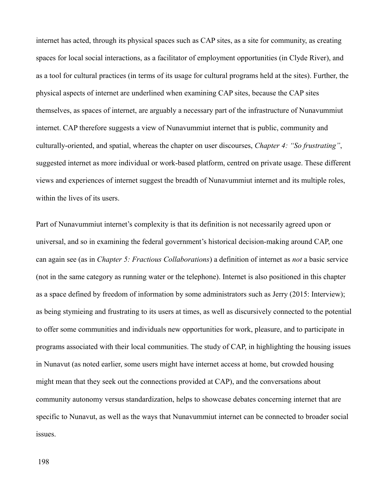internet has acted, through its physical spaces such as CAP sites, as a site for community, as creating spaces for local social interactions, as a facilitator of employment opportunities (in Clyde River), and as a tool for cultural practices (in terms of its usage for cultural programs held at the sites). Further, the physical aspects of internet are underlined when examining CAP sites, because the CAP sites themselves, as spaces of internet, are arguably a necessary part of the infrastructure of Nunavummiut internet. CAP therefore suggests a view of Nunavummiut internet that is public, community and culturally-oriented, and spatial, whereas the chapter on user discourses, *Chapter 4: "So frustrating"*, suggested internet as more individual or work-based platform, centred on private usage. These different views and experiences of internet suggest the breadth of Nunavummiut internet and its multiple roles, within the lives of its users.

Part of Nunavummiut internet's complexity is that its definition is not necessarily agreed upon or universal, and so in examining the federal government's historical decision-making around CAP, one can again see (as in *Chapter 5: Fractious Collaborations*) a definition of internet as *not* a basic service (not in the same category as running water or the telephone). Internet is also positioned in this chapter as a space defined by freedom of information by some administrators such as Jerry (2015: Interview); as being stymieing and frustrating to its users at times, as well as discursively connected to the potential to offer some communities and individuals new opportunities for work, pleasure, and to participate in programs associated with their local communities. The study of CAP, in highlighting the housing issues in Nunavut (as noted earlier, some users might have internet access at home, but crowded housing might mean that they seek out the connections provided at CAP), and the conversations about community autonomy versus standardization, helps to showcase debates concerning internet that are specific to Nunavut, as well as the ways that Nunavummiut internet can be connected to broader social issues.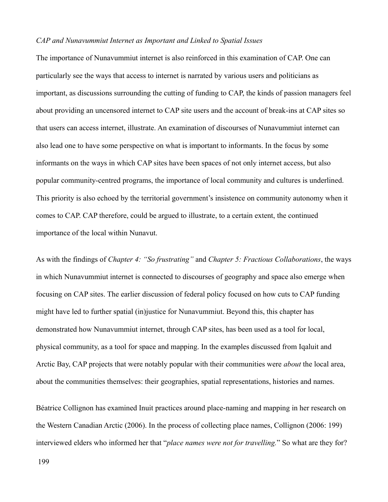### *CAP and Nunavummiut Internet as Important and Linked to Spatial Issues*

The importance of Nunavummiut internet is also reinforced in this examination of CAP. One can particularly see the ways that access to internet is narrated by various users and politicians as important, as discussions surrounding the cutting of funding to CAP, the kinds of passion managers feel about providing an uncensored internet to CAP site users and the account of break-ins at CAP sites so that users can access internet, illustrate. An examination of discourses of Nunavummiut internet can also lead one to have some perspective on what is important to informants. In the focus by some informants on the ways in which CAP sites have been spaces of not only internet access, but also popular community-centred programs, the importance of local community and cultures is underlined. This priority is also echoed by the territorial government's insistence on community autonomy when it comes to CAP. CAP therefore, could be argued to illustrate, to a certain extent, the continued importance of the local within Nunavut.

As with the findings of *Chapter 4: "So frustrating"* and *Chapter 5: Fractious Collaborations*, the ways in which Nunavummiut internet is connected to discourses of geography and space also emerge when focusing on CAP sites. The earlier discussion of federal policy focused on how cuts to CAP funding might have led to further spatial (in)justice for Nunavummiut. Beyond this, this chapter has demonstrated how Nunavummiut internet, through CAP sites, has been used as a tool for local, physical community, as a tool for space and mapping. In the examples discussed from Iqaluit and Arctic Bay, CAP projects that were notably popular with their communities were *about* the local area, about the communities themselves: their geographies, spatial representations, histories and names.

Béatrice Collignon has examined Inuit practices around place-naming and mapping in her research on the Western Canadian Arctic (2006). In the process of collecting place names, Collignon (2006: 199) interviewed elders who informed her that "*place names were not for travelling.*" So what are they for?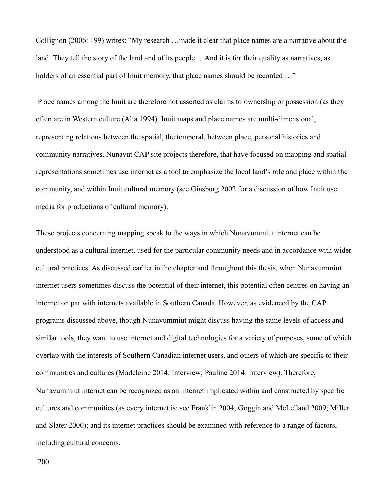Collignon (2006: 199) writes: "My research …made it clear that place names are a narrative about the land. They tell the story of the land and of its people ... And it is for their quality as narratives, as holders of an essential part of Inuit memory, that place names should be recorded ..."

 Place names among the Inuit are therefore not asserted as claims to ownership or possession (as they often are in Western culture (Alia 1994). Inuit maps and place names are multi-dimensional, representing relations between the spatial, the temporal, between place, personal histories and community narratives. Nunavut CAP site projects therefore, that have focused on mapping and spatial representations sometimes use internet as a tool to emphasize the local land's role and place within the community, and within Inuit cultural memory (see Ginsburg 2002 for a discussion of how Inuit use media for productions of cultural memory).

These projects concerning mapping speak to the ways in which Nunavummiut internet can be understood as a cultural internet, used for the particular community needs and in accordance with wider cultural practices. As discussed earlier in the chapter and throughout this thesis, when Nunavummiut internet users sometimes discuss the potential of their internet, this potential often centres on having an internet on par with internets available in Southern Canada. However, as evidenced by the CAP programs discussed above, though Nunavummiut might discuss having the same levels of access and similar tools, they want to use internet and digital technologies for a variety of purposes, some of which overlap with the interests of Southern Canadian internet users, and others of which are specific to their communities and cultures (Madeleine 2014: Interview; Pauline 2014: Interview). Therefore, Nunavummiut internet can be recognized as an internet implicated within and constructed by specific cultures and communities (as every internet is: see Franklin 2004; Goggin and McLelland 2009; Miller and Slater 2000); and its internet practices should be examined with reference to a range of factors, including cultural concerns.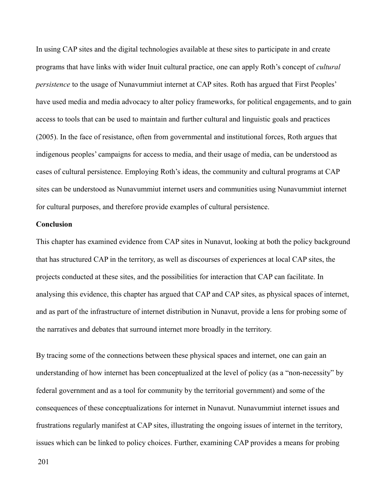In using CAP sites and the digital technologies available at these sites to participate in and create programs that have links with wider Inuit cultural practice, one can apply Roth's concept of *cultural persistence* to the usage of Nunavummiut internet at CAP sites. Roth has argued that First Peoples' have used media and media advocacy to alter policy frameworks, for political engagements, and to gain access to tools that can be used to maintain and further cultural and linguistic goals and practices (2005). In the face of resistance, often from governmental and institutional forces, Roth argues that indigenous peoples' campaigns for access to media, and their usage of media, can be understood as cases of cultural persistence. Employing Roth's ideas, the community and cultural programs at CAP sites can be understood as Nunavummiut internet users and communities using Nunavummiut internet for cultural purposes, and therefore provide examples of cultural persistence.

### **Conclusion**

This chapter has examined evidence from CAP sites in Nunavut, looking at both the policy background that has structured CAP in the territory, as well as discourses of experiences at local CAP sites, the projects conducted at these sites, and the possibilities for interaction that CAP can facilitate. In analysing this evidence, this chapter has argued that CAP and CAP sites, as physical spaces of internet, and as part of the infrastructure of internet distribution in Nunavut, provide a lens for probing some of the narratives and debates that surround internet more broadly in the territory.

By tracing some of the connections between these physical spaces and internet, one can gain an understanding of how internet has been conceptualized at the level of policy (as a "non-necessity" by federal government and as a tool for community by the territorial government) and some of the consequences of these conceptualizations for internet in Nunavut. Nunavummiut internet issues and frustrations regularly manifest at CAP sites, illustrating the ongoing issues of internet in the territory, issues which can be linked to policy choices. Further, examining CAP provides a means for probing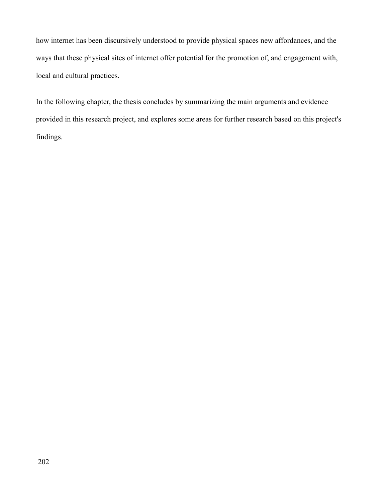how internet has been discursively understood to provide physical spaces new affordances, and the ways that these physical sites of internet offer potential for the promotion of, and engagement with, local and cultural practices.

In the following chapter, the thesis concludes by summarizing the main arguments and evidence provided in this research project, and explores some areas for further research based on this project's findings.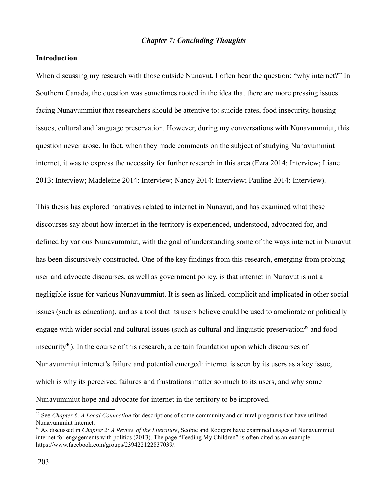### *Chapter 7: Concluding Thoughts*

### **Introduction**

When discussing my research with those outside Nunavut, I often hear the question: "why internet?" In Southern Canada, the question was sometimes rooted in the idea that there are more pressing issues facing Nunavummiut that researchers should be attentive to: suicide rates, food insecurity, housing issues, cultural and language preservation. However, during my conversations with Nunavummiut, this question never arose. In fact, when they made comments on the subject of studying Nunavummiut internet, it was to express the necessity for further research in this area (Ezra 2014: Interview; Liane 2013: Interview; Madeleine 2014: Interview; Nancy 2014: Interview; Pauline 2014: Interview).

This thesis has explored narratives related to internet in Nunavut, and has examined what these discourses say about how internet in the territory is experienced, understood, advocated for, and defined by various Nunavummiut, with the goal of understanding some of the ways internet in Nunavut has been discursively constructed. One of the key findings from this research, emerging from probing user and advocate discourses, as well as government policy, is that internet in Nunavut is not a negligible issue for various Nunavummiut. It is seen as linked, complicit and implicated in other social issues (such as education), and as a tool that its users believe could be used to ameliorate or politically engage with wider social and cultural issues (such as cultural and linguistic preservation<sup>[39](#page-203-0)</sup> and food insecurity<sup>[40](#page-203-1)</sup>). In the course of this research, a certain foundation upon which discourses of Nunavummiut internet's failure and potential emerged: internet is seen by its users as a key issue, which is why its perceived failures and frustrations matter so much to its users, and why some Nunavummiut hope and advocate for internet in the territory to be improved.

<span id="page-203-0"></span><sup>39</sup> See *Chapter 6: A Local Connection* for descriptions of some community and cultural programs that have utilized Nunavummiut internet.

<span id="page-203-1"></span><sup>40</sup> As discussed in *Chapter 2: A Review of the Literature*, Scobie and Rodgers have examined usages of Nunavummiut internet for engagements with politics (2013). The page "Feeding My Children" is often cited as an example: https://www.facebook.com/groups/239422122837039/.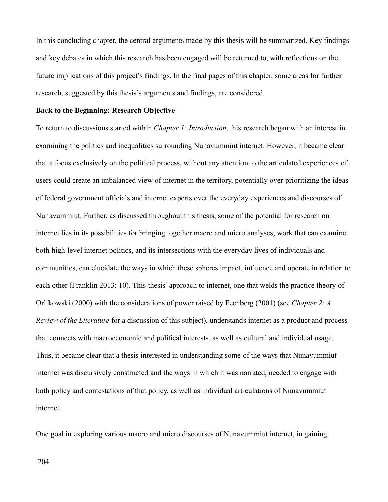In this concluding chapter, the central arguments made by this thesis will be summarized. Key findings and key debates in which this research has been engaged will be returned to, with reflections on the future implications of this project's findings. In the final pages of this chapter, some areas for further research, suggested by this thesis's arguments and findings, are considered.

#### **Back to the Beginning: Research Objective**

To return to discussions started within *Chapter 1: Introduction*, this research began with an interest in examining the politics and inequalities surrounding Nunavummiut internet. However, it became clear that a focus exclusively on the political process, without any attention to the articulated experiences of users could create an unbalanced view of internet in the territory, potentially over-prioritizing the ideas of federal government officials and internet experts over the everyday experiences and discourses of Nunavummiut. Further, as discussed throughout this thesis, some of the potential for research on internet lies in its possibilities for bringing together macro and micro analyses; work that can examine both high-level internet politics, and its intersections with the everyday lives of individuals and communities, can elucidate the ways in which these spheres impact, influence and operate in relation to each other (Franklin 2013: 10). This thesis' approach to internet, one that welds the practice theory of Orlikowski (2000) with the considerations of power raised by Feenberg (2001) (see *Chapter 2: A Review of the Literature* for a discussion of this subject), understands internet as a product and process that connects with macroeconomic and political interests, as well as cultural and individual usage. Thus, it became clear that a thesis interested in understanding some of the ways that Nunavummiut internet was discursively constructed and the ways in which it was narrated, needed to engage with both policy and contestations of that policy, as well as individual articulations of Nunavummiut internet.

One goal in exploring various macro and micro discourses of Nunavummiut internet, in gaining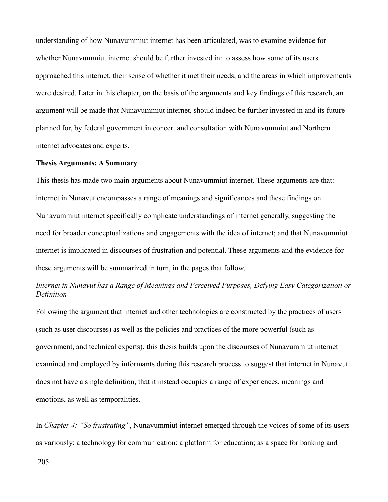understanding of how Nunavummiut internet has been articulated, was to examine evidence for whether Nunavummiut internet should be further invested in: to assess how some of its users approached this internet, their sense of whether it met their needs, and the areas in which improvements were desired. Later in this chapter, on the basis of the arguments and key findings of this research, an argument will be made that Nunavummiut internet, should indeed be further invested in and its future planned for, by federal government in concert and consultation with Nunavummiut and Northern internet advocates and experts.

#### **Thesis Arguments: A Summary**

This thesis has made two main arguments about Nunavummiut internet. These arguments are that: internet in Nunavut encompasses a range of meanings and significances and these findings on Nunavummiut internet specifically complicate understandings of internet generally, suggesting the need for broader conceptualizations and engagements with the idea of internet; and that Nunavummiut internet is implicated in discourses of frustration and potential. These arguments and the evidence for these arguments will be summarized in turn, in the pages that follow.

# *Internet in Nunavut has a Range of Meanings and Perceived Purposes, Defying Easy Categorization or Definition*

Following the argument that internet and other technologies are constructed by the practices of users (such as user discourses) as well as the policies and practices of the more powerful (such as government, and technical experts), this thesis builds upon the discourses of Nunavummiut internet examined and employed by informants during this research process to suggest that internet in Nunavut does not have a single definition, that it instead occupies a range of experiences, meanings and emotions, as well as temporalities.

In *Chapter 4: "So frustrating"*, Nunavummiut internet emerged through the voices of some of its users as variously: a technology for communication; a platform for education; as a space for banking and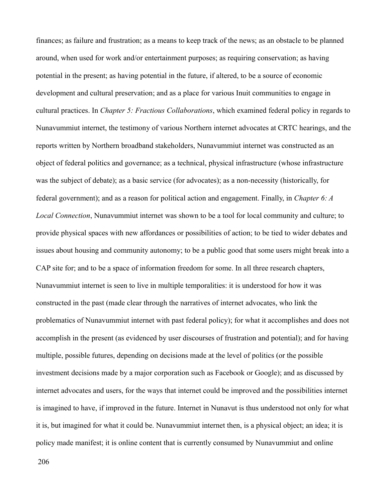finances; as failure and frustration; as a means to keep track of the news; as an obstacle to be planned around, when used for work and/or entertainment purposes; as requiring conservation; as having potential in the present; as having potential in the future, if altered, to be a source of economic development and cultural preservation; and as a place for various Inuit communities to engage in cultural practices. In *Chapter 5: Fractious Collaborations*, which examined federal policy in regards to Nunavummiut internet, the testimony of various Northern internet advocates at CRTC hearings, and the reports written by Northern broadband stakeholders, Nunavummiut internet was constructed as an object of federal politics and governance; as a technical, physical infrastructure (whose infrastructure was the subject of debate); as a basic service (for advocates); as a non-necessity (historically, for federal government); and as a reason for political action and engagement. Finally, in *Chapter 6: A Local Connection*, Nunavummiut internet was shown to be a tool for local community and culture; to provide physical spaces with new affordances or possibilities of action; to be tied to wider debates and issues about housing and community autonomy; to be a public good that some users might break into a CAP site for; and to be a space of information freedom for some. In all three research chapters, Nunavummiut internet is seen to live in multiple temporalities: it is understood for how it was constructed in the past (made clear through the narratives of internet advocates, who link the problematics of Nunavummiut internet with past federal policy); for what it accomplishes and does not accomplish in the present (as evidenced by user discourses of frustration and potential); and for having multiple, possible futures, depending on decisions made at the level of politics (or the possible investment decisions made by a major corporation such as Facebook or Google); and as discussed by internet advocates and users, for the ways that internet could be improved and the possibilities internet is imagined to have, if improved in the future. Internet in Nunavut is thus understood not only for what it is, but imagined for what it could be. Nunavummiut internet then, is a physical object; an idea; it is policy made manifest; it is online content that is currently consumed by Nunavummiut and online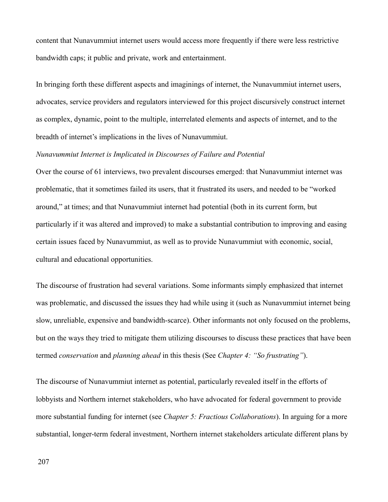content that Nunavummiut internet users would access more frequently if there were less restrictive bandwidth caps; it public and private, work and entertainment.

In bringing forth these different aspects and imaginings of internet, the Nunavummiut internet users, advocates, service providers and regulators interviewed for this project discursively construct internet as complex, dynamic, point to the multiple, interrelated elements and aspects of internet, and to the breadth of internet's implications in the lives of Nunavummiut.

## *Nunavummiut Internet is Implicated in Discourses of Failure and Potential*

Over the course of 61 interviews, two prevalent discourses emerged: that Nunavummiut internet was problematic, that it sometimes failed its users, that it frustrated its users, and needed to be "worked around," at times; and that Nunavummiut internet had potential (both in its current form, but particularly if it was altered and improved) to make a substantial contribution to improving and easing certain issues faced by Nunavummiut, as well as to provide Nunavummiut with economic, social, cultural and educational opportunities.

The discourse of frustration had several variations. Some informants simply emphasized that internet was problematic, and discussed the issues they had while using it (such as Nunavummiut internet being slow, unreliable, expensive and bandwidth-scarce). Other informants not only focused on the problems, but on the ways they tried to mitigate them utilizing discourses to discuss these practices that have been termed *conservation* and *planning ahead* in this thesis (See *Chapter 4: "So frustrating"*).

The discourse of Nunavummiut internet as potential, particularly revealed itself in the efforts of lobbyists and Northern internet stakeholders, who have advocated for federal government to provide more substantial funding for internet (see *Chapter 5: Fractious Collaborations*). In arguing for a more substantial, longer-term federal investment, Northern internet stakeholders articulate different plans by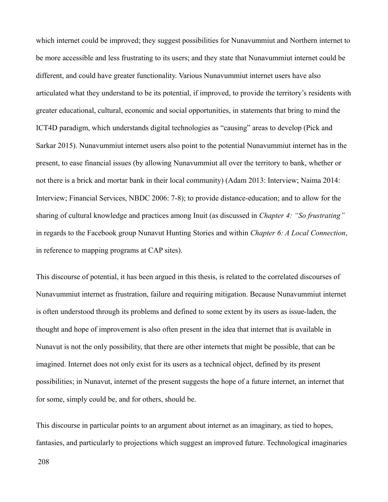which internet could be improved; they suggest possibilities for Nunavummiut and Northern internet to be more accessible and less frustrating to its users; and they state that Nunavummiut internet could be different, and could have greater functionality. Various Nunavummiut internet users have also articulated what they understand to be its potential, if improved, to provide the territory's residents with greater educational, cultural, economic and social opportunities, in statements that bring to mind the ICT4D paradigm, which understands digital technologies as "causing" areas to develop (Pick and Sarkar 2015). Nunavummiut internet users also point to the potential Nunavummiut internet has in the present, to ease financial issues (by allowing Nunavummiut all over the territory to bank, whether or not there is a brick and mortar bank in their local community) (Adam 2013: Interview; Naima 2014: Interview; Financial Services, NBDC 2006: 7-8); to provide distance-education; and to allow for the sharing of cultural knowledge and practices among Inuit (as discussed in *Chapter 4: "So frustrating"* in regards to the Facebook group Nunavut Hunting Stories and within *Chapter 6: A Local Connection*, in reference to mapping programs at CAP sites).

This discourse of potential, it has been argued in this thesis, is related to the correlated discourses of Nunavummiut internet as frustration, failure and requiring mitigation. Because Nunavummiut internet is often understood through its problems and defined to some extent by its users as issue-laden, the thought and hope of improvement is also often present in the idea that internet that is available in Nunavut is not the only possibility, that there are other internets that might be possible, that can be imagined. Internet does not only exist for its users as a technical object, defined by its present possibilities; in Nunavut, internet of the present suggests the hope of a future internet, an internet that for some, simply could be, and for others, should be.

This discourse in particular points to an argument about internet as an imaginary, as tied to hopes, fantasies, and particularly to projections which suggest an improved future. Technological imaginaries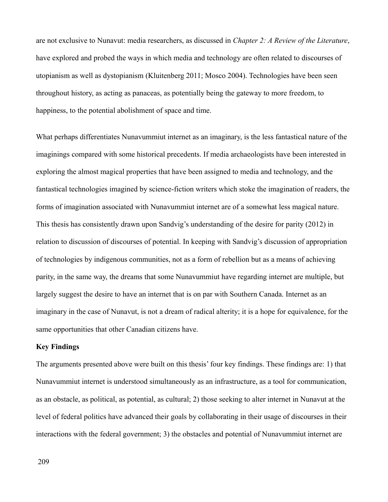are not exclusive to Nunavut: media researchers, as discussed in *Chapter 2: A Review of the Literature*, have explored and probed the ways in which media and technology are often related to discourses of utopianism as well as dystopianism (Kluitenberg 2011; Mosco 2004). Technologies have been seen throughout history, as acting as panaceas, as potentially being the gateway to more freedom, to happiness, to the potential abolishment of space and time.

What perhaps differentiates Nunavummiut internet as an imaginary, is the less fantastical nature of the imaginings compared with some historical precedents. If media archaeologists have been interested in exploring the almost magical properties that have been assigned to media and technology, and the fantastical technologies imagined by science-fiction writers which stoke the imagination of readers, the forms of imagination associated with Nunavummiut internet are of a somewhat less magical nature. This thesis has consistently drawn upon Sandvig's understanding of the desire for parity (2012) in relation to discussion of discourses of potential. In keeping with Sandvig's discussion of appropriation of technologies by indigenous communities, not as a form of rebellion but as a means of achieving parity, in the same way, the dreams that some Nunavummiut have regarding internet are multiple, but largely suggest the desire to have an internet that is on par with Southern Canada. Internet as an imaginary in the case of Nunavut, is not a dream of radical alterity; it is a hope for equivalence, for the same opportunities that other Canadian citizens have.

### **Key Findings**

The arguments presented above were built on this thesis' four key findings. These findings are: 1) that Nunavummiut internet is understood simultaneously as an infrastructure, as a tool for communication, as an obstacle, as political, as potential, as cultural; 2) those seeking to alter internet in Nunavut at the level of federal politics have advanced their goals by collaborating in their usage of discourses in their interactions with the federal government; 3) the obstacles and potential of Nunavummiut internet are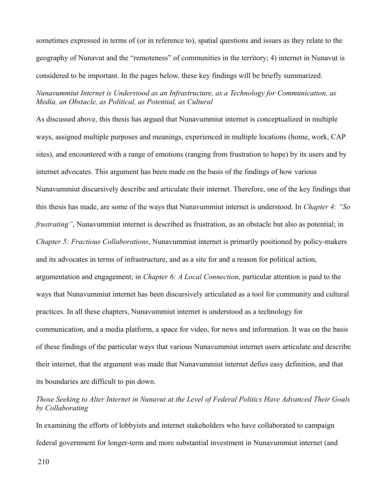sometimes expressed in terms of (or in reference to), spatial questions and issues as they relate to the geography of Nunavut and the "remoteness" of communities in the territory; 4) internet in Nunavut is considered to be important. In the pages below, these key findings will be briefly summarized.

*Nunavummiut Internet is Understood as an Infrastructure, as a Technology for Communication, as Media, an Obstacle, as Political, as Potential, as Cultural*

As discussed above, this thesis has argued that Nunavummiut internet is conceptualized in multiple ways, assigned multiple purposes and meanings, experienced in multiple locations (home, work, CAP sites), and encountered with a range of emotions (ranging from frustration to hope) by its users and by internet advocates. This argument has been made on the basis of the findings of how various Nunavummiut discursively describe and articulate their internet. Therefore, one of the key findings that this thesis has made, are some of the ways that Nunavummiut internet is understood. In *Chapter 4: "So frustrating*", Nunavummiut internet is described as frustration, as an obstacle but also as potential; in *Chapter 5: Fractious Collaborations*, Nunavummiut internet is primarily positioned by policy-makers and its advocates in terms of infrastructure, and as a site for and a reason for political action, argumentation and engagement; in *Chapter 6: A Local Connection*, particular attention is paid to the ways that Nunavummiut internet has been discursively articulated as a tool for community and cultural practices. In all these chapters, Nunavummiut internet is understood as a technology for communication, and a media platform, a space for video, for news and information. It was on the basis of these findings of the particular ways that various Nunavummiut internet users articulate and describe their internet, that the argument was made that Nunavummiut internet defies easy definition, and that its boundaries are difficult to pin down.

# *Those Seeking to Alter Internet in Nunavut at the Level of Federal Politics Have Advanced Their Goals by Collaborating*

In examining the efforts of lobbyists and internet stakeholders who have collaborated to campaign federal government for longer-term and more substantial investment in Nunavummiut internet (and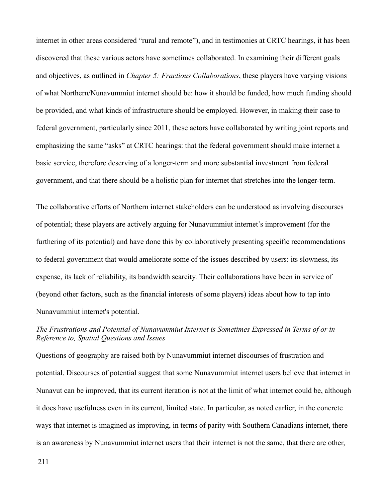internet in other areas considered "rural and remote"), and in testimonies at CRTC hearings, it has been discovered that these various actors have sometimes collaborated. In examining their different goals and objectives, as outlined in *Chapter 5: Fractious Collaborations*, these players have varying visions of what Northern/Nunavummiut internet should be: how it should be funded, how much funding should be provided, and what kinds of infrastructure should be employed. However, in making their case to federal government, particularly since 2011, these actors have collaborated by writing joint reports and emphasizing the same "asks" at CRTC hearings: that the federal government should make internet a basic service, therefore deserving of a longer-term and more substantial investment from federal government, and that there should be a holistic plan for internet that stretches into the longer-term.

The collaborative efforts of Northern internet stakeholders can be understood as involving discourses of potential; these players are actively arguing for Nunavummiut internet's improvement (for the furthering of its potential) and have done this by collaboratively presenting specific recommendations to federal government that would ameliorate some of the issues described by users: its slowness, its expense, its lack of reliability, its bandwidth scarcity. Their collaborations have been in service of (beyond other factors, such as the financial interests of some players) ideas about how to tap into Nunavummiut internet's potential.

## *The Frustrations and Potential of Nunavummiut Internet is Sometimes Expressed in Terms of or in Reference to, Spatial Questions and Issues*

Questions of geography are raised both by Nunavummiut internet discourses of frustration and potential. Discourses of potential suggest that some Nunavummiut internet users believe that internet in Nunavut can be improved, that its current iteration is not at the limit of what internet could be, although it does have usefulness even in its current, limited state. In particular, as noted earlier, in the concrete ways that internet is imagined as improving, in terms of parity with Southern Canadians internet, there is an awareness by Nunavummiut internet users that their internet is not the same, that there are other,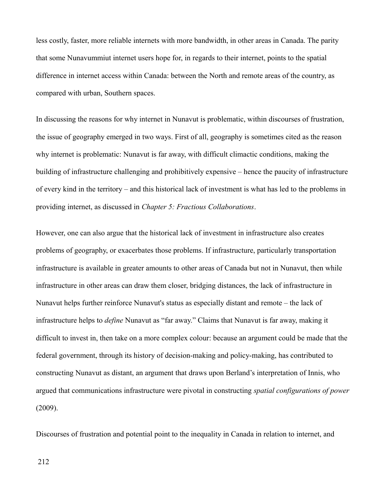less costly, faster, more reliable internets with more bandwidth, in other areas in Canada. The parity that some Nunavummiut internet users hope for, in regards to their internet, points to the spatial difference in internet access within Canada: between the North and remote areas of the country, as compared with urban, Southern spaces.

In discussing the reasons for why internet in Nunavut is problematic, within discourses of frustration, the issue of geography emerged in two ways. First of all, geography is sometimes cited as the reason why internet is problematic: Nunavut is far away, with difficult climactic conditions, making the building of infrastructure challenging and prohibitively expensive – hence the paucity of infrastructure of every kind in the territory – and this historical lack of investment is what has led to the problems in providing internet, as discussed in *Chapter 5: Fractious Collaborations*.

However, one can also argue that the historical lack of investment in infrastructure also creates problems of geography, or exacerbates those problems. If infrastructure, particularly transportation infrastructure is available in greater amounts to other areas of Canada but not in Nunavut, then while infrastructure in other areas can draw them closer, bridging distances, the lack of infrastructure in Nunavut helps further reinforce Nunavut's status as especially distant and remote – the lack of infrastructure helps to *define* Nunavut as "far away." Claims that Nunavut is far away, making it difficult to invest in, then take on a more complex colour: because an argument could be made that the federal government, through its history of decision-making and policy-making, has contributed to constructing Nunavut as distant, an argument that draws upon Berland's interpretation of Innis, who argued that communications infrastructure were pivotal in constructing *spatial configurations of power* (2009).

Discourses of frustration and potential point to the inequality in Canada in relation to internet, and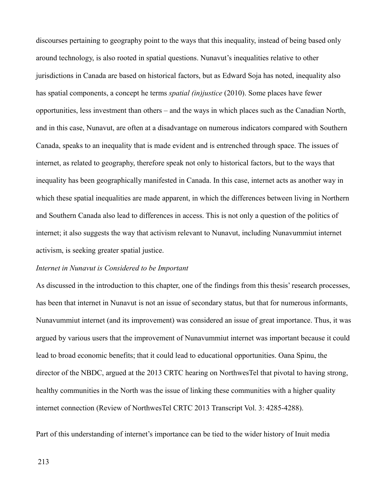discourses pertaining to geography point to the ways that this inequality, instead of being based only around technology, is also rooted in spatial questions. Nunavut's inequalities relative to other jurisdictions in Canada are based on historical factors, but as Edward Soja has noted, inequality also has spatial components, a concept he terms *spatial (in)justice* (2010). Some places have fewer opportunities, less investment than others – and the ways in which places such as the Canadian North, and in this case, Nunavut, are often at a disadvantage on numerous indicators compared with Southern Canada, speaks to an inequality that is made evident and is entrenched through space. The issues of internet, as related to geography, therefore speak not only to historical factors, but to the ways that inequality has been geographically manifested in Canada. In this case, internet acts as another way in which these spatial inequalities are made apparent, in which the differences between living in Northern and Southern Canada also lead to differences in access. This is not only a question of the politics of internet; it also suggests the way that activism relevant to Nunavut, including Nunavummiut internet activism, is seeking greater spatial justice.

### *Internet in Nunavut is Considered to be Important*

As discussed in the introduction to this chapter, one of the findings from this thesis' research processes, has been that internet in Nunavut is not an issue of secondary status, but that for numerous informants, Nunavummiut internet (and its improvement) was considered an issue of great importance. Thus, it was argued by various users that the improvement of Nunavummiut internet was important because it could lead to broad economic benefits; that it could lead to educational opportunities. Oana Spinu, the director of the NBDC, argued at the 2013 CRTC hearing on NorthwesTel that pivotal to having strong, healthy communities in the North was the issue of linking these communities with a higher quality internet connection (Review of NorthwesTel CRTC 2013 Transcript Vol. 3: 4285-4288).

Part of this understanding of internet's importance can be tied to the wider history of Inuit media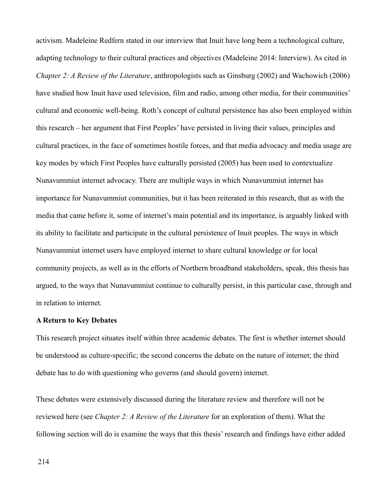activism. Madeleine Redfern stated in our interview that Inuit have long been a technological culture, adapting technology to their cultural practices and objectives (Madeleine 2014: Interview). As cited in *Chapter 2: A Review of the Literature*, anthropologists such as Ginsburg (2002) and Wachowich (2006) have studied how Inuit have used television, film and radio, among other media, for their communities' cultural and economic well-being. Roth's concept of cultural persistence has also been employed within this research – her argument that First Peoples' have persisted in living their values, principles and cultural practices, in the face of sometimes hostile forces, and that media advocacy and media usage are key modes by which First Peoples have culturally persisted (2005) has been used to contextualize Nunavummiut internet advocacy. There are multiple ways in which Nunavummiut internet has importance for Nunavummiut communities, but it has been reiterated in this research, that as with the media that came before it, some of internet's main potential and its importance, is arguably linked with its ability to facilitate and participate in the cultural persistence of Inuit peoples. The ways in which Nunavummiut internet users have employed internet to share cultural knowledge or for local community projects, as well as in the efforts of Northern broadband stakeholders, speak, this thesis has argued, to the ways that Nunavummiut continue to culturally persist, in this particular case, through and in relation to internet.

### **A Return to Key Debates**

This research project situates itself within three academic debates. The first is whether internet should be understood as culture-specific; the second concerns the debate on the nature of internet; the third debate has to do with questioning who governs (and should govern) internet.

These debates were extensively discussed during the literature review and therefore will not be reviewed here (see *Chapter 2: A Review of the Literature* for an exploration of them). What the following section will do is examine the ways that this thesis' research and findings have either added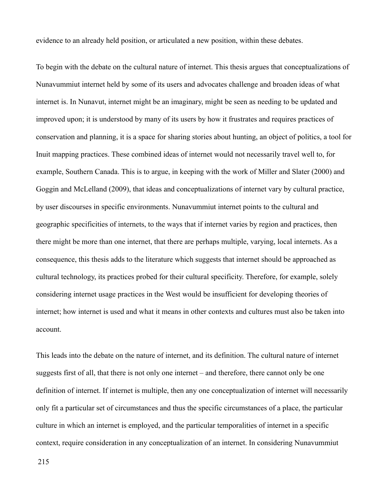evidence to an already held position, or articulated a new position, within these debates.

To begin with the debate on the cultural nature of internet. This thesis argues that conceptualizations of Nunavummiut internet held by some of its users and advocates challenge and broaden ideas of what internet is. In Nunavut, internet might be an imaginary, might be seen as needing to be updated and improved upon; it is understood by many of its users by how it frustrates and requires practices of conservation and planning, it is a space for sharing stories about hunting, an object of politics, a tool for Inuit mapping practices. These combined ideas of internet would not necessarily travel well to, for example, Southern Canada. This is to argue, in keeping with the work of Miller and Slater (2000) and Goggin and McLelland (2009), that ideas and conceptualizations of internet vary by cultural practice, by user discourses in specific environments. Nunavummiut internet points to the cultural and geographic specificities of internets, to the ways that if internet varies by region and practices, then there might be more than one internet, that there are perhaps multiple, varying, local internets. As a consequence, this thesis adds to the literature which suggests that internet should be approached as cultural technology, its practices probed for their cultural specificity. Therefore, for example, solely considering internet usage practices in the West would be insufficient for developing theories of internet; how internet is used and what it means in other contexts and cultures must also be taken into account.

This leads into the debate on the nature of internet, and its definition. The cultural nature of internet suggests first of all, that there is not only one internet – and therefore, there cannot only be one definition of internet. If internet is multiple, then any one conceptualization of internet will necessarily only fit a particular set of circumstances and thus the specific circumstances of a place, the particular culture in which an internet is employed, and the particular temporalities of internet in a specific context, require consideration in any conceptualization of an internet. In considering Nunavummiut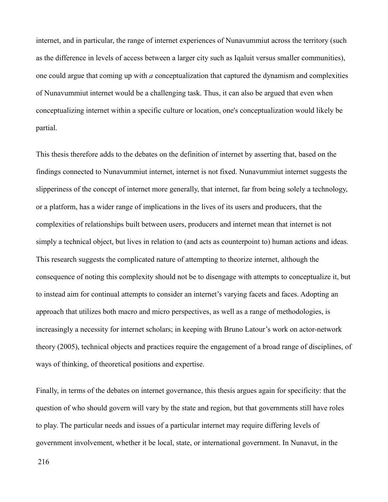internet, and in particular, the range of internet experiences of Nunavummiut across the territory (such as the difference in levels of access between a larger city such as Iqaluit versus smaller communities), one could argue that coming up with *a* conceptualization that captured the dynamism and complexities of Nunavummiut internet would be a challenging task. Thus, it can also be argued that even when conceptualizing internet within a specific culture or location, one's conceptualization would likely be partial.

This thesis therefore adds to the debates on the definition of internet by asserting that, based on the findings connected to Nunavummiut internet, internet is not fixed. Nunavummiut internet suggests the slipperiness of the concept of internet more generally, that internet, far from being solely a technology, or a platform, has a wider range of implications in the lives of its users and producers, that the complexities of relationships built between users, producers and internet mean that internet is not simply a technical object, but lives in relation to (and acts as counterpoint to) human actions and ideas. This research suggests the complicated nature of attempting to theorize internet, although the consequence of noting this complexity should not be to disengage with attempts to conceptualize it, but to instead aim for continual attempts to consider an internet's varying facets and faces. Adopting an approach that utilizes both macro and micro perspectives, as well as a range of methodologies, is increasingly a necessity for internet scholars; in keeping with Bruno Latour's work on actor-network theory (2005), technical objects and practices require the engagement of a broad range of disciplines, of ways of thinking, of theoretical positions and expertise.

Finally, in terms of the debates on internet governance, this thesis argues again for specificity: that the question of who should govern will vary by the state and region, but that governments still have roles to play. The particular needs and issues of a particular internet may require differing levels of government involvement, whether it be local, state, or international government. In Nunavut, in the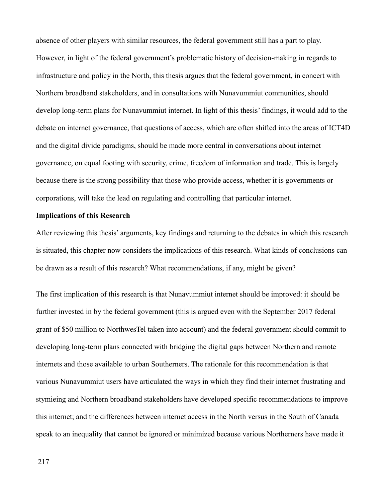absence of other players with similar resources, the federal government still has a part to play. However, in light of the federal government's problematic history of decision-making in regards to infrastructure and policy in the North, this thesis argues that the federal government, in concert with Northern broadband stakeholders, and in consultations with Nunavummiut communities, should develop long-term plans for Nunavummiut internet. In light of this thesis' findings, it would add to the debate on internet governance, that questions of access, which are often shifted into the areas of ICT4D and the digital divide paradigms, should be made more central in conversations about internet governance, on equal footing with security, crime, freedom of information and trade. This is largely because there is the strong possibility that those who provide access, whether it is governments or corporations, will take the lead on regulating and controlling that particular internet.

#### **Implications of this Research**

After reviewing this thesis' arguments, key findings and returning to the debates in which this research is situated, this chapter now considers the implications of this research. What kinds of conclusions can be drawn as a result of this research? What recommendations, if any, might be given?

The first implication of this research is that Nunavummiut internet should be improved: it should be further invested in by the federal government (this is argued even with the September 2017 federal grant of \$50 million to NorthwesTel taken into account) and the federal government should commit to developing long-term plans connected with bridging the digital gaps between Northern and remote internets and those available to urban Southerners. The rationale for this recommendation is that various Nunavummiut users have articulated the ways in which they find their internet frustrating and stymieing and Northern broadband stakeholders have developed specific recommendations to improve this internet; and the differences between internet access in the North versus in the South of Canada speak to an inequality that cannot be ignored or minimized because various Northerners have made it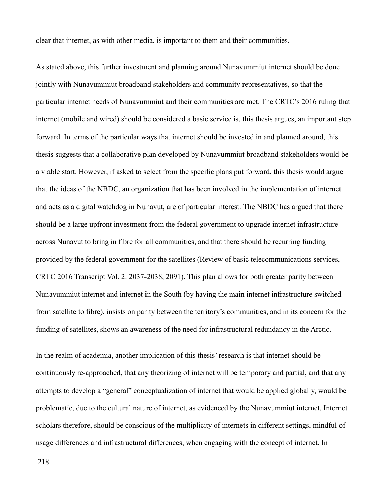clear that internet, as with other media, is important to them and their communities.

As stated above, this further investment and planning around Nunavummiut internet should be done jointly with Nunavummiut broadband stakeholders and community representatives, so that the particular internet needs of Nunavummiut and their communities are met. The CRTC's 2016 ruling that internet (mobile and wired) should be considered a basic service is, this thesis argues, an important step forward. In terms of the particular ways that internet should be invested in and planned around, this thesis suggests that a collaborative plan developed by Nunavummiut broadband stakeholders would be a viable start. However, if asked to select from the specific plans put forward, this thesis would argue that the ideas of the NBDC, an organization that has been involved in the implementation of internet and acts as a digital watchdog in Nunavut, are of particular interest. The NBDC has argued that there should be a large upfront investment from the federal government to upgrade internet infrastructure across Nunavut to bring in fibre for all communities, and that there should be recurring funding provided by the federal government for the satellites (Review of basic telecommunications services, CRTC 2016 Transcript Vol. 2: 2037-2038, 2091). This plan allows for both greater parity between Nunavummiut internet and internet in the South (by having the main internet infrastructure switched from satellite to fibre), insists on parity between the territory's communities, and in its concern for the funding of satellites, shows an awareness of the need for infrastructural redundancy in the Arctic.

In the realm of academia, another implication of this thesis' research is that internet should be continuously re-approached, that any theorizing of internet will be temporary and partial, and that any attempts to develop a "general" conceptualization of internet that would be applied globally, would be problematic, due to the cultural nature of internet, as evidenced by the Nunavummiut internet. Internet scholars therefore, should be conscious of the multiplicity of internets in different settings, mindful of usage differences and infrastructural differences, when engaging with the concept of internet. In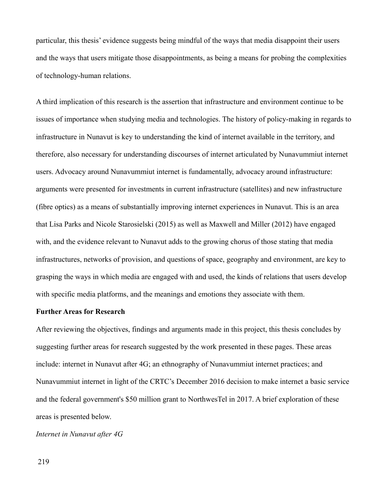particular, this thesis' evidence suggests being mindful of the ways that media disappoint their users and the ways that users mitigate those disappointments, as being a means for probing the complexities of technology-human relations.

A third implication of this research is the assertion that infrastructure and environment continue to be issues of importance when studying media and technologies. The history of policy-making in regards to infrastructure in Nunavut is key to understanding the kind of internet available in the territory, and therefore, also necessary for understanding discourses of internet articulated by Nunavummiut internet users. Advocacy around Nunavummiut internet is fundamentally, advocacy around infrastructure: arguments were presented for investments in current infrastructure (satellites) and new infrastructure (fibre optics) as a means of substantially improving internet experiences in Nunavut. This is an area that Lisa Parks and Nicole Starosielski (2015) as well as Maxwell and Miller (2012) have engaged with, and the evidence relevant to Nunavut adds to the growing chorus of those stating that media infrastructures, networks of provision, and questions of space, geography and environment, are key to grasping the ways in which media are engaged with and used, the kinds of relations that users develop with specific media platforms, and the meanings and emotions they associate with them.

#### **Further Areas for Research**

After reviewing the objectives, findings and arguments made in this project, this thesis concludes by suggesting further areas for research suggested by the work presented in these pages. These areas include: internet in Nunavut after 4G; an ethnography of Nunavummiut internet practices; and Nunavummiut internet in light of the CRTC's December 2016 decision to make internet a basic service and the federal government's \$50 million grant to NorthwesTel in 2017. A brief exploration of these areas is presented below.

*Internet in Nunavut after 4G*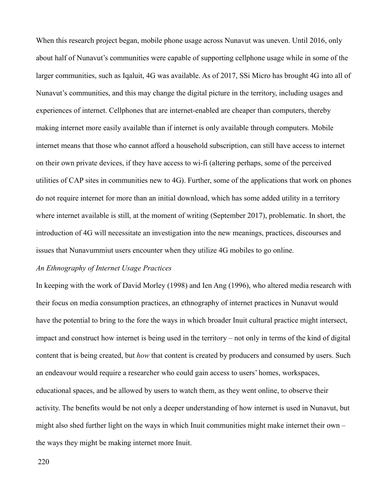When this research project began, mobile phone usage across Nunavut was uneven. Until 2016, only about half of Nunavut's communities were capable of supporting cellphone usage while in some of the larger communities, such as Iqaluit, 4G was available. As of 2017, SSi Micro has brought 4G into all of Nunavut's communities, and this may change the digital picture in the territory, including usages and experiences of internet. Cellphones that are internet-enabled are cheaper than computers, thereby making internet more easily available than if internet is only available through computers. Mobile internet means that those who cannot afford a household subscription, can still have access to internet on their own private devices, if they have access to wi-fi (altering perhaps, some of the perceived utilities of CAP sites in communities new to 4G). Further, some of the applications that work on phones do not require internet for more than an initial download, which has some added utility in a territory where internet available is still, at the moment of writing (September 2017), problematic. In short, the introduction of 4G will necessitate an investigation into the new meanings, practices, discourses and issues that Nunavummiut users encounter when they utilize 4G mobiles to go online.

#### *An Ethnography of Internet Usage Practices*

In keeping with the work of David Morley (1998) and Ien Ang (1996), who altered media research with their focus on media consumption practices, an ethnography of internet practices in Nunavut would have the potential to bring to the fore the ways in which broader Inuit cultural practice might intersect, impact and construct how internet is being used in the territory – not only in terms of the kind of digital content that is being created, but *how* that content is created by producers and consumed by users. Such an endeavour would require a researcher who could gain access to users' homes, workspaces, educational spaces, and be allowed by users to watch them, as they went online, to observe their activity. The benefits would be not only a deeper understanding of how internet is used in Nunavut, but might also shed further light on the ways in which Inuit communities might make internet their own – the ways they might be making internet more Inuit.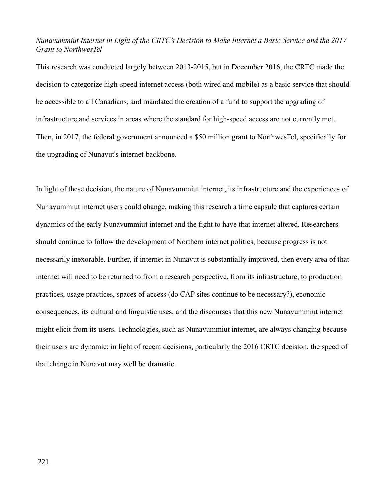### *Nunavummiut Internet in Light of the CRTC's Decision to Make Internet a Basic Service and the 2017 Grant to NorthwesTel*

This research was conducted largely between 2013-2015, but in December 2016, the CRTC made the decision to categorize high-speed internet access (both wired and mobile) as a basic service that should be accessible to all Canadians, and mandated the creation of a fund to support the upgrading of infrastructure and services in areas where the standard for high-speed access are not currently met. Then, in 2017, the federal government announced a \$50 million grant to NorthwesTel, specifically for the upgrading of Nunavut's internet backbone.

In light of these decision, the nature of Nunavummiut internet, its infrastructure and the experiences of Nunavummiut internet users could change, making this research a time capsule that captures certain dynamics of the early Nunavummiut internet and the fight to have that internet altered. Researchers should continue to follow the development of Northern internet politics, because progress is not necessarily inexorable. Further, if internet in Nunavut is substantially improved, then every area of that internet will need to be returned to from a research perspective, from its infrastructure, to production practices, usage practices, spaces of access (do CAP sites continue to be necessary?), economic consequences, its cultural and linguistic uses, and the discourses that this new Nunavummiut internet might elicit from its users. Technologies, such as Nunavummiut internet, are always changing because their users are dynamic; in light of recent decisions, particularly the 2016 CRTC decision, the speed of that change in Nunavut may well be dramatic.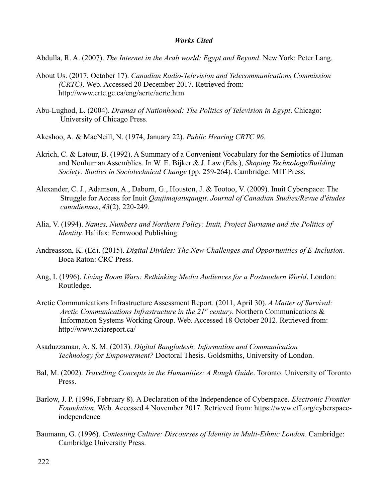#### *Works Cited*

Abdulla, R. A. (2007). *The Internet in the Arab world: Egypt and Beyond*. New York: Peter Lang.

- About Us. (2017, October 17). *Canadian Radio-Television and Telecommunications Commission (CRTC)*. Web. Accessed 20 December 2017. Retrieved from: http://www.crtc.gc.ca/eng/acrtc/acrtc.htm
- Abu-Lughod, L. (2004). *Dramas of Nationhood: The Politics of Television in Egypt*. Chicago: University of Chicago Press.

Akeshoo, A. & MacNeill, N. (1974, January 22). *Public Hearing CRTC 96*.

- Akrich, C. & Latour, B. (1992). A Summary of a Convenient Vocabulary for the Semiotics of Human and Nonhuman Assemblies. In W. E. Bijker & J. Law (Eds.), *Shaping Technology/Building Society: Studies in Sociotechnical Change* (pp. 259-264). Cambridge: MIT Press.
- Alexander, C. J., Adamson, A., Daborn, G., Houston, J. & Tootoo, V. (2009). Inuit Cyberspace: The Struggle for Access for Inuit *Qaujimajatuqangit*. *Journal of Canadian Studies/Revue d'études canadiennes*, *43*(2), 220-249.
- Alia, V. (1994). *Names, Numbers and Northern Policy: Inuit, Project Surname and the Politics of Identity*. Halifax: Fernwood Publishing.
- Andreasson, K. (Ed). (2015). *Digital Divides: The New Challenges and Opportunities of E-Inclusion*. Boca Raton: CRC Press.
- Ang, I. (1996). *Living Room Wars: Rethinking Media Audiences for a Postmodern World*. London: Routledge.
- Arctic Communications Infrastructure Assessment Report. (2011, April 30). *A Matter of Survival: Arctic Communications Infrastructure in the 21st century*. Northern Communications & Information Systems Working Group. Web. Accessed 18 October 2012. Retrieved from: http://www.aciareport.ca/
- Asaduzzaman, A. S. M. (2013). *Digital Bangladesh: Information and Communication Technology for Empowerment?* Doctoral Thesis. Goldsmiths, University of London.
- Bal, M. (2002). *Travelling Concepts in the Humanities: A Rough Guide*. Toronto: University of Toronto Press.
- Barlow, J. P. (1996, February 8). A Declaration of the Independence of Cyberspace. *Electronic Frontier Foundation*. Web. Accessed 4 November 2017. Retrieved from: https://www.eff.org/cyberspaceindependence
- Baumann, G. (1996). *Contesting Culture: Discourses of Identity in Multi-Ethnic London*. Cambridge: Cambridge University Press.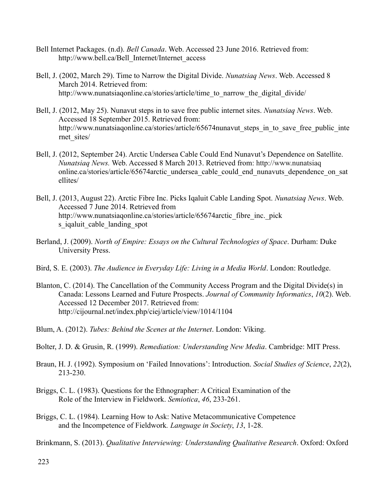- Bell Internet Packages. (n.d). *Bell Canada*. Web. Accessed 23 June 2016. Retrieved from: http://www.bell.ca/Bell\_Internet/Internet\_access
- Bell, J. (2002, March 29). Time to Narrow the Digital Divide. *Nunatsiaq News*. Web. Accessed 8 March 2014. Retrieved from: http://www.nunatsiaqonline.ca/stories/article/time to narrow the digital divide/
- Bell, J. (2012, May 25). Nunavut steps in to save free public internet sites. *Nunatsiaq News*. Web. Accessed 18 September 2015. Retrieved from: http://www.nunatsiaqonline.ca/stories/article/65674nunavut\_steps\_in\_to\_save\_free\_public\_inte rnet\_sites/
- Bell, J. (2012, September 24). Arctic Undersea Cable Could End Nunavut's Dependence on Satellite. *Nunatsiaq News.* Web. Accessed 8 March 2013. Retrieved from: http://www.nunatsiaq online.ca/stories/article/65674arctic\_undersea\_cable\_could\_end\_nunavuts\_dependence\_on\_sat ellites/
- Bell, J. (2013, August 22). Arctic Fibre Inc. Picks Iqaluit Cable Landing Spot. *Nunatsiaq News*. Web. Accessed 7 June 2014. Retrieved from http://www.nunatsiaqonline.ca/stories/article/65674 arctic fibre inc. pick s iqaluit cable landing spot
- Berland, J. (2009). *North of Empire: Essays on the Cultural Technologies of Space*. Durham: Duke University Press.
- Bird, S. E. (2003). *The Audience in Everyday Life: Living in a Media World*. London: Routledge.
- Blanton, C. (2014). The Cancellation of the Community Access Program and the Digital Divide(s) in Canada: Lessons Learned and Future Prospects. *Journal of Community Informatics*, *10*(2). Web. Accessed 12 December 2017. Retrieved from: http://cijournal.net/index.php/ciej/article/view/1014/1104
- Blum, A. (2012). *Tubes: Behind the Scenes at the Internet*. London: Viking.
- Bolter, J. D. & Grusin, R. (1999). *Remediation: Understanding New Media*. Cambridge: MIT Press.
- Braun, H. J. (1992). Symposium on 'Failed Innovations': Introduction. *Social Studies of Science*, *22*(2), 213-230.
- Briggs, C. L. (1983). Questions for the Ethnographer: A Critical Examination of the Role of the Interview in Fieldwork. *Semiotica*, *46*, 233-261.
- Briggs, C. L. (1984). Learning How to Ask: Native Metacommunicative Competence and the Incompetence of Fieldwork*. Language in Society*, *13*, 1-28.

Brinkmann, S. (2013). *Qualitative Interviewing: Understanding Qualitative Research*. Oxford: Oxford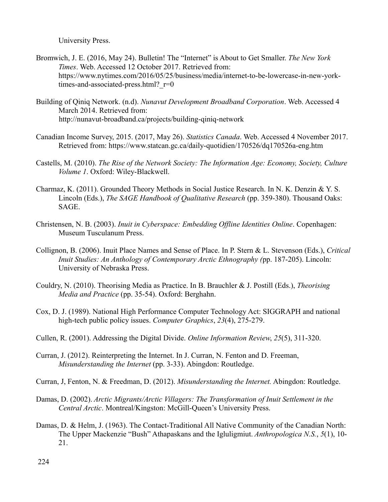University Press.

- Bromwich, J. E. (2016, May 24). Bulletin! The "Internet" is About to Get Smaller. *The New York Times*. Web. Accessed 12 October 2017. Retrieved from: https://www.nytimes.com/2016/05/25/business/media/internet-to-be-lowercase-in-new-yorktimes-and-associated-press.html? $r=0$
- Building of Qiniq Network. (n.d). *Nunavut Development Broadband Corporation*. Web. Accessed 4 March 2014. Retrieved from: http://nunavut-broadband.ca/projects/building-qiniq-network
- Canadian Income Survey, 2015. (2017, May 26). *Statistics Canada*. Web. Accessed 4 November 2017. Retrieved from: https://www.statcan.gc.ca/daily-quotidien/170526/dq170526a-eng.htm
- Castells, M. (2010). *The Rise of the Network Society: The Information Age: Economy, Society, Culture Volume 1*. Oxford: Wiley-Blackwell.
- Charmaz, K. (2011). Grounded Theory Methods in Social Justice Research. In N. K. Denzin & Y. S. Lincoln (Eds.), *The SAGE Handbook of Qualitative Research* (pp. 359-380). Thousand Oaks: SAGE.
- Christensen, N. B. (2003). *Inuit in Cyberspace: Embedding Offline Identities Online*. Copenhagen: Museum Tusculanum Press.
- Collignon, B. (2006). Inuit Place Names and Sense of Place. In P. Stern & L. Stevenson (Eds.), *Critical Inuit Studies: An Anthology of Contemporary Arctic Ethnography (*pp. 187-205). Lincoln: University of Nebraska Press.
- Couldry, N. (2010). Theorising Media as Practice. In B. Brauchler & J. Postill (Eds.), *Theorising Media and Practice* (pp. 35-54). Oxford: Berghahn.
- Cox, D. J. (1989). National High Performance Computer Technology Act: SIGGRAPH and national high-tech public policy issues. *Computer Graphics*, *23*(4), 275-279.
- Cullen, R. (2001). Addressing the Digital Divide. *Online Information Review*, *25*(5), 311-320.
- Curran, J. (2012). Reinterpreting the Internet. In J. Curran, N. Fenton and D. Freeman, *Misunderstanding the Internet* (pp. 3-33). Abingdon: Routledge.
- Curran, J, Fenton, N. & Freedman, D. (2012). *Misunderstanding the Internet.* Abingdon: Routledge.
- Damas, D. (2002). *Arctic Migrants/Arctic Villagers: The Transformation of Inuit Settlement in the Central Arctic*. Montreal/Kingston: McGill-Queen's University Press.
- Damas, D. & Helm, J. (1963). The Contact-Traditional All Native Community of the Canadian North: The Upper Mackenzie "Bush" Athapaskans and the Igluligmiut. *Anthropologica N.S.*, *5*(1), 10- 21.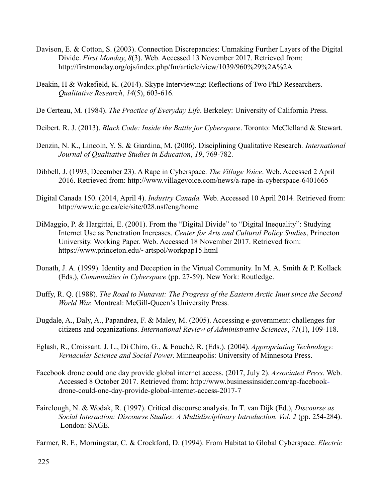- Davison, E. & Cotton, S. (2003). Connection Discrepancies: Unmaking Further Layers of the Digital Divide. *First Monday*, *8*(3). Web. Accessed 13 November 2017. Retrieved from: http://firstmonday.org/ojs/index.php/fm/article/view/1039/960%29%2A%2A
- Deakin, H & Wakefield, K. (2014). Skype Interviewing: Reflections of Two PhD Researchers. *Qualitative Research*, *14*(5), 603-616.
- De Certeau, M. (1984). *The Practice of Everyday Life*. Berkeley: University of California Press.
- Deibert. R. J. (2013). *Black Code: Inside the Battle for Cyberspace*. Toronto: McClelland & Stewart.
- Denzin, N. K., Lincoln, Y. S. & Giardina, M. (2006). Disciplining Qualitative Research*. International Journal of Qualitative Studies in Education*, *19*, 769-782.
- Dibbell, J. (1993, December 23). A Rape in Cyberspace. *The Village Voice*. Web. Accessed 2 April 2016. Retrieved from: http://www.villagevoice.com/news/a-rape-in-cyberspace-6401665
- Digital Canada 150. (2014, April 4). *Industry Canada.* Web. Accessed 10 April 2014. Retrieved from: http://www.ic.gc.ca/eic/site/028.nsf/eng/home
- DiMaggio, P. & Hargittai, E. (2001). From the "Digital Divide" to "Digital Inequality": Studying Internet Use as Penetration Increases. *Center for Arts and Cultural Policy Studies*, Princeton University. Working Paper. Web. Accessed 18 November 2017. Retrieved from: https://www.princeton.edu/~artspol/workpap15.html
- Donath, J. A. (1999). Identity and Deception in the Virtual Community. In M. A. Smith & P. Kollack (Eds.), *Communities in Cyberspace* (pp. 27-59). New York: Routledge.
- Duffy, R. Q. (1988). *The Road to Nunavut: The Progress of the Eastern Arctic Inuit since the Second World War.* Montreal: McGill-Queen's University Press.
- Dugdale, A., Daly, A., Papandrea, F. & Maley, M. (2005). Accessing e-government: challenges for citizens and organizations. *International Review of Administrative Sciences*, *71*(1), 109-118.
- Eglash, R., Croissant. J. L., Di Chiro, G., & Fouché, R. (Eds.). (2004). *Appropriating Technology: Vernacular Science and Social Power*. Minneapolis: University of Minnesota Press.
- Facebook drone could one day provide global internet access. (2017, July 2). *Associated Press*. Web. Accessed 8 October 2017. Retrieved from: http://www.businessinsider.com/ap-faceboo[k](http://www.businessinsider.com/ap-facebook-)drone-could-one-day-provide-global-internet-access-2017-7
- Fairclough, N. & Wodak, R. (1997). Critical discourse analysis. In T. van Dijk (Ed.), *Discourse as Social Interaction: Discourse Studies: A Multidisciplinary Introduction. Vol. 2* (pp. 254-284). London: SAGE.

Farmer, R. F., Morningstar, C. & Crockford, D. (1994). From Habitat to Global Cyberspace. *Electric*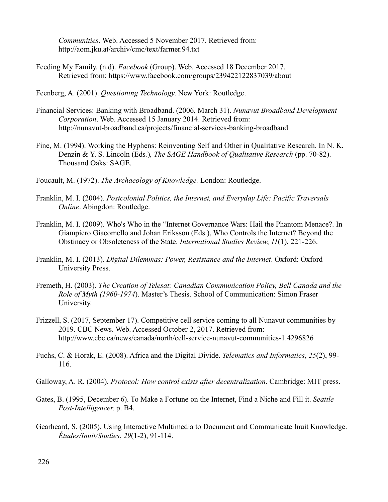*Communities*. Web. Accessed 5 November 2017. Retrieved from: http://aom.jku.at/archiv/cmc/text/farmer.94.txt

- Feeding My Family. (n.d). *Facebook* (Group). Web. Accessed 18 December 2017. Retrieved from: https://www.facebook.com/groups/239422122837039/about
- Feenberg, A. (2001). *Questioning Technology*. New York: Routledge.
- Financial Services: Banking with Broadband. (2006, March 31). *Nunavut Broadband Development Corporation*. Web. Accessed 15 January 2014. Retrieved from: http://nunavut-broadband.ca/projects/financial-services-banking-broadband
- Fine, M. (1994). Working the Hyphens: Reinventing Self and Other in Qualitative Research. In N. K. Denzin & Y. S. Lincoln (Eds*.*)*, The SAGE Handbook of Qualitative Research* (pp. 70-82). Thousand Oaks: SAGE.
- Foucault, M. (1972). *The Archaeology of Knowledge.* London: Routledge.
- Franklin, M. I. (2004). *Postcolonial Politics, the Internet, and Everyday Life: Pacific Traversals Online*. Abingdon: Routledge.
- Franklin, M. I. (2009). Who's Who in the "Internet Governance Wars: Hail the Phantom Menace?. In Giampiero Giacomello and Johan Eriksson (Eds.), Who Controls the Internet? Beyond the Obstinacy or Obsoleteness of the State. *International Studies Review*, *11*(1), 221-226.
- Franklin, M. I. (2013). *Digital Dilemmas: Power, Resistance and the Internet*. Oxford: Oxford University Press.
- Fremeth, H. (2003). *The Creation of Telesat: Canadian Communication Policy, Bell Canada and the Role of Myth (1960-1974*). Master's Thesis. School of Communication: Simon Fraser University.
- Frizzell, S. (2017, September 17). Competitive cell service coming to all Nunavut communities by 2019. CBC News. Web. Accessed October 2, 2017. Retrieved from: http://www.cbc.ca/news/canada/north/cell-service-nunavut-communities-1.4296826
- Fuchs, C. & Horak, E. (2008). Africa and the Digital Divide. *Telematics and Informatics*, *25*(2), 99- 116.
- Galloway, A. R. (2004). *Protocol: How control exists after decentralization*. Cambridge: MIT press.
- Gates, B. (1995, December 6). To Make a Fortune on the Internet, Find a Niche and Fill it. *Seattle Post-Intelligencer,* p. B4.
- Gearheard, S. (2005). Using Interactive Multimedia to Document and Communicate Inuit Knowledge. *Études/Inuit/Studies*, *29*(1-2), 91-114.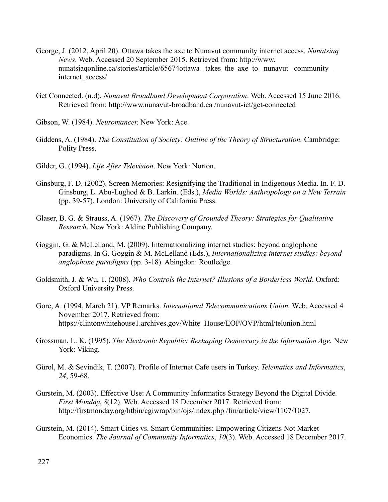- George, J. (2012, April 20). Ottawa takes the axe to Nunavut community internet access. *Nunatsiaq News*. Web. Accessed 20 September 2015. Retrieved from: http://www. nunatsiaqonline.ca/stories/article/65674ottawa takes the axe to nunavut community internet\_access/
- Get Connected. (n.d). *Nunavut Broadband Development Corporation*. Web. Accessed 15 June 2016. Retrieved from: http://www.nunavut-broadband.ca /nunavut-ict/get-connected
- Gibson, W. (1984). *Neuromancer*. New York: Ace.
- Giddens, A. (1984). *The Constitution of Society: Outline of the Theory of Structuration.* Cambridge: Polity Press.
- Gilder, G. (1994). *Life After Television*. New York: Norton.
- Ginsburg, F. D. (2002). Screen Memories: Resignifying the Traditional in Indigenous Media. In. F. D. Ginsburg, L. Abu-Lughod & B. Larkin. (Eds.), *Media Worlds: Anthropology on a New Terrain* (pp. 39-57). London: University of California Press.
- Glaser, B. G. & Strauss, A. (1967). *The Discovery of Grounded Theory: Strategies for Qualitative Research*. New York: Aldine Publishing Company.
- Goggin, G. & McLelland, M. (2009). Internationalizing internet studies: beyond anglophone paradigms. In G. Goggin & M. McLelland (Eds.), *Internationalizing internet studies: beyond anglophone paradigms* (pp. 3-18). Abingdon: Routledge.
- Goldsmith, J. & Wu, T. (2008). *Who Controls the Internet? Illusions of a Borderless World*. Oxford: Oxford University Press.
- Gore, A. (1994, March 21). VP Remarks. *International Telecommunications Union.* Web. Accessed 4 November 2017. Retrieved from: https://clintonwhitehouse1.archives.gov/White\_House/EOP/OVP/html/telunion.html
- Grossman, L. K. (1995). *The Electronic Republic: Reshaping Democracy in the Information Age.* New York: Viking.
- Gürol, M. & Sevindik, T. (2007). Profile of Internet Cafe users in Turkey. *Telematics and Informatics*, *24*, 59-68.
- Gurstein, M. (2003). Effective Use: A Community Informatics Strategy Beyond the Digital Divide*. First Monday*, *8*(12). Web. Accessed 18 December 2017. Retrieved from: <http://firstmonday.org/>htbin/cgiwrap/bin/ojs/index.php /fm/article/view/1107/1027.
- Gurstein, M. (2014). Smart Cities vs. Smart Communities: Empowering Citizens Not Market Economics. *The Journal of Community Informatics*, *10*(3). Web. Accessed 18 December 2017.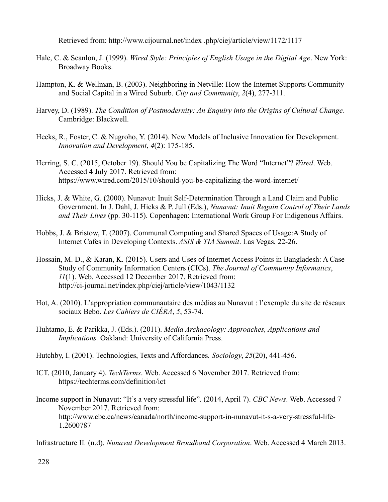Retrieved from: http://www.cijournal.net/index .php/ciej/article/view/1172/1117

- Hale, C. & Scanlon, J. (1999). *Wired Style: Principles of English Usage in the Digital Age*. New York: Broadway Books.
- Hampton, K. & Wellman, B. (2003). Neighboring in Netville: How the Internet Supports Community and Social Capital in a Wired Suburb. *City and Community*, *2*(4), 277-311.
- Harvey, D. (1989). *The Condition of Postmodernity: An Enquiry into the Origins of Cultural Change*. Cambridge: Blackwell.
- Heeks, R., Foster, C. & Nugroho, Y. (2014). New Models of Inclusive Innovation for Development. *Innovation and Development*, *4*(2): 175-185.
- Herring, S. C. (2015, October 19). Should You be Capitalizing The Word "Internet"? *Wired*. Web. Accessed 4 July 2017. Retrieved from: https://www.wired.com/2015/10/should-you-be-capitalizing-the-word-internet/
- Hicks, J. & White, G. (2000). Nunavut: Inuit Self-Determination Through a Land Claim and Public Government. In J. Dahl, J. Hicks & P. Jull (Eds.), *Nunavut: Inuit Regain Control of Their Lands and Their Lives* (pp. 30-115). Copenhagen: International Work Group For Indigenous Affairs.
- Hobbs, J. & Bristow, T. (2007). Communal Computing and Shared Spaces of Usage:A Study of Internet Cafes in Developing Contexts. *ASIS & TIA Summit*. Las Vegas, 22-26.
- Hossain, M. D., & Karan, K. (2015). Users and Uses of Internet Access Points in Bangladesh: A Case Study of Community Information Centers (CICs). *The Journal of Community Informatics*, *11*(1). Web. Accessed 12 December 2017. Retrieved from: http://ci-journal.net/index.php/ciej/article/view/1043/1132
- Hot, A. (2010). L'appropriation communautaire des médias au Nunavut : l'exemple du site de réseaux sociaux Bebo. *Les Cahiers de CIÉRA*, *5*, 53-74.
- Huhtamo, E. & Parikka, J. (Eds.). (2011). *Media Archaeology: Approaches, Applications and Implications.* Oakland: University of California Press.
- Hutchby, I. (2001). Technologies, Texts and Affordances*. Sociology*, *25*(20), 441-456.
- ICT. (2010, January 4). *TechTerms*. Web. Accessed 6 November 2017. Retrieved from: https://techterms.com/definition/ict
- Income support in Nunavut: "It's a very stressful life". (2014, April 7). *CBC News*. Web. Accessed 7 November 2017. Retrieved from: http://www.cbc.ca/news/canada/north/income-support-in-nunavut-it-s-a-very-stressful-life-1.2600787

Infrastructure II*.* (n.d). *Nunavut Development Broadband Corporation*. Web. Accessed 4 March 2013.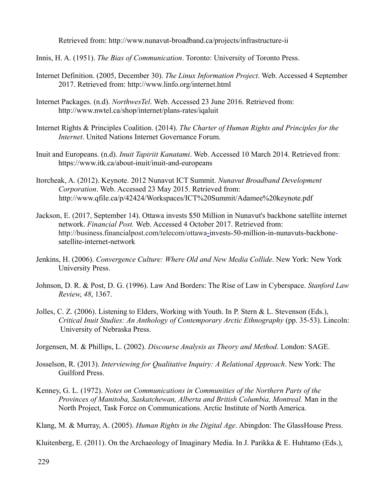Retrieved from: http://www.nunavut-broadband.ca/projects/infrastructure-ii

- Innis, H. A. (1951). *The Bias of Communication*. Toronto: University of Toronto Press.
- Internet Definition. (2005, December 30). *The Linux Information Project*. Web. Accessed 4 September 2017. Retrieved from: http://www.linfo.org/internet.html
- Internet Packages. (n.d). *NorthwesTel*. Web. Accessed 23 June 2016. Retrieved from: http://www.nwtel.ca/shop/internet/plans-rates/iqaluit
- Internet Rights & Principles Coalition. (2014). *The Charter of Human Rights and Principles for the Internet*. United Nations Internet Governance Forum.
- Inuit and Europeans. (n.d). *Inuit Tapiriit Kanatami*. Web. Accessed 10 March 2014. Retrieved from: https://www.itk.ca/about-inuit/inuit-and-europeans
- Itorcheak, A. (2012). Keynote. 2012 Nunavut ICT Summit. *Nunavut Broadband Development Corporation*. Web. Accessed 23 May 2015. Retrieved from: http://www.qfile.ca/p/42424/Workspaces/ICT%20Summit/Adamee%20keynote.pdf
- Jackson, E. (2017, September 14). Ottawa invests \$50 Million in Nunavut's backbone satellite internet network. *Financial Post.* Web. Accessed 4 October 2017. Retrieved from: [http://business.financialpost.com/telecom/ottawa-i](http://business.financialpost.com/telecom/ottawa-invests-50-million-in-nunavuts-backbone-)nvests-50-million-in-nunavuts-backbon[e](http://business.financialpost.com/telecom/ottawa-invests-50-million-in-nunavuts-backbone-)satellite-internet-network
- Jenkins, H. (2006). *Convergence Culture: Where Old and New Media Collide*. New York: New York University Press.
- Johnson, D. R. & Post, D. G. (1996). Law And Borders: The Rise of Law in Cyberspace. *Stanford Law Review*, *48*, 1367.
- Jolles, C. Z. (2006). Listening to Elders, Working with Youth. In P. Stern & L. Stevenson (Eds.), *Critical Inuit Studies: An Anthology of Contemporary Arctic Ethnography* (pp. 35-53). Lincoln: University of Nebraska Press.
- Jorgensen, M. & Phillips, L. (2002). *Discourse Analysis as Theory and Method*. London: SAGE.
- Josselson, R. (2013). *Interviewing for Qualitative Inquiry: A Relational Approach*. New York: The Guilford Press.
- Kenney, G. L. (1972). *Notes on Communications in Communities of the Northern Parts of the Provinces of Manitoba, Saskatchewan, Alberta and British Columbia, Montreal.* Man in the North Project, Task Force on Communications. Arctic Institute of North America.

Klang, M. & Murray, A. (2005). *Human Rights in the Digital Age*. Abingdon: The GlassHouse Press.

Kluitenberg, E. (2011). On the Archaeology of Imaginary Media. In J. Parikka & E. Huhtamo (Eds.),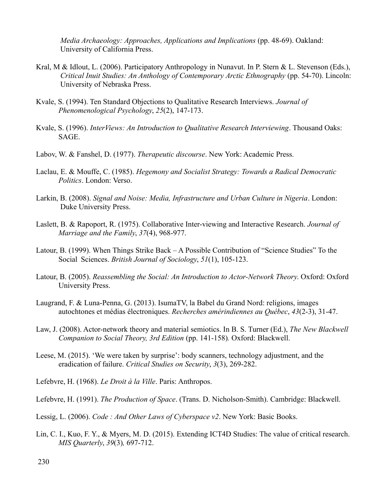*Media Archaeology: Approaches, Applications and Implications* (pp. 48-69). Oakland: University of California Press.

- Kral, M & Idlout, L. (2006). Participatory Anthropology in Nunavut. In P. Stern & L. Stevenson (Eds.), *Critical Inuit Studies: An Anthology of Contemporary Arctic Ethnography* (pp. 54-70). Lincoln: University of Nebraska Press.
- Kvale, S. (1994). Ten Standard Objections to Qualitative Research Interviews. *Journal of Phenomenological Psychology*, *25*(2), 147-173.
- Kvale, S. (1996). *InterViews: An Introduction to Qualitative Research Interviewing*. Thousand Oaks: SAGE.
- Labov, W. & Fanshel, D. (1977). *Therapeutic discourse*. New York: Academic Press.
- Laclau, E. & Mouffe, C. (1985). *Hegemony and Socialist Strategy: Towards a Radical Democratic Politics*. London: Verso.
- Larkin, B. (2008). *Signal and Noise: Media, Infrastructure and Urban Culture in Nigeria*. London: Duke University Press.
- Laslett, B. & Rapoport, R. (1975). Collaborative Inter-viewing and Interactive Research. *Journal of Marriage and the Family*, *37*(4), 968-977.
- Latour, B. (1999). When Things Strike Back A Possible Contribution of "Science Studies" To the Social Sciences. *British Journal of Sociology*, *51*(1), 105-123.
- Latour, B. (2005). *Reassembling the Social: An Introduction to Actor-Network Theory*. Oxford: Oxford University Press.
- Laugrand, F. & Luna-Penna, G. (2013). IsumaTV, la Babel du Grand Nord: religions, images autochtones et médias électroniques. *Recherches amérindiennes au Québec*, *43*(2-3), 31-47.
- Law, J. (2008). Actor-network theory and material semiotics. In B. S. Turner (Ed.), *The New Blackwell Companion to Social Theory, 3rd Edition* (pp. 141-158)*.* Oxford: Blackwell.
- Leese, M. (2015). 'We were taken by surprise': body scanners, technology adjustment, and the eradication of failure. *Critical Studies on Security*, *3*(3), 269-282.
- Lefebvre, H. (1968). *Le Droit à la Ville*. Paris: Anthropos.
- Lefebvre, H. (1991). *The Production of Space*. (Trans. D. Nicholson-Smith). Cambridge: Blackwell.
- Lessig, L. (2006). *Code : And Other Laws of Cyberspace v2*. New York: Basic Books.
- Lin, C. I., Kuo, F. Y., & Myers, M. D. (2015). Extending ICT4D Studies: The value of critical research. *MIS Quarterly*, *39*(3)*,* 697-712.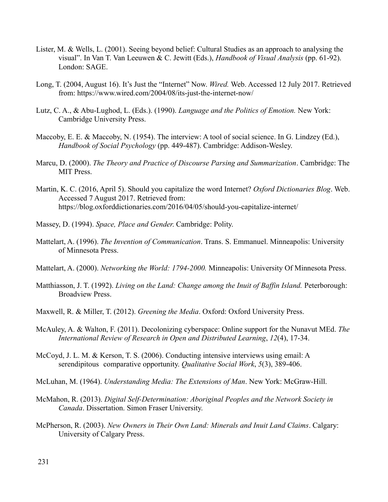- Lister, M. & Wells, L. (2001). Seeing beyond belief: Cultural Studies as an approach to analysing the visual". In Van T. Van Leeuwen & C. Jewitt (Eds.), *Handbook of Visual Analysis* (pp. 61-92). London: SAGE.
- Long, T. (2004, August 16). It's Just the "Internet" Now. *Wired.* Web. Accessed 12 July 2017. Retrieved from: https://www.wired.com/2004/08/its-just-the-internet-now/
- Lutz, C. A., & Abu-Lughod, L. (Eds.). (1990). *Language and the Politics of Emotion.* New York: Cambridge University Press.
- Maccoby, E. E. & Maccoby, N. (1954). The interview: A tool of social science. In G. Lindzey (Ed.), *Handbook of Social Psychology* (pp. 449-487). Cambridge: Addison-Wesley.
- Marcu, D. (2000). *The Theory and Practice of Discourse Parsing and Summarization*. Cambridge: The MIT Press.
- Martin, K. C. (2016, April 5). Should you capitalize the word Internet? *Oxford Dictionaries Blog*. Web. Accessed 7 August 2017. Retrieved from: https://blog.oxforddictionaries.com/2016/04/05/should-you-capitalize-internet/
- Massey, D. (1994). *Space, Place and Gender*. Cambridge: Polity.
- Mattelart, A. (1996). *The Invention of Communication*. Trans. S. Emmanuel. Minneapolis: University of Minnesota Press.
- Mattelart, A. (2000). *Networking the World: 1794-2000.* Minneapolis: University Of Minnesota Press.
- Matthiasson, J. T. (1992). *Living on the Land: Change among the Inuit of Baffin Island.* Peterborough: Broadview Press.
- Maxwell, R. & Miller, T. (2012). *Greening the Media*. Oxford: Oxford University Press.
- McAuley, A. & Walton, F. (2011). Decolonizing cyberspace: Online support for the Nunavut MEd. *The International Review of Research in Open and Distributed Learning*, *12*(4), 17-34.
- McCoyd, J. L. M. & Kerson, T. S. (2006). Conducting intensive interviews using email: A serendipitous comparative opportunity. *Qualitative Social Work*, *5*(3), 389-406.
- McLuhan, M. (1964). *Understanding Media: The Extensions of Man*. New York: McGraw-Hill.
- McMahon, R. (2013). *Digital Self-Determination: Aboriginal Peoples and the Network Society in Canada*. Dissertation. Simon Fraser University.
- McPherson, R. (2003). *New Owners in Their Own Land: Minerals and Inuit Land Claims*. Calgary: University of Calgary Press.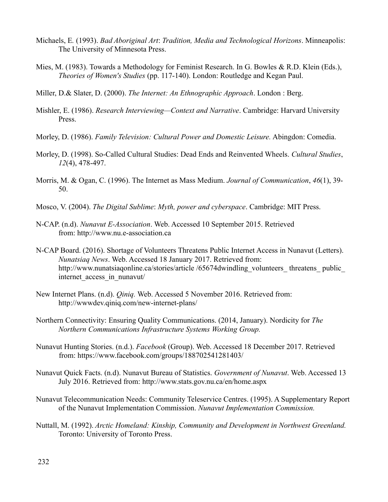- Michaels, E*.* (1993). *Bad Aboriginal Art*: *Tradition, Media and Technological Horizons*. Minneapolis: The University of Minnesota Press.
- Mies, M. (1983). Towards a Methodology for Feminist Research. In G. Bowles & R.D. Klein (Eds.), *Theories of Women's Studies* (pp. 117-140). London: Routledge and Kegan Paul.
- Miller, D.& Slater, D. (2000). *The Internet: An Ethnographic Approach*. London : Berg.
- Mishler, E. (1986). *Research Interviewing—Context and Narrative*. Cambridge: Harvard University Press.
- Morley, D. (1986). *Family Television: Cultural Power and Domestic Leisure.* Abingdon: Comedia.
- Morley, D. (1998). So-Called Cultural Studies: Dead Ends and Reinvented Wheels. *Cultural Studies*, *12*(4), 478-497.
- Morris, M. & Ogan, C. (1996). The Internet as Mass Medium. *Journal of Communication*, *46*(1), 39- 50.
- Mosco, V. (2004). *The Digital Sublime*: *Myth, power and cyberspace*. Cambridge: MIT Press.
- N-CAP. (n.d). *Nunavut E-Association*. Web. Accessed 10 September 2015. Retrieved from: http://www.nu.e-association.ca
- N-CAP Board. (2016). Shortage of Volunteers Threatens Public Internet Access in Nunavut (Letters). *Nunatsiaq News*. Web. Accessed 18 January 2017. Retrieved from: http://www.nunatsiaqonline.ca/stories/article /65674dwindling\_volunteers\_ threatens\_ public\_ internet\_access\_in\_nunavut/
- New Internet Plans. (n.d). *Qiniq.* Web. Accessed 5 November 2016. Retrieved from: http://wwwdev.qiniq.com/new-internet-plans/
- Northern Connectivity: Ensuring Quality Communications. (2014, January). Nordicity for *The Northern Communications Infrastructure Systems Working Group.*
- Nunavut Hunting Stories. (n.d.). *Facebook* (Group). Web. Accessed 18 December 2017. Retrieved from: https://www.facebook.com/groups/188702541281403/
- Nunavut Quick Facts. (n.d). Nunavut Bureau of Statistics. *Government of Nunavut*. Web. Accessed 13 July 2016. Retrieved from: http://www.stats.gov.nu.ca/en/home.aspx
- Nunavut Telecommunication Needs: Community Teleservice Centres. (1995). A Supplementary Report of the Nunavut Implementation Commission. *Nunavut Implementation Commission.*
- Nuttall, M. (1992). *Arctic Homeland: Kinship, Community and Development in Northwest Greenland.*  Toronto: University of Toronto Press.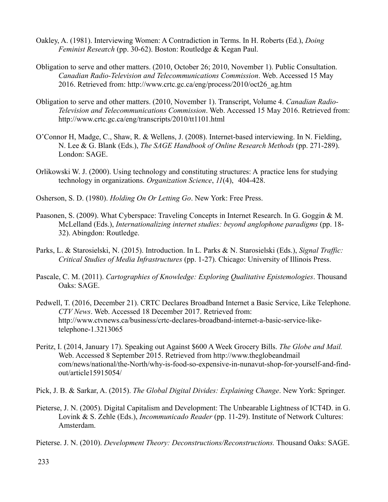- Oakley, A. (1981). Interviewing Women: A Contradiction in Terms. In H. Roberts (Ed.), *Doing Feminist Resea*r*ch* (pp. 30-62). Boston: Routledge & Kegan Paul.
- Obligation to serve and other matters. (2010, October 26; 2010, November 1). Public Consultation. *Canadian Radio-Television and Telecommunications Commission*. Web. Accessed 15 May 2016. Retrieved from: http://www.crtc.gc.ca/eng/process/2010/oct26\_ag.htm
- Obligation to serve and other matters. (2010, November 1). Transcript, Volume 4. *Canadian Radio-Television and Telecommunications Commission*. Web. Accessed 15 May 2016. Retrieved from: http://www.crtc.gc.ca/eng/transcripts/2010/tt1101.html
- O'Connor H, Madge, C., Shaw, R. & Wellens, J. (2008). Internet-based interviewing. In N. Fielding, N. Lee & G. Blank (Eds.), *The SAGE Handbook of Online Research Methods* (pp. 271-289). London: SAGE.
- Orlikowski W. J. (2000). Using technology and constituting structures: A practice lens for studying technology in organizations. *Organization Science*, *11*(4), 404-428.
- Osherson, S. D. (1980). *Holding On Or Letting Go*. New York: Free Press.
- Paasonen, S. (2009). What Cyberspace: Traveling Concepts in Internet Research. In G. Goggin & M. McLelland (Eds.), *Internationalizing internet studies: beyond anglophone paradigms* (pp. 18- 32). Abingdon: Routledge.
- Parks, L. & Starosielski, N. (2015). Introduction. In L. Parks & N. Starosielski (Eds.), *Signal Traffic: Critical Studies of Media Infrastructures* (pp. 1-27). Chicago: University of Illinois Press.
- Pascale, C. M. (2011). *Cartographies of Knowledge: Exploring Qualitative Epistemologies*. Thousand Oaks: SAGE.
- Pedwell, T. (2016, December 21). CRTC Declares Broadband Internet a Basic Service, Like Telephone. *CTV News*. Web. Accessed 18 December 2017. Retrieved from: http://www.ctvnews.ca/business/crtc-declares-broadband-internet-a-basic-service-liketelephone-1.3213065
- Peritz, I. (2014, January 17). Speaking out Against \$600 A Week Grocery Bills. *The Globe and Mail.* Web. Accessed 8 September 2015. Retrieved from http://www.theglobeandmail com/news/national/the-North/why-is-food-so-expensive-in-nunavut-shop-for-yourself-and-findout/article15915054/
- Pick, J. B. & Sarkar, A. (2015). *The Global Digital Divides: Explaining Change*. New York: Springer.
- Pieterse, J. N. (2005). Digital Capitalism and Development: The Unbearable Lightness of ICT4D. in G. Lovink & S. Zehle (Eds.), *Incommunicado Reader* (pp. 11-29). Institute of Network Cultures: Amsterdam.
- Pieterse. J. N. (2010). *Development Theory: Deconstructions/Reconstructions.* Thousand Oaks: SAGE.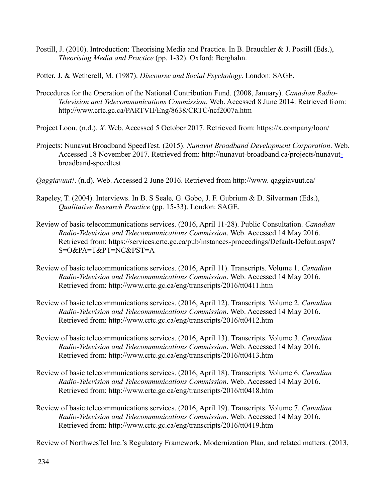Postill, J. (2010). Introduction: Theorising Media and Practice. In B. Brauchler & J. Postill (Eds.), *Theorising Media and Practice* (pp. 1-32). Oxford: Berghahn.

Potter, J. & Wetherell, M. (1987). *Discourse and Social Psychology*. London: SAGE.

- Procedures for the Operation of the National Contribution Fund. (2008, January). *Canadian Radio-Television and Telecommunications Commission.* Web. Accessed 8 June 2014. Retrieved from: http://www.crtc.gc.ca/PARTVII/Eng/8638/CRTC/ncf2007a.htm
- Project Loon. (n.d.). *X*. Web. Accessed 5 October 2017. Retrieved from: https://x.company/loon/
- Projects: Nunavut Broadband SpeedTest. (2015). *Nunavut Broadband Development Corporation*. Web. Accessed 18 November 2017. Retrieved from: http://nunavut-broadband.ca/projects/nunavu[t](http://nunavut-broadband.ca/projects/nunavut-)broadband-speedtest
- *Qaggiavuut!*. (n.d). Web. Accessed 2 June 2016. Retrieved from http://www. qaggiavuut.ca/
- Rapeley, T. (2004). Interviews. In B. S Seale*,* G. Gobo, J. F. Gubrium & D. Silverman (Eds.), *Qualitative Research Practice* (pp. 15-33). London: SAGE.
- Review of basic telecommunications services. (2016, April 11-28). Public Consultation. *Canadian Radio-Television and Telecommunications Commission*. Web. Accessed 14 May 2016. Retrieved from: https://services.crtc.gc.ca/pub/instances-proceedings/Default-Defaut.aspx? S=O&PA=T&PT=NC&PST=A
- Review of basic telecommunications services. (2016, April 11). Transcripts. Volume 1. *Canadian Radio-Television and Telecommunications Commission*. Web. Accessed 14 May 2016. Retrieved from: http://www.crtc.gc.ca/eng/transcripts/2016/tt0411.htm
- Review of basic telecommunications services. (2016, April 12). Transcripts. Volume 2. *Canadian Radio-Television and Telecommunications Commission*. Web. Accessed 14 May 2016. Retrieved from: http://www.crtc.gc.ca/eng/transcripts/2016/tt0412.htm
- Review of basic telecommunications services. (2016, April 13). Transcripts. Volume 3. *Canadian Radio-Television and Telecommunications Commission*. Web. Accessed 14 May 2016. Retrieved from: http://www.crtc.gc.ca/eng/transcripts/2016/tt0413.htm
- Review of basic telecommunications services. (2016, April 18). Transcripts. Volume 6. *Canadian Radio-Television and Telecommunications Commission*. Web. Accessed 14 May 2016. Retrieved from: http://www.crtc.gc.ca/eng/transcripts/2016/tt0418.htm
- Review of basic telecommunications services. (2016, April 19). Transcripts. Volume 7. *Canadian Radio-Television and Telecommunications Commission*. Web. Accessed 14 May 2016. Retrieved from: http://www.crtc.gc.ca/eng/transcripts/2016/tt0419.htm

Review of NorthwesTel Inc.'s Regulatory Framework, Modernization Plan, and related matters. (2013,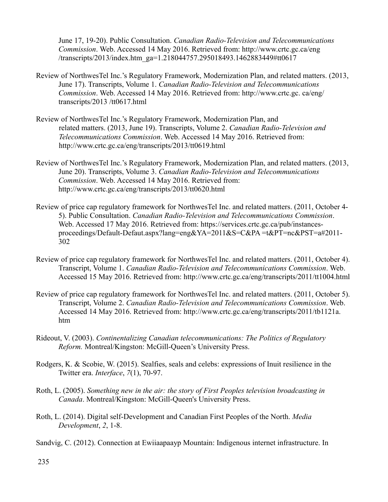June 17, 19-20). Public Consultation. *Canadian Radio-Television and Telecommunications Commission*. Web. Accessed 14 May 2016. Retrieved from: http://www.crtc.gc.ca/eng /transcripts/2013/index.htm\_ga=1.218044757.295018493.1462883449#tt0617

- Review of NorthwesTel Inc.'s Regulatory Framework, Modernization Plan, and related matters. (2013, June 17). Transcripts, Volume 1. *Canadian Radio-Television and Telecommunications Commission*. Web. Accessed 14 May 2016. Retrieved from: http://www.crtc.gc. ca/eng/ transcripts/2013 /tt0617.html
- Review of NorthwesTel Inc.'s Regulatory Framework, Modernization Plan, and related matters. (2013, June 19). Transcripts, Volume 2. *Canadian Radio-Television and Telecommunications Commission*. Web. Accessed 14 May 2016. Retrieved from: http://www.crtc.gc.ca/eng/transcripts/2013/tt0619.html
- Review of NorthwesTel Inc.'s Regulatory Framework, Modernization Plan, and related matters. (2013, June 20). Transcripts, Volume 3. *Canadian Radio-Television and Telecommunications Commission*. Web. Accessed 14 May 2016. Retrieved from: http://www.crtc.gc.ca/eng/transcripts/2013/tt0620.html
- Review of price cap regulatory framework for NorthwesTel Inc. and related matters. (2011, October 4- 5). Public Consultation. *Canadian Radio-Television and Telecommunications Commission*. Web. Accessed 17 May 2016. Retrieved from: https://services.crtc.gc.ca/pub/instancesproceedings/Default-Defaut.aspx?lang=eng&YA=2011&S=C&PA =t&PT=nc&PST=a#2011- 302
- Review of price cap regulatory framework for NorthwesTel Inc. and related matters. (2011, October 4). Transcript, Volume 1. *Canadian Radio-Television and Telecommunications Commission*. Web. Accessed 15 May 2016. Retrieved from: http://www.crtc.gc.ca/eng/transcripts/2011/tt1004.html
- Review of price cap regulatory framework for NorthwesTel Inc. and related matters. (2011, October 5). Transcript, Volume 2. *Canadian Radio-Television and Telecommunications Commission*. Web. Accessed 14 May 2016. Retrieved from: http://www.crtc.gc.ca/eng/transcripts/2011/tb1121a. htm
- Rideout, V. (2003). *Continentalizing Canadian telecommunications: The Politics of Regulatory Reform.* Montreal/Kingston: McGill-Queen's University Press.
- Rodgers, K. & Scobie, W. (2015). Sealfies, seals and celebs: expressions of Inuit resilience in the Twitter era. *Interface*, *7*(1), 70-97.
- Roth, L. (2005). *Something new in the air: the story of First Peoples television broadcasting in Canada*. Montreal/Kingston: McGill-Queen's University Press.
- Roth, L. (2014). Digital self-Development and Canadian First Peoples of the North. *Media Development*, *2*, 1-8.
- Sandvig, C. (2012). Connection at Ewiiaapaayp Mountain: Indigenous internet infrastructure. In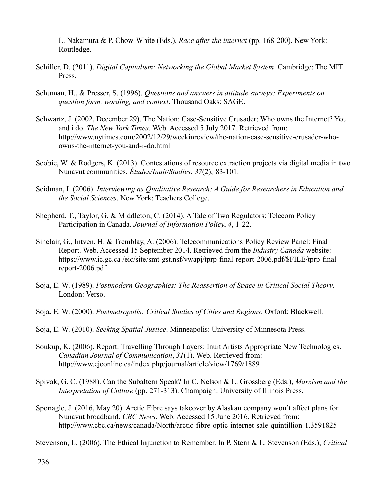L. Nakamura & P. Chow-White (Eds.), *Race after the internet* (pp. 168-200). New York: Routledge.

- Schiller, D. (2011). *Digital Capitalism: Networking the Global Market System*. Cambridge: The MIT Press.
- Schuman, H., & Presser, S. (1996). *Questions and answers in attitude surveys: Experiments on question form, wording, and context*. Thousand Oaks: SAGE.
- Schwartz, J. (2002, December 29). The Nation: Case-Sensitive Crusader; Who owns the Internet? You and i do. *The New York Times*. Web. Accessed 5 July 2017. Retrieved from: http://www.nytimes.com/2002/12/29/weekinreview/the-nation-case-sensitive-crusader-whoowns-the-internet-you-and-i-do.html
- Scobie, W. & Rodgers, K. (2013). Contestations of resource extraction projects via digital media in two Nunavut communities. *Études/Inuit/Studies*, *37*(2), 83-101.
- Seidman, I. (2006). *Interviewing as Qualitative Research: A Guide for Researchers in Education and the Social Sciences*. New York: Teachers College.
- Shepherd, T., Taylor, G. & Middleton, C. (2014). A Tale of Two Regulators: Telecom Policy Participation in Canada. *Journal of Information Policy*, *4*, 1-22.
- Sinclair, G., Intven, H. & Tremblay, A. (2006). Telecommunications Policy Review Panel: Final Report. Web. Accessed 15 September 2014. Retrieved from the *Industry Canada* website: https://www.ic.gc.ca /eic/site/smt-gst.nsf/vwapj/tprp-final-report-2006.pdf/\$FILE/tprp-finalreport-2006.pdf
- Soja, E. W. (1989). *Postmodern Geographies: The Reassertion of Space in Critical Social Theory*. London: Verso.
- Soja, E. W. (2000). *Postmetropolis: Critical Studies of Cities and Regions*. Oxford: Blackwell.
- Soja, E. W. (2010). *Seeking Spatial Justice*. Minneapolis: University of Minnesota Press.
- Soukup, K. (2006). Report: Travelling Through Layers: Inuit Artists Appropriate New Technologies. *Canadian Journal of Communication*, *31*(1). Web. Retrieved from: http://www.cjconline.ca/index.php/journal/article/view/1769/1889
- Spivak, G. C. (1988). Can the Subaltern Speak? In C. Nelson & L. Grossberg (Eds.), *Marxism and the Interpretation of Culture* (pp. 271-313). Champaign: University of Illinois Press.
- Sponagle, J. (2016, May 20). Arctic Fibre says takeover by Alaskan company won't affect plans for Nunavut broadband. *CBC News*. Web. Accessed 15 June 2016. Retrieved from: http://www.cbc.ca/news/canada/North/arctic-fibre-optic-internet-sale-quintillion-1.3591825

Stevenson, L. (2006). The Ethical Injunction to Remember. In P. Stern & L. Stevenson (Eds.), *Critical*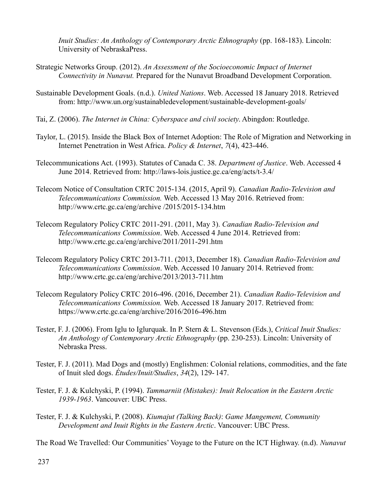*Inuit Studies: An Anthology of Contemporary Arctic Ethnography* (pp. 168-183). Lincoln: University of NebraskaPress.

- Strategic Networks Group. (2012). *An Assessment of the Socioeconomic Impact of Internet Connectivity in Nunavut.* Prepared for the Nunavut Broadband Development Corporation.
- Sustainable Development Goals. (n.d.). *United Nations*. Web. Accessed 18 January 2018. Retrieved from: http://www.un.org/sustainabledevelopment/sustainable-development-goals/
- Tai, Z. (2006). *The Internet in China: Cyberspace and civil society*. Abingdon: Routledge.
- Taylor, L. (2015). Inside the Black Box of Internet Adoption: The Role of Migration and Networking in Internet Penetration in West Africa. *Policy & Internet*, *7*(4), 423-446.
- Telecommunications Act. (1993). Statutes of Canada C. 38. *Department of Justice*. Web. Accessed 4 June 2014. Retrieved from: http://laws-lois.justice.gc.ca/eng/acts/t-3.4/
- Telecom Notice of Consultation CRTC 2015-134. (2015, April 9). *Canadian Radio-Television and Telecommunications Commission.* Web. Accessed 13 May 2016. Retrieved from: http://www.crtc.gc.ca/eng/archive /2015/2015-134.htm
- Telecom Regulatory Policy CRTC 2011-291. (2011, May 3). *Canadian Radio-Television and Telecommunications Commission*. Web. Accessed 4 June 2014. Retrieved from: http://www.crtc.gc.ca/eng/archive/2011/2011-291.htm
- Telecom Regulatory Policy CRTC 2013-711. (2013, December 18). *Canadian Radio-Television and Telecommunications Commission*. Web. Accessed 10 January 2014. Retrieved from: http://www.crtc.gc.ca/eng/archive/2013/2013-711.htm
- Telecom Regulatory Policy CRTC 2016-496. (2016, December 21). *Canadian Radio-Television and Telecommunications Commission.* Web. Accessed 18 January 2017. Retrieved from: https://www.crtc.gc.ca/eng/archive/2016/2016-496.htm
- Tester, F. J. (2006). From Iglu to Iglurquak. In P. Stern & L. Stevenson (Eds.), *Critical Inuit Studies: An Anthology of Contemporary Arctic Ethnography* (pp. 230-253). Lincoln: University of Nebraska Press.
- Tester, F. J. (2011). Mad Dogs and (mostly) Englishmen: Colonial relations, commodities, and the fate of Inuit sled dogs. *Études/Inuit/Studies*, *34*(2), 129- 147.
- Tester, F. J. & Kulchyski, P. (1994). *Tammarniit (Mistakes): Inuit Relocation in the Eastern Arctic 1939-1963*. Vancouver: UBC Press.
- Tester, F. J. & Kulchyski, P. (2008). *Kiumajut (Talking Back)*: *Game Mangement, Community Development and Inuit Rights in the Eastern Arctic*. Vancouver: UBC Press.

The Road We Travelled: Our Communities' Voyage to the Future on the ICT Highway. (n.d). *Nunavut*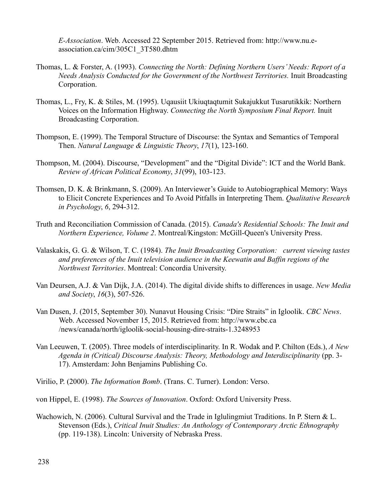*E-Association*. Web. Accessed 22 September 2015. Retrieved from: http://www.nu.eassociation.ca/cim/305C1\_3T580.dhtm

- Thomas, L. & Forster, A. (1993). *Connecting the North: Defining Northern Users' Needs: Report of a Needs Analysis Conducted for the Government of the Northwest Territories.* Inuit Broadcasting Corporation.
- Thomas, L., Fry, K. & Stiles, M. (1995). Uqausiit Ukiuqtaqtumit Sukajukkut Tusarutikkik: Northern Voices on the Information Highway. *Connecting the North Symposium Final Report.* Inuit Broadcasting Corporation.
- Thompson, E. (1999). The Temporal Structure of Discourse: the Syntax and Semantics of Temporal Then. *Natural Language & Linguistic Theory*, *17*(1), 123-160.
- Thompson, M. (2004). Discourse, "Development" and the "Digital Divide": ICT and the World Bank. *Review of African Political Economy*, *31*(99), 103-123.
- Thomsen, D. K. & Brinkmann, S. (2009). An Interviewer's Guide to Autobiographical Memory: Ways to Elicit Concrete Experiences and To Avoid Pitfalls in Interpreting Them. *Qualitative Research in Psychology*, *6*, 294-312.
- Truth and Reconciliation Commission of Canada. (2015). *Canada's Residential Schools: The Inuit and Northern Experience, Volume 2*. Montreal/Kingston: McGill-Queen's University Press.
- Valaskakis, G. G. & Wilson, T. C. (1984). *The Inuit Broadcasting Corporation: current viewing tastes and preferences of the Inuit television audience in the Keewatin and Baffin regions of the Northwest Territories*. Montreal: Concordia University.
- Van Deursen, A.J. & Van Dijk, J.A. (2014). The digital divide shifts to differences in usage. *New Media and Society*, *16*(3), 507-526.
- Van Dusen, J. (2015, September 30). Nunavut Housing Crisis: "Dire Straits" in Igloolik. *CBC News*. Web. Accessed November 15, 2015. Retrieved from: http://www.cbc.ca /news/canada/north/igloolik-social-housing-dire-straits-1.3248953
- Van Leeuwen, T. (2005). Three models of interdisciplinarity. In R. Wodak and P. Chilton (Eds.), *A New Agenda in (Critical) Discourse Analysis: Theory, Methodology and Interdisciplinarity* (pp. 3- 17). Amsterdam: John Benjamins Publishing Co.
- Virilio, P. (2000). *The Information Bomb*. (Trans. C. Turner). London: Verso.
- von Hippel, E. (1998). *The Sources of Innovation*. Oxford: Oxford University Press.
- Wachowich, N. (2006). Cultural Survival and the Trade in Iglulingmiut Traditions. In P. Stern & L. Stevenson (Eds.), *Critical Inuit Studies: An Anthology of Contemporary Arctic Ethnography*  (pp. 119-138). Lincoln: University of Nebraska Press.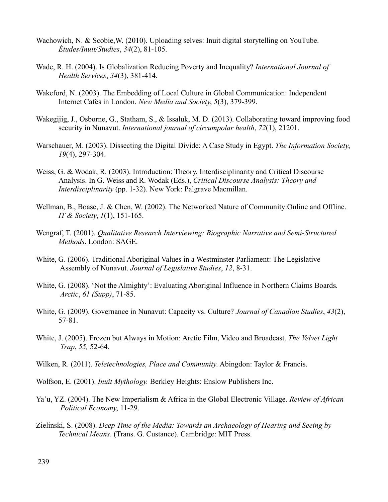- Wachowich, N. & Scobie,W. (2010). Uploading selves: Inuit digital storytelling on YouTube. *Études/Inuit/Studies*, *34*(2), 81-105.
- Wade, R. H. (2004). Is Globalization Reducing Poverty and Inequality? *International Journal of Health Services*, *34*(3), 381-414.
- Wakeford, N. (2003). The Embedding of Local Culture in Global Communication: Independent Internet Cafes in London. *New Media and Society*, *5*(3), 379-399.
- Wakegijig, J., Osborne, G., Statham, S., & Issaluk, M. D. (2013). Collaborating toward improving food security in Nunavut. *International journal of circumpolar health*, *72*(1), 21201.
- Warschauer, M. (2003). Dissecting the Digital Divide: A Case Study in Egypt. *The Information Society*, *19*(4), 297-304.
- Weiss, G. & Wodak, R. (2003). Introduction: Theory, Interdisciplinarity and Critical Discourse Analysis. In G. Weiss and R. Wodak (Eds.), *Critical Discourse Analysis: Theory and Interdisciplinarity* (pp. 1-32). New York: Palgrave Macmillan.
- Wellman, B., Boase, J. & Chen, W. (2002). The Networked Nature of Community:Online and Offline. *IT & Society*, *1*(1), 151-165.
- Wengraf, T. (2001). *Qualitative Research Interviewing: Biographic Narrative and Semi-Structured Methods*. London: SAGE.
- White, G. (2006). Traditional Aboriginal Values in a Westminster Parliament: The Legislative Assembly of Nunavut. *Journal of Legislative Studies*, *12*, 8-31.
- White, G. (2008). 'Not the Almighty': Evaluating Aboriginal Influence in Northern Claims Boards*. Arctic*, *61 (Supp)*, 71-85.
- White, G. (2009). Governance in Nunavut: Capacity vs. Culture? *Journal of Canadian Studies*, *43*(2), 57-81.
- White, J. (2005). Frozen but Always in Motion: Arctic Film, Video and Broadcast. *The Velvet Light Trap*, *55,* 52-64.
- Wilken, R. (2011). *Teletechnologies, Place and Community*. Abingdon: Taylor & Francis.
- Wolfson, E. (2001). *Inuit Mythology.* Berkley Heights: Enslow Publishers Inc.
- Ya'u, YZ. (2004). The New Imperialism & Africa in the Global Electronic Village. *Review of African Political Economy*, 11-29.
- Zielinski, S. (2008). *Deep Time of the Media: Towards an Archaeology of Hearing and Seeing by Technical Means*. (Trans. G. Custance). Cambridge: MIT Press.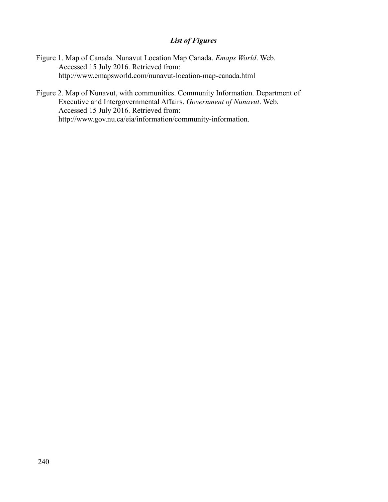# *List of Figures*

- Figure 1. Map of Canada. Nunavut Location Map Canada. *Emaps World*. Web. Accessed 15 July 2016. Retrieved from: http://www.emapsworld.com/nunavut-location-map-canada.html
- Figure 2. Map of Nunavut, with communities. Community Information. Department of Executive and Intergovernmental Affairs. *Government of Nunavut*. Web. Accessed 15 July 2016. Retrieved from: http://www.gov.nu.ca/eia/information/community-information.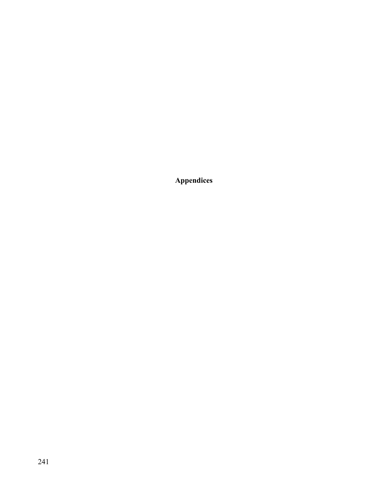**Appendices**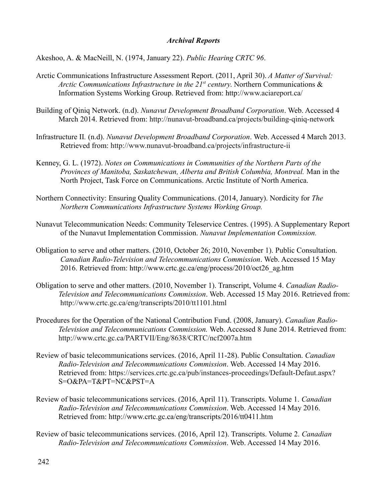### *Archival Reports*

Akeshoo, A. & MacNeill, N. (1974, January 22). *Public Hearing CRTC 96*.

- Arctic Communications Infrastructure Assessment Report. (2011, April 30). *A Matter of Survival: Arctic Communications Infrastructure in the 21st century*. Northern Communications & Information Systems Working Group. Retrieved from: http://www.aciareport.ca/
- Building of Qiniq Network. (n.d). *Nunavut Development Broadband Corporation*. Web. Accessed 4 March 2014. Retrieved from:<http://nunavut-broadband.ca/projects/building-qiniq-network>
- Infrastructure II*.* (n.d). *Nunavut Development Broadband Corporation*. Web. Accessed 4 March 2013. Retrieved from:<http://www.nunavut-broadband.ca/projects/infrastructure-ii>
- Kenney, G. L. (1972). *Notes on Communications in Communities of the Northern Parts of the Provinces of Manitoba, Saskatchewan, Alberta and British Columbia, Montreal.* Man in the North Project, Task Force on Communications. Arctic Institute of North America.
- Northern Connectivity: Ensuring Quality Communications. (2014, January). Nordicity for *The Northern Communications Infrastructure Systems Working Group.*
- Nunavut Telecommunication Needs: Community Teleservice Centres. (1995). A Supplementary Report of the Nunavut Implementation Commission. *Nunavut Implementation Commission.*
- Obligation to serve and other matters. (2010, October 26; 2010, November 1). Public Consultation. *Canadian Radio-Television and Telecommunications Commission*. Web. Accessed 15 May 2016. Retrieved from: http://www.crtc.gc.ca/eng/process/2010/oct26\_ag.htm
- Obligation to serve and other matters. (2010, November 1). Transcript, Volume 4. *Canadian Radio-Television and Telecommunications Commission*. Web. Accessed 15 May 2016. Retrieved from: http://www.crtc.gc.ca/eng/transcripts/2010/tt1101.html
- Procedures for the Operation of the National Contribution Fund. (2008, January). *Canadian Radio-Television and Telecommunications Commission.* Web. Accessed 8 June 2014. Retrieved from: http://www.crtc.gc.ca/PARTVII/Eng/8638/CRTC/ncf2007a.htm
- Review of basic telecommunications services. (2016, April 11-28). Public Consultation. *Canadian Radio-Television and Telecommunications Commission*. Web. Accessed 14 May 2016. Retrieved from: https://services.crtc.gc.ca/pub/instances-proceedings/Default-Defaut.aspx? S=O&PA=T&PT=NC&PST=A
- Review of basic telecommunications services. (2016, April 11). Transcripts. Volume 1. *Canadian Radio-Television and Telecommunications Commission*. Web. Accessed 14 May 2016. Retrieved from: http://www.crtc.gc.ca/eng/transcripts/2016/tt0411.htm
- Review of basic telecommunications services. (2016, April 12). Transcripts. Volume 2. *Canadian Radio-Television and Telecommunications Commission*. Web. Accessed 14 May 2016.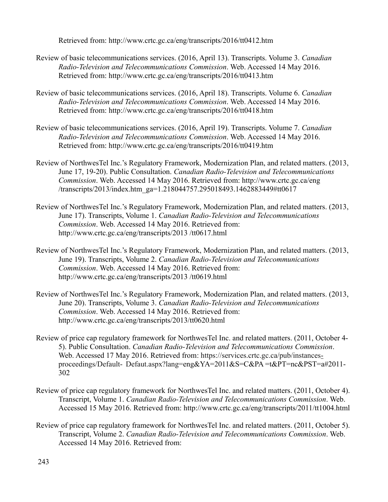Retrieved from: http://www.crtc.gc.ca/eng/transcripts/2016/tt0412.htm

- Review of basic telecommunications services. (2016, April 13). Transcripts. Volume 3. *Canadian Radio-Television and Telecommunications Commission*. Web. Accessed 14 May 2016. Retrieved from: http://www.crtc.gc.ca/eng/transcripts/2016/tt0413.htm
- Review of basic telecommunications services. (2016, April 18). Transcripts. Volume 6. *Canadian Radio-Television and Telecommunications Commission*. Web. Accessed 14 May 2016. Retrieved from: http://www.crtc.gc.ca/eng/transcripts/2016/tt0418.htm
- Review of basic telecommunications services. (2016, April 19). Transcripts. Volume 7. *Canadian Radio-Television and Telecommunications Commission*. Web. Accessed 14 May 2016. Retrieved from: http://www.crtc.gc.ca/eng/transcripts/2016/tt0419.htm
- Review of NorthwesTel Inc.'s Regulatory Framework, Modernization Plan, and related matters. (2013, June 17, 19-20). Public Consultation. *Canadian Radio-Television and Telecommunications Commission*. Web. Accessed 14 May 2016. Retrieved from: http://www.crtc.gc.ca/eng /transcripts/2013/index.htm\_ga=1.218044757.295018493.1462883449#tt0617
- Review of NorthwesTel Inc.'s Regulatory Framework, Modernization Plan, and related matters. (2013, June 17). Transcripts, Volume 1. *Canadian Radio-Television and Telecommunications Commission*. Web. Accessed 14 May 2016. Retrieved from: http://www.crtc.gc.ca/eng/transcripts/2013 /tt0617.html
- Review of NorthwesTel Inc.'s Regulatory Framework, Modernization Plan, and related matters. (2013, June 19). Transcripts, Volume 2. *Canadian Radio-Television and Telecommunications Commission*. Web. Accessed 14 May 2016. Retrieved from: http://www.crtc.gc.ca/eng/transcripts/2013 /tt0619.html
- Review of NorthwesTel Inc.'s Regulatory Framework, Modernization Plan, and related matters. (2013, June 20). Transcripts, Volume 3. *Canadian Radio-Television and Telecommunications Commission*. Web. Accessed 14 May 2016. Retrieved from: http://www.crtc.gc.ca/eng/transcripts/2013/tt0620.html
- Review of price cap regulatory framework for NorthwesTel Inc. and related matters. (2011, October 4- 5). Public Consultation. *Canadian Radio-Television and Telecommunications Commission*. Web. Accessed 17 May 2016. Retrieved from: [https://services.crtc.gc.ca/pub/instances](https://services.crtc.gc.ca/pub/instances-)[proceedings/Default-](https://services.crtc.gc.ca/pub/instances-proceedings/Default-) Defaut.aspx?lang=eng&YA=2011&S=C&PA =t&PT=nc&PST=a#2011- 302
- Review of price cap regulatory framework for NorthwesTel Inc. and related matters. (2011, October 4). Transcript, Volume 1. *Canadian Radio-Television and Telecommunications Commission*. Web. Accessed 15 May 2016. Retrieved from: http://www.crtc.gc.ca/eng/transcripts/2011/tt1004.html
- Review of price cap regulatory framework for NorthwesTel Inc. and related matters. (2011, October 5). Transcript, Volume 2. *Canadian Radio-Television and Telecommunications Commission*. Web. Accessed 14 May 2016. Retrieved from: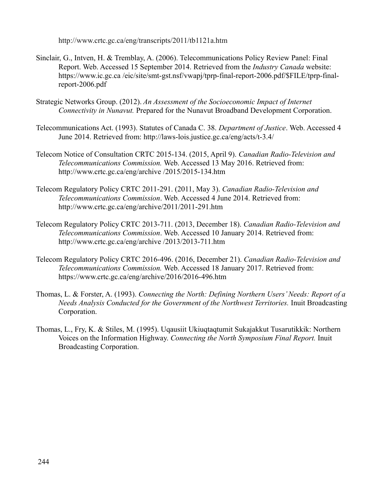<http://www.crtc.gc.ca/eng/transcripts/2011/tb1121a.htm>

- Sinclair, G., Intven, H. & Tremblay, A. (2006). Telecommunications Policy Review Panel: Final Report. Web. Accessed 15 September 2014. Retrieved from the *Industry Canada* website: https://www.ic.gc.ca /eic/site/smt-gst.nsf/vwapj/tprp-final-report-2006.pdf/\$FILE/tprp-finalreport-2006.pdf
- Strategic Networks Group. (2012). *An Assessment of the Socioeconomic Impact of Internet Connectivity in Nunavut.* Prepared for the Nunavut Broadband Development Corporation.
- Telecommunications Act. (1993). Statutes of Canada C. 38. *Department of Justice*. Web. Accessed 4 June 2014. Retrieved from: http://laws-lois.justice.gc.ca/eng/acts/t-3.4/
- Telecom Notice of Consultation CRTC 2015-134. (2015, April 9). *Canadian Radio-Television and Telecommunications Commission.* Web. Accessed 13 May 2016. Retrieved from: http://www.crtc.gc.ca/eng/archive /2015/2015-134.htm
- Telecom Regulatory Policy CRTC 2011-291. (2011, May 3). *Canadian Radio-Television and Telecommunications Commission*. Web. Accessed 4 June 2014. Retrieved from: http://www.crtc.gc.ca/eng/archive/2011/2011-291.htm
- Telecom Regulatory Policy CRTC 2013-711. (2013, December 18). *Canadian Radio-Television and Telecommunications Commission*. Web. Accessed 10 January 2014. Retrieved from: http://www.crtc.gc.ca/eng/archive /2013/2013-711.htm
- Telecom Regulatory Policy CRTC 2016-496. (2016, December 21). *Canadian Radio-Television and Telecommunications Commission.* Web. Accessed 18 January 2017. Retrieved from: https://www.crtc.gc.ca/eng/archive/2016/2016-496.htm
- Thomas, L. & Forster, A. (1993). *Connecting the North: Defining Northern Users' Needs: Report of a Needs Analysis Conducted for the Government of the Northwest Territories.* Inuit Broadcasting Corporation.
- Thomas, L., Fry, K. & Stiles, M. (1995). Uqausiit Ukiuqtaqtumit Sukajakkut Tusarutikkik: Northern Voices on the Information Highway. *Connecting the North Symposium Final Report.* Inuit Broadcasting Corporation.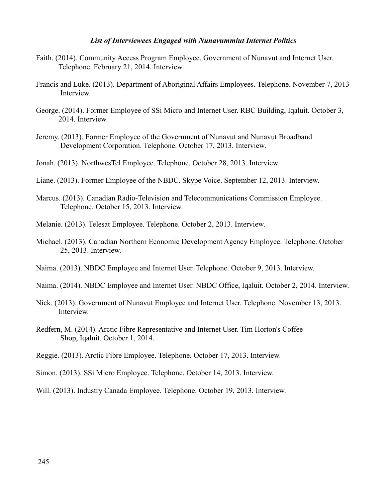#### *List of Interviewees Engaged with Nunavummiut Internet Politics*

- Faith. (2014). Community Access Program Employee, Government of Nunavut and Internet User. Telephone. February 21, 2014. Interview.
- Francis and Luke. (2013). Department of Aboriginal Affairs Employees. Telephone. November 7, 2013 Interview.
- George. (2014). Former Employee of SSi Micro and Internet User. RBC Building, Iqaluit. October 3, 2014. Interview.
- Jeremy. (2013). Former Employee of the Government of Nunavut and Nunavut Broadband Development Corporation. Telephone. October 17, 2013. Interview.
- Jonah. (2013). NorthwesTel Employee. Telephone. October 28, 2013. Interview.
- Liane. (2013). Former Employee of the NBDC. Skype Voice. September 12, 2013. Interview.
- Marcus. (2013). Canadian Radio-Television and Telecommunications Commission Employee. Telephone. October 15, 2013. Interview.
- Melanie. (2013). Telesat Employee. Telephone. October 2, 2013. Interview.
- Michael. (2013). Canadian Northern Economic Development Agency Employee. Telephone. October 25, 2013. Interview.
- Naima. (2013). NBDC Employee and Internet User. Telephone. October 9, 2013. Interview.
- Naima. (2014). NBDC Employee and Internet User. NBDC Office, Iqaluit. October 2, 2014. Interview.
- Nick. (2013). Government of Nunavut Employee and Internet User. Telephone. November 13, 2013. Interview.
- Redfern, M. (2014). Arctic Fibre Representative and Internet User. Tim Horton's Coffee Shop, Iqaluit. October 1, 2014.
- Reggie. (2013). Arctic Fibre Employee. Telephone. October 17, 2013. Interview.
- Simon. (2013). SSi Micro Employee. Telephone. October 14, 2013. Interview.
- Will. (2013). Industry Canada Employee. Telephone. October 19, 2013. Interview.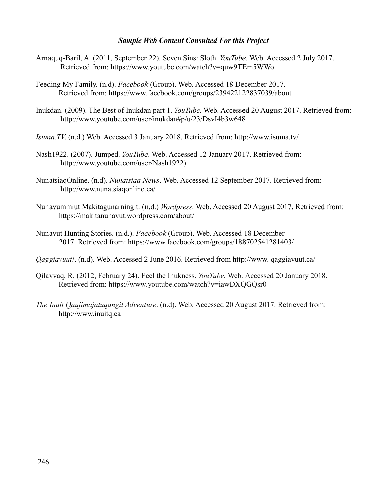### *Sample Web Content Consulted For this Project*

- Arnaquq-Baril, A. (2011, September 22). Seven Sins: Sloth. *YouTube*. Web. Accessed 2 July 2017. Retrieved from: https://www.youtube.com/watch?v=quw9TEm5WWo
- Feeding My Family. (n.d). *Facebook* (Group). Web. Accessed 18 December 2017. Retrieved from: https://www.facebook.com/groups/239422122837039/about
- Inukdan. (2009). The Best of Inukdan part 1. *YouTube*. Web. Accessed 20 August 2017. Retrieved from: http://www.youtube.com/user/inukdan#p/u/23/DsvI4b3w648
- *Isuma.TV*. (n.d.) Web. Accessed 3 January 2018. Retrieved from: http://www.isuma.tv/
- Nash1922. (2007). Jumped. *YouTube*. Web. Accessed 12 January 2017. Retrieved from: http://www.youtube.com/user/Nash1922).
- NunatsiaqOnline. (n.d). *Nunatsiaq News*. Web. Accessed 12 September 2017. Retrieved from: http://www.nunatsiaqonline.ca/
- Nunavummiut Makitagunarningit. (n.d.) *Wordpress*. Web. Accessed 20 August 2017. Retrieved from: https://makitanunavut.wordpress.com/about/
- Nunavut Hunting Stories. (n.d.). *Facebook* (Group). Web. Accessed 18 December 2017. Retrieved from: https://www.facebook.com/groups/188702541281403/
- *Qaggiavuut!*. (n.d). Web. Accessed 2 June 2016. Retrieved from http://www. qaggiavuut.ca/
- Qilavvaq, R. (2012, February 24). Feel the Inukness. *YouTube.* Web. Accessed 20 January 2018. Retrieved from: https://www.youtube.com/watch?v=iawDXQGQsr0
- *The Inuit Qaujimajatuqangit Adventure*. (n.d). Web. Accessed 20 August 2017. Retrieved from: http://www.inuitq.ca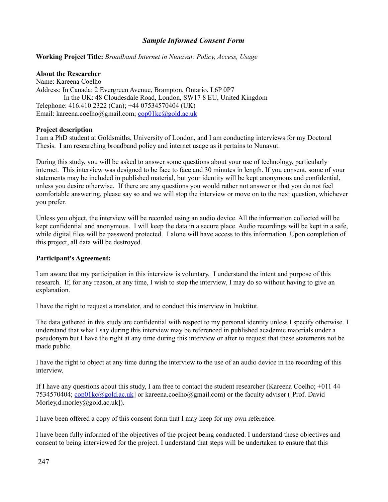## *Sample Informed Consent Form*

#### **Working Project Title:** *Broadband Internet in Nunavut: Policy, Access, Usage*

#### **About the Researcher**

Name: Kareena Coelho Address: In Canada: 2 Evergreen Avenue, Brampton, Ontario, L6P 0P7 In the UK: 48 Cloudesdale Road, London, SW17 8 EU, United Kingdom Telephone: 416.410.2322 (Can); +44 07534570404 (UK) Email: kareena.coelho@gmail.com; [cop01kc@gold.ac.uk](mailto:cop01kc@gold.ac.uk)

#### **Project description**

I am a PhD student at Goldsmiths, University of London, and I am conducting interviews for my Doctoral Thesis. I am researching broadband policy and internet usage as it pertains to Nunavut.

During this study, you will be asked to answer some questions about your use of technology, particularly internet. This interview was designed to be face to face and 30 minutes in length. If you consent, some of your statements may be included in published material, but your identity will be kept anonymous and confidential, unless you desire otherwise. If there are any questions you would rather not answer or that you do not feel comfortable answering, please say so and we will stop the interview or move on to the next question, whichever you prefer.

Unless you object, the interview will be recorded using an audio device. All the information collected will be kept confidential and anonymous. I will keep the data in a secure place. Audio recordings will be kept in a safe, while digital files will be password protected. I alone will have access to this information. Upon completion of this project, all data will be destroyed.

#### **Participant's Agreement:**

I am aware that my participation in this interview is voluntary. I understand the intent and purpose of this research. If, for any reason, at any time, I wish to stop the interview, I may do so without having to give an explanation.

I have the right to request a translator, and to conduct this interview in Inuktitut.

The data gathered in this study are confidential with respect to my personal identity unless I specify otherwise. I understand that what I say during this interview may be referenced in published academic materials under a pseudonym but I have the right at any time during this interview or after to request that these statements not be made public.

I have the right to object at any time during the interview to the use of an audio device in the recording of this interview.

If I have any questions about this study, I am free to contact the student researcher (Kareena Coelho; +011 44 7534570404; [cop01kc@gold.ac.uk\]](mailto:cop01kc@gold.ac.uk) or kareena.coelho@gmail.com) or the faculty adviser ([Prof. David Morley,d.morley@gold.ac.uk]).

I have been offered a copy of this consent form that I may keep for my own reference.

I have been fully informed of the objectives of the project being conducted. I understand these objectives and consent to being interviewed for the project. I understand that steps will be undertaken to ensure that this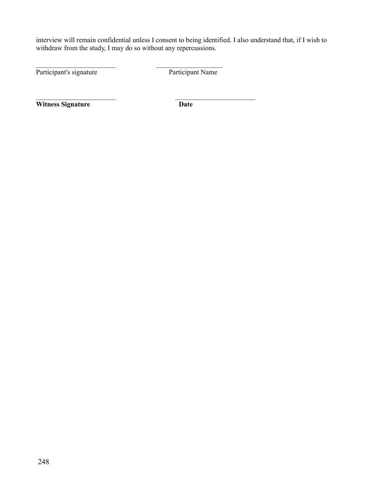interview will remain confidential unless I consent to being identified. I also understand that, if I wish to withdraw from the study, I may do so without any repercussions.

 $\mathcal{L}_\text{max}$  and the contract of the contract of the contract of the contract of the contract of the contract of the contract of the contract of the contract of the contract of the contract of the contract of the contrac

 $\mathcal{L}_\text{max}$  and the contract of the contract of the contract of the contract of the contract of the contract of the contract of the contract of the contract of the contract of the contract of the contract of the contrac

Participant's signature Participant Name

**Witness Signature Date**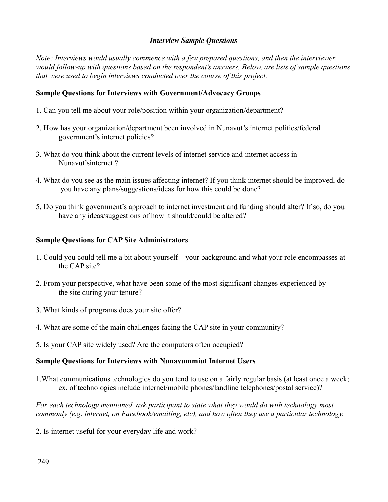## *Interview Sample Questions*

*Note: Interviews would usually commence with a few prepared questions, and then the interviewer would follow-up with questions based on the respondent's answers. Below, are lists of sample questions that were used to begin interviews conducted over the course of this project.*

## **Sample Questions for Interviews with Government/Advocacy Groups**

- 1. Can you tell me about your role/position within your organization/department?
- 2. How has your organization/department been involved in Nunavut's internet politics/federal government's internet policies?
- 3. What do you think about the current levels of internet service and internet access in Nunavut'sinternet ?
- 4. What do you see as the main issues affecting internet? If you think internet should be improved, do you have any plans/suggestions/ideas for how this could be done?
- 5. Do you think government's approach to internet investment and funding should alter? If so, do you have any ideas/suggestions of how it should/could be altered?

### **Sample Questions for CAP Site Administrators**

- 1. Could you could tell me a bit about yourself your background and what your role encompasses at the CAP site?
- 2. From your perspective, what have been some of the most significant changes experienced by the site during your tenure?
- 3. What kinds of programs does your site offer?
- 4. What are some of the main challenges facing the CAP site in your community?
- 5. Is your CAP site widely used? Are the computers often occupied?

## **Sample Questions for Interviews with Nunavummiut Internet Users**

1.What communications technologies do you tend to use on a fairly regular basis (at least once a week; ex. of technologies include internet/mobile phones/landline telephones/postal service)?

*For each technology mentioned, ask participant to state what they would do with technology most commonly (e.g. internet, on Facebook/emailing, etc), and how often they use a particular technology.* 

2. Is internet useful for your everyday life and work?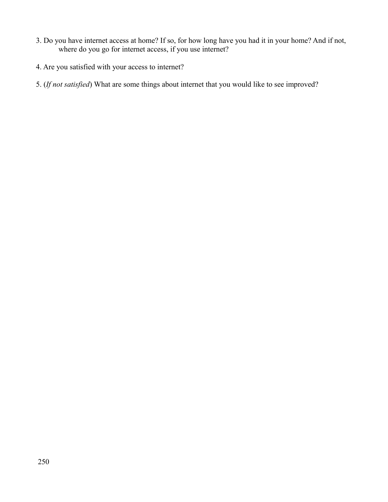- 3. Do you have internet access at home? If so, for how long have you had it in your home? And if not, where do you go for internet access, if you use internet?
- 4. Are you satisfied with your access to internet?
- 5. (*If not satisfied*) What are some things about internet that you would like to see improved?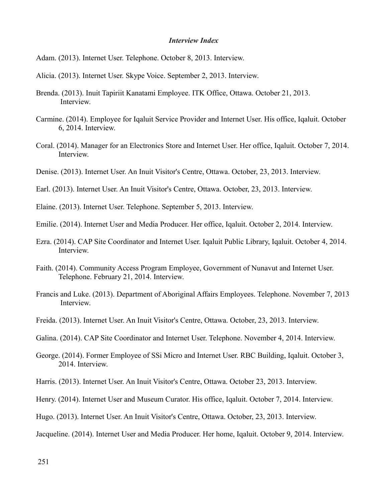#### *Interview Index*

Adam. (2013). Internet User. Telephone. October 8, 2013. Interview.

Alicia. (2013). Internet User. Skype Voice. September 2, 2013. Interview.

- Brenda. (2013). Inuit Tapiriit Kanatami Employee. ITK Office, Ottawa. October 21, 2013. Interview.
- Carmine. (2014). Employee for Iqaluit Service Provider and Internet User. His office, Iqaluit. October 6, 2014. Interview.
- Coral. (2014). Manager for an Electronics Store and Internet User. Her office, Iqaluit. October 7, 2014. Interview.
- Denise. (2013). Internet User. An Inuit Visitor's Centre, Ottawa. October, 23, 2013. Interview.
- Earl. (2013). Internet User. An Inuit Visitor's Centre, Ottawa. October, 23, 2013. Interview.
- Elaine. (2013). Internet User. Telephone. September 5, 2013. Interview.
- Emilie. (2014). Internet User and Media Producer. Her office, Iqaluit. October 2, 2014. Interview.
- Ezra. (2014). CAP Site Coordinator and Internet User. Iqaluit Public Library, Iqaluit. October 4, 2014. Interview.
- Faith. (2014). Community Access Program Employee, Government of Nunavut and Internet User. Telephone. February 21, 2014. Interview.
- Francis and Luke. (2013). Department of Aboriginal Affairs Employees. Telephone. November 7, 2013 Interview.
- Freida. (2013). Internet User. An Inuit Visitor's Centre, Ottawa. October, 23, 2013. Interview.
- Galina. (2014). CAP Site Coordinator and Internet User. Telephone. November 4, 2014. Interview.
- George. (2014). Former Employee of SSi Micro and Internet User. RBC Building, Iqaluit. October 3, 2014. Interview.
- Harris. (2013). Internet User. An Inuit Visitor's Centre, Ottawa. October 23, 2013. Interview.
- Henry. (2014). Internet User and Museum Curator. His office, Iqaluit. October 7, 2014. Interview.
- Hugo. (2013). Internet User. An Inuit Visitor's Centre, Ottawa. October, 23, 2013. Interview.
- Jacqueline. (2014). Internet User and Media Producer. Her home, Iqaluit. October 9, 2014. Interview.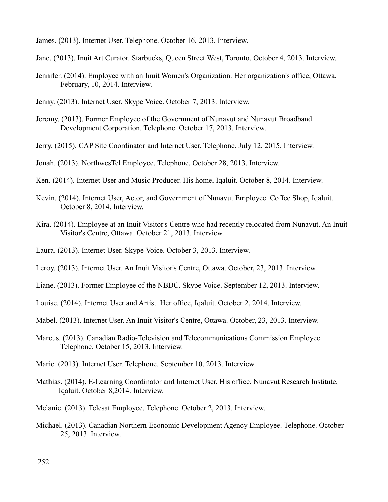James. (2013). Internet User. Telephone. October 16, 2013. Interview.

Jane. (2013). Inuit Art Curator. Starbucks, Queen Street West, Toronto. October 4, 2013. Interview.

- Jennifer. (2014). Employee with an Inuit Women's Organization. Her organization's office, Ottawa. February, 10, 2014. Interview.
- Jenny. (2013). Internet User. Skype Voice. October 7, 2013. Interview.
- Jeremy. (2013). Former Employee of the Government of Nunavut and Nunavut Broadband Development Corporation. Telephone. October 17, 2013. Interview.
- Jerry. (2015). CAP Site Coordinator and Internet User. Telephone. July 12, 2015. Interview.

Jonah. (2013). NorthwesTel Employee. Telephone. October 28, 2013. Interview.

- Ken. (2014). Internet User and Music Producer. His home, Iqaluit. October 8, 2014. Interview.
- Kevin. (2014). Internet User, Actor, and Government of Nunavut Employee. Coffee Shop, Iqaluit. October 8, 2014. Interview.
- Kira. (2014). Employee at an Inuit Visitor's Centre who had recently relocated from Nunavut. An Inuit Visitor's Centre, Ottawa. October 21, 2013. Interview.
- Laura. (2013). Internet User. Skype Voice. October 3, 2013. Interview.
- Leroy. (2013). Internet User. An Inuit Visitor's Centre, Ottawa. October, 23, 2013. Interview.
- Liane. (2013). Former Employee of the NBDC. Skype Voice. September 12, 2013. Interview.
- Louise. (2014). Internet User and Artist. Her office, Iqaluit. October 2, 2014. Interview.
- Mabel. (2013). Internet User. An Inuit Visitor's Centre, Ottawa. October, 23, 2013. Interview.
- Marcus. (2013). Canadian Radio-Television and Telecommunications Commission Employee. Telephone. October 15, 2013. Interview.
- Marie. (2013). Internet User. Telephone. September 10, 2013. Interview.
- Mathias. (2014). E-Learning Coordinator and Internet User. His office, Nunavut Research Institute, Iqaluit. October 8,2014. Interview.
- Melanie. (2013). Telesat Employee. Telephone. October 2, 2013. Interview.
- Michael. (2013). Canadian Northern Economic Development Agency Employee. Telephone. October 25, 2013. Interview.